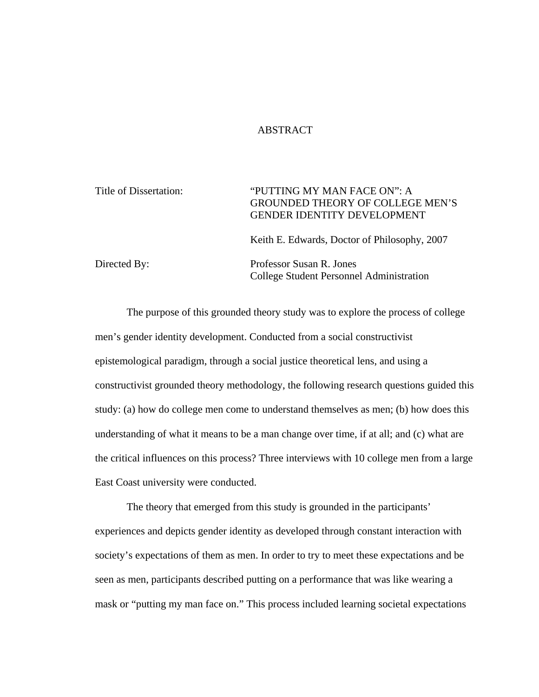## ABSTRACT

| Title of Dissertation: | "PUTTING MY MAN FACE ON": A<br><b>GROUNDED THEORY OF COLLEGE MEN'S</b><br><b>GENDER IDENTITY DEVELOPMENT</b> |  |
|------------------------|--------------------------------------------------------------------------------------------------------------|--|
|                        | Keith E. Edwards, Doctor of Philosophy, 2007                                                                 |  |
| Directed By:           | Professor Susan R. Jones<br>College Student Personnel Administration                                         |  |

The purpose of this grounded theory study was to explore the process of college men's gender identity development. Conducted from a social constructivist epistemological paradigm, through a social justice theoretical lens, and using a constructivist grounded theory methodology, the following research questions guided this study: (a) how do college men come to understand themselves as men; (b) how does this understanding of what it means to be a man change over time, if at all; and (c) what are the critical influences on this process? Three interviews with 10 college men from a large East Coast university were conducted.

The theory that emerged from this study is grounded in the participants' experiences and depicts gender identity as developed through constant interaction with society's expectations of them as men. In order to try to meet these expectations and be seen as men, participants described putting on a performance that was like wearing a mask or "putting my man face on." This process included learning societal expectations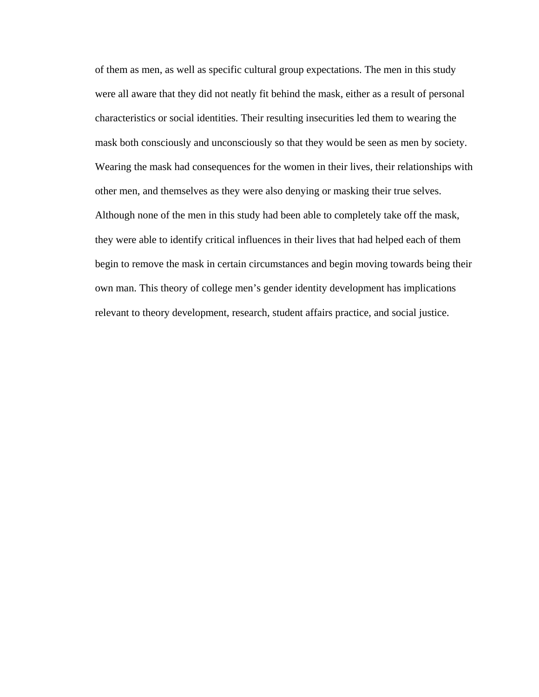of them as men, as well as specific cultural group expectations. The men in this study were all aware that they did not neatly fit behind the mask, either as a result of personal characteristics or social identities. Their resulting insecurities led them to wearing the mask both consciously and unconsciously so that they would be seen as men by society. Wearing the mask had consequences for the women in their lives, their relationships with other men, and themselves as they were also denying or masking their true selves. Although none of the men in this study had been able to completely take off the mask, they were able to identify critical influences in their lives that had helped each of them begin to remove the mask in certain circumstances and begin moving towards being their own man. This theory of college men's gender identity development has implications relevant to theory development, research, student affairs practice, and social justice.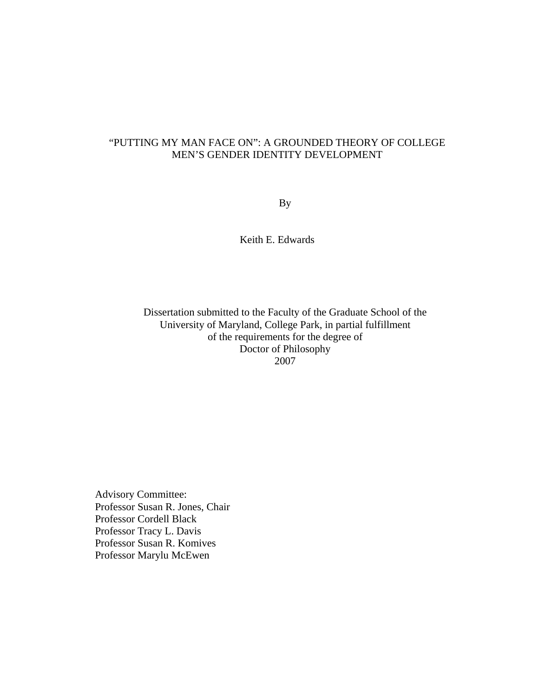# "PUTTING MY MAN FACE ON": A GROUNDED THEORY OF COLLEGE MEN'S GENDER IDENTITY DEVELOPMENT

By

Keith E. Edwards

Dissertation submitted to the Faculty of the Graduate School of the University of Maryland, College Park, in partial fulfillment of the requirements for the degree of Doctor of Philosophy 2007

Advisory Committee: Professor Susan R. Jones, Chair Professor Cordell Black Professor Tracy L. Davis Professor Susan R. Komives Professor Marylu McEwen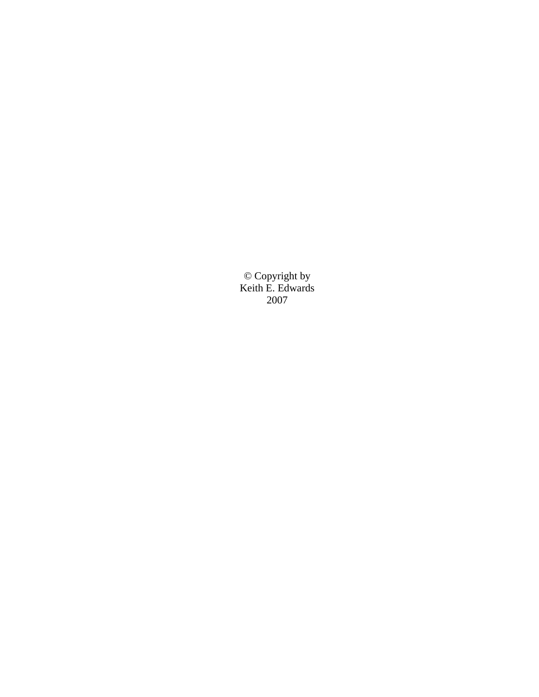© Copyright by Keith E. Edwards 2007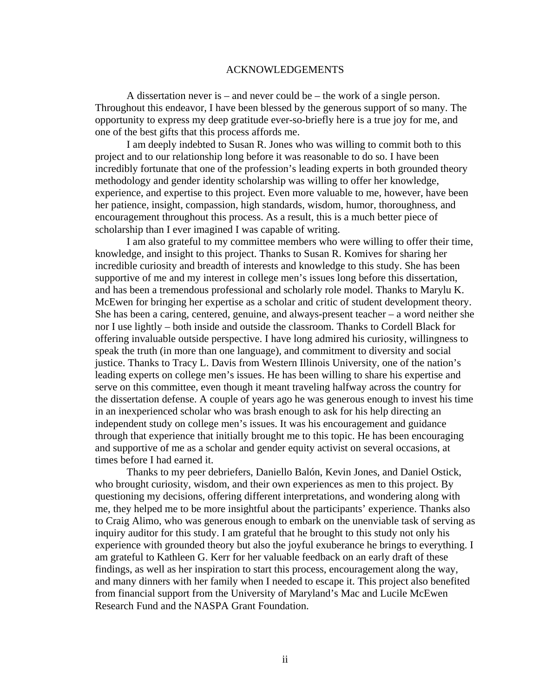### ACKNOWLEDGEMENTS

A dissertation never is – and never could be – the work of a single person. Throughout this endeavor, I have been blessed by the generous support of so many. The opportunity to express my deep gratitude ever-so-briefly here is a true joy for me, and one of the best gifts that this process affords me.

I am deeply indebted to Susan R. Jones who was willing to commit both to this project and to our relationship long before it was reasonable to do so. I have been incredibly fortunate that one of the profession's leading experts in both grounded theory methodology and gender identity scholarship was willing to offer her knowledge, experience, and expertise to this project. Even more valuable to me, however, have been her patience, insight, compassion, high standards, wisdom, humor, thoroughness, and encouragement throughout this process. As a result, this is a much better piece of scholarship than I ever imagined I was capable of writing.

I am also grateful to my committee members who were willing to offer their time, knowledge, and insight to this project. Thanks to Susan R. Komives for sharing her incredible curiosity and breadth of interests and knowledge to this study. She has been supportive of me and my interest in college men's issues long before this dissertation, and has been a tremendous professional and scholarly role model. Thanks to Marylu K. McEwen for bringing her expertise as a scholar and critic of student development theory. She has been a caring, centered, genuine, and always-present teacher – a word neither she nor I use lightly – both inside and outside the classroom. Thanks to Cordell Black for offering invaluable outside perspective. I have long admired his curiosity, willingness to speak the truth (in more than one language), and commitment to diversity and social justice. Thanks to Tracy L. Davis from Western Illinois University, one of the nation's leading experts on college men's issues. He has been willing to share his expertise and serve on this committee, even though it meant traveling halfway across the country for the dissertation defense. A couple of years ago he was generous enough to invest his time in an inexperienced scholar who was brash enough to ask for his help directing an independent study on college men's issues. It was his encouragement and guidance through that experience that initially brought me to this topic. He has been encouraging and supportive of me as a scholar and gender equity activist on several occasions, at times before I had earned it.

Thanks to my peer debriefers, Daniello Balón, Kevin Jones, and Daniel Ostick, who brought curiosity, wisdom, and their own experiences as men to this project. By questioning my decisions, offering different interpretations, and wondering along with me, they helped me to be more insightful about the participants' experience. Thanks also to Craig Alimo, who was generous enough to embark on the unenviable task of serving as inquiry auditor for this study. I am grateful that he brought to this study not only his experience with grounded theory but also the joyful exuberance he brings to everything. I am grateful to Kathleen G. Kerr for her valuable feedback on an early draft of these findings, as well as her inspiration to start this process, encouragement along the way, and many dinners with her family when I needed to escape it. This project also benefited from financial support from the University of Maryland's Mac and Lucile McEwen Research Fund and the NASPA Grant Foundation.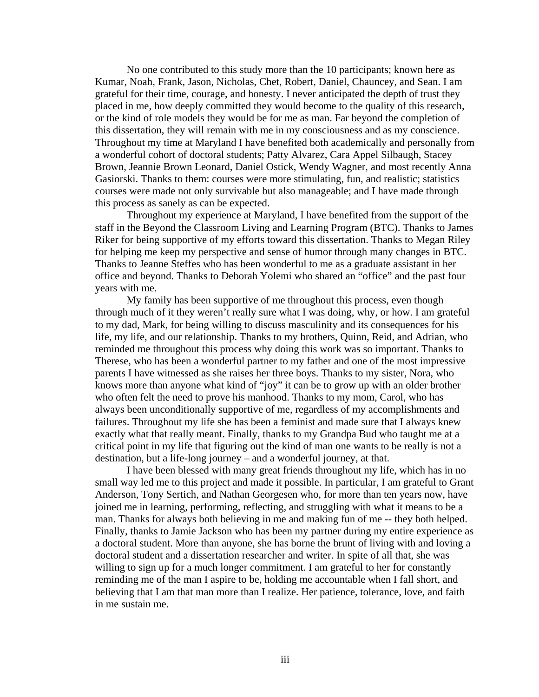No one contributed to this study more than the 10 participants; known here as Kumar, Noah, Frank, Jason, Nicholas, Chet, Robert, Daniel, Chauncey, and Sean. I am grateful for their time, courage, and honesty. I never anticipated the depth of trust they placed in me, how deeply committed they would become to the quality of this research, or the kind of role models they would be for me as man. Far beyond the completion of this dissertation, they will remain with me in my consciousness and as my conscience. Throughout my time at Maryland I have benefited both academically and personally from a wonderful cohort of doctoral students; Patty Alvarez, Cara Appel Silbaugh, Stacey Brown, Jeannie Brown Leonard, Daniel Ostick, Wendy Wagner, and most recently Anna Gasiorski. Thanks to them: courses were more stimulating, fun, and realistic; statistics courses were made not only survivable but also manageable; and I have made through this process as sanely as can be expected.

Throughout my experience at Maryland, I have benefited from the support of the staff in the Beyond the Classroom Living and Learning Program (BTC). Thanks to James Riker for being supportive of my efforts toward this dissertation. Thanks to Megan Riley for helping me keep my perspective and sense of humor through many changes in BTC. Thanks to Jeanne Steffes who has been wonderful to me as a graduate assistant in her office and beyond. Thanks to Deborah Yolemi who shared an "office" and the past four years with me.

My family has been supportive of me throughout this process, even though through much of it they weren't really sure what I was doing, why, or how. I am grateful to my dad, Mark, for being willing to discuss masculinity and its consequences for his life, my life, and our relationship. Thanks to my brothers, Quinn, Reid, and Adrian, who reminded me throughout this process why doing this work was so important. Thanks to Therese, who has been a wonderful partner to my father and one of the most impressive parents I have witnessed as she raises her three boys. Thanks to my sister, Nora, who knows more than anyone what kind of "joy" it can be to grow up with an older brother who often felt the need to prove his manhood. Thanks to my mom, Carol, who has always been unconditionally supportive of me, regardless of my accomplishments and failures. Throughout my life she has been a feminist and made sure that I always knew exactly what that really meant. Finally, thanks to my Grandpa Bud who taught me at a critical point in my life that figuring out the kind of man one wants to be really is not a destination, but a life-long journey – and a wonderful journey, at that.

I have been blessed with many great friends throughout my life, which has in no small way led me to this project and made it possible. In particular, I am grateful to Grant Anderson, Tony Sertich, and Nathan Georgesen who, for more than ten years now, have joined me in learning, performing, reflecting, and struggling with what it means to be a man. Thanks for always both believing in me and making fun of me -- they both helped. Finally, thanks to Jamie Jackson who has been my partner during my entire experience as a doctoral student. More than anyone, she has borne the brunt of living with and loving a doctoral student and a dissertation researcher and writer. In spite of all that, she was willing to sign up for a much longer commitment. I am grateful to her for constantly reminding me of the man I aspire to be, holding me accountable when I fall short, and believing that I am that man more than I realize. Her patience, tolerance, love, and faith in me sustain me.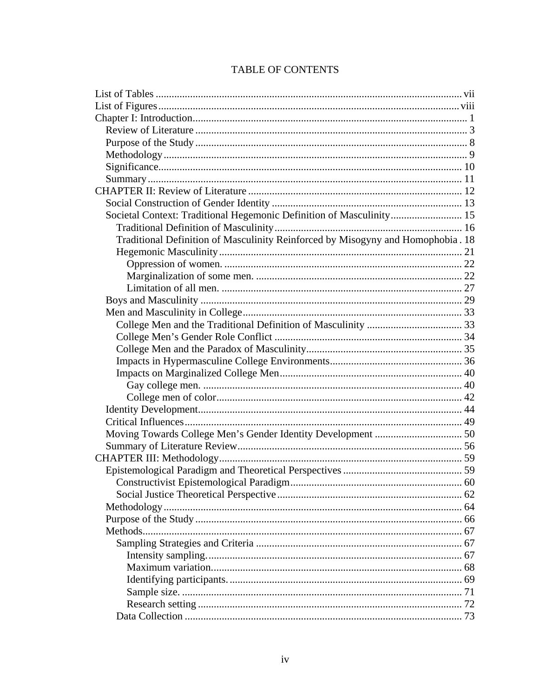| Societal Context: Traditional Hegemonic Definition of Masculinity 15            |  |
|---------------------------------------------------------------------------------|--|
|                                                                                 |  |
| Traditional Definition of Masculinity Reinforced by Misogyny and Homophobia. 18 |  |
|                                                                                 |  |
|                                                                                 |  |
|                                                                                 |  |
|                                                                                 |  |
|                                                                                 |  |
|                                                                                 |  |
|                                                                                 |  |
|                                                                                 |  |
|                                                                                 |  |
|                                                                                 |  |
|                                                                                 |  |
|                                                                                 |  |
|                                                                                 |  |
|                                                                                 |  |
|                                                                                 |  |
|                                                                                 |  |
|                                                                                 |  |
|                                                                                 |  |
|                                                                                 |  |
| Constructivist Epistemological Paradigm<br>$\ldots$ 60                          |  |
|                                                                                 |  |
|                                                                                 |  |
|                                                                                 |  |
|                                                                                 |  |
|                                                                                 |  |
|                                                                                 |  |
|                                                                                 |  |
|                                                                                 |  |
|                                                                                 |  |
|                                                                                 |  |
|                                                                                 |  |

# TABLE OF CONTENTS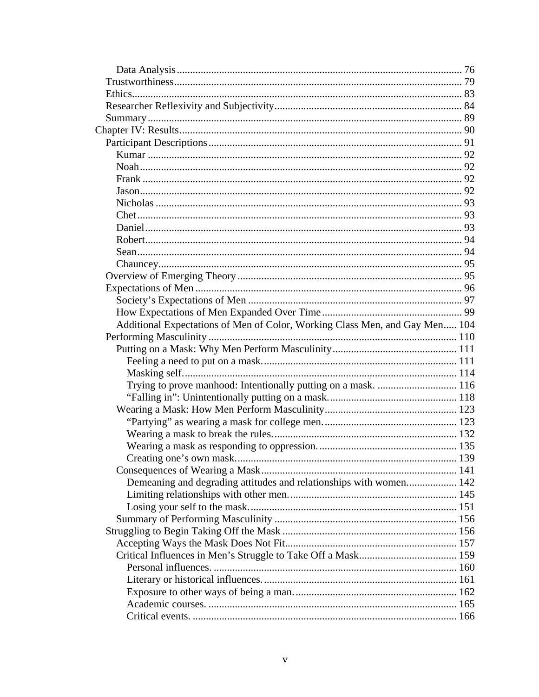| Additional Expectations of Men of Color, Working Class Men, and Gay Men 104 |  |
|-----------------------------------------------------------------------------|--|
|                                                                             |  |
|                                                                             |  |
|                                                                             |  |
|                                                                             |  |
| Trying to prove manhood: Intentionally putting on a mask.  116              |  |
|                                                                             |  |
|                                                                             |  |
|                                                                             |  |
|                                                                             |  |
|                                                                             |  |
|                                                                             |  |
|                                                                             |  |
| Demeaning and degrading attitudes and relationships with women 142          |  |
|                                                                             |  |
|                                                                             |  |
|                                                                             |  |
|                                                                             |  |
|                                                                             |  |
|                                                                             |  |
|                                                                             |  |
|                                                                             |  |
|                                                                             |  |
|                                                                             |  |
|                                                                             |  |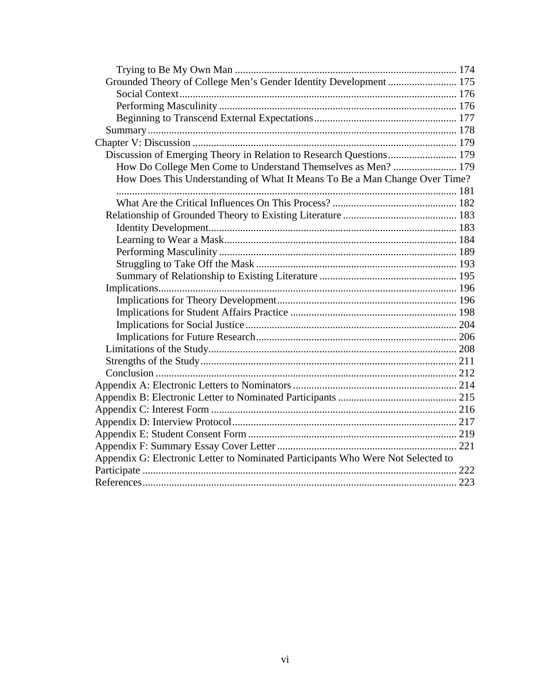| Grounded Theory of College Men's Gender Identity Development  175                |  |
|----------------------------------------------------------------------------------|--|
|                                                                                  |  |
|                                                                                  |  |
|                                                                                  |  |
|                                                                                  |  |
|                                                                                  |  |
| Discussion of Emerging Theory in Relation to Research Questions 179              |  |
| How Do College Men Come to Understand Themselves as Men?  179                    |  |
| How Does This Understanding of What It Means To Be a Man Change Over Time?       |  |
|                                                                                  |  |
|                                                                                  |  |
|                                                                                  |  |
|                                                                                  |  |
|                                                                                  |  |
|                                                                                  |  |
|                                                                                  |  |
|                                                                                  |  |
|                                                                                  |  |
|                                                                                  |  |
|                                                                                  |  |
|                                                                                  |  |
|                                                                                  |  |
|                                                                                  |  |
|                                                                                  |  |
|                                                                                  |  |
|                                                                                  |  |
|                                                                                  |  |
|                                                                                  |  |
|                                                                                  |  |
|                                                                                  |  |
|                                                                                  |  |
| Appendix G: Electronic Letter to Nominated Participants Who Were Not Selected to |  |
|                                                                                  |  |
|                                                                                  |  |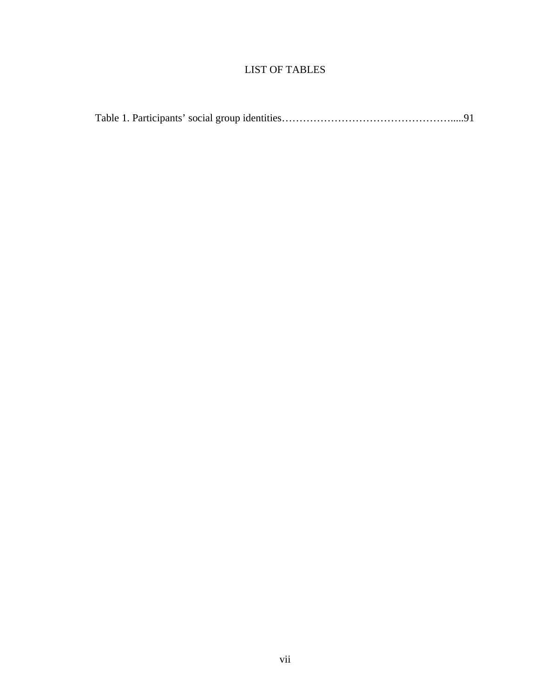# LIST OF TABLES

|--|--|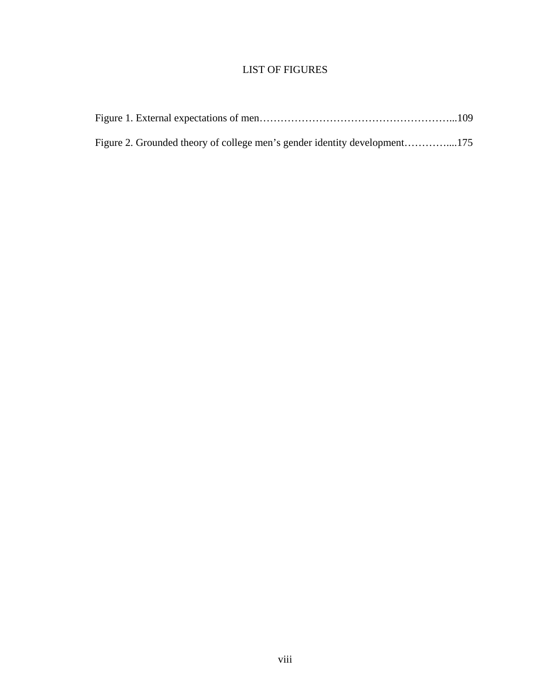# LIST OF FIGURES

| Figure 2. Grounded theory of college men's gender identity development175 |  |
|---------------------------------------------------------------------------|--|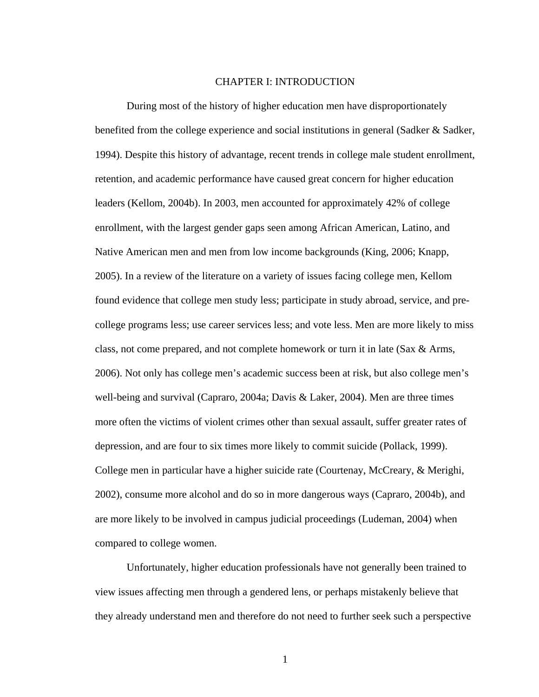### CHAPTER I: INTRODUCTION

During most of the history of higher education men have disproportionately benefited from the college experience and social institutions in general (Sadker & Sadker, 1994). Despite this history of advantage, recent trends in college male student enrollment, retention, and academic performance have caused great concern for higher education leaders (Kellom, 2004b). In 2003, men accounted for approximately 42% of college enrollment, with the largest gender gaps seen among African American, Latino, and Native American men and men from low income backgrounds (King, 2006; Knapp, 2005). In a review of the literature on a variety of issues facing college men, Kellom found evidence that college men study less; participate in study abroad, service, and precollege programs less; use career services less; and vote less. Men are more likely to miss class, not come prepared, and not complete homework or turn it in late (Sax & Arms, 2006). Not only has college men's academic success been at risk, but also college men's well-being and survival (Capraro, 2004a; Davis & Laker, 2004). Men are three times more often the victims of violent crimes other than sexual assault, suffer greater rates of depression, and are four to six times more likely to commit suicide (Pollack, 1999). College men in particular have a higher suicide rate (Courtenay, McCreary, & Merighi, 2002), consume more alcohol and do so in more dangerous ways (Capraro, 2004b), and are more likely to be involved in campus judicial proceedings (Ludeman, 2004) when compared to college women.

Unfortunately, higher education professionals have not generally been trained to view issues affecting men through a gendered lens, or perhaps mistakenly believe that they already understand men and therefore do not need to further seek such a perspective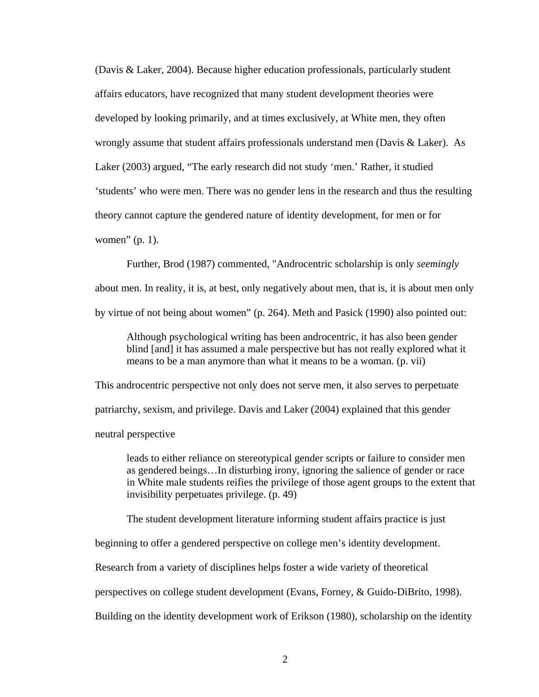(Davis & Laker, 2004). Because higher education professionals, particularly student affairs educators, have recognized that many student development theories were developed by looking primarily, and at times exclusively, at White men, they often wrongly assume that student affairs professionals understand men (Davis & Laker). As Laker (2003) argued, "The early research did not study 'men.' Rather, it studied 'students' who were men. There was no gender lens in the research and thus the resulting theory cannot capture the gendered nature of identity development, for men or for women" (p. 1).

Further, Brod (1987) commented, "Androcentric scholarship is only *seemingly*  about men. In reality, it is, at best, only negatively about men, that is, it is about men only by virtue of not being about women" (p. 264). Meth and Pasick (1990) also pointed out:

Although psychological writing has been androcentric, it has also been gender blind [and] it has assumed a male perspective but has not really explored what it means to be a man anymore than what it means to be a woman. (p. vii)

This androcentric perspective not only does not serve men, it also serves to perpetuate patriarchy, sexism, and privilege. Davis and Laker (2004) explained that this gender neutral perspective

leads to either reliance on stereotypical gender scripts or failure to consider men as gendered beings…In disturbing irony, ignoring the salience of gender or race in White male students reifies the privilege of those agent groups to the extent that invisibility perpetuates privilege. (p. 49)

The student development literature informing student affairs practice is just

beginning to offer a gendered perspective on college men's identity development.

Research from a variety of disciplines helps foster a wide variety of theoretical

perspectives on college student development (Evans, Forney, & Guido-DiBrito, 1998).

Building on the identity development work of Erikson (1980), scholarship on the identity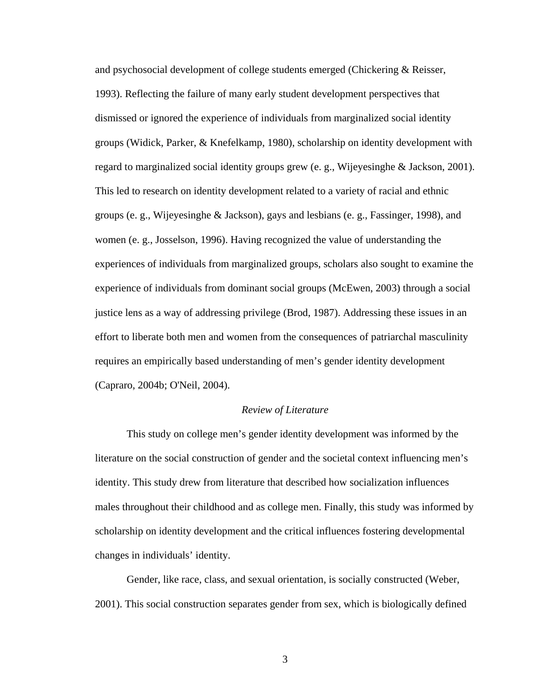and psychosocial development of college students emerged (Chickering & Reisser, 1993). Reflecting the failure of many early student development perspectives that dismissed or ignored the experience of individuals from marginalized social identity groups (Widick, Parker, & Knefelkamp, 1980), scholarship on identity development with regard to marginalized social identity groups grew (e. g., Wijeyesinghe & Jackson, 2001). This led to research on identity development related to a variety of racial and ethnic groups (e. g., Wijeyesinghe & Jackson), gays and lesbians (e. g., Fassinger, 1998), and women (e. g., Josselson, 1996). Having recognized the value of understanding the experiences of individuals from marginalized groups, scholars also sought to examine the experience of individuals from dominant social groups (McEwen, 2003) through a social justice lens as a way of addressing privilege (Brod, 1987). Addressing these issues in an effort to liberate both men and women from the consequences of patriarchal masculinity requires an empirically based understanding of men's gender identity development (Capraro, 2004b; O'Neil, 2004).

## *Review of Literature*

This study on college men's gender identity development was informed by the literature on the social construction of gender and the societal context influencing men's identity. This study drew from literature that described how socialization influences males throughout their childhood and as college men. Finally, this study was informed by scholarship on identity development and the critical influences fostering developmental changes in individuals' identity.

Gender, like race, class, and sexual orientation, is socially constructed (Weber, 2001). This social construction separates gender from sex, which is biologically defined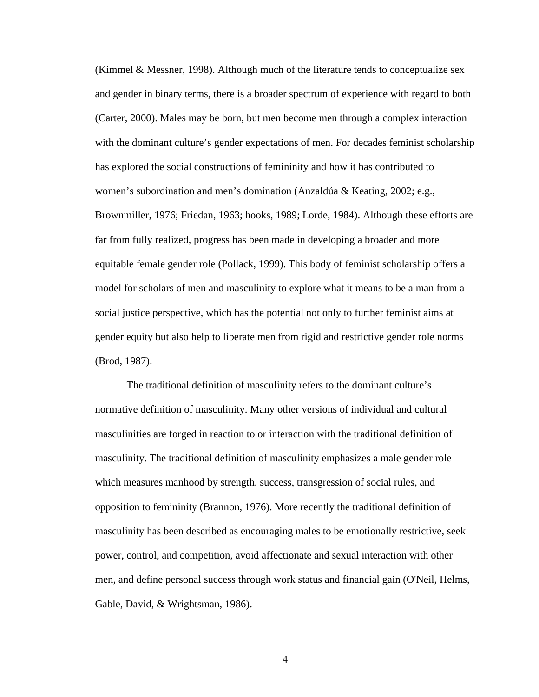(Kimmel & Messner, 1998). Although much of the literature tends to conceptualize sex and gender in binary terms, there is a broader spectrum of experience with regard to both (Carter, 2000). Males may be born, but men become men through a complex interaction with the dominant culture's gender expectations of men. For decades feminist scholarship has explored the social constructions of femininity and how it has contributed to women's subordination and men's domination (Anzaldúa & Keating, 2002; e.g., Brownmiller, 1976; Friedan, 1963; hooks, 1989; Lorde, 1984). Although these efforts are far from fully realized, progress has been made in developing a broader and more equitable female gender role (Pollack, 1999). This body of feminist scholarship offers a model for scholars of men and masculinity to explore what it means to be a man from a social justice perspective, which has the potential not only to further feminist aims at gender equity but also help to liberate men from rigid and restrictive gender role norms (Brod, 1987).

The traditional definition of masculinity refers to the dominant culture's normative definition of masculinity. Many other versions of individual and cultural masculinities are forged in reaction to or interaction with the traditional definition of masculinity. The traditional definition of masculinity emphasizes a male gender role which measures manhood by strength, success, transgression of social rules, and opposition to femininity (Brannon, 1976). More recently the traditional definition of masculinity has been described as encouraging males to be emotionally restrictive, seek power, control, and competition, avoid affectionate and sexual interaction with other men, and define personal success through work status and financial gain (O'Neil, Helms, Gable, David, & Wrightsman, 1986).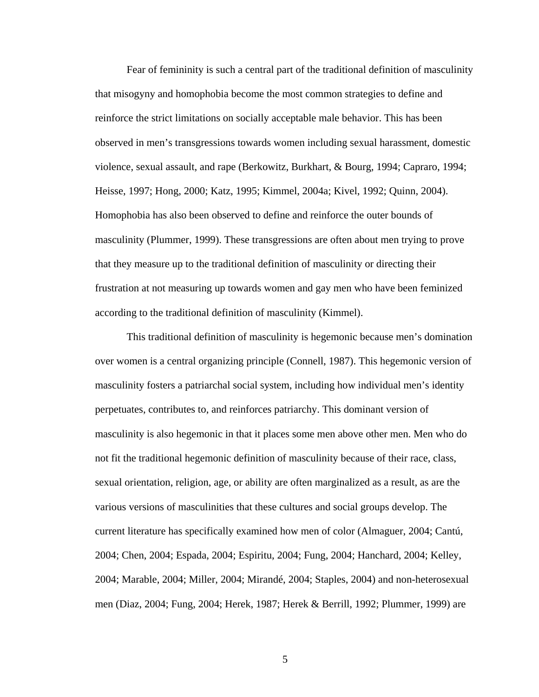Fear of femininity is such a central part of the traditional definition of masculinity that misogyny and homophobia become the most common strategies to define and reinforce the strict limitations on socially acceptable male behavior. This has been observed in men's transgressions towards women including sexual harassment, domestic violence, sexual assault, and rape (Berkowitz, Burkhart, & Bourg, 1994; Capraro, 1994; Heisse, 1997; Hong, 2000; Katz, 1995; Kimmel, 2004a; Kivel, 1992; Quinn, 2004). Homophobia has also been observed to define and reinforce the outer bounds of masculinity (Plummer, 1999). These transgressions are often about men trying to prove that they measure up to the traditional definition of masculinity or directing their frustration at not measuring up towards women and gay men who have been feminized according to the traditional definition of masculinity (Kimmel).

This traditional definition of masculinity is hegemonic because men's domination over women is a central organizing principle (Connell, 1987). This hegemonic version of masculinity fosters a patriarchal social system, including how individual men's identity perpetuates, contributes to, and reinforces patriarchy. This dominant version of masculinity is also hegemonic in that it places some men above other men. Men who do not fit the traditional hegemonic definition of masculinity because of their race, class, sexual orientation, religion, age, or ability are often marginalized as a result, as are the various versions of masculinities that these cultures and social groups develop. The current literature has specifically examined how men of color (Almaguer, 2004; Cantú, 2004; Chen, 2004; Espada, 2004; Espiritu, 2004; Fung, 2004; Hanchard, 2004; Kelley, 2004; Marable, 2004; Miller, 2004; Mirandé, 2004; Staples, 2004) and non-heterosexual men (Diaz, 2004; Fung, 2004; Herek, 1987; Herek & Berrill, 1992; Plummer, 1999) are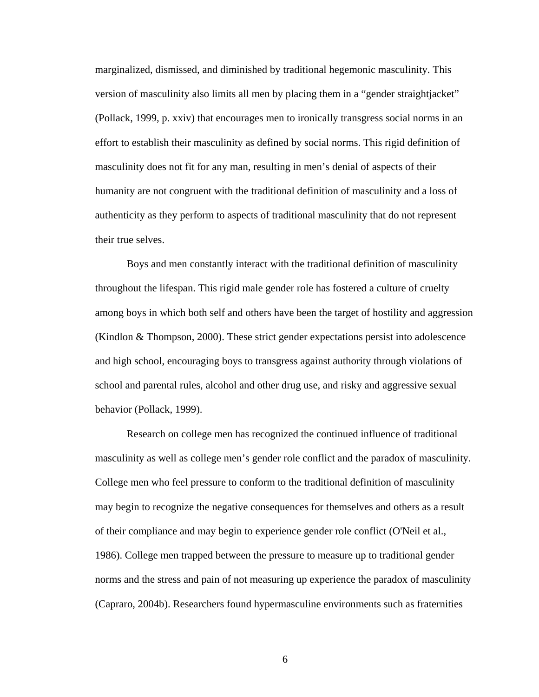marginalized, dismissed, and diminished by traditional hegemonic masculinity. This version of masculinity also limits all men by placing them in a "gender straightjacket" (Pollack, 1999, p. xxiv) that encourages men to ironically transgress social norms in an effort to establish their masculinity as defined by social norms. This rigid definition of masculinity does not fit for any man, resulting in men's denial of aspects of their humanity are not congruent with the traditional definition of masculinity and a loss of authenticity as they perform to aspects of traditional masculinity that do not represent their true selves.

Boys and men constantly interact with the traditional definition of masculinity throughout the lifespan. This rigid male gender role has fostered a culture of cruelty among boys in which both self and others have been the target of hostility and aggression (Kindlon & Thompson, 2000). These strict gender expectations persist into adolescence and high school, encouraging boys to transgress against authority through violations of school and parental rules, alcohol and other drug use, and risky and aggressive sexual behavior (Pollack, 1999).

Research on college men has recognized the continued influence of traditional masculinity as well as college men's gender role conflict and the paradox of masculinity. College men who feel pressure to conform to the traditional definition of masculinity may begin to recognize the negative consequences for themselves and others as a result of their compliance and may begin to experience gender role conflict (O'Neil et al., 1986). College men trapped between the pressure to measure up to traditional gender norms and the stress and pain of not measuring up experience the paradox of masculinity (Capraro, 2004b). Researchers found hypermasculine environments such as fraternities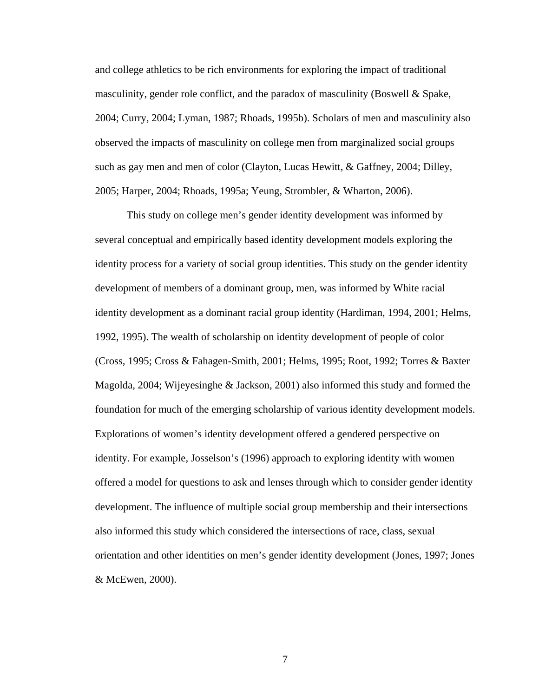and college athletics to be rich environments for exploring the impact of traditional masculinity, gender role conflict, and the paradox of masculinity (Boswell & Spake, 2004; Curry, 2004; Lyman, 1987; Rhoads, 1995b). Scholars of men and masculinity also observed the impacts of masculinity on college men from marginalized social groups such as gay men and men of color (Clayton, Lucas Hewitt, & Gaffney, 2004; Dilley, 2005; Harper, 2004; Rhoads, 1995a; Yeung, Strombler, & Wharton, 2006).

This study on college men's gender identity development was informed by several conceptual and empirically based identity development models exploring the identity process for a variety of social group identities. This study on the gender identity development of members of a dominant group, men, was informed by White racial identity development as a dominant racial group identity (Hardiman, 1994, 2001; Helms, 1992, 1995). The wealth of scholarship on identity development of people of color (Cross, 1995; Cross & Fahagen-Smith, 2001; Helms, 1995; Root, 1992; Torres & Baxter Magolda, 2004; Wijeyesinghe & Jackson, 2001) also informed this study and formed the foundation for much of the emerging scholarship of various identity development models. Explorations of women's identity development offered a gendered perspective on identity. For example, Josselson's (1996) approach to exploring identity with women offered a model for questions to ask and lenses through which to consider gender identity development. The influence of multiple social group membership and their intersections also informed this study which considered the intersections of race, class, sexual orientation and other identities on men's gender identity development (Jones, 1997; Jones & McEwen, 2000).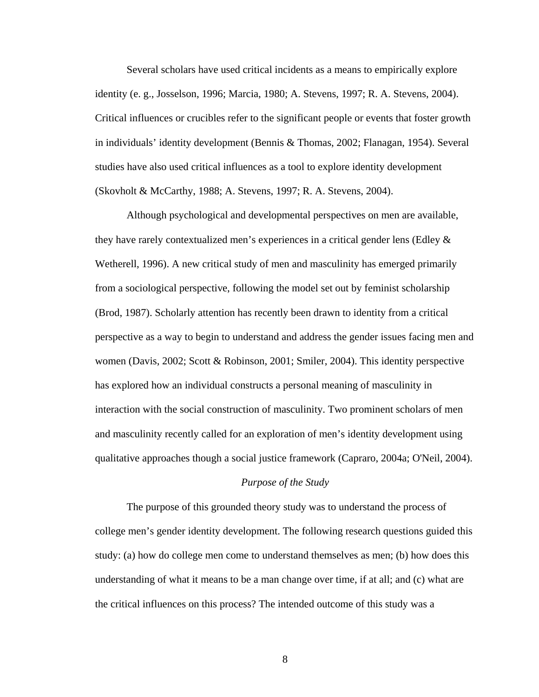Several scholars have used critical incidents as a means to empirically explore identity (e. g., Josselson, 1996; Marcia, 1980; A. Stevens, 1997; R. A. Stevens, 2004). Critical influences or crucibles refer to the significant people or events that foster growth in individuals' identity development (Bennis & Thomas, 2002; Flanagan, 1954). Several studies have also used critical influences as a tool to explore identity development (Skovholt & McCarthy, 1988; A. Stevens, 1997; R. A. Stevens, 2004).

Although psychological and developmental perspectives on men are available, they have rarely contextualized men's experiences in a critical gender lens (Edley & Wetherell, 1996). A new critical study of men and masculinity has emerged primarily from a sociological perspective, following the model set out by feminist scholarship (Brod, 1987). Scholarly attention has recently been drawn to identity from a critical perspective as a way to begin to understand and address the gender issues facing men and women (Davis, 2002; Scott & Robinson, 2001; Smiler, 2004). This identity perspective has explored how an individual constructs a personal meaning of masculinity in interaction with the social construction of masculinity. Two prominent scholars of men and masculinity recently called for an exploration of men's identity development using qualitative approaches though a social justice framework (Capraro, 2004a; O'Neil, 2004).

#### *Purpose of the Study*

The purpose of this grounded theory study was to understand the process of college men's gender identity development. The following research questions guided this study: (a) how do college men come to understand themselves as men; (b) how does this understanding of what it means to be a man change over time, if at all; and (c) what are the critical influences on this process? The intended outcome of this study was a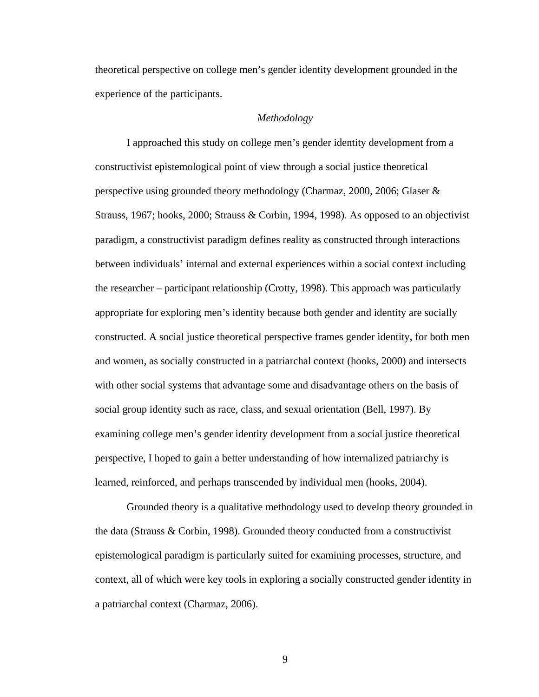theoretical perspective on college men's gender identity development grounded in the experience of the participants.

## *Methodology*

I approached this study on college men's gender identity development from a constructivist epistemological point of view through a social justice theoretical perspective using grounded theory methodology (Charmaz, 2000, 2006; Glaser & Strauss, 1967; hooks, 2000; Strauss & Corbin, 1994, 1998). As opposed to an objectivist paradigm, a constructivist paradigm defines reality as constructed through interactions between individuals' internal and external experiences within a social context including the researcher – participant relationship (Crotty, 1998). This approach was particularly appropriate for exploring men's identity because both gender and identity are socially constructed. A social justice theoretical perspective frames gender identity, for both men and women, as socially constructed in a patriarchal context (hooks, 2000) and intersects with other social systems that advantage some and disadvantage others on the basis of social group identity such as race, class, and sexual orientation (Bell, 1997). By examining college men's gender identity development from a social justice theoretical perspective, I hoped to gain a better understanding of how internalized patriarchy is learned, reinforced, and perhaps transcended by individual men (hooks, 2004).

Grounded theory is a qualitative methodology used to develop theory grounded in the data (Strauss & Corbin, 1998). Grounded theory conducted from a constructivist epistemological paradigm is particularly suited for examining processes, structure, and context, all of which were key tools in exploring a socially constructed gender identity in a patriarchal context (Charmaz, 2006).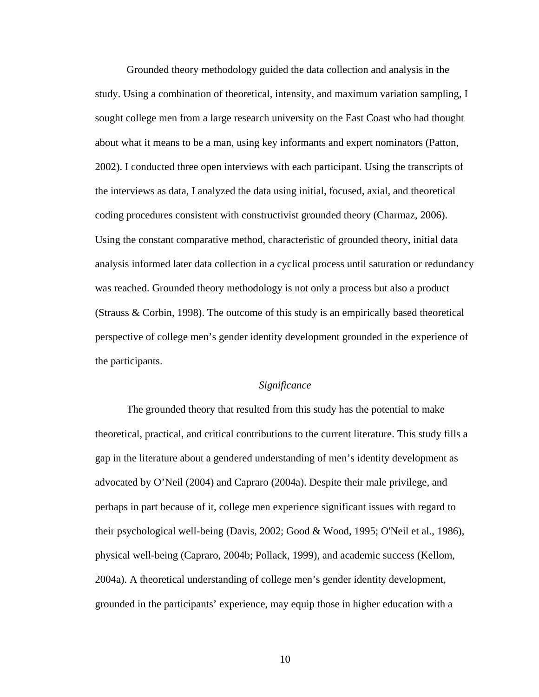Grounded theory methodology guided the data collection and analysis in the study. Using a combination of theoretical, intensity, and maximum variation sampling, I sought college men from a large research university on the East Coast who had thought about what it means to be a man, using key informants and expert nominators (Patton, 2002). I conducted three open interviews with each participant. Using the transcripts of the interviews as data, I analyzed the data using initial, focused, axial, and theoretical coding procedures consistent with constructivist grounded theory (Charmaz, 2006). Using the constant comparative method, characteristic of grounded theory, initial data analysis informed later data collection in a cyclical process until saturation or redundancy was reached. Grounded theory methodology is not only a process but also a product (Strauss & Corbin, 1998). The outcome of this study is an empirically based theoretical perspective of college men's gender identity development grounded in the experience of the participants.

## *Significance*

The grounded theory that resulted from this study has the potential to make theoretical, practical, and critical contributions to the current literature. This study fills a gap in the literature about a gendered understanding of men's identity development as advocated by O'Neil (2004) and Capraro (2004a). Despite their male privilege, and perhaps in part because of it, college men experience significant issues with regard to their psychological well-being (Davis, 2002; Good & Wood, 1995; O'Neil et al., 1986), physical well-being (Capraro, 2004b; Pollack, 1999), and academic success (Kellom, 2004a). A theoretical understanding of college men's gender identity development, grounded in the participants' experience, may equip those in higher education with a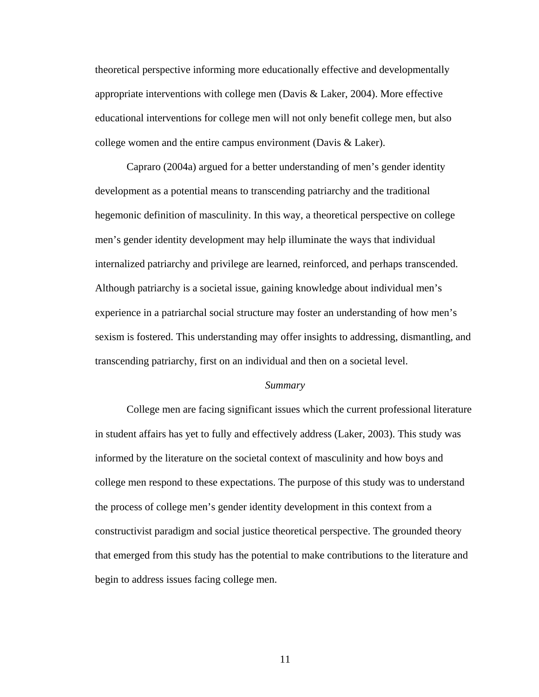theoretical perspective informing more educationally effective and developmentally appropriate interventions with college men (Davis  $\&$  Laker, 2004). More effective educational interventions for college men will not only benefit college men, but also college women and the entire campus environment (Davis & Laker).

Capraro (2004a) argued for a better understanding of men's gender identity development as a potential means to transcending patriarchy and the traditional hegemonic definition of masculinity. In this way, a theoretical perspective on college men's gender identity development may help illuminate the ways that individual internalized patriarchy and privilege are learned, reinforced, and perhaps transcended. Although patriarchy is a societal issue, gaining knowledge about individual men's experience in a patriarchal social structure may foster an understanding of how men's sexism is fostered. This understanding may offer insights to addressing, dismantling, and transcending patriarchy, first on an individual and then on a societal level.

#### *Summary*

College men are facing significant issues which the current professional literature in student affairs has yet to fully and effectively address (Laker, 2003). This study was informed by the literature on the societal context of masculinity and how boys and college men respond to these expectations. The purpose of this study was to understand the process of college men's gender identity development in this context from a constructivist paradigm and social justice theoretical perspective. The grounded theory that emerged from this study has the potential to make contributions to the literature and begin to address issues facing college men.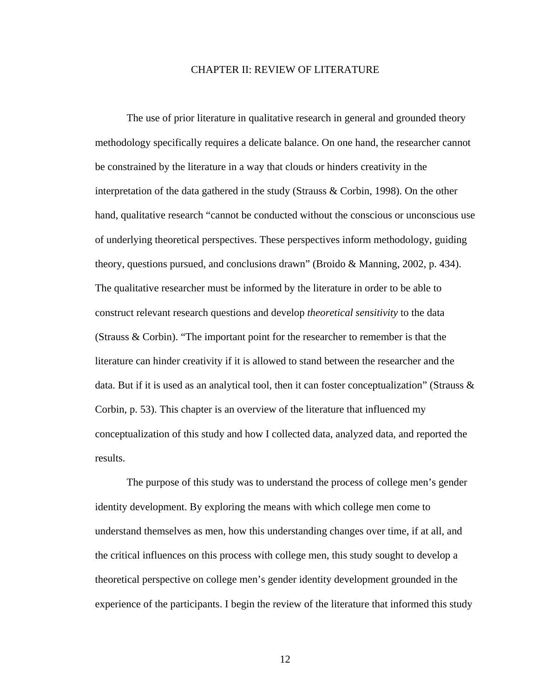### CHAPTER II: REVIEW OF LITERATURE

The use of prior literature in qualitative research in general and grounded theory methodology specifically requires a delicate balance. On one hand, the researcher cannot be constrained by the literature in a way that clouds or hinders creativity in the interpretation of the data gathered in the study (Strauss & Corbin, 1998). On the other hand, qualitative research "cannot be conducted without the conscious or unconscious use of underlying theoretical perspectives. These perspectives inform methodology, guiding theory, questions pursued, and conclusions drawn" (Broido & Manning, 2002, p. 434). The qualitative researcher must be informed by the literature in order to be able to construct relevant research questions and develop *theoretical sensitivity* to the data (Strauss & Corbin). "The important point for the researcher to remember is that the literature can hinder creativity if it is allowed to stand between the researcher and the data. But if it is used as an analytical tool, then it can foster conceptualization" (Strauss  $\&$ Corbin, p. 53). This chapter is an overview of the literature that influenced my conceptualization of this study and how I collected data, analyzed data, and reported the results.

The purpose of this study was to understand the process of college men's gender identity development. By exploring the means with which college men come to understand themselves as men, how this understanding changes over time, if at all, and the critical influences on this process with college men, this study sought to develop a theoretical perspective on college men's gender identity development grounded in the experience of the participants. I begin the review of the literature that informed this study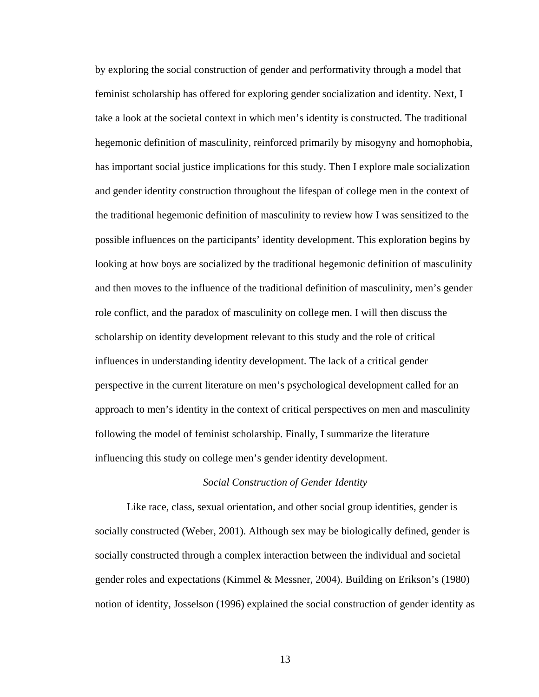by exploring the social construction of gender and performativity through a model that feminist scholarship has offered for exploring gender socialization and identity. Next, I take a look at the societal context in which men's identity is constructed. The traditional hegemonic definition of masculinity, reinforced primarily by misogyny and homophobia, has important social justice implications for this study. Then I explore male socialization and gender identity construction throughout the lifespan of college men in the context of the traditional hegemonic definition of masculinity to review how I was sensitized to the possible influences on the participants' identity development. This exploration begins by looking at how boys are socialized by the traditional hegemonic definition of masculinity and then moves to the influence of the traditional definition of masculinity, men's gender role conflict, and the paradox of masculinity on college men. I will then discuss the scholarship on identity development relevant to this study and the role of critical influences in understanding identity development. The lack of a critical gender perspective in the current literature on men's psychological development called for an approach to men's identity in the context of critical perspectives on men and masculinity following the model of feminist scholarship. Finally, I summarize the literature influencing this study on college men's gender identity development.

## *Social Construction of Gender Identity*

Like race, class, sexual orientation, and other social group identities, gender is socially constructed (Weber, 2001). Although sex may be biologically defined, gender is socially constructed through a complex interaction between the individual and societal gender roles and expectations (Kimmel & Messner, 2004). Building on Erikson's (1980) notion of identity, Josselson (1996) explained the social construction of gender identity as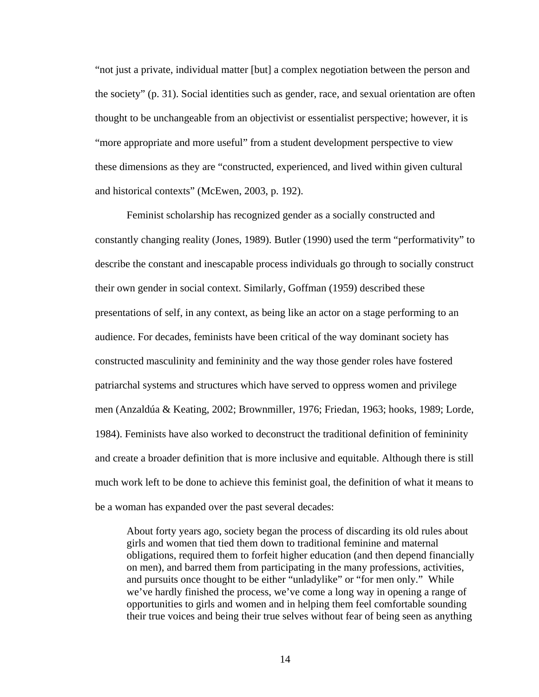"not just a private, individual matter [but] a complex negotiation between the person and the society" (p. 31). Social identities such as gender, race, and sexual orientation are often thought to be unchangeable from an objectivist or essentialist perspective; however, it is "more appropriate and more useful" from a student development perspective to view these dimensions as they are "constructed, experienced, and lived within given cultural and historical contexts" (McEwen, 2003, p. 192).

Feminist scholarship has recognized gender as a socially constructed and constantly changing reality (Jones, 1989). Butler (1990) used the term "performativity" to describe the constant and inescapable process individuals go through to socially construct their own gender in social context. Similarly, Goffman (1959) described these presentations of self, in any context, as being like an actor on a stage performing to an audience. For decades, feminists have been critical of the way dominant society has constructed masculinity and femininity and the way those gender roles have fostered patriarchal systems and structures which have served to oppress women and privilege men (Anzaldúa & Keating, 2002; Brownmiller, 1976; Friedan, 1963; hooks, 1989; Lorde, 1984). Feminists have also worked to deconstruct the traditional definition of femininity and create a broader definition that is more inclusive and equitable. Although there is still much work left to be done to achieve this feminist goal, the definition of what it means to be a woman has expanded over the past several decades:

About forty years ago, society began the process of discarding its old rules about girls and women that tied them down to traditional feminine and maternal obligations, required them to forfeit higher education (and then depend financially on men), and barred them from participating in the many professions, activities, and pursuits once thought to be either "unladylike" or "for men only." While we've hardly finished the process, we've come a long way in opening a range of opportunities to girls and women and in helping them feel comfortable sounding their true voices and being their true selves without fear of being seen as anything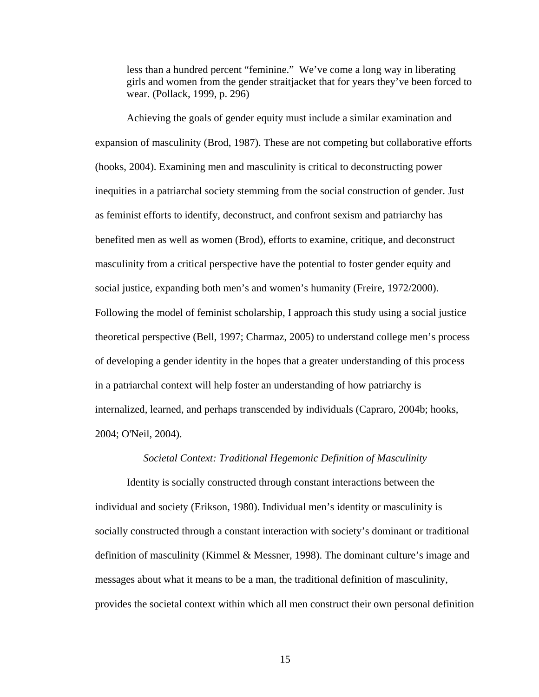less than a hundred percent "feminine." We've come a long way in liberating girls and women from the gender straitjacket that for years they've been forced to wear. (Pollack, 1999, p. 296)

Achieving the goals of gender equity must include a similar examination and expansion of masculinity (Brod, 1987). These are not competing but collaborative efforts (hooks, 2004). Examining men and masculinity is critical to deconstructing power inequities in a patriarchal society stemming from the social construction of gender. Just as feminist efforts to identify, deconstruct, and confront sexism and patriarchy has benefited men as well as women (Brod), efforts to examine, critique, and deconstruct masculinity from a critical perspective have the potential to foster gender equity and social justice, expanding both men's and women's humanity (Freire, 1972/2000). Following the model of feminist scholarship, I approach this study using a social justice theoretical perspective (Bell, 1997; Charmaz, 2005) to understand college men's process of developing a gender identity in the hopes that a greater understanding of this process in a patriarchal context will help foster an understanding of how patriarchy is internalized, learned, and perhaps transcended by individuals (Capraro, 2004b; hooks, 2004; O'Neil, 2004).

### *Societal Context: Traditional Hegemonic Definition of Masculinity*

Identity is socially constructed through constant interactions between the individual and society (Erikson, 1980). Individual men's identity or masculinity is socially constructed through a constant interaction with society's dominant or traditional definition of masculinity (Kimmel & Messner, 1998). The dominant culture's image and messages about what it means to be a man, the traditional definition of masculinity, provides the societal context within which all men construct their own personal definition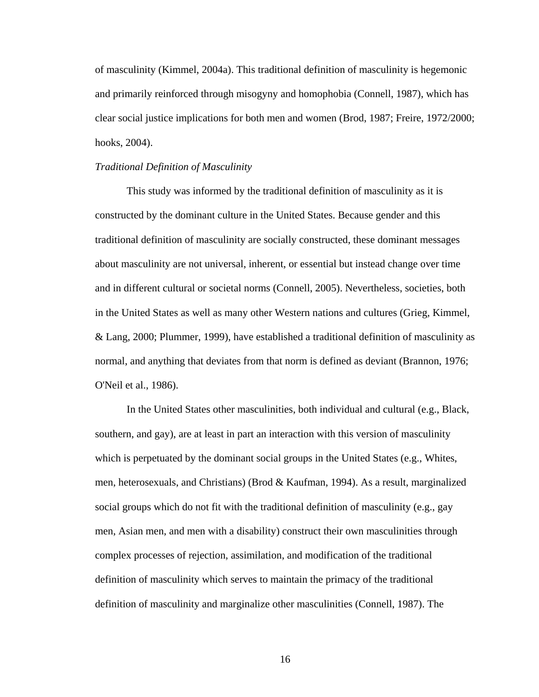of masculinity (Kimmel, 2004a). This traditional definition of masculinity is hegemonic and primarily reinforced through misogyny and homophobia (Connell, 1987), which has clear social justice implications for both men and women (Brod, 1987; Freire, 1972/2000; hooks, 2004).

#### *Traditional Definition of Masculinity*

This study was informed by the traditional definition of masculinity as it is constructed by the dominant culture in the United States. Because gender and this traditional definition of masculinity are socially constructed, these dominant messages about masculinity are not universal, inherent, or essential but instead change over time and in different cultural or societal norms (Connell, 2005). Nevertheless, societies, both in the United States as well as many other Western nations and cultures (Grieg, Kimmel, & Lang, 2000; Plummer, 1999), have established a traditional definition of masculinity as normal, and anything that deviates from that norm is defined as deviant (Brannon, 1976; O'Neil et al., 1986).

In the United States other masculinities, both individual and cultural (e.g., Black, southern, and gay), are at least in part an interaction with this version of masculinity which is perpetuated by the dominant social groups in the United States (e.g., Whites, men, heterosexuals, and Christians) (Brod & Kaufman, 1994). As a result, marginalized social groups which do not fit with the traditional definition of masculinity (e.g., gay men, Asian men, and men with a disability) construct their own masculinities through complex processes of rejection, assimilation, and modification of the traditional definition of masculinity which serves to maintain the primacy of the traditional definition of masculinity and marginalize other masculinities (Connell, 1987). The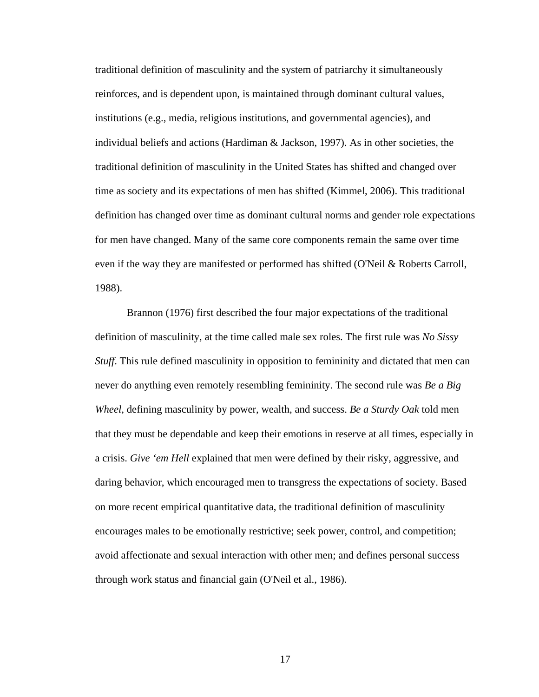traditional definition of masculinity and the system of patriarchy it simultaneously reinforces, and is dependent upon, is maintained through dominant cultural values, institutions (e.g., media, religious institutions, and governmental agencies), and individual beliefs and actions (Hardiman & Jackson, 1997). As in other societies, the traditional definition of masculinity in the United States has shifted and changed over time as society and its expectations of men has shifted (Kimmel, 2006). This traditional definition has changed over time as dominant cultural norms and gender role expectations for men have changed. Many of the same core components remain the same over time even if the way they are manifested or performed has shifted (O'Neil & Roberts Carroll, 1988).

Brannon (1976) first described the four major expectations of the traditional definition of masculinity, at the time called male sex roles. The first rule was *No Sissy Stuff*. This rule defined masculinity in opposition to femininity and dictated that men can never do anything even remotely resembling femininity. The second rule was *Be a Big Wheel*, defining masculinity by power, wealth, and success. *Be a Sturdy Oak* told men that they must be dependable and keep their emotions in reserve at all times, especially in a crisis. *Give 'em Hell* explained that men were defined by their risky, aggressive, and daring behavior, which encouraged men to transgress the expectations of society. Based on more recent empirical quantitative data, the traditional definition of masculinity encourages males to be emotionally restrictive; seek power, control, and competition; avoid affectionate and sexual interaction with other men; and defines personal success through work status and financial gain (O'Neil et al., 1986).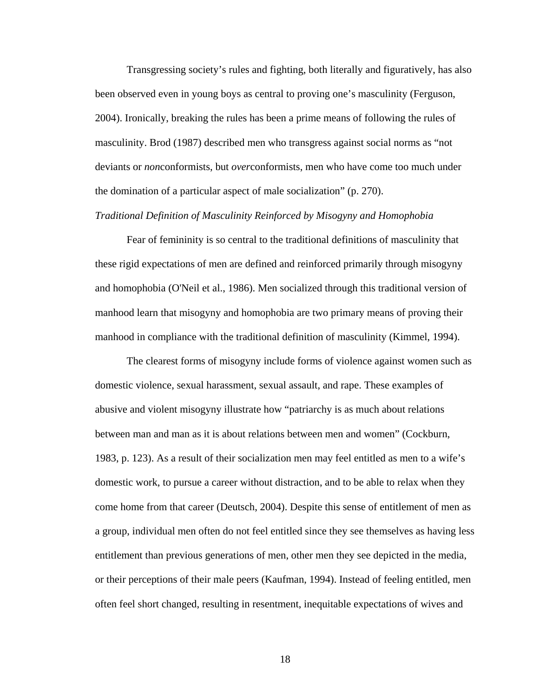Transgressing society's rules and fighting, both literally and figuratively, has also been observed even in young boys as central to proving one's masculinity (Ferguson, 2004). Ironically, breaking the rules has been a prime means of following the rules of masculinity. Brod (1987) described men who transgress against social norms as "not deviants or *non*conformists, but *over*conformists, men who have come too much under the domination of a particular aspect of male socialization" (p. 270).

## *Traditional Definition of Masculinity Reinforced by Misogyny and Homophobia*

Fear of femininity is so central to the traditional definitions of masculinity that these rigid expectations of men are defined and reinforced primarily through misogyny and homophobia (O'Neil et al., 1986). Men socialized through this traditional version of manhood learn that misogyny and homophobia are two primary means of proving their manhood in compliance with the traditional definition of masculinity (Kimmel, 1994).

The clearest forms of misogyny include forms of violence against women such as domestic violence, sexual harassment, sexual assault, and rape. These examples of abusive and violent misogyny illustrate how "patriarchy is as much about relations between man and man as it is about relations between men and women" (Cockburn, 1983, p. 123). As a result of their socialization men may feel entitled as men to a wife's domestic work, to pursue a career without distraction, and to be able to relax when they come home from that career (Deutsch, 2004). Despite this sense of entitlement of men as a group, individual men often do not feel entitled since they see themselves as having less entitlement than previous generations of men, other men they see depicted in the media, or their perceptions of their male peers (Kaufman, 1994). Instead of feeling entitled, men often feel short changed, resulting in resentment, inequitable expectations of wives and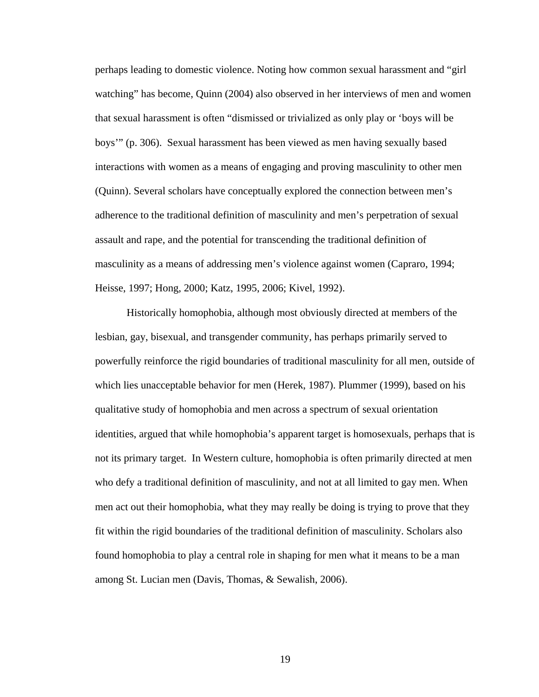perhaps leading to domestic violence. Noting how common sexual harassment and "girl watching" has become, Quinn (2004) also observed in her interviews of men and women that sexual harassment is often "dismissed or trivialized as only play or 'boys will be boys'" (p. 306). Sexual harassment has been viewed as men having sexually based interactions with women as a means of engaging and proving masculinity to other men (Quinn). Several scholars have conceptually explored the connection between men's adherence to the traditional definition of masculinity and men's perpetration of sexual assault and rape, and the potential for transcending the traditional definition of masculinity as a means of addressing men's violence against women (Capraro, 1994; Heisse, 1997; Hong, 2000; Katz, 1995, 2006; Kivel, 1992).

Historically homophobia, although most obviously directed at members of the lesbian, gay, bisexual, and transgender community, has perhaps primarily served to powerfully reinforce the rigid boundaries of traditional masculinity for all men, outside of which lies unacceptable behavior for men (Herek, 1987). Plummer (1999), based on his qualitative study of homophobia and men across a spectrum of sexual orientation identities, argued that while homophobia's apparent target is homosexuals, perhaps that is not its primary target. In Western culture, homophobia is often primarily directed at men who defy a traditional definition of masculinity, and not at all limited to gay men. When men act out their homophobia, what they may really be doing is trying to prove that they fit within the rigid boundaries of the traditional definition of masculinity. Scholars also found homophobia to play a central role in shaping for men what it means to be a man among St. Lucian men (Davis, Thomas, & Sewalish, 2006).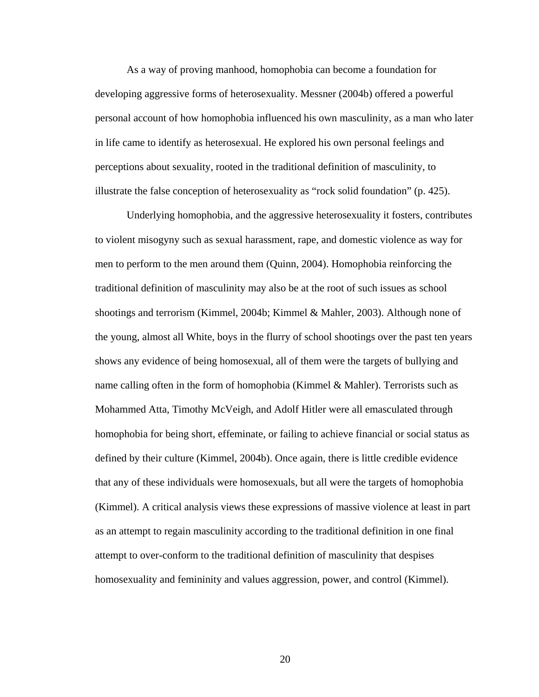As a way of proving manhood, homophobia can become a foundation for developing aggressive forms of heterosexuality. Messner (2004b) offered a powerful personal account of how homophobia influenced his own masculinity, as a man who later in life came to identify as heterosexual. He explored his own personal feelings and perceptions about sexuality, rooted in the traditional definition of masculinity, to illustrate the false conception of heterosexuality as "rock solid foundation" (p. 425).

Underlying homophobia, and the aggressive heterosexuality it fosters, contributes to violent misogyny such as sexual harassment, rape, and domestic violence as way for men to perform to the men around them (Quinn, 2004). Homophobia reinforcing the traditional definition of masculinity may also be at the root of such issues as school shootings and terrorism (Kimmel, 2004b; Kimmel & Mahler, 2003). Although none of the young, almost all White, boys in the flurry of school shootings over the past ten years shows any evidence of being homosexual, all of them were the targets of bullying and name calling often in the form of homophobia (Kimmel & Mahler). Terrorists such as Mohammed Atta, Timothy McVeigh, and Adolf Hitler were all emasculated through homophobia for being short, effeminate, or failing to achieve financial or social status as defined by their culture (Kimmel, 2004b). Once again, there is little credible evidence that any of these individuals were homosexuals, but all were the targets of homophobia (Kimmel). A critical analysis views these expressions of massive violence at least in part as an attempt to regain masculinity according to the traditional definition in one final attempt to over-conform to the traditional definition of masculinity that despises homosexuality and femininity and values aggression, power, and control (Kimmel).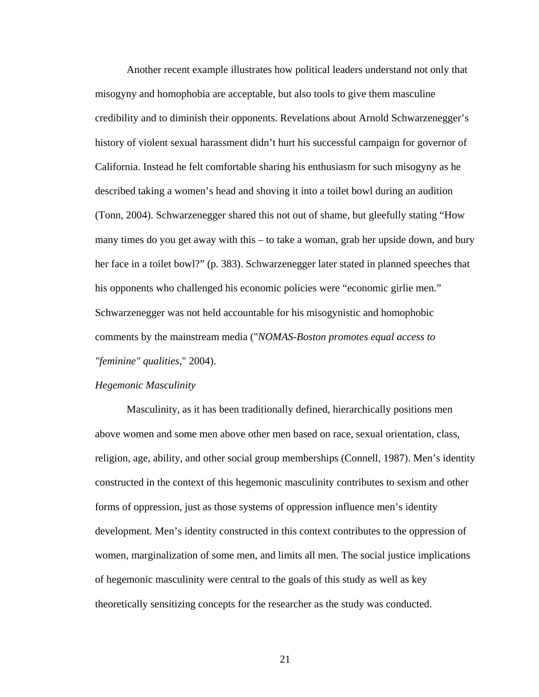Another recent example illustrates how political leaders understand not only that misogyny and homophobia are acceptable, but also tools to give them masculine credibility and to diminish their opponents. Revelations about Arnold Schwarzenegger's history of violent sexual harassment didn't hurt his successful campaign for governor of California. Instead he felt comfortable sharing his enthusiasm for such misogyny as he described taking a women's head and shoving it into a toilet bowl during an audition (Tonn, 2004). Schwarzenegger shared this not out of shame, but gleefully stating "How many times do you get away with this – to take a woman, grab her upside down, and bury her face in a toilet bowl?" (p. 383). Schwarzenegger later stated in planned speeches that his opponents who challenged his economic policies were "economic girlie men." Schwarzenegger was not held accountable for his misogynistic and homophobic comments by the mainstream media ("*NOMAS-Boston promotes equal access to "feminine" qualities*," 2004).

#### *Hegemonic Masculinity*

Masculinity, as it has been traditionally defined, hierarchically positions men above women and some men above other men based on race, sexual orientation, class, religion, age, ability, and other social group memberships (Connell, 1987). Men's identity constructed in the context of this hegemonic masculinity contributes to sexism and other forms of oppression, just as those systems of oppression influence men's identity development. Men's identity constructed in this context contributes to the oppression of women, marginalization of some men, and limits all men. The social justice implications of hegemonic masculinity were central to the goals of this study as well as key theoretically sensitizing concepts for the researcher as the study was conducted.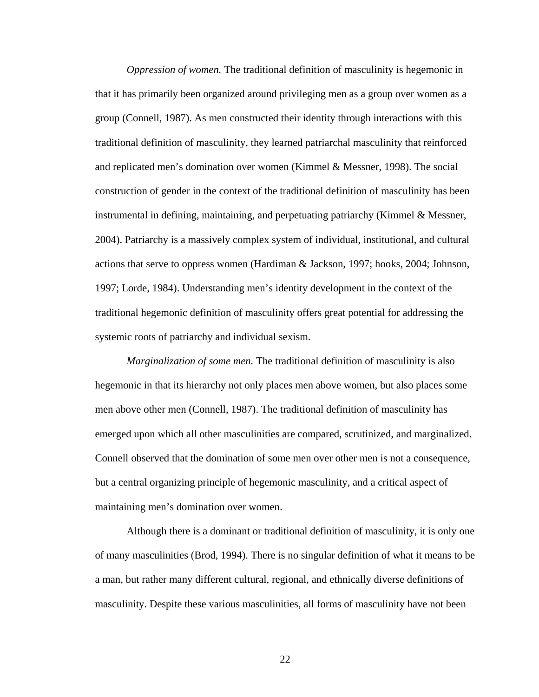*Oppression of women.* The traditional definition of masculinity is hegemonic in that it has primarily been organized around privileging men as a group over women as a group (Connell, 1987). As men constructed their identity through interactions with this traditional definition of masculinity, they learned patriarchal masculinity that reinforced and replicated men's domination over women (Kimmel & Messner, 1998). The social construction of gender in the context of the traditional definition of masculinity has been instrumental in defining, maintaining, and perpetuating patriarchy (Kimmel & Messner, 2004). Patriarchy is a massively complex system of individual, institutional, and cultural actions that serve to oppress women (Hardiman & Jackson, 1997; hooks, 2004; Johnson, 1997; Lorde, 1984). Understanding men's identity development in the context of the traditional hegemonic definition of masculinity offers great potential for addressing the systemic roots of patriarchy and individual sexism.

*Marginalization of some men.* The traditional definition of masculinity is also hegemonic in that its hierarchy not only places men above women, but also places some men above other men (Connell, 1987). The traditional definition of masculinity has emerged upon which all other masculinities are compared, scrutinized, and marginalized. Connell observed that the domination of some men over other men is not a consequence, but a central organizing principle of hegemonic masculinity, and a critical aspect of maintaining men's domination over women.

Although there is a dominant or traditional definition of masculinity, it is only one of many masculinities (Brod, 1994). There is no singular definition of what it means to be a man, but rather many different cultural, regional, and ethnically diverse definitions of masculinity. Despite these various masculinities, all forms of masculinity have not been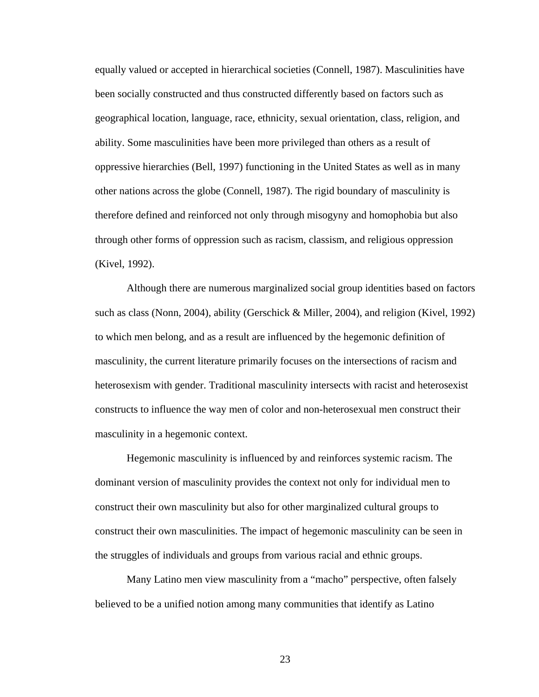equally valued or accepted in hierarchical societies (Connell, 1987). Masculinities have been socially constructed and thus constructed differently based on factors such as geographical location, language, race, ethnicity, sexual orientation, class, religion, and ability. Some masculinities have been more privileged than others as a result of oppressive hierarchies (Bell, 1997) functioning in the United States as well as in many other nations across the globe (Connell, 1987). The rigid boundary of masculinity is therefore defined and reinforced not only through misogyny and homophobia but also through other forms of oppression such as racism, classism, and religious oppression (Kivel, 1992).

Although there are numerous marginalized social group identities based on factors such as class (Nonn, 2004), ability (Gerschick & Miller, 2004), and religion (Kivel, 1992) to which men belong, and as a result are influenced by the hegemonic definition of masculinity, the current literature primarily focuses on the intersections of racism and heterosexism with gender. Traditional masculinity intersects with racist and heterosexist constructs to influence the way men of color and non-heterosexual men construct their masculinity in a hegemonic context.

Hegemonic masculinity is influenced by and reinforces systemic racism. The dominant version of masculinity provides the context not only for individual men to construct their own masculinity but also for other marginalized cultural groups to construct their own masculinities. The impact of hegemonic masculinity can be seen in the struggles of individuals and groups from various racial and ethnic groups.

Many Latino men view masculinity from a "macho" perspective, often falsely believed to be a unified notion among many communities that identify as Latino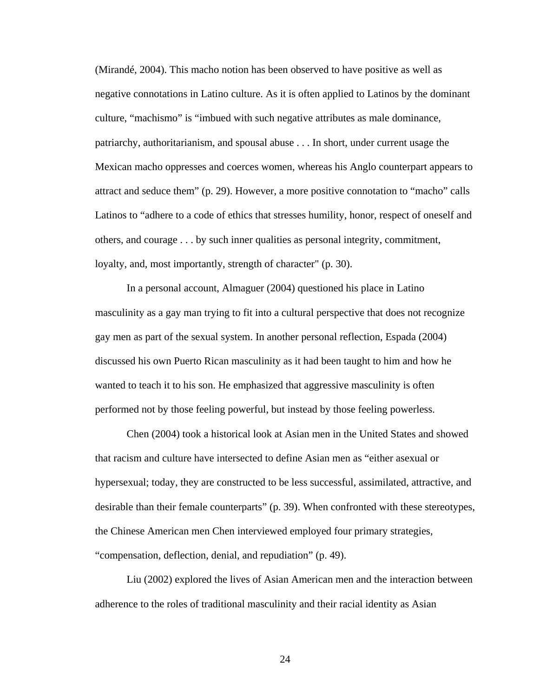(Mirandé, 2004). This macho notion has been observed to have positive as well as negative connotations in Latino culture. As it is often applied to Latinos by the dominant culture, "machismo" is "imbued with such negative attributes as male dominance, patriarchy, authoritarianism, and spousal abuse . . . In short, under current usage the Mexican macho oppresses and coerces women, whereas his Anglo counterpart appears to attract and seduce them" (p. 29). However, a more positive connotation to "macho" calls Latinos to "adhere to a code of ethics that stresses humility, honor, respect of oneself and others, and courage . . . by such inner qualities as personal integrity, commitment, loyalty, and, most importantly, strength of character" (p. 30).

In a personal account, Almaguer (2004) questioned his place in Latino masculinity as a gay man trying to fit into a cultural perspective that does not recognize gay men as part of the sexual system. In another personal reflection, Espada (2004) discussed his own Puerto Rican masculinity as it had been taught to him and how he wanted to teach it to his son. He emphasized that aggressive masculinity is often performed not by those feeling powerful, but instead by those feeling powerless.

Chen (2004) took a historical look at Asian men in the United States and showed that racism and culture have intersected to define Asian men as "either asexual or hypersexual; today, they are constructed to be less successful, assimilated, attractive, and desirable than their female counterparts" (p. 39). When confronted with these stereotypes, the Chinese American men Chen interviewed employed four primary strategies, "compensation, deflection, denial, and repudiation" (p. 49).

Liu (2002) explored the lives of Asian American men and the interaction between adherence to the roles of traditional masculinity and their racial identity as Asian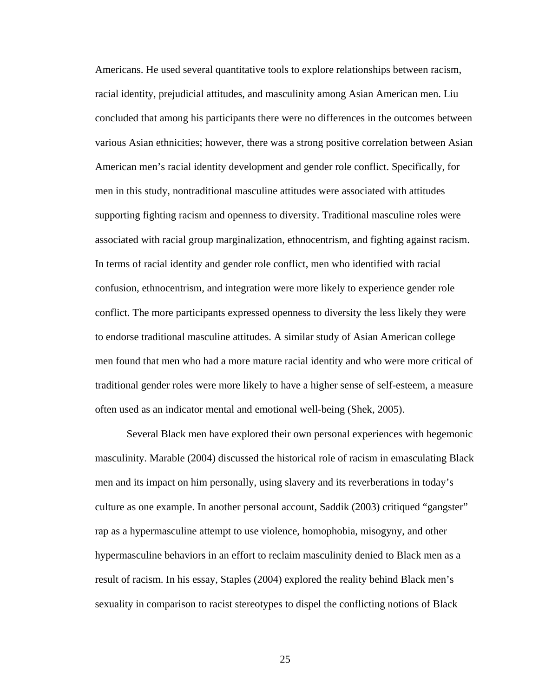Americans. He used several quantitative tools to explore relationships between racism, racial identity, prejudicial attitudes, and masculinity among Asian American men. Liu concluded that among his participants there were no differences in the outcomes between various Asian ethnicities; however, there was a strong positive correlation between Asian American men's racial identity development and gender role conflict. Specifically, for men in this study, nontraditional masculine attitudes were associated with attitudes supporting fighting racism and openness to diversity. Traditional masculine roles were associated with racial group marginalization, ethnocentrism, and fighting against racism. In terms of racial identity and gender role conflict, men who identified with racial confusion, ethnocentrism, and integration were more likely to experience gender role conflict. The more participants expressed openness to diversity the less likely they were to endorse traditional masculine attitudes. A similar study of Asian American college men found that men who had a more mature racial identity and who were more critical of traditional gender roles were more likely to have a higher sense of self-esteem, a measure often used as an indicator mental and emotional well-being (Shek, 2005).

Several Black men have explored their own personal experiences with hegemonic masculinity. Marable (2004) discussed the historical role of racism in emasculating Black men and its impact on him personally, using slavery and its reverberations in today's culture as one example. In another personal account, Saddik (2003) critiqued "gangster" rap as a hypermasculine attempt to use violence, homophobia, misogyny, and other hypermasculine behaviors in an effort to reclaim masculinity denied to Black men as a result of racism. In his essay, Staples (2004) explored the reality behind Black men's sexuality in comparison to racist stereotypes to dispel the conflicting notions of Black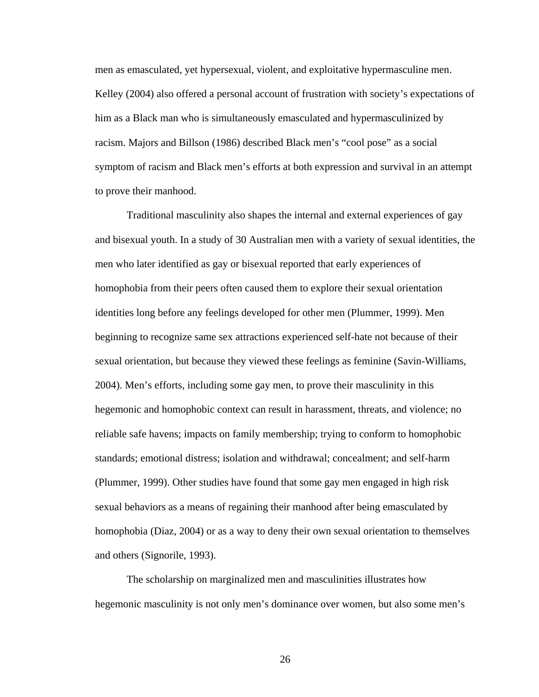men as emasculated, yet hypersexual, violent, and exploitative hypermasculine men. Kelley (2004) also offered a personal account of frustration with society's expectations of him as a Black man who is simultaneously emasculated and hypermasculinized by racism. Majors and Billson (1986) described Black men's "cool pose" as a social symptom of racism and Black men's efforts at both expression and survival in an attempt to prove their manhood.

Traditional masculinity also shapes the internal and external experiences of gay and bisexual youth. In a study of 30 Australian men with a variety of sexual identities, the men who later identified as gay or bisexual reported that early experiences of homophobia from their peers often caused them to explore their sexual orientation identities long before any feelings developed for other men (Plummer, 1999). Men beginning to recognize same sex attractions experienced self-hate not because of their sexual orientation, but because they viewed these feelings as feminine (Savin-Williams, 2004). Men's efforts, including some gay men, to prove their masculinity in this hegemonic and homophobic context can result in harassment, threats, and violence; no reliable safe havens; impacts on family membership; trying to conform to homophobic standards; emotional distress; isolation and withdrawal; concealment; and self-harm (Plummer, 1999). Other studies have found that some gay men engaged in high risk sexual behaviors as a means of regaining their manhood after being emasculated by homophobia (Diaz, 2004) or as a way to deny their own sexual orientation to themselves and others (Signorile, 1993).

The scholarship on marginalized men and masculinities illustrates how hegemonic masculinity is not only men's dominance over women, but also some men's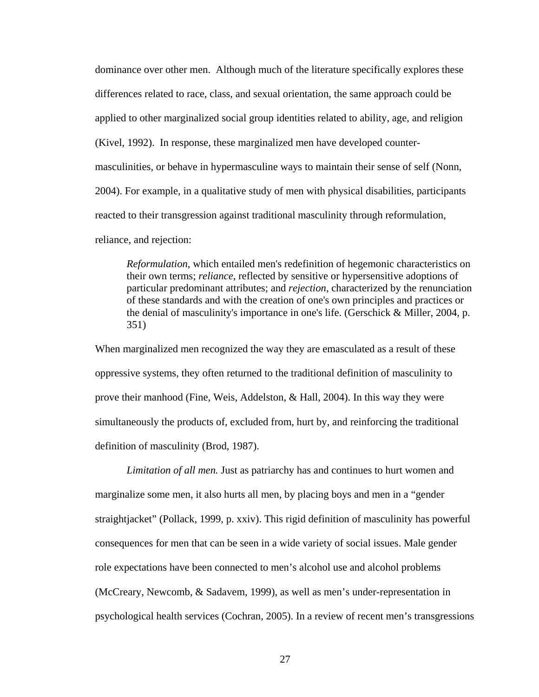dominance over other men. Although much of the literature specifically explores these differences related to race, class, and sexual orientation, the same approach could be applied to other marginalized social group identities related to ability, age, and religion (Kivel, 1992). In response, these marginalized men have developed countermasculinities, or behave in hypermasculine ways to maintain their sense of self (Nonn, 2004). For example, in a qualitative study of men with physical disabilities, participants reacted to their transgression against traditional masculinity through reformulation, reliance, and rejection:

*Reformulation*, which entailed men's redefinition of hegemonic characteristics on their own terms; *reliance*, reflected by sensitive or hypersensitive adoptions of particular predominant attributes; and *rejection*, characterized by the renunciation of these standards and with the creation of one's own principles and practices or the denial of masculinity's importance in one's life. (Gerschick & Miller, 2004, p. 351)

When marginalized men recognized the way they are emasculated as a result of these oppressive systems, they often returned to the traditional definition of masculinity to prove their manhood (Fine, Weis, Addelston, & Hall, 2004). In this way they were simultaneously the products of, excluded from, hurt by, and reinforcing the traditional definition of masculinity (Brod, 1987).

*Limitation of all men.* Just as patriarchy has and continues to hurt women and marginalize some men, it also hurts all men, by placing boys and men in a "gender straightjacket" (Pollack, 1999, p. xxiv). This rigid definition of masculinity has powerful consequences for men that can be seen in a wide variety of social issues. Male gender role expectations have been connected to men's alcohol use and alcohol problems (McCreary, Newcomb, & Sadavem, 1999), as well as men's under-representation in psychological health services (Cochran, 2005). In a review of recent men's transgressions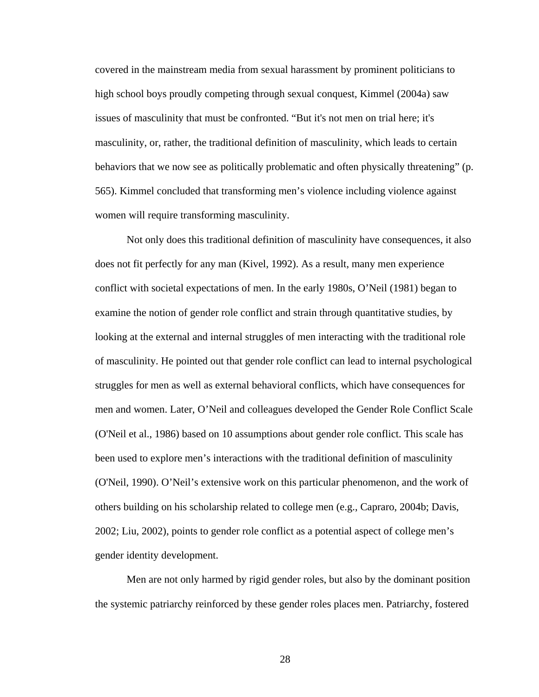covered in the mainstream media from sexual harassment by prominent politicians to high school boys proudly competing through sexual conquest, Kimmel (2004a) saw issues of masculinity that must be confronted. "But it's not men on trial here; it's masculinity, or, rather, the traditional definition of masculinity, which leads to certain behaviors that we now see as politically problematic and often physically threatening" (p. 565). Kimmel concluded that transforming men's violence including violence against women will require transforming masculinity.

Not only does this traditional definition of masculinity have consequences, it also does not fit perfectly for any man (Kivel, 1992). As a result, many men experience conflict with societal expectations of men. In the early 1980s, O'Neil (1981) began to examine the notion of gender role conflict and strain through quantitative studies, by looking at the external and internal struggles of men interacting with the traditional role of masculinity. He pointed out that gender role conflict can lead to internal psychological struggles for men as well as external behavioral conflicts, which have consequences for men and women. Later, O'Neil and colleagues developed the Gender Role Conflict Scale (O'Neil et al., 1986) based on 10 assumptions about gender role conflict. This scale has been used to explore men's interactions with the traditional definition of masculinity (O'Neil, 1990). O'Neil's extensive work on this particular phenomenon, and the work of others building on his scholarship related to college men (e.g., Capraro, 2004b; Davis, 2002; Liu, 2002), points to gender role conflict as a potential aspect of college men's gender identity development.

Men are not only harmed by rigid gender roles, but also by the dominant position the systemic patriarchy reinforced by these gender roles places men. Patriarchy, fostered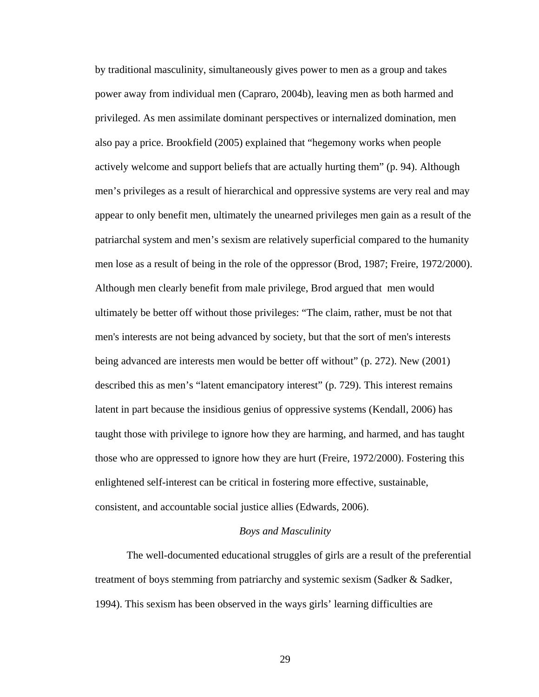by traditional masculinity, simultaneously gives power to men as a group and takes power away from individual men (Capraro, 2004b), leaving men as both harmed and privileged. As men assimilate dominant perspectives or internalized domination, men also pay a price. Brookfield (2005) explained that "hegemony works when people actively welcome and support beliefs that are actually hurting them" (p. 94). Although men's privileges as a result of hierarchical and oppressive systems are very real and may appear to only benefit men, ultimately the unearned privileges men gain as a result of the patriarchal system and men's sexism are relatively superficial compared to the humanity men lose as a result of being in the role of the oppressor (Brod, 1987; Freire, 1972/2000). Although men clearly benefit from male privilege, Brod argued that men would ultimately be better off without those privileges: "The claim, rather, must be not that men's interests are not being advanced by society, but that the sort of men's interests being advanced are interests men would be better off without" (p. 272). New (2001) described this as men's "latent emancipatory interest" (p. 729). This interest remains latent in part because the insidious genius of oppressive systems (Kendall, 2006) has taught those with privilege to ignore how they are harming, and harmed, and has taught those who are oppressed to ignore how they are hurt (Freire, 1972/2000). Fostering this enlightened self-interest can be critical in fostering more effective, sustainable, consistent, and accountable social justice allies (Edwards, 2006).

### *Boys and Masculinity*

The well-documented educational struggles of girls are a result of the preferential treatment of boys stemming from patriarchy and systemic sexism (Sadker & Sadker, 1994). This sexism has been observed in the ways girls' learning difficulties are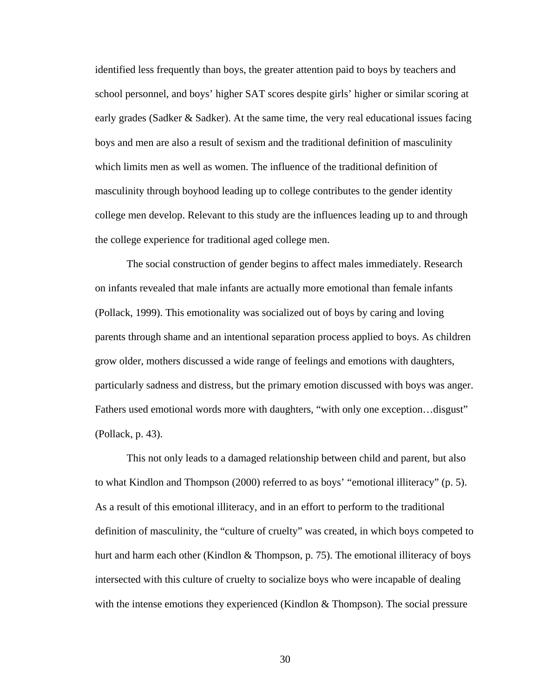identified less frequently than boys, the greater attention paid to boys by teachers and school personnel, and boys' higher SAT scores despite girls' higher or similar scoring at early grades (Sadker & Sadker). At the same time, the very real educational issues facing boys and men are also a result of sexism and the traditional definition of masculinity which limits men as well as women. The influence of the traditional definition of masculinity through boyhood leading up to college contributes to the gender identity college men develop. Relevant to this study are the influences leading up to and through the college experience for traditional aged college men.

The social construction of gender begins to affect males immediately. Research on infants revealed that male infants are actually more emotional than female infants (Pollack, 1999). This emotionality was socialized out of boys by caring and loving parents through shame and an intentional separation process applied to boys. As children grow older, mothers discussed a wide range of feelings and emotions with daughters, particularly sadness and distress, but the primary emotion discussed with boys was anger. Fathers used emotional words more with daughters, "with only one exception...disgust" (Pollack, p. 43).

This not only leads to a damaged relationship between child and parent, but also to what Kindlon and Thompson (2000) referred to as boys' "emotional illiteracy" (p. 5). As a result of this emotional illiteracy, and in an effort to perform to the traditional definition of masculinity, the "culture of cruelty" was created, in which boys competed to hurt and harm each other (Kindlon & Thompson, p. 75). The emotional illiteracy of boys intersected with this culture of cruelty to socialize boys who were incapable of dealing with the intense emotions they experienced (Kindlon  $&$  Thompson). The social pressure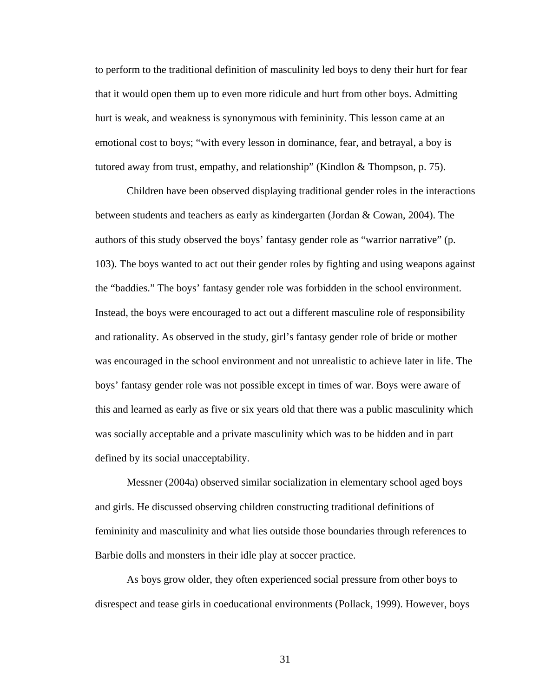to perform to the traditional definition of masculinity led boys to deny their hurt for fear that it would open them up to even more ridicule and hurt from other boys. Admitting hurt is weak, and weakness is synonymous with femininity. This lesson came at an emotional cost to boys; "with every lesson in dominance, fear, and betrayal, a boy is tutored away from trust, empathy, and relationship" (Kindlon & Thompson, p. 75).

Children have been observed displaying traditional gender roles in the interactions between students and teachers as early as kindergarten (Jordan & Cowan, 2004). The authors of this study observed the boys' fantasy gender role as "warrior narrative" (p. 103). The boys wanted to act out their gender roles by fighting and using weapons against the "baddies." The boys' fantasy gender role was forbidden in the school environment. Instead, the boys were encouraged to act out a different masculine role of responsibility and rationality. As observed in the study, girl's fantasy gender role of bride or mother was encouraged in the school environment and not unrealistic to achieve later in life. The boys' fantasy gender role was not possible except in times of war. Boys were aware of this and learned as early as five or six years old that there was a public masculinity which was socially acceptable and a private masculinity which was to be hidden and in part defined by its social unacceptability.

Messner (2004a) observed similar socialization in elementary school aged boys and girls. He discussed observing children constructing traditional definitions of femininity and masculinity and what lies outside those boundaries through references to Barbie dolls and monsters in their idle play at soccer practice.

As boys grow older, they often experienced social pressure from other boys to disrespect and tease girls in coeducational environments (Pollack, 1999). However, boys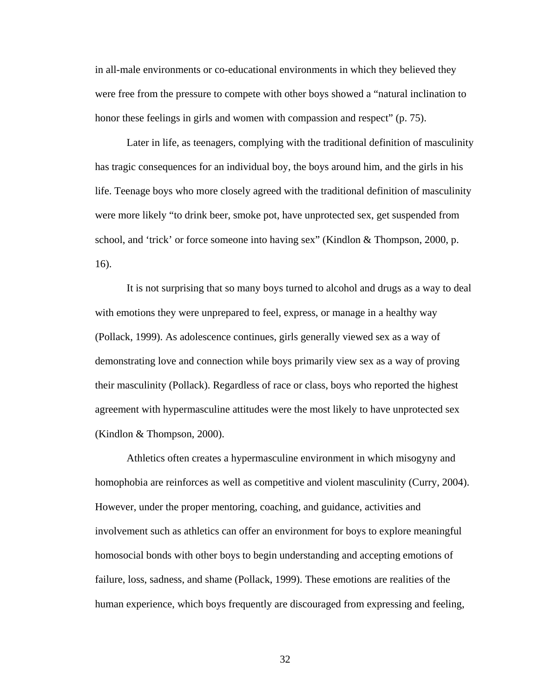in all-male environments or co-educational environments in which they believed they were free from the pressure to compete with other boys showed a "natural inclination to honor these feelings in girls and women with compassion and respect" (p. 75).

Later in life, as teenagers, complying with the traditional definition of masculinity has tragic consequences for an individual boy, the boys around him, and the girls in his life. Teenage boys who more closely agreed with the traditional definition of masculinity were more likely "to drink beer, smoke pot, have unprotected sex, get suspended from school, and 'trick' or force someone into having sex" (Kindlon & Thompson, 2000, p. 16).

It is not surprising that so many boys turned to alcohol and drugs as a way to deal with emotions they were unprepared to feel, express, or manage in a healthy way (Pollack, 1999). As adolescence continues, girls generally viewed sex as a way of demonstrating love and connection while boys primarily view sex as a way of proving their masculinity (Pollack). Regardless of race or class, boys who reported the highest agreement with hypermasculine attitudes were the most likely to have unprotected sex (Kindlon & Thompson, 2000).

Athletics often creates a hypermasculine environment in which misogyny and homophobia are reinforces as well as competitive and violent masculinity (Curry, 2004). However, under the proper mentoring, coaching, and guidance, activities and involvement such as athletics can offer an environment for boys to explore meaningful homosocial bonds with other boys to begin understanding and accepting emotions of failure, loss, sadness, and shame (Pollack, 1999). These emotions are realities of the human experience, which boys frequently are discouraged from expressing and feeling,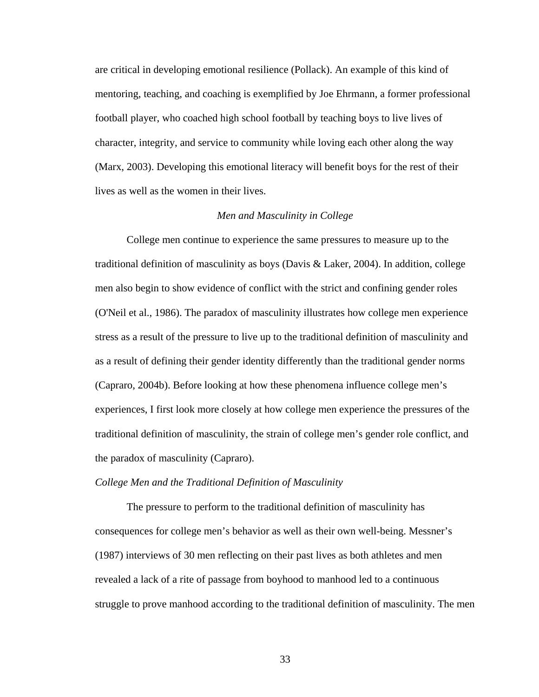are critical in developing emotional resilience (Pollack). An example of this kind of mentoring, teaching, and coaching is exemplified by Joe Ehrmann, a former professional football player, who coached high school football by teaching boys to live lives of character, integrity, and service to community while loving each other along the way (Marx, 2003). Developing this emotional literacy will benefit boys for the rest of their lives as well as the women in their lives.

# *Men and Masculinity in College*

 College men continue to experience the same pressures to measure up to the traditional definition of masculinity as boys (Davis & Laker, 2004). In addition, college men also begin to show evidence of conflict with the strict and confining gender roles (O'Neil et al., 1986). The paradox of masculinity illustrates how college men experience stress as a result of the pressure to live up to the traditional definition of masculinity and as a result of defining their gender identity differently than the traditional gender norms (Capraro, 2004b). Before looking at how these phenomena influence college men's experiences, I first look more closely at how college men experience the pressures of the traditional definition of masculinity, the strain of college men's gender role conflict, and the paradox of masculinity (Capraro).

### *College Men and the Traditional Definition of Masculinity*

The pressure to perform to the traditional definition of masculinity has consequences for college men's behavior as well as their own well-being. Messner's (1987) interviews of 30 men reflecting on their past lives as both athletes and men revealed a lack of a rite of passage from boyhood to manhood led to a continuous struggle to prove manhood according to the traditional definition of masculinity. The men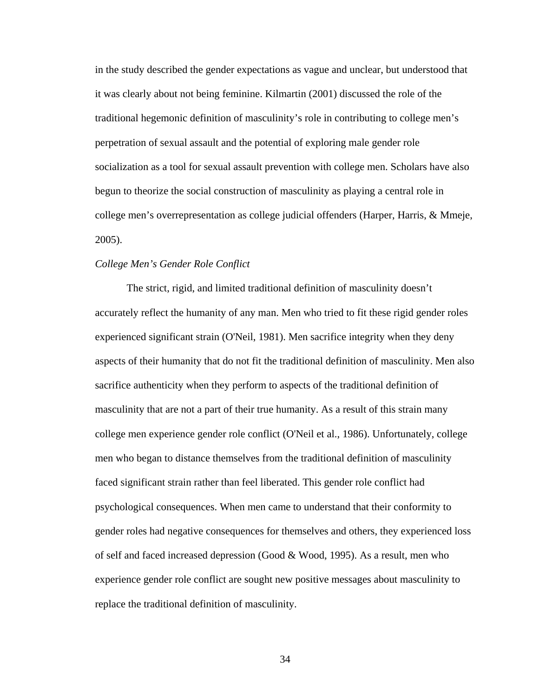in the study described the gender expectations as vague and unclear, but understood that it was clearly about not being feminine. Kilmartin (2001) discussed the role of the traditional hegemonic definition of masculinity's role in contributing to college men's perpetration of sexual assault and the potential of exploring male gender role socialization as a tool for sexual assault prevention with college men. Scholars have also begun to theorize the social construction of masculinity as playing a central role in college men's overrepresentation as college judicial offenders (Harper, Harris, & Mmeje, 2005).

### *College Men's Gender Role Conflict*

The strict, rigid, and limited traditional definition of masculinity doesn't accurately reflect the humanity of any man. Men who tried to fit these rigid gender roles experienced significant strain (O'Neil, 1981). Men sacrifice integrity when they deny aspects of their humanity that do not fit the traditional definition of masculinity. Men also sacrifice authenticity when they perform to aspects of the traditional definition of masculinity that are not a part of their true humanity. As a result of this strain many college men experience gender role conflict (O'Neil et al., 1986). Unfortunately, college men who began to distance themselves from the traditional definition of masculinity faced significant strain rather than feel liberated. This gender role conflict had psychological consequences. When men came to understand that their conformity to gender roles had negative consequences for themselves and others, they experienced loss of self and faced increased depression (Good & Wood, 1995). As a result, men who experience gender role conflict are sought new positive messages about masculinity to replace the traditional definition of masculinity.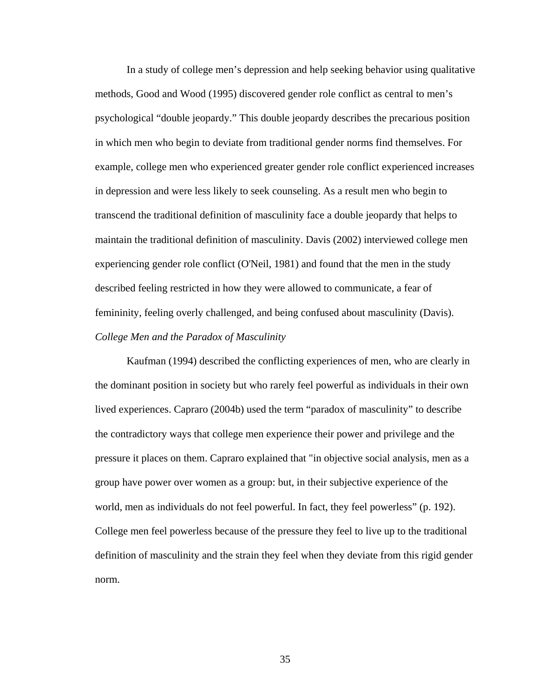In a study of college men's depression and help seeking behavior using qualitative methods, Good and Wood (1995) discovered gender role conflict as central to men's psychological "double jeopardy." This double jeopardy describes the precarious position in which men who begin to deviate from traditional gender norms find themselves. For example, college men who experienced greater gender role conflict experienced increases in depression and were less likely to seek counseling. As a result men who begin to transcend the traditional definition of masculinity face a double jeopardy that helps to maintain the traditional definition of masculinity. Davis (2002) interviewed college men experiencing gender role conflict (O'Neil, 1981) and found that the men in the study described feeling restricted in how they were allowed to communicate, a fear of femininity, feeling overly challenged, and being confused about masculinity (Davis). *College Men and the Paradox of Masculinity* 

Kaufman (1994) described the conflicting experiences of men, who are clearly in the dominant position in society but who rarely feel powerful as individuals in their own lived experiences. Capraro (2004b) used the term "paradox of masculinity" to describe the contradictory ways that college men experience their power and privilege and the pressure it places on them. Capraro explained that "in objective social analysis, men as a group have power over women as a group: but, in their subjective experience of the world, men as individuals do not feel powerful. In fact, they feel powerless" (p. 192). College men feel powerless because of the pressure they feel to live up to the traditional definition of masculinity and the strain they feel when they deviate from this rigid gender norm.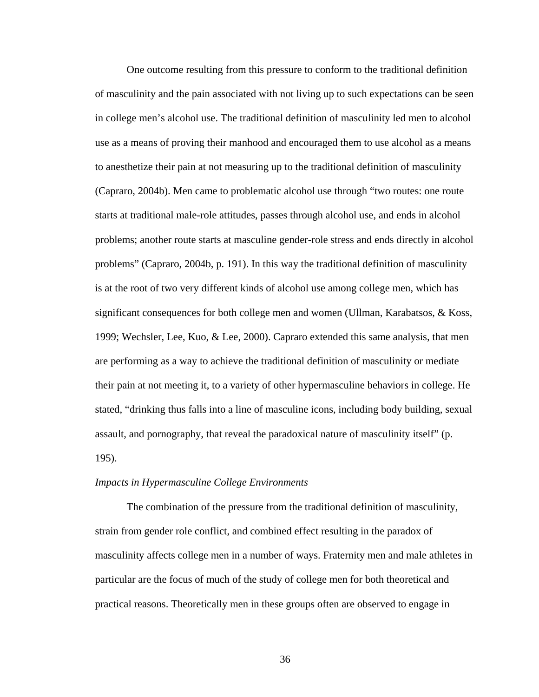One outcome resulting from this pressure to conform to the traditional definition of masculinity and the pain associated with not living up to such expectations can be seen in college men's alcohol use. The traditional definition of masculinity led men to alcohol use as a means of proving their manhood and encouraged them to use alcohol as a means to anesthetize their pain at not measuring up to the traditional definition of masculinity (Capraro, 2004b). Men came to problematic alcohol use through "two routes: one route starts at traditional male-role attitudes, passes through alcohol use, and ends in alcohol problems; another route starts at masculine gender-role stress and ends directly in alcohol problems" (Capraro, 2004b, p. 191). In this way the traditional definition of masculinity is at the root of two very different kinds of alcohol use among college men, which has significant consequences for both college men and women (Ullman, Karabatsos, & Koss, 1999; Wechsler, Lee, Kuo, & Lee, 2000). Capraro extended this same analysis, that men are performing as a way to achieve the traditional definition of masculinity or mediate their pain at not meeting it, to a variety of other hypermasculine behaviors in college. He stated, "drinking thus falls into a line of masculine icons, including body building, sexual assault, and pornography, that reveal the paradoxical nature of masculinity itself" (p. 195).

### *Impacts in Hypermasculine College Environments*

The combination of the pressure from the traditional definition of masculinity, strain from gender role conflict, and combined effect resulting in the paradox of masculinity affects college men in a number of ways. Fraternity men and male athletes in particular are the focus of much of the study of college men for both theoretical and practical reasons. Theoretically men in these groups often are observed to engage in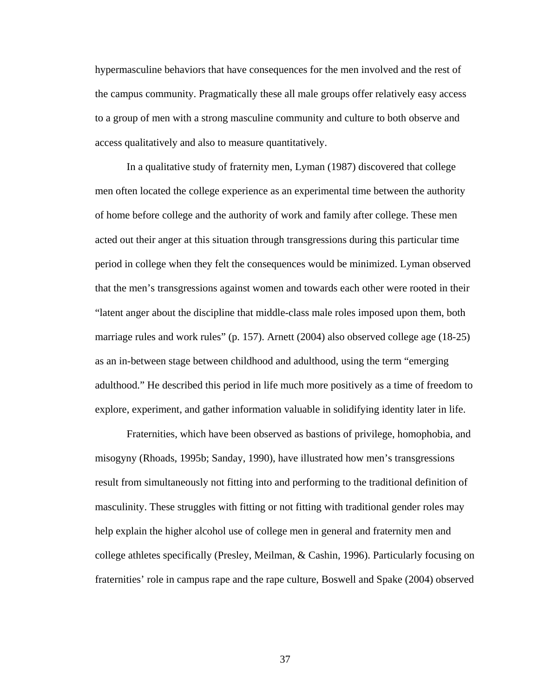hypermasculine behaviors that have consequences for the men involved and the rest of the campus community. Pragmatically these all male groups offer relatively easy access to a group of men with a strong masculine community and culture to both observe and access qualitatively and also to measure quantitatively.

In a qualitative study of fraternity men, Lyman (1987) discovered that college men often located the college experience as an experimental time between the authority of home before college and the authority of work and family after college. These men acted out their anger at this situation through transgressions during this particular time period in college when they felt the consequences would be minimized. Lyman observed that the men's transgressions against women and towards each other were rooted in their "latent anger about the discipline that middle-class male roles imposed upon them, both marriage rules and work rules" (p. 157). Arnett (2004) also observed college age (18-25) as an in-between stage between childhood and adulthood, using the term "emerging adulthood." He described this period in life much more positively as a time of freedom to explore, experiment, and gather information valuable in solidifying identity later in life.

Fraternities, which have been observed as bastions of privilege, homophobia, and misogyny (Rhoads, 1995b; Sanday, 1990), have illustrated how men's transgressions result from simultaneously not fitting into and performing to the traditional definition of masculinity. These struggles with fitting or not fitting with traditional gender roles may help explain the higher alcohol use of college men in general and fraternity men and college athletes specifically (Presley, Meilman, & Cashin, 1996). Particularly focusing on fraternities' role in campus rape and the rape culture, Boswell and Spake (2004) observed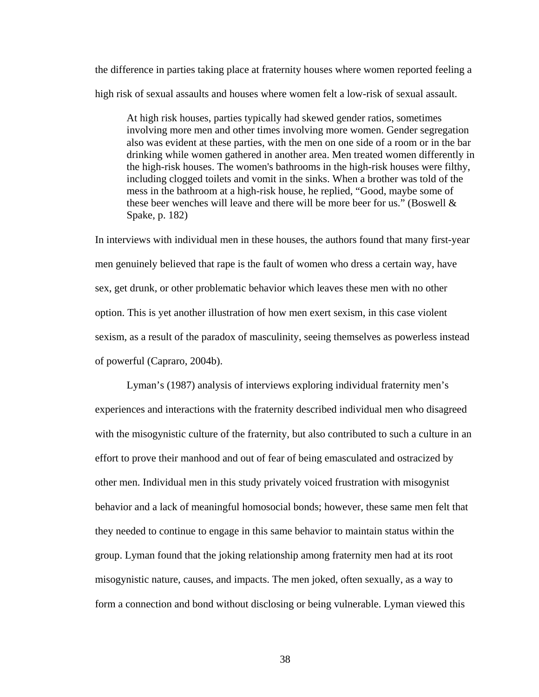the difference in parties taking place at fraternity houses where women reported feeling a high risk of sexual assaults and houses where women felt a low-risk of sexual assault.

At high risk houses, parties typically had skewed gender ratios, sometimes involving more men and other times involving more women. Gender segregation also was evident at these parties, with the men on one side of a room or in the bar drinking while women gathered in another area. Men treated women differently in the high-risk houses. The women's bathrooms in the high-risk houses were filthy, including clogged toilets and vomit in the sinks. When a brother was told of the mess in the bathroom at a high-risk house, he replied, "Good, maybe some of these beer wenches will leave and there will be more beer for us." (Boswell & Spake, p. 182)

In interviews with individual men in these houses, the authors found that many first-year men genuinely believed that rape is the fault of women who dress a certain way, have sex, get drunk, or other problematic behavior which leaves these men with no other option. This is yet another illustration of how men exert sexism, in this case violent sexism, as a result of the paradox of masculinity, seeing themselves as powerless instead of powerful (Capraro, 2004b).

Lyman's (1987) analysis of interviews exploring individual fraternity men's experiences and interactions with the fraternity described individual men who disagreed with the misogynistic culture of the fraternity, but also contributed to such a culture in an effort to prove their manhood and out of fear of being emasculated and ostracized by other men. Individual men in this study privately voiced frustration with misogynist behavior and a lack of meaningful homosocial bonds; however, these same men felt that they needed to continue to engage in this same behavior to maintain status within the group. Lyman found that the joking relationship among fraternity men had at its root misogynistic nature, causes, and impacts. The men joked, often sexually, as a way to form a connection and bond without disclosing or being vulnerable. Lyman viewed this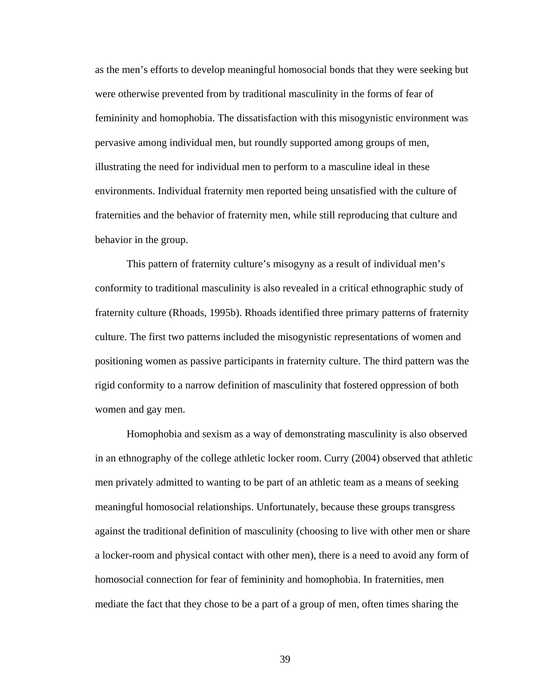as the men's efforts to develop meaningful homosocial bonds that they were seeking but were otherwise prevented from by traditional masculinity in the forms of fear of femininity and homophobia. The dissatisfaction with this misogynistic environment was pervasive among individual men, but roundly supported among groups of men, illustrating the need for individual men to perform to a masculine ideal in these environments. Individual fraternity men reported being unsatisfied with the culture of fraternities and the behavior of fraternity men, while still reproducing that culture and behavior in the group.

This pattern of fraternity culture's misogyny as a result of individual men's conformity to traditional masculinity is also revealed in a critical ethnographic study of fraternity culture (Rhoads, 1995b). Rhoads identified three primary patterns of fraternity culture. The first two patterns included the misogynistic representations of women and positioning women as passive participants in fraternity culture. The third pattern was the rigid conformity to a narrow definition of masculinity that fostered oppression of both women and gay men.

Homophobia and sexism as a way of demonstrating masculinity is also observed in an ethnography of the college athletic locker room. Curry (2004) observed that athletic men privately admitted to wanting to be part of an athletic team as a means of seeking meaningful homosocial relationships. Unfortunately, because these groups transgress against the traditional definition of masculinity (choosing to live with other men or share a locker-room and physical contact with other men), there is a need to avoid any form of homosocial connection for fear of femininity and homophobia. In fraternities, men mediate the fact that they chose to be a part of a group of men, often times sharing the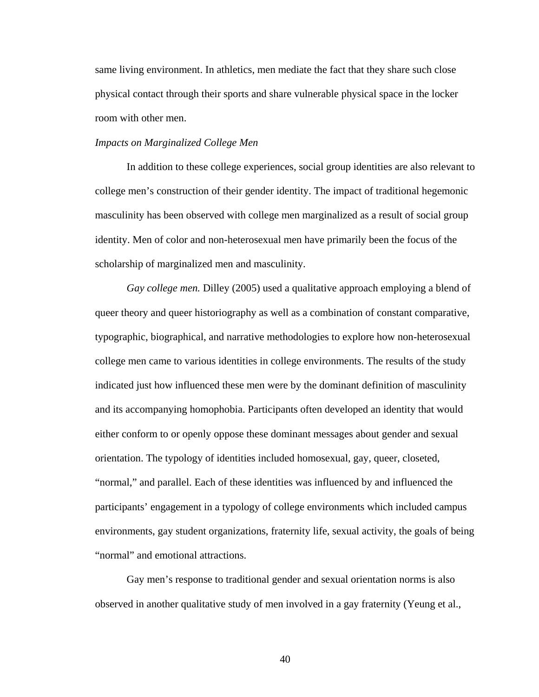same living environment. In athletics, men mediate the fact that they share such close physical contact through their sports and share vulnerable physical space in the locker room with other men.

### *Impacts on Marginalized College Men*

In addition to these college experiences, social group identities are also relevant to college men's construction of their gender identity. The impact of traditional hegemonic masculinity has been observed with college men marginalized as a result of social group identity. Men of color and non-heterosexual men have primarily been the focus of the scholarship of marginalized men and masculinity.

*Gay college men.* Dilley (2005) used a qualitative approach employing a blend of queer theory and queer historiography as well as a combination of constant comparative, typographic, biographical, and narrative methodologies to explore how non-heterosexual college men came to various identities in college environments. The results of the study indicated just how influenced these men were by the dominant definition of masculinity and its accompanying homophobia. Participants often developed an identity that would either conform to or openly oppose these dominant messages about gender and sexual orientation. The typology of identities included homosexual, gay, queer, closeted, "normal," and parallel. Each of these identities was influenced by and influenced the participants' engagement in a typology of college environments which included campus environments, gay student organizations, fraternity life, sexual activity, the goals of being "normal" and emotional attractions.

Gay men's response to traditional gender and sexual orientation norms is also observed in another qualitative study of men involved in a gay fraternity (Yeung et al.,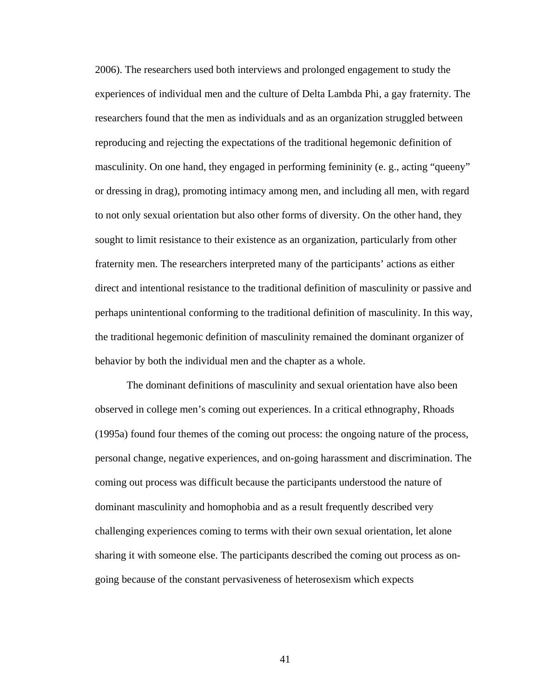2006). The researchers used both interviews and prolonged engagement to study the experiences of individual men and the culture of Delta Lambda Phi, a gay fraternity. The researchers found that the men as individuals and as an organization struggled between reproducing and rejecting the expectations of the traditional hegemonic definition of masculinity. On one hand, they engaged in performing femininity (e. g., acting "queeny" or dressing in drag), promoting intimacy among men, and including all men, with regard to not only sexual orientation but also other forms of diversity. On the other hand, they sought to limit resistance to their existence as an organization, particularly from other fraternity men. The researchers interpreted many of the participants' actions as either direct and intentional resistance to the traditional definition of masculinity or passive and perhaps unintentional conforming to the traditional definition of masculinity. In this way, the traditional hegemonic definition of masculinity remained the dominant organizer of behavior by both the individual men and the chapter as a whole.

The dominant definitions of masculinity and sexual orientation have also been observed in college men's coming out experiences. In a critical ethnography, Rhoads (1995a) found four themes of the coming out process: the ongoing nature of the process, personal change, negative experiences, and on-going harassment and discrimination. The coming out process was difficult because the participants understood the nature of dominant masculinity and homophobia and as a result frequently described very challenging experiences coming to terms with their own sexual orientation, let alone sharing it with someone else. The participants described the coming out process as ongoing because of the constant pervasiveness of heterosexism which expects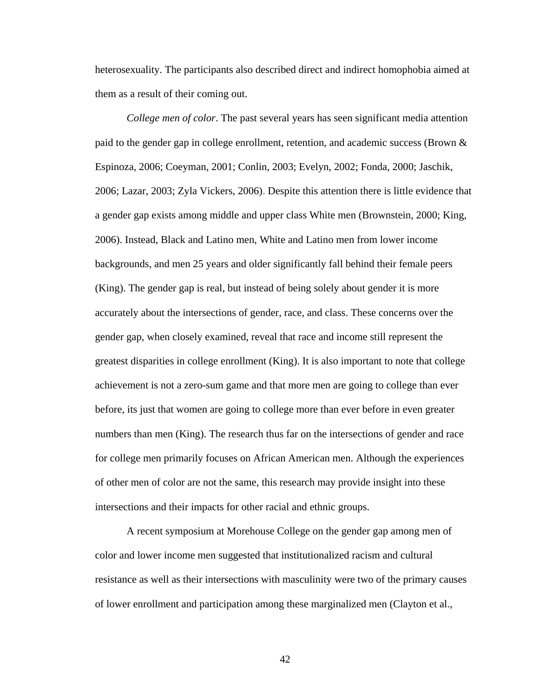heterosexuality. The participants also described direct and indirect homophobia aimed at them as a result of their coming out.

*College men of color*. The past several years has seen significant media attention paid to the gender gap in college enrollment, retention, and academic success (Brown & Espinoza, 2006; Coeyman, 2001; Conlin, 2003; Evelyn, 2002; Fonda, 2000; Jaschik, 2006; Lazar, 2003; Zyla Vickers, 2006). Despite this attention there is little evidence that a gender gap exists among middle and upper class White men (Brownstein, 2000; King, 2006). Instead, Black and Latino men, White and Latino men from lower income backgrounds, and men 25 years and older significantly fall behind their female peers (King). The gender gap is real, but instead of being solely about gender it is more accurately about the intersections of gender, race, and class. These concerns over the gender gap, when closely examined, reveal that race and income still represent the greatest disparities in college enrollment (King). It is also important to note that college achievement is not a zero-sum game and that more men are going to college than ever before, its just that women are going to college more than ever before in even greater numbers than men (King). The research thus far on the intersections of gender and race for college men primarily focuses on African American men. Although the experiences of other men of color are not the same, this research may provide insight into these intersections and their impacts for other racial and ethnic groups.

A recent symposium at Morehouse College on the gender gap among men of color and lower income men suggested that institutionalized racism and cultural resistance as well as their intersections with masculinity were two of the primary causes of lower enrollment and participation among these marginalized men (Clayton et al.,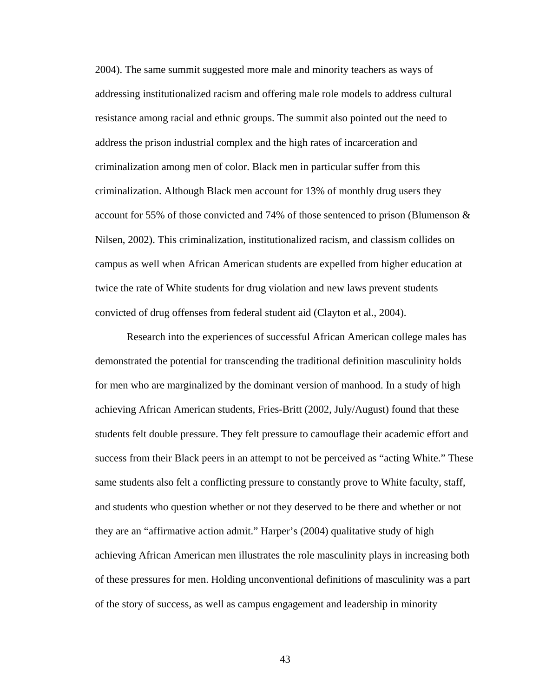2004). The same summit suggested more male and minority teachers as ways of addressing institutionalized racism and offering male role models to address cultural resistance among racial and ethnic groups. The summit also pointed out the need to address the prison industrial complex and the high rates of incarceration and criminalization among men of color. Black men in particular suffer from this criminalization. Although Black men account for 13% of monthly drug users they account for 55% of those convicted and 74% of those sentenced to prison (Blumenson & Nilsen, 2002). This criminalization, institutionalized racism, and classism collides on campus as well when African American students are expelled from higher education at twice the rate of White students for drug violation and new laws prevent students convicted of drug offenses from federal student aid (Clayton et al., 2004).

Research into the experiences of successful African American college males has demonstrated the potential for transcending the traditional definition masculinity holds for men who are marginalized by the dominant version of manhood. In a study of high achieving African American students, Fries-Britt (2002, July/August) found that these students felt double pressure. They felt pressure to camouflage their academic effort and success from their Black peers in an attempt to not be perceived as "acting White." These same students also felt a conflicting pressure to constantly prove to White faculty, staff, and students who question whether or not they deserved to be there and whether or not they are an "affirmative action admit." Harper's (2004) qualitative study of high achieving African American men illustrates the role masculinity plays in increasing both of these pressures for men. Holding unconventional definitions of masculinity was a part of the story of success, as well as campus engagement and leadership in minority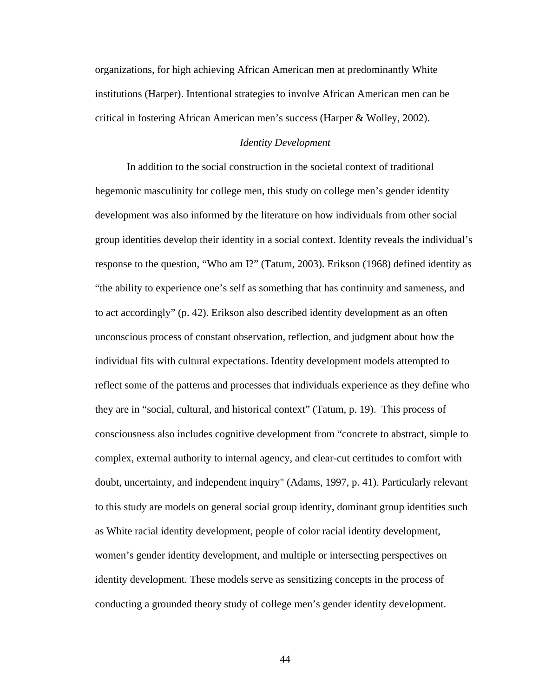organizations, for high achieving African American men at predominantly White institutions (Harper). Intentional strategies to involve African American men can be critical in fostering African American men's success (Harper & Wolley, 2002).

### *Identity Development*

In addition to the social construction in the societal context of traditional hegemonic masculinity for college men, this study on college men's gender identity development was also informed by the literature on how individuals from other social group identities develop their identity in a social context. Identity reveals the individual's response to the question, "Who am I?" (Tatum, 2003). Erikson (1968) defined identity as "the ability to experience one's self as something that has continuity and sameness, and to act accordingly" (p. 42). Erikson also described identity development as an often unconscious process of constant observation, reflection, and judgment about how the individual fits with cultural expectations. Identity development models attempted to reflect some of the patterns and processes that individuals experience as they define who they are in "social, cultural, and historical context" (Tatum, p. 19). This process of consciousness also includes cognitive development from "concrete to abstract, simple to complex, external authority to internal agency, and clear-cut certitudes to comfort with doubt, uncertainty, and independent inquiry" (Adams, 1997, p. 41). Particularly relevant to this study are models on general social group identity, dominant group identities such as White racial identity development, people of color racial identity development, women's gender identity development, and multiple or intersecting perspectives on identity development. These models serve as sensitizing concepts in the process of conducting a grounded theory study of college men's gender identity development.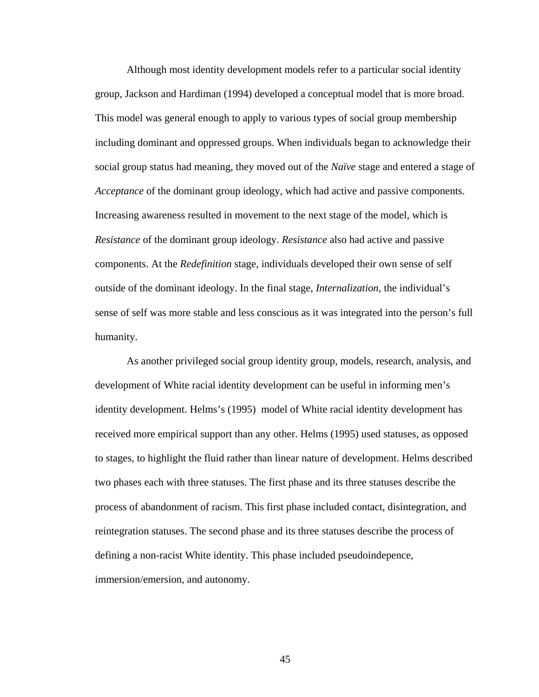Although most identity development models refer to a particular social identity group, Jackson and Hardiman (1994) developed a conceptual model that is more broad. This model was general enough to apply to various types of social group membership including dominant and oppressed groups. When individuals began to acknowledge their social group status had meaning, they moved out of the *Naïve* stage and entered a stage of *Acceptance* of the dominant group ideology, which had active and passive components. Increasing awareness resulted in movement to the next stage of the model, which is *Resistance* of the dominant group ideology. *Resistance* also had active and passive components. At the *Redefinition* stage, individuals developed their own sense of self outside of the dominant ideology. In the final stage, *Internalization*, the individual's sense of self was more stable and less conscious as it was integrated into the person's full humanity.

As another privileged social group identity group, models, research, analysis, and development of White racial identity development can be useful in informing men's identity development. Helms's (1995) model of White racial identity development has received more empirical support than any other. Helms (1995) used statuses, as opposed to stages, to highlight the fluid rather than linear nature of development. Helms described two phases each with three statuses. The first phase and its three statuses describe the process of abandonment of racism. This first phase included contact, disintegration, and reintegration statuses. The second phase and its three statuses describe the process of defining a non-racist White identity. This phase included pseudoindepence, immersion/emersion, and autonomy.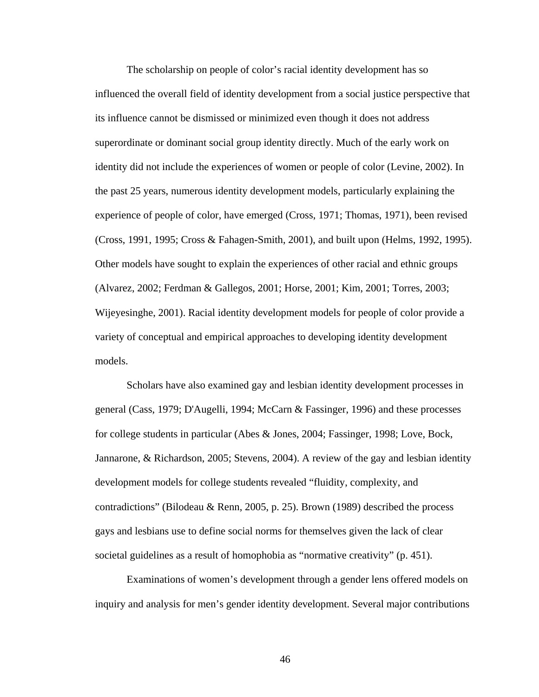The scholarship on people of color's racial identity development has so influenced the overall field of identity development from a social justice perspective that its influence cannot be dismissed or minimized even though it does not address superordinate or dominant social group identity directly. Much of the early work on identity did not include the experiences of women or people of color (Levine, 2002). In the past 25 years, numerous identity development models, particularly explaining the experience of people of color, have emerged (Cross, 1971; Thomas, 1971), been revised (Cross, 1991, 1995; Cross & Fahagen-Smith, 2001), and built upon (Helms, 1992, 1995). Other models have sought to explain the experiences of other racial and ethnic groups (Alvarez, 2002; Ferdman & Gallegos, 2001; Horse, 2001; Kim, 2001; Torres, 2003; Wijeyesinghe, 2001). Racial identity development models for people of color provide a variety of conceptual and empirical approaches to developing identity development models.

Scholars have also examined gay and lesbian identity development processes in general (Cass, 1979; D'Augelli, 1994; McCarn & Fassinger, 1996) and these processes for college students in particular (Abes & Jones, 2004; Fassinger, 1998; Love, Bock, Jannarone, & Richardson, 2005; Stevens, 2004). A review of the gay and lesbian identity development models for college students revealed "fluidity, complexity, and contradictions" (Bilodeau & Renn, 2005, p. 25). Brown (1989) described the process gays and lesbians use to define social norms for themselves given the lack of clear societal guidelines as a result of homophobia as "normative creativity" (p. 451).

Examinations of women's development through a gender lens offered models on inquiry and analysis for men's gender identity development. Several major contributions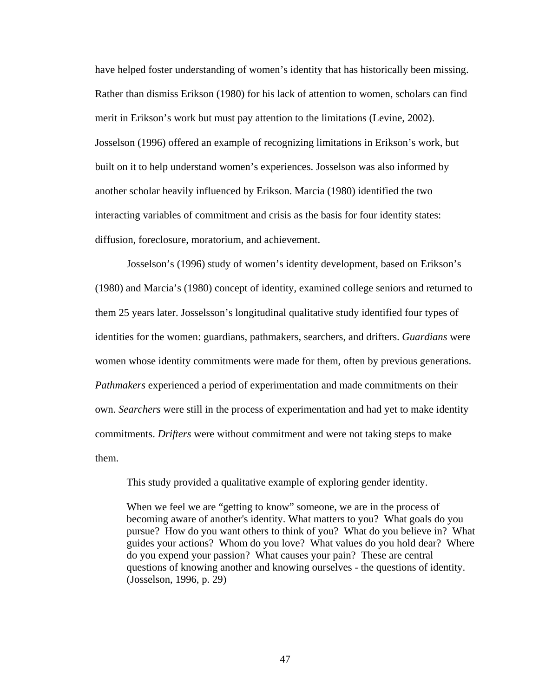have helped foster understanding of women's identity that has historically been missing. Rather than dismiss Erikson (1980) for his lack of attention to women, scholars can find merit in Erikson's work but must pay attention to the limitations (Levine, 2002). Josselson (1996) offered an example of recognizing limitations in Erikson's work, but built on it to help understand women's experiences. Josselson was also informed by another scholar heavily influenced by Erikson. Marcia (1980) identified the two interacting variables of commitment and crisis as the basis for four identity states: diffusion, foreclosure, moratorium, and achievement.

Josselson's (1996) study of women's identity development, based on Erikson's (1980) and Marcia's (1980) concept of identity, examined college seniors and returned to them 25 years later. Josselsson's longitudinal qualitative study identified four types of identities for the women: guardians, pathmakers, searchers, and drifters. *Guardians* were women whose identity commitments were made for them, often by previous generations. *Pathmakers* experienced a period of experimentation and made commitments on their own. *Searchers* were still in the process of experimentation and had yet to make identity commitments. *Drifters* were without commitment and were not taking steps to make them.

This study provided a qualitative example of exploring gender identity.

When we feel we are "getting to know" someone, we are in the process of becoming aware of another's identity. What matters to you? What goals do you pursue? How do you want others to think of you? What do you believe in? What guides your actions? Whom do you love? What values do you hold dear? Where do you expend your passion? What causes your pain? These are central questions of knowing another and knowing ourselves - the questions of identity. (Josselson, 1996, p. 29)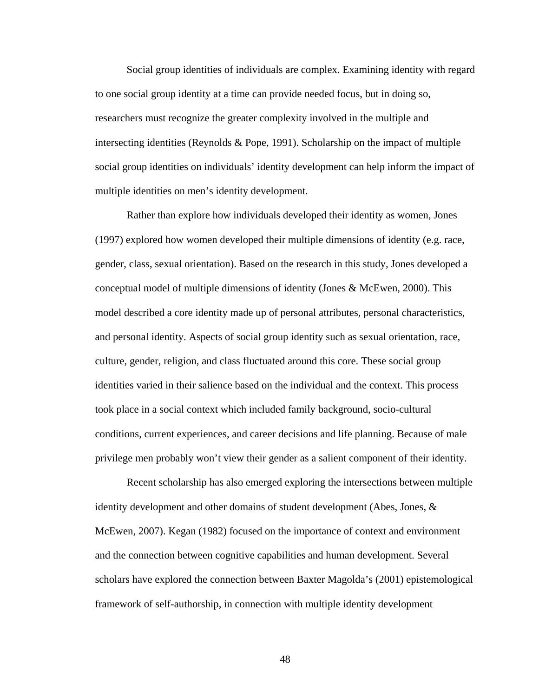Social group identities of individuals are complex. Examining identity with regard to one social group identity at a time can provide needed focus, but in doing so, researchers must recognize the greater complexity involved in the multiple and intersecting identities (Reynolds  $\&$  Pope, 1991). Scholarship on the impact of multiple social group identities on individuals' identity development can help inform the impact of multiple identities on men's identity development.

Rather than explore how individuals developed their identity as women, Jones (1997) explored how women developed their multiple dimensions of identity (e.g. race, gender, class, sexual orientation). Based on the research in this study, Jones developed a conceptual model of multiple dimensions of identity (Jones & McEwen, 2000). This model described a core identity made up of personal attributes, personal characteristics, and personal identity. Aspects of social group identity such as sexual orientation, race, culture, gender, religion, and class fluctuated around this core. These social group identities varied in their salience based on the individual and the context. This process took place in a social context which included family background, socio-cultural conditions, current experiences, and career decisions and life planning. Because of male privilege men probably won't view their gender as a salient component of their identity.

Recent scholarship has also emerged exploring the intersections between multiple identity development and other domains of student development (Abes, Jones, & McEwen, 2007). Kegan (1982) focused on the importance of context and environment and the connection between cognitive capabilities and human development. Several scholars have explored the connection between Baxter Magolda's (2001) epistemological framework of self-authorship, in connection with multiple identity development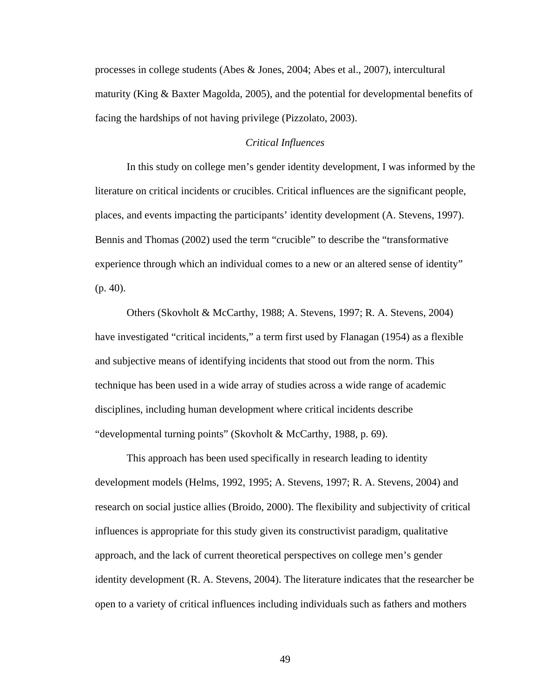processes in college students (Abes & Jones, 2004; Abes et al., 2007), intercultural maturity (King  $\&$  Baxter Magolda, 2005), and the potential for developmental benefits of facing the hardships of not having privilege (Pizzolato, 2003).

# *Critical Influences*

In this study on college men's gender identity development, I was informed by the literature on critical incidents or crucibles. Critical influences are the significant people, places, and events impacting the participants' identity development (A. Stevens, 1997). Bennis and Thomas (2002) used the term "crucible" to describe the "transformative experience through which an individual comes to a new or an altered sense of identity" (p. 40).

Others (Skovholt & McCarthy, 1988; A. Stevens, 1997; R. A. Stevens, 2004) have investigated "critical incidents," a term first used by Flanagan (1954) as a flexible and subjective means of identifying incidents that stood out from the norm. This technique has been used in a wide array of studies across a wide range of academic disciplines, including human development where critical incidents describe "developmental turning points" (Skovholt & McCarthy, 1988, p. 69).

This approach has been used specifically in research leading to identity development models (Helms, 1992, 1995; A. Stevens, 1997; R. A. Stevens, 2004) and research on social justice allies (Broido, 2000). The flexibility and subjectivity of critical influences is appropriate for this study given its constructivist paradigm, qualitative approach, and the lack of current theoretical perspectives on college men's gender identity development (R. A. Stevens, 2004). The literature indicates that the researcher be open to a variety of critical influences including individuals such as fathers and mothers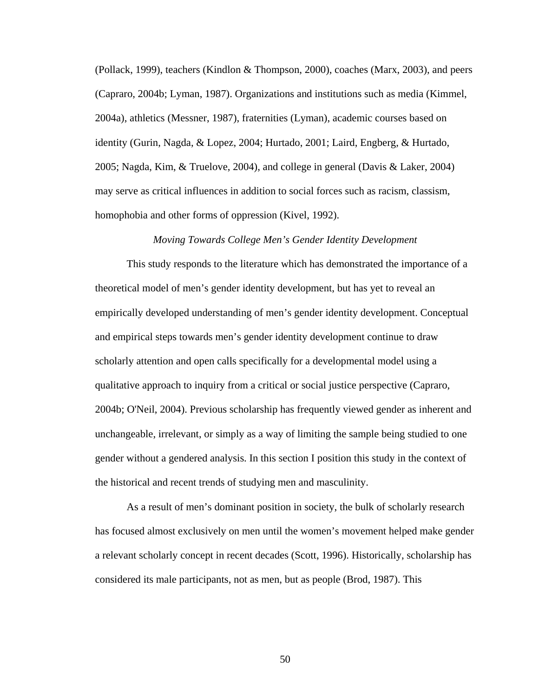(Pollack, 1999), teachers (Kindlon & Thompson, 2000), coaches (Marx, 2003), and peers (Capraro, 2004b; Lyman, 1987). Organizations and institutions such as media (Kimmel, 2004a), athletics (Messner, 1987), fraternities (Lyman), academic courses based on identity (Gurin, Nagda, & Lopez, 2004; Hurtado, 2001; Laird, Engberg, & Hurtado, 2005; Nagda, Kim, & Truelove, 2004), and college in general (Davis & Laker, 2004) may serve as critical influences in addition to social forces such as racism, classism, homophobia and other forms of oppression (Kivel, 1992).

#### *Moving Towards College Men's Gender Identity Development*

This study responds to the literature which has demonstrated the importance of a theoretical model of men's gender identity development, but has yet to reveal an empirically developed understanding of men's gender identity development. Conceptual and empirical steps towards men's gender identity development continue to draw scholarly attention and open calls specifically for a developmental model using a qualitative approach to inquiry from a critical or social justice perspective (Capraro, 2004b; O'Neil, 2004). Previous scholarship has frequently viewed gender as inherent and unchangeable, irrelevant, or simply as a way of limiting the sample being studied to one gender without a gendered analysis. In this section I position this study in the context of the historical and recent trends of studying men and masculinity.

As a result of men's dominant position in society, the bulk of scholarly research has focused almost exclusively on men until the women's movement helped make gender a relevant scholarly concept in recent decades (Scott, 1996). Historically, scholarship has considered its male participants, not as men, but as people (Brod, 1987). This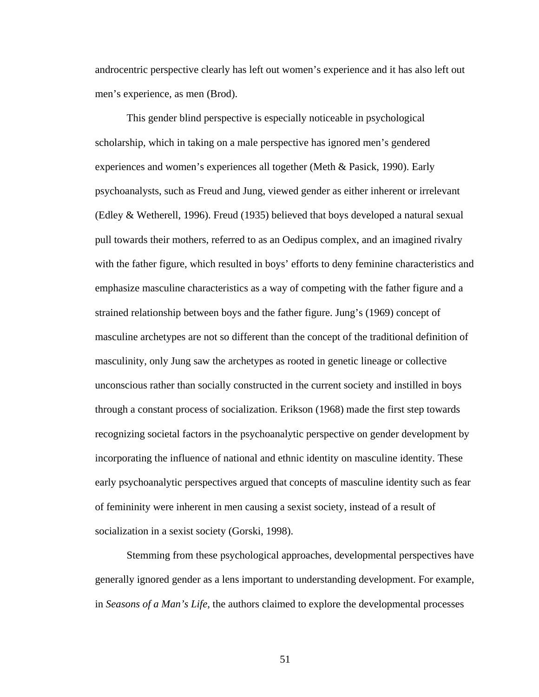androcentric perspective clearly has left out women's experience and it has also left out men's experience, as men (Brod).

This gender blind perspective is especially noticeable in psychological scholarship, which in taking on a male perspective has ignored men's gendered experiences and women's experiences all together (Meth & Pasick, 1990). Early psychoanalysts, such as Freud and Jung, viewed gender as either inherent or irrelevant (Edley & Wetherell, 1996). Freud (1935) believed that boys developed a natural sexual pull towards their mothers, referred to as an Oedipus complex, and an imagined rivalry with the father figure, which resulted in boys' efforts to deny feminine characteristics and emphasize masculine characteristics as a way of competing with the father figure and a strained relationship between boys and the father figure. Jung's (1969) concept of masculine archetypes are not so different than the concept of the traditional definition of masculinity, only Jung saw the archetypes as rooted in genetic lineage or collective unconscious rather than socially constructed in the current society and instilled in boys through a constant process of socialization. Erikson (1968) made the first step towards recognizing societal factors in the psychoanalytic perspective on gender development by incorporating the influence of national and ethnic identity on masculine identity. These early psychoanalytic perspectives argued that concepts of masculine identity such as fear of femininity were inherent in men causing a sexist society, instead of a result of socialization in a sexist society (Gorski, 1998).

Stemming from these psychological approaches, developmental perspectives have generally ignored gender as a lens important to understanding development. For example, in *Seasons of a Man's Life*, the authors claimed to explore the developmental processes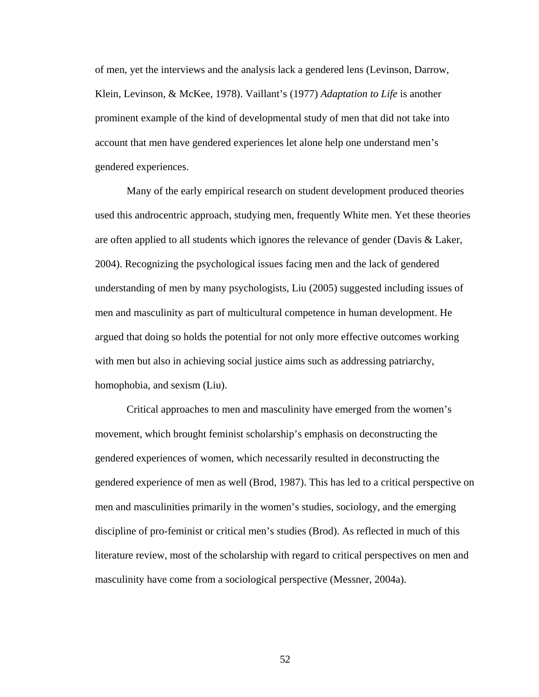of men, yet the interviews and the analysis lack a gendered lens (Levinson, Darrow, Klein, Levinson, & McKee, 1978). Vaillant's (1977) *Adaptation to Life* is another prominent example of the kind of developmental study of men that did not take into account that men have gendered experiences let alone help one understand men's gendered experiences.

Many of the early empirical research on student development produced theories used this androcentric approach, studying men, frequently White men. Yet these theories are often applied to all students which ignores the relevance of gender (Davis & Laker, 2004). Recognizing the psychological issues facing men and the lack of gendered understanding of men by many psychologists, Liu (2005) suggested including issues of men and masculinity as part of multicultural competence in human development. He argued that doing so holds the potential for not only more effective outcomes working with men but also in achieving social justice aims such as addressing patriarchy, homophobia, and sexism (Liu).

Critical approaches to men and masculinity have emerged from the women's movement, which brought feminist scholarship's emphasis on deconstructing the gendered experiences of women, which necessarily resulted in deconstructing the gendered experience of men as well (Brod, 1987). This has led to a critical perspective on men and masculinities primarily in the women's studies, sociology, and the emerging discipline of pro-feminist or critical men's studies (Brod). As reflected in much of this literature review, most of the scholarship with regard to critical perspectives on men and masculinity have come from a sociological perspective (Messner, 2004a).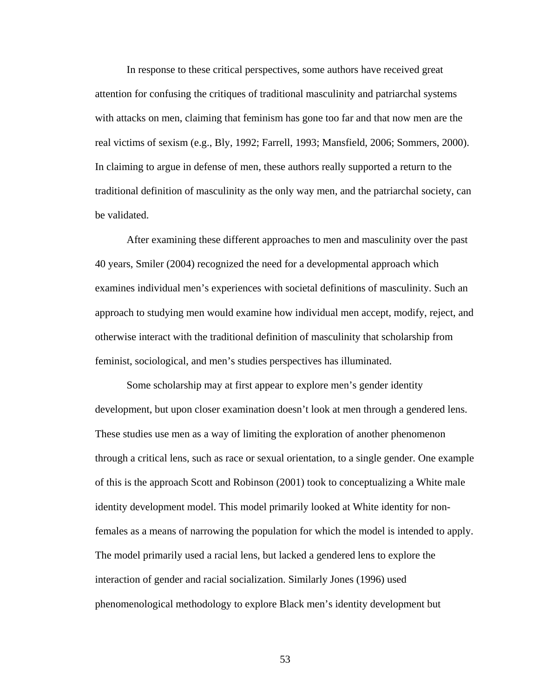In response to these critical perspectives, some authors have received great attention for confusing the critiques of traditional masculinity and patriarchal systems with attacks on men, claiming that feminism has gone too far and that now men are the real victims of sexism (e.g., Bly, 1992; Farrell, 1993; Mansfield, 2006; Sommers, 2000). In claiming to argue in defense of men, these authors really supported a return to the traditional definition of masculinity as the only way men, and the patriarchal society, can be validated.

After examining these different approaches to men and masculinity over the past 40 years, Smiler (2004) recognized the need for a developmental approach which examines individual men's experiences with societal definitions of masculinity. Such an approach to studying men would examine how individual men accept, modify, reject, and otherwise interact with the traditional definition of masculinity that scholarship from feminist, sociological, and men's studies perspectives has illuminated.

Some scholarship may at first appear to explore men's gender identity development, but upon closer examination doesn't look at men through a gendered lens. These studies use men as a way of limiting the exploration of another phenomenon through a critical lens, such as race or sexual orientation, to a single gender. One example of this is the approach Scott and Robinson (2001) took to conceptualizing a White male identity development model. This model primarily looked at White identity for nonfemales as a means of narrowing the population for which the model is intended to apply. The model primarily used a racial lens, but lacked a gendered lens to explore the interaction of gender and racial socialization. Similarly Jones (1996) used phenomenological methodology to explore Black men's identity development but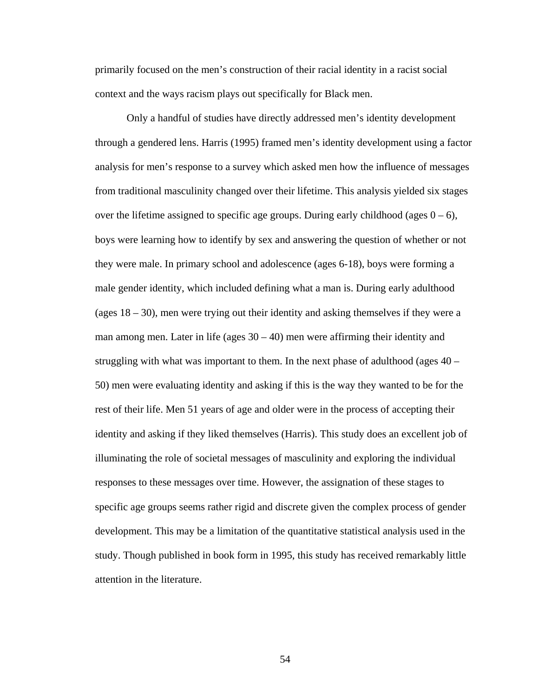primarily focused on the men's construction of their racial identity in a racist social context and the ways racism plays out specifically for Black men.

Only a handful of studies have directly addressed men's identity development through a gendered lens. Harris (1995) framed men's identity development using a factor analysis for men's response to a survey which asked men how the influence of messages from traditional masculinity changed over their lifetime. This analysis yielded six stages over the lifetime assigned to specific age groups. During early childhood (ages  $0 - 6$ ), boys were learning how to identify by sex and answering the question of whether or not they were male. In primary school and adolescence (ages 6-18), boys were forming a male gender identity, which included defining what a man is. During early adulthood (ages  $18 - 30$ ), men were trying out their identity and asking themselves if they were a man among men. Later in life (ages  $30 - 40$ ) men were affirming their identity and struggling with what was important to them. In the next phase of adulthood (ages 40 – 50) men were evaluating identity and asking if this is the way they wanted to be for the rest of their life. Men 51 years of age and older were in the process of accepting their identity and asking if they liked themselves (Harris). This study does an excellent job of illuminating the role of societal messages of masculinity and exploring the individual responses to these messages over time. However, the assignation of these stages to specific age groups seems rather rigid and discrete given the complex process of gender development. This may be a limitation of the quantitative statistical analysis used in the study. Though published in book form in 1995, this study has received remarkably little attention in the literature.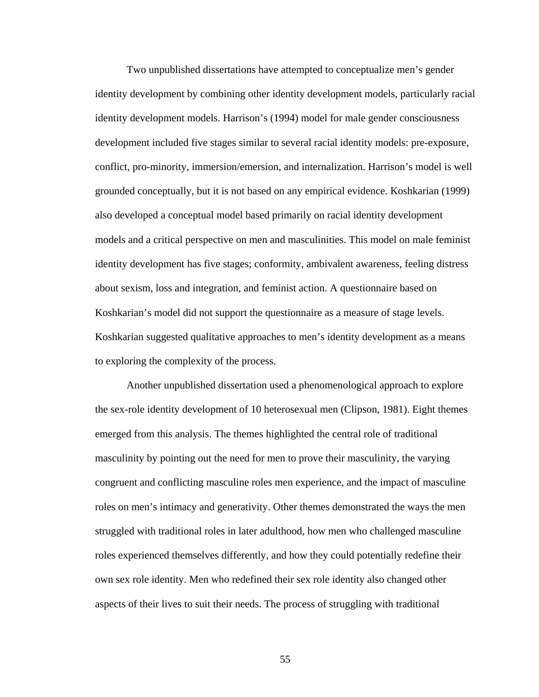Two unpublished dissertations have attempted to conceptualize men's gender identity development by combining other identity development models, particularly racial identity development models. Harrison's (1994) model for male gender consciousness development included five stages similar to several racial identity models: pre-exposure, conflict, pro-minority, immersion/emersion, and internalization. Harrison's model is well grounded conceptually, but it is not based on any empirical evidence. Koshkarian (1999) also developed a conceptual model based primarily on racial identity development models and a critical perspective on men and masculinities. This model on male feminist identity development has five stages; conformity, ambivalent awareness, feeling distress about sexism, loss and integration, and feminist action. A questionnaire based on Koshkarian's model did not support the questionnaire as a measure of stage levels. Koshkarian suggested qualitative approaches to men's identity development as a means to exploring the complexity of the process.

Another unpublished dissertation used a phenomenological approach to explore the sex-role identity development of 10 heterosexual men (Clipson, 1981). Eight themes emerged from this analysis. The themes highlighted the central role of traditional masculinity by pointing out the need for men to prove their masculinity, the varying congruent and conflicting masculine roles men experience, and the impact of masculine roles on men's intimacy and generativity. Other themes demonstrated the ways the men struggled with traditional roles in later adulthood, how men who challenged masculine roles experienced themselves differently, and how they could potentially redefine their own sex role identity. Men who redefined their sex role identity also changed other aspects of their lives to suit their needs. The process of struggling with traditional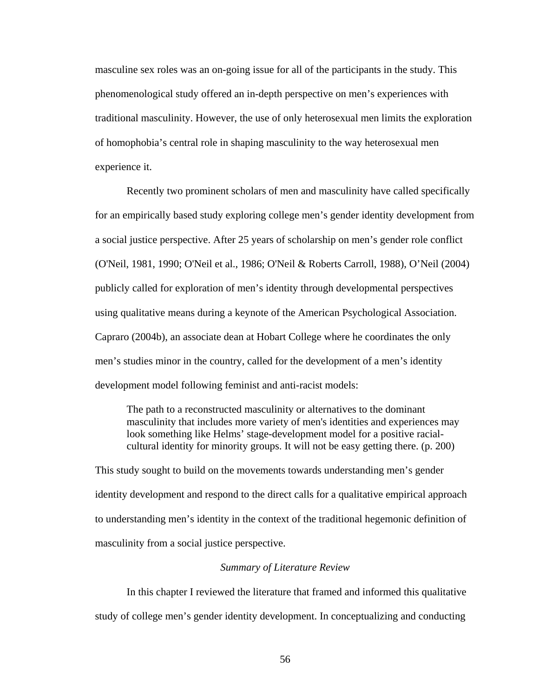masculine sex roles was an on-going issue for all of the participants in the study. This phenomenological study offered an in-depth perspective on men's experiences with traditional masculinity. However, the use of only heterosexual men limits the exploration of homophobia's central role in shaping masculinity to the way heterosexual men experience it.

Recently two prominent scholars of men and masculinity have called specifically for an empirically based study exploring college men's gender identity development from a social justice perspective. After 25 years of scholarship on men's gender role conflict (O'Neil, 1981, 1990; O'Neil et al., 1986; O'Neil & Roberts Carroll, 1988), O'Neil (2004) publicly called for exploration of men's identity through developmental perspectives using qualitative means during a keynote of the American Psychological Association. Capraro (2004b), an associate dean at Hobart College where he coordinates the only men's studies minor in the country, called for the development of a men's identity development model following feminist and anti-racist models:

The path to a reconstructed masculinity or alternatives to the dominant masculinity that includes more variety of men's identities and experiences may look something like Helms' stage-development model for a positive racialcultural identity for minority groups. It will not be easy getting there. (p. 200)

This study sought to build on the movements towards understanding men's gender identity development and respond to the direct calls for a qualitative empirical approach to understanding men's identity in the context of the traditional hegemonic definition of masculinity from a social justice perspective.

# *Summary of Literature Review*

In this chapter I reviewed the literature that framed and informed this qualitative study of college men's gender identity development. In conceptualizing and conducting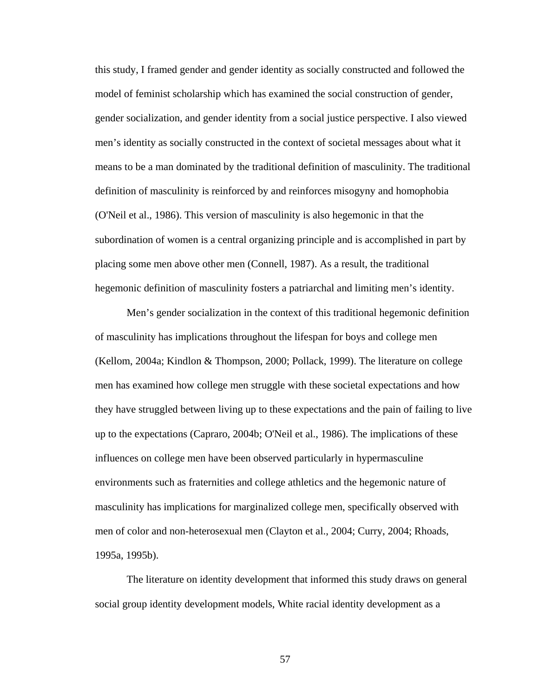this study, I framed gender and gender identity as socially constructed and followed the model of feminist scholarship which has examined the social construction of gender, gender socialization, and gender identity from a social justice perspective. I also viewed men's identity as socially constructed in the context of societal messages about what it means to be a man dominated by the traditional definition of masculinity. The traditional definition of masculinity is reinforced by and reinforces misogyny and homophobia (O'Neil et al., 1986). This version of masculinity is also hegemonic in that the subordination of women is a central organizing principle and is accomplished in part by placing some men above other men (Connell, 1987). As a result, the traditional hegemonic definition of masculinity fosters a patriarchal and limiting men's identity.

Men's gender socialization in the context of this traditional hegemonic definition of masculinity has implications throughout the lifespan for boys and college men (Kellom, 2004a; Kindlon & Thompson, 2000; Pollack, 1999). The literature on college men has examined how college men struggle with these societal expectations and how they have struggled between living up to these expectations and the pain of failing to live up to the expectations (Capraro, 2004b; O'Neil et al., 1986). The implications of these influences on college men have been observed particularly in hypermasculine environments such as fraternities and college athletics and the hegemonic nature of masculinity has implications for marginalized college men, specifically observed with men of color and non-heterosexual men (Clayton et al., 2004; Curry, 2004; Rhoads, 1995a, 1995b).

The literature on identity development that informed this study draws on general social group identity development models, White racial identity development as a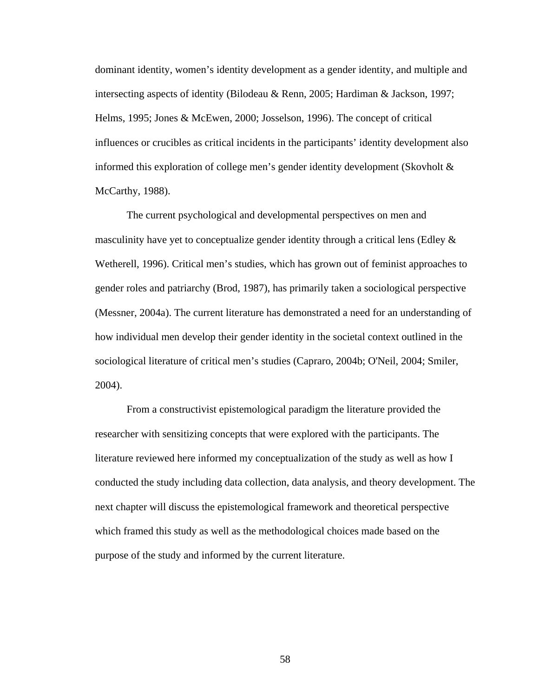dominant identity, women's identity development as a gender identity, and multiple and intersecting aspects of identity (Bilodeau & Renn, 2005; Hardiman & Jackson, 1997; Helms, 1995; Jones & McEwen, 2000; Josselson, 1996). The concept of critical influences or crucibles as critical incidents in the participants' identity development also informed this exploration of college men's gender identity development (Skovholt & McCarthy, 1988).

The current psychological and developmental perspectives on men and masculinity have yet to conceptualize gender identity through a critical lens (Edley  $\&$ Wetherell, 1996). Critical men's studies, which has grown out of feminist approaches to gender roles and patriarchy (Brod, 1987), has primarily taken a sociological perspective (Messner, 2004a). The current literature has demonstrated a need for an understanding of how individual men develop their gender identity in the societal context outlined in the sociological literature of critical men's studies (Capraro, 2004b; O'Neil, 2004; Smiler, 2004).

From a constructivist epistemological paradigm the literature provided the researcher with sensitizing concepts that were explored with the participants. The literature reviewed here informed my conceptualization of the study as well as how I conducted the study including data collection, data analysis, and theory development. The next chapter will discuss the epistemological framework and theoretical perspective which framed this study as well as the methodological choices made based on the purpose of the study and informed by the current literature.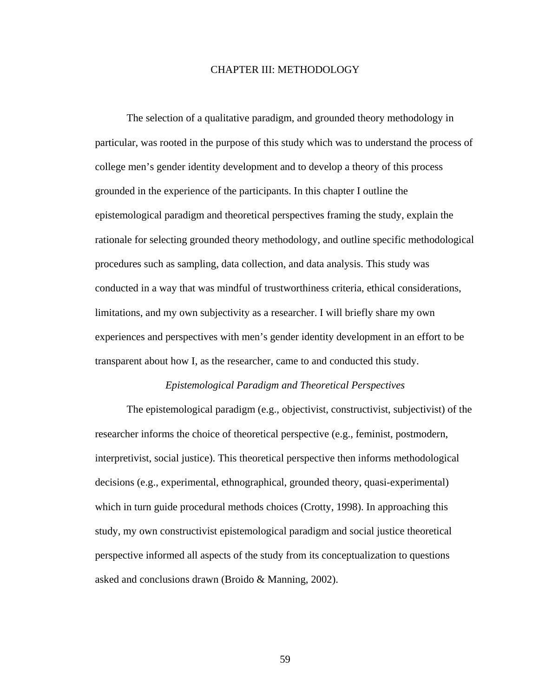# CHAPTER III: METHODOLOGY

The selection of a qualitative paradigm, and grounded theory methodology in particular, was rooted in the purpose of this study which was to understand the process of college men's gender identity development and to develop a theory of this process grounded in the experience of the participants. In this chapter I outline the epistemological paradigm and theoretical perspectives framing the study, explain the rationale for selecting grounded theory methodology, and outline specific methodological procedures such as sampling, data collection, and data analysis. This study was conducted in a way that was mindful of trustworthiness criteria, ethical considerations, limitations, and my own subjectivity as a researcher. I will briefly share my own experiences and perspectives with men's gender identity development in an effort to be transparent about how I, as the researcher, came to and conducted this study.

### *Epistemological Paradigm and Theoretical Perspectives*

The epistemological paradigm (e.g., objectivist, constructivist, subjectivist) of the researcher informs the choice of theoretical perspective (e.g., feminist, postmodern, interpretivist, social justice). This theoretical perspective then informs methodological decisions (e.g., experimental, ethnographical, grounded theory, quasi-experimental) which in turn guide procedural methods choices (Crotty, 1998). In approaching this study, my own constructivist epistemological paradigm and social justice theoretical perspective informed all aspects of the study from its conceptualization to questions asked and conclusions drawn (Broido & Manning, 2002).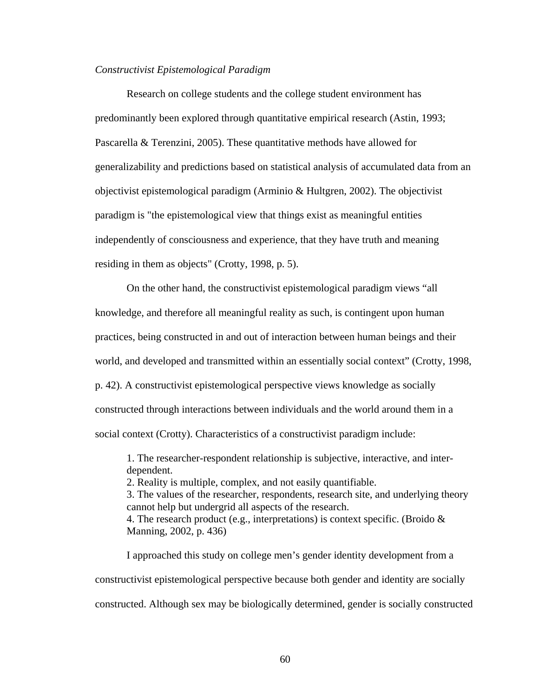### *Constructivist Epistemological Paradigm*

Research on college students and the college student environment has predominantly been explored through quantitative empirical research (Astin, 1993; Pascarella & Terenzini, 2005). These quantitative methods have allowed for generalizability and predictions based on statistical analysis of accumulated data from an objectivist epistemological paradigm (Arminio & Hultgren, 2002). The objectivist paradigm is "the epistemological view that things exist as meaningful entities independently of consciousness and experience, that they have truth and meaning residing in them as objects" (Crotty, 1998, p. 5).

On the other hand, the constructivist epistemological paradigm views "all knowledge, and therefore all meaningful reality as such, is contingent upon human practices, being constructed in and out of interaction between human beings and their world, and developed and transmitted within an essentially social context" (Crotty, 1998, p. 42). A constructivist epistemological perspective views knowledge as socially constructed through interactions between individuals and the world around them in a social context (Crotty). Characteristics of a constructivist paradigm include:

1. The researcher-respondent relationship is subjective, interactive, and interdependent.

2. Reality is multiple, complex, and not easily quantifiable.

3. The values of the researcher, respondents, research site, and underlying theory cannot help but undergrid all aspects of the research. 4. The research product (e.g., interpretations) is context specific. (Broido &

Manning, 2002, p. 436)

I approached this study on college men's gender identity development from a constructivist epistemological perspective because both gender and identity are socially constructed. Although sex may be biologically determined, gender is socially constructed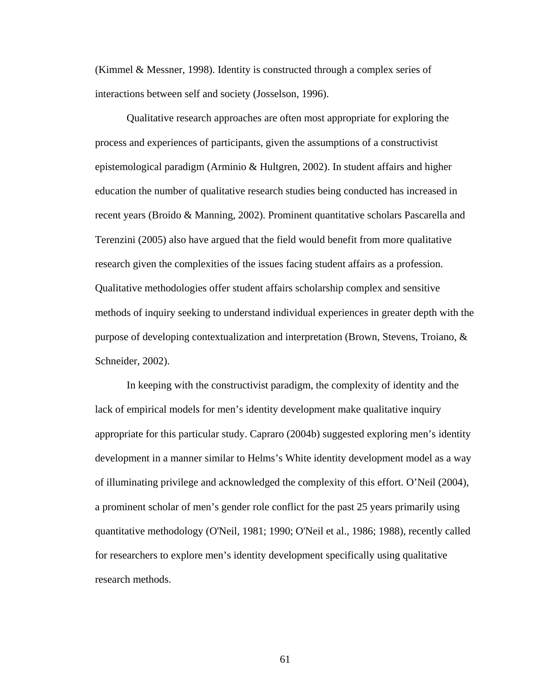(Kimmel & Messner, 1998). Identity is constructed through a complex series of interactions between self and society (Josselson, 1996).

Qualitative research approaches are often most appropriate for exploring the process and experiences of participants, given the assumptions of a constructivist epistemological paradigm (Arminio & Hultgren, 2002). In student affairs and higher education the number of qualitative research studies being conducted has increased in recent years (Broido & Manning, 2002). Prominent quantitative scholars Pascarella and Terenzini (2005) also have argued that the field would benefit from more qualitative research given the complexities of the issues facing student affairs as a profession. Qualitative methodologies offer student affairs scholarship complex and sensitive methods of inquiry seeking to understand individual experiences in greater depth with the purpose of developing contextualization and interpretation (Brown, Stevens, Troiano, & Schneider, 2002).

In keeping with the constructivist paradigm, the complexity of identity and the lack of empirical models for men's identity development make qualitative inquiry appropriate for this particular study. Capraro (2004b) suggested exploring men's identity development in a manner similar to Helms's White identity development model as a way of illuminating privilege and acknowledged the complexity of this effort. O'Neil (2004), a prominent scholar of men's gender role conflict for the past 25 years primarily using quantitative methodology (O'Neil, 1981; 1990; O'Neil et al., 1986; 1988), recently called for researchers to explore men's identity development specifically using qualitative research methods.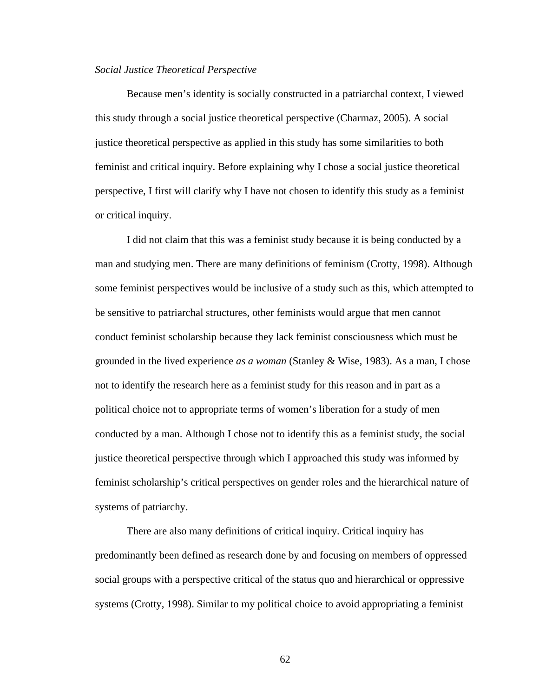### *Social Justice Theoretical Perspective*

Because men's identity is socially constructed in a patriarchal context, I viewed this study through a social justice theoretical perspective (Charmaz, 2005). A social justice theoretical perspective as applied in this study has some similarities to both feminist and critical inquiry. Before explaining why I chose a social justice theoretical perspective, I first will clarify why I have not chosen to identify this study as a feminist or critical inquiry.

I did not claim that this was a feminist study because it is being conducted by a man and studying men. There are many definitions of feminism (Crotty, 1998). Although some feminist perspectives would be inclusive of a study such as this, which attempted to be sensitive to patriarchal structures, other feminists would argue that men cannot conduct feminist scholarship because they lack feminist consciousness which must be grounded in the lived experience *as a woman* (Stanley & Wise, 1983). As a man, I chose not to identify the research here as a feminist study for this reason and in part as a political choice not to appropriate terms of women's liberation for a study of men conducted by a man. Although I chose not to identify this as a feminist study, the social justice theoretical perspective through which I approached this study was informed by feminist scholarship's critical perspectives on gender roles and the hierarchical nature of systems of patriarchy.

There are also many definitions of critical inquiry. Critical inquiry has predominantly been defined as research done by and focusing on members of oppressed social groups with a perspective critical of the status quo and hierarchical or oppressive systems (Crotty, 1998). Similar to my political choice to avoid appropriating a feminist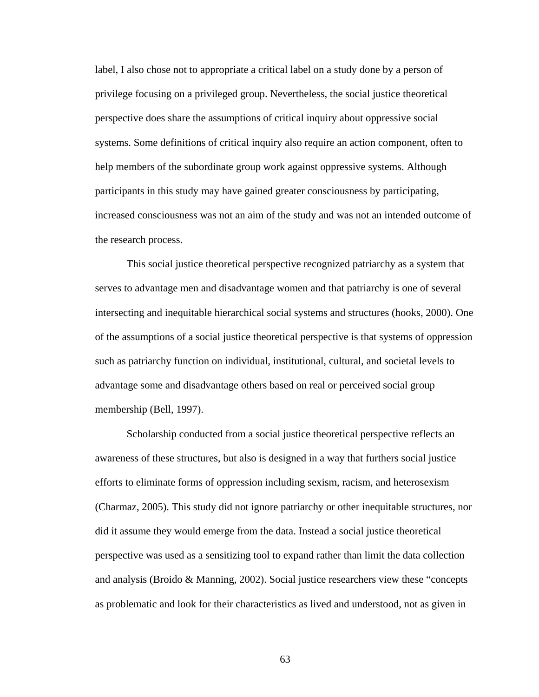label, I also chose not to appropriate a critical label on a study done by a person of privilege focusing on a privileged group. Nevertheless, the social justice theoretical perspective does share the assumptions of critical inquiry about oppressive social systems. Some definitions of critical inquiry also require an action component, often to help members of the subordinate group work against oppressive systems. Although participants in this study may have gained greater consciousness by participating, increased consciousness was not an aim of the study and was not an intended outcome of the research process.

This social justice theoretical perspective recognized patriarchy as a system that serves to advantage men and disadvantage women and that patriarchy is one of several intersecting and inequitable hierarchical social systems and structures (hooks, 2000). One of the assumptions of a social justice theoretical perspective is that systems of oppression such as patriarchy function on individual, institutional, cultural, and societal levels to advantage some and disadvantage others based on real or perceived social group membership (Bell, 1997).

Scholarship conducted from a social justice theoretical perspective reflects an awareness of these structures, but also is designed in a way that furthers social justice efforts to eliminate forms of oppression including sexism, racism, and heterosexism (Charmaz, 2005). This study did not ignore patriarchy or other inequitable structures, nor did it assume they would emerge from the data. Instead a social justice theoretical perspective was used as a sensitizing tool to expand rather than limit the data collection and analysis (Broido & Manning, 2002). Social justice researchers view these "concepts as problematic and look for their characteristics as lived and understood, not as given in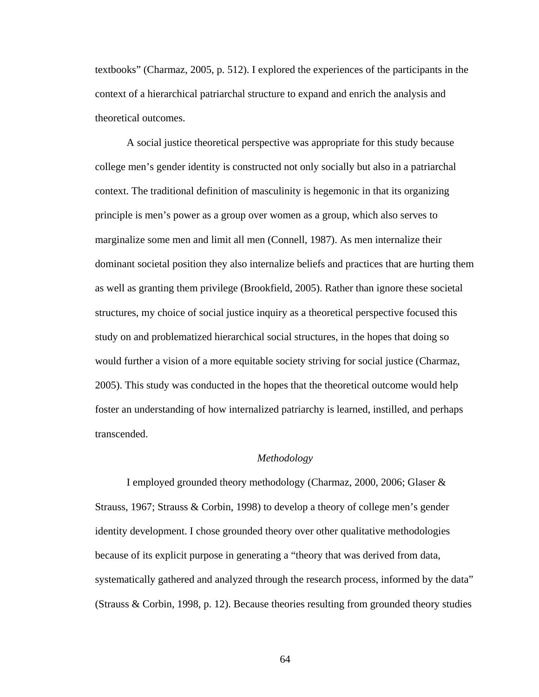textbooks" (Charmaz, 2005, p. 512). I explored the experiences of the participants in the context of a hierarchical patriarchal structure to expand and enrich the analysis and theoretical outcomes.

A social justice theoretical perspective was appropriate for this study because college men's gender identity is constructed not only socially but also in a patriarchal context. The traditional definition of masculinity is hegemonic in that its organizing principle is men's power as a group over women as a group, which also serves to marginalize some men and limit all men (Connell, 1987). As men internalize their dominant societal position they also internalize beliefs and practices that are hurting them as well as granting them privilege (Brookfield, 2005). Rather than ignore these societal structures, my choice of social justice inquiry as a theoretical perspective focused this study on and problematized hierarchical social structures, in the hopes that doing so would further a vision of a more equitable society striving for social justice (Charmaz, 2005). This study was conducted in the hopes that the theoretical outcome would help foster an understanding of how internalized patriarchy is learned, instilled, and perhaps transcended.

#### *Methodology*

I employed grounded theory methodology (Charmaz, 2000, 2006; Glaser & Strauss, 1967; Strauss & Corbin, 1998) to develop a theory of college men's gender identity development. I chose grounded theory over other qualitative methodologies because of its explicit purpose in generating a "theory that was derived from data, systematically gathered and analyzed through the research process, informed by the data" (Strauss & Corbin, 1998, p. 12). Because theories resulting from grounded theory studies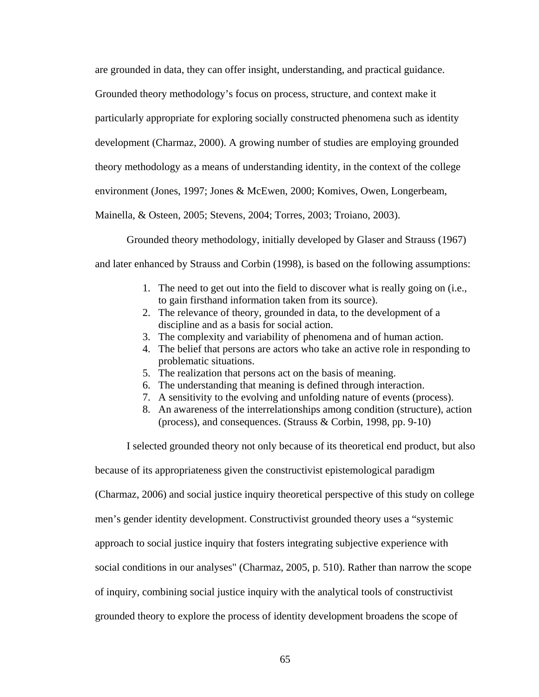are grounded in data, they can offer insight, understanding, and practical guidance.

Grounded theory methodology's focus on process, structure, and context make it

particularly appropriate for exploring socially constructed phenomena such as identity

development (Charmaz, 2000). A growing number of studies are employing grounded

theory methodology as a means of understanding identity, in the context of the college

environment (Jones, 1997; Jones & McEwen, 2000; Komives, Owen, Longerbeam,

Mainella, & Osteen, 2005; Stevens, 2004; Torres, 2003; Troiano, 2003).

Grounded theory methodology, initially developed by Glaser and Strauss (1967)

and later enhanced by Strauss and Corbin (1998), is based on the following assumptions:

- 1. The need to get out into the field to discover what is really going on (i.e., to gain firsthand information taken from its source).
- 2. The relevance of theory, grounded in data, to the development of a discipline and as a basis for social action.
- 3. The complexity and variability of phenomena and of human action.
- 4. The belief that persons are actors who take an active role in responding to problematic situations.
- 5. The realization that persons act on the basis of meaning.
- 6. The understanding that meaning is defined through interaction.
- 7. A sensitivity to the evolving and unfolding nature of events (process).
- 8. An awareness of the interrelationships among condition (structure), action (process), and consequences. (Strauss & Corbin, 1998, pp. 9-10)

I selected grounded theory not only because of its theoretical end product, but also

because of its appropriateness given the constructivist epistemological paradigm

(Charmaz, 2006) and social justice inquiry theoretical perspective of this study on college

men's gender identity development. Constructivist grounded theory uses a "systemic

approach to social justice inquiry that fosters integrating subjective experience with

social conditions in our analyses" (Charmaz, 2005, p. 510). Rather than narrow the scope

of inquiry, combining social justice inquiry with the analytical tools of constructivist

grounded theory to explore the process of identity development broadens the scope of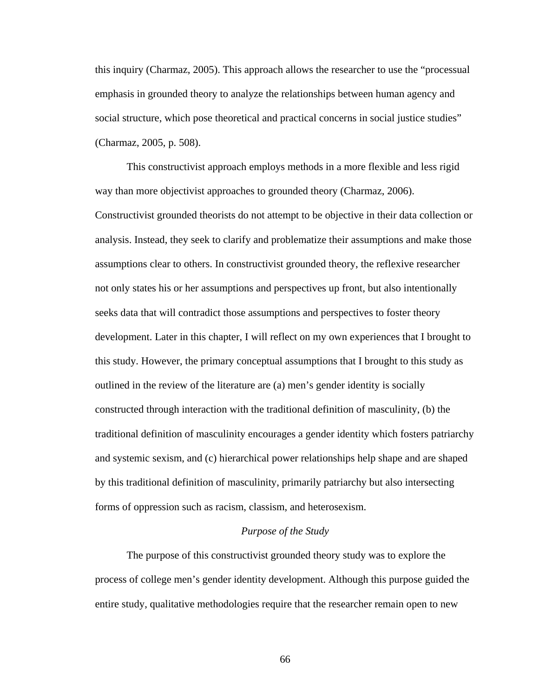this inquiry (Charmaz, 2005). This approach allows the researcher to use the "processual emphasis in grounded theory to analyze the relationships between human agency and social structure, which pose theoretical and practical concerns in social justice studies" (Charmaz, 2005, p. 508).

This constructivist approach employs methods in a more flexible and less rigid way than more objectivist approaches to grounded theory (Charmaz, 2006). Constructivist grounded theorists do not attempt to be objective in their data collection or analysis. Instead, they seek to clarify and problematize their assumptions and make those assumptions clear to others. In constructivist grounded theory, the reflexive researcher not only states his or her assumptions and perspectives up front, but also intentionally seeks data that will contradict those assumptions and perspectives to foster theory development. Later in this chapter, I will reflect on my own experiences that I brought to this study. However, the primary conceptual assumptions that I brought to this study as outlined in the review of the literature are (a) men's gender identity is socially constructed through interaction with the traditional definition of masculinity, (b) the traditional definition of masculinity encourages a gender identity which fosters patriarchy and systemic sexism, and (c) hierarchical power relationships help shape and are shaped by this traditional definition of masculinity, primarily patriarchy but also intersecting forms of oppression such as racism, classism, and heterosexism.

### *Purpose of the Study*

The purpose of this constructivist grounded theory study was to explore the process of college men's gender identity development. Although this purpose guided the entire study, qualitative methodologies require that the researcher remain open to new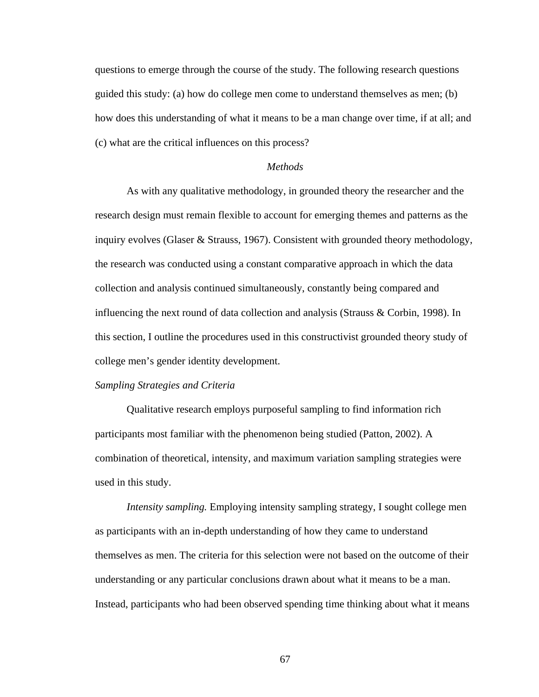questions to emerge through the course of the study. The following research questions guided this study: (a) how do college men come to understand themselves as men; (b) how does this understanding of what it means to be a man change over time, if at all; and (c) what are the critical influences on this process?

### *Methods*

As with any qualitative methodology, in grounded theory the researcher and the research design must remain flexible to account for emerging themes and patterns as the inquiry evolves (Glaser & Strauss, 1967). Consistent with grounded theory methodology, the research was conducted using a constant comparative approach in which the data collection and analysis continued simultaneously, constantly being compared and influencing the next round of data collection and analysis (Strauss & Corbin, 1998). In this section, I outline the procedures used in this constructivist grounded theory study of college men's gender identity development.

#### *Sampling Strategies and Criteria*

Qualitative research employs purposeful sampling to find information rich participants most familiar with the phenomenon being studied (Patton, 2002). A combination of theoretical, intensity, and maximum variation sampling strategies were used in this study.

*Intensity sampling.* Employing intensity sampling strategy, I sought college men as participants with an in-depth understanding of how they came to understand themselves as men. The criteria for this selection were not based on the outcome of their understanding or any particular conclusions drawn about what it means to be a man. Instead, participants who had been observed spending time thinking about what it means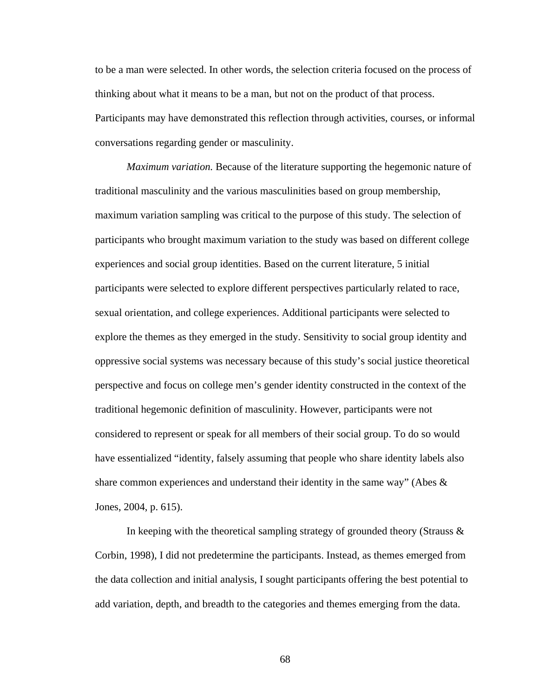to be a man were selected. In other words, the selection criteria focused on the process of thinking about what it means to be a man, but not on the product of that process. Participants may have demonstrated this reflection through activities, courses, or informal conversations regarding gender or masculinity.

*Maximum variation.* Because of the literature supporting the hegemonic nature of traditional masculinity and the various masculinities based on group membership, maximum variation sampling was critical to the purpose of this study. The selection of participants who brought maximum variation to the study was based on different college experiences and social group identities. Based on the current literature, 5 initial participants were selected to explore different perspectives particularly related to race, sexual orientation, and college experiences. Additional participants were selected to explore the themes as they emerged in the study. Sensitivity to social group identity and oppressive social systems was necessary because of this study's social justice theoretical perspective and focus on college men's gender identity constructed in the context of the traditional hegemonic definition of masculinity. However, participants were not considered to represent or speak for all members of their social group. To do so would have essentialized "identity, falsely assuming that people who share identity labels also share common experiences and understand their identity in the same way" (Abes  $\&$ Jones, 2004, p. 615).

In keeping with the theoretical sampling strategy of grounded theory (Strauss  $\&$ Corbin, 1998), I did not predetermine the participants. Instead, as themes emerged from the data collection and initial analysis, I sought participants offering the best potential to add variation, depth, and breadth to the categories and themes emerging from the data.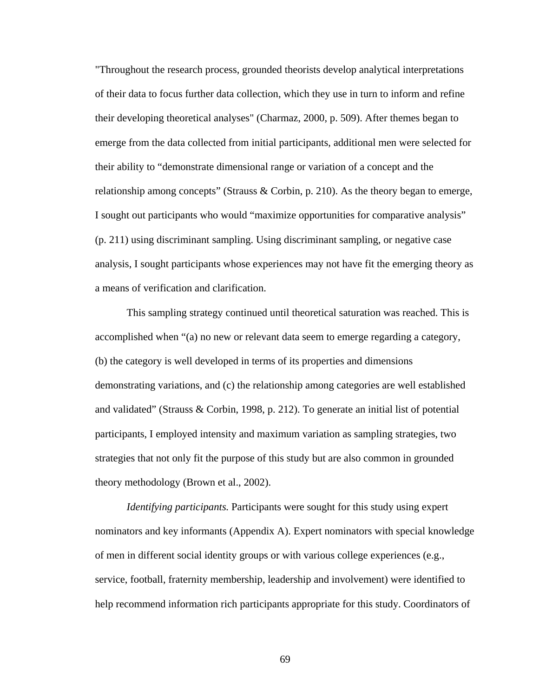"Throughout the research process, grounded theorists develop analytical interpretations of their data to focus further data collection, which they use in turn to inform and refine their developing theoretical analyses" (Charmaz, 2000, p. 509). After themes began to emerge from the data collected from initial participants, additional men were selected for their ability to "demonstrate dimensional range or variation of a concept and the relationship among concepts" (Strauss & Corbin, p. 210). As the theory began to emerge, I sought out participants who would "maximize opportunities for comparative analysis" (p. 211) using discriminant sampling. Using discriminant sampling, or negative case analysis, I sought participants whose experiences may not have fit the emerging theory as a means of verification and clarification.

This sampling strategy continued until theoretical saturation was reached. This is accomplished when "(a) no new or relevant data seem to emerge regarding a category, (b) the category is well developed in terms of its properties and dimensions demonstrating variations, and (c) the relationship among categories are well established and validated" (Strauss & Corbin, 1998, p. 212). To generate an initial list of potential participants, I employed intensity and maximum variation as sampling strategies, two strategies that not only fit the purpose of this study but are also common in grounded theory methodology (Brown et al., 2002).

*Identifying participants.* Participants were sought for this study using expert nominators and key informants (Appendix A). Expert nominators with special knowledge of men in different social identity groups or with various college experiences (e.g., service, football, fraternity membership, leadership and involvement) were identified to help recommend information rich participants appropriate for this study. Coordinators of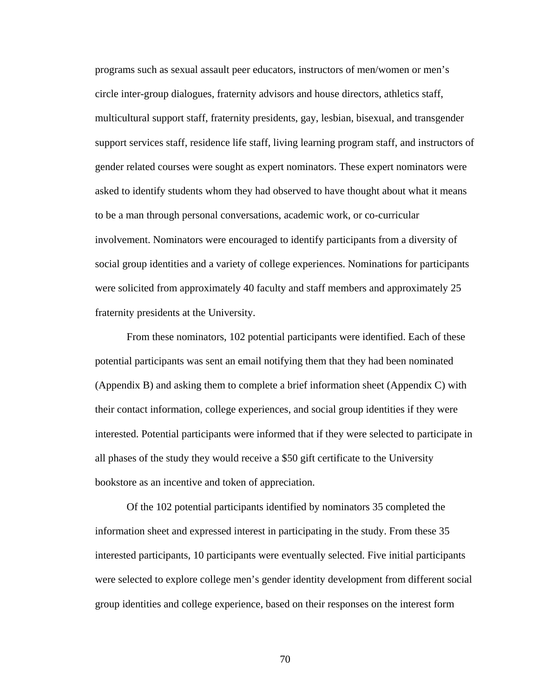programs such as sexual assault peer educators, instructors of men/women or men's circle inter-group dialogues, fraternity advisors and house directors, athletics staff, multicultural support staff, fraternity presidents, gay, lesbian, bisexual, and transgender support services staff, residence life staff, living learning program staff, and instructors of gender related courses were sought as expert nominators. These expert nominators were asked to identify students whom they had observed to have thought about what it means to be a man through personal conversations, academic work, or co-curricular involvement. Nominators were encouraged to identify participants from a diversity of social group identities and a variety of college experiences. Nominations for participants were solicited from approximately 40 faculty and staff members and approximately 25 fraternity presidents at the University.

From these nominators, 102 potential participants were identified. Each of these potential participants was sent an email notifying them that they had been nominated (Appendix B) and asking them to complete a brief information sheet (Appendix C) with their contact information, college experiences, and social group identities if they were interested. Potential participants were informed that if they were selected to participate in all phases of the study they would receive a \$50 gift certificate to the University bookstore as an incentive and token of appreciation.

Of the 102 potential participants identified by nominators 35 completed the information sheet and expressed interest in participating in the study. From these 35 interested participants, 10 participants were eventually selected. Five initial participants were selected to explore college men's gender identity development from different social group identities and college experience, based on their responses on the interest form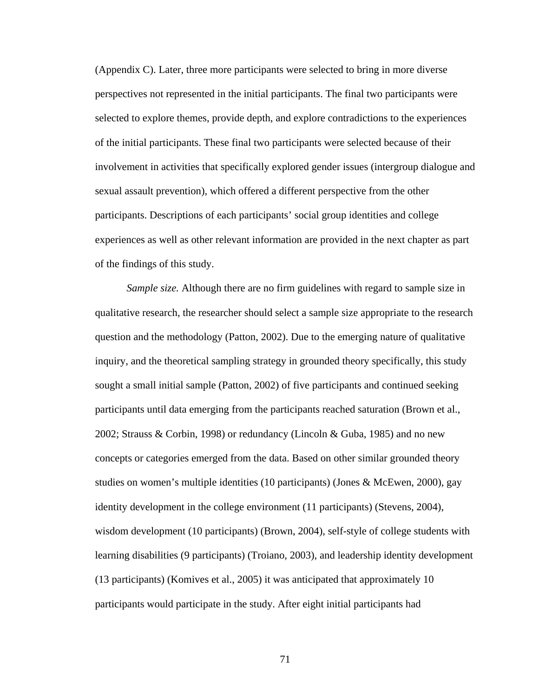(Appendix C). Later, three more participants were selected to bring in more diverse perspectives not represented in the initial participants. The final two participants were selected to explore themes, provide depth, and explore contradictions to the experiences of the initial participants. These final two participants were selected because of their involvement in activities that specifically explored gender issues (intergroup dialogue and sexual assault prevention), which offered a different perspective from the other participants. Descriptions of each participants' social group identities and college experiences as well as other relevant information are provided in the next chapter as part of the findings of this study.

*Sample size.* Although there are no firm guidelines with regard to sample size in qualitative research, the researcher should select a sample size appropriate to the research question and the methodology (Patton, 2002). Due to the emerging nature of qualitative inquiry, and the theoretical sampling strategy in grounded theory specifically, this study sought a small initial sample (Patton, 2002) of five participants and continued seeking participants until data emerging from the participants reached saturation (Brown et al., 2002; Strauss & Corbin, 1998) or redundancy (Lincoln & Guba, 1985) and no new concepts or categories emerged from the data. Based on other similar grounded theory studies on women's multiple identities (10 participants) (Jones & McEwen, 2000), gay identity development in the college environment (11 participants) (Stevens, 2004), wisdom development (10 participants) (Brown, 2004), self-style of college students with learning disabilities (9 participants) (Troiano, 2003), and leadership identity development (13 participants) (Komives et al., 2005) it was anticipated that approximately 10 participants would participate in the study. After eight initial participants had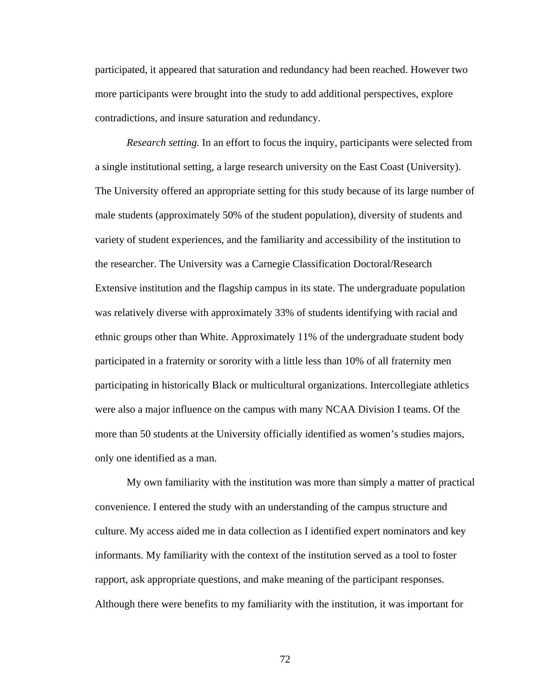participated, it appeared that saturation and redundancy had been reached. However two more participants were brought into the study to add additional perspectives, explore contradictions, and insure saturation and redundancy.

*Research setting.* In an effort to focus the inquiry, participants were selected from a single institutional setting, a large research university on the East Coast (University). The University offered an appropriate setting for this study because of its large number of male students (approximately 50% of the student population), diversity of students and variety of student experiences, and the familiarity and accessibility of the institution to the researcher. The University was a Carnegie Classification Doctoral/Research Extensive institution and the flagship campus in its state. The undergraduate population was relatively diverse with approximately 33% of students identifying with racial and ethnic groups other than White. Approximately 11% of the undergraduate student body participated in a fraternity or sorority with a little less than 10% of all fraternity men participating in historically Black or multicultural organizations. Intercollegiate athletics were also a major influence on the campus with many NCAA Division I teams. Of the more than 50 students at the University officially identified as women's studies majors, only one identified as a man.

My own familiarity with the institution was more than simply a matter of practical convenience. I entered the study with an understanding of the campus structure and culture. My access aided me in data collection as I identified expert nominators and key informants. My familiarity with the context of the institution served as a tool to foster rapport, ask appropriate questions, and make meaning of the participant responses. Although there were benefits to my familiarity with the institution, it was important for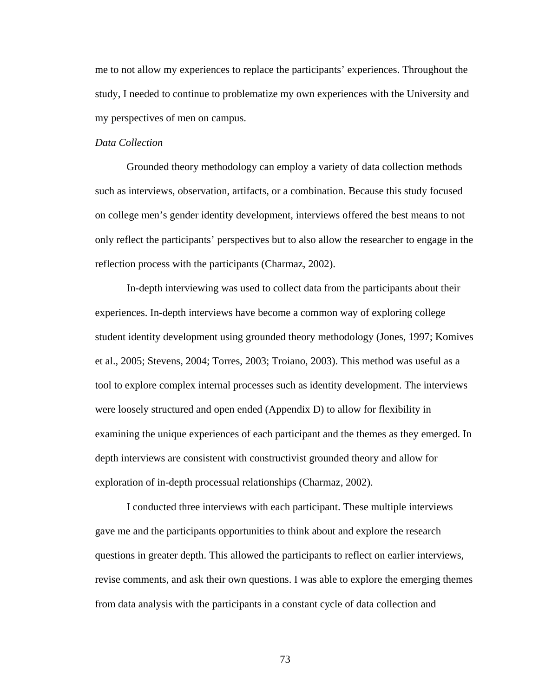me to not allow my experiences to replace the participants' experiences. Throughout the study, I needed to continue to problematize my own experiences with the University and my perspectives of men on campus.

### *Data Collection*

Grounded theory methodology can employ a variety of data collection methods such as interviews, observation, artifacts, or a combination. Because this study focused on college men's gender identity development, interviews offered the best means to not only reflect the participants' perspectives but to also allow the researcher to engage in the reflection process with the participants (Charmaz, 2002).

In-depth interviewing was used to collect data from the participants about their experiences. In-depth interviews have become a common way of exploring college student identity development using grounded theory methodology (Jones, 1997; Komives et al., 2005; Stevens, 2004; Torres, 2003; Troiano, 2003). This method was useful as a tool to explore complex internal processes such as identity development. The interviews were loosely structured and open ended (Appendix D) to allow for flexibility in examining the unique experiences of each participant and the themes as they emerged. In depth interviews are consistent with constructivist grounded theory and allow for exploration of in-depth processual relationships (Charmaz, 2002).

I conducted three interviews with each participant. These multiple interviews gave me and the participants opportunities to think about and explore the research questions in greater depth. This allowed the participants to reflect on earlier interviews, revise comments, and ask their own questions. I was able to explore the emerging themes from data analysis with the participants in a constant cycle of data collection and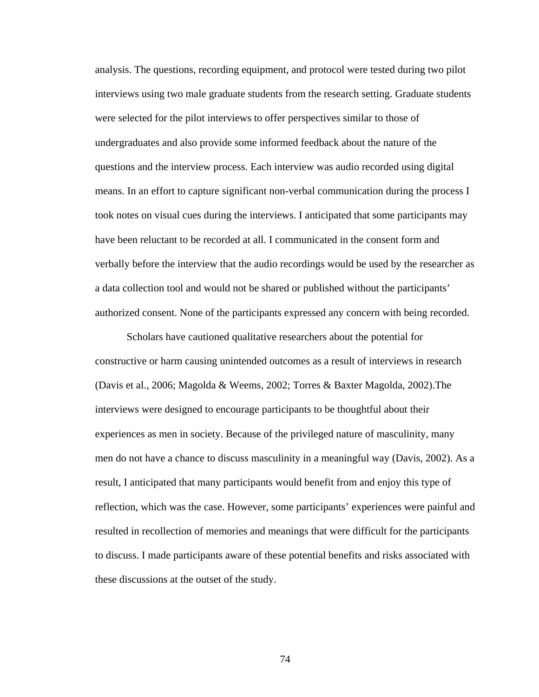analysis. The questions, recording equipment, and protocol were tested during two pilot interviews using two male graduate students from the research setting. Graduate students were selected for the pilot interviews to offer perspectives similar to those of undergraduates and also provide some informed feedback about the nature of the questions and the interview process. Each interview was audio recorded using digital means. In an effort to capture significant non-verbal communication during the process I took notes on visual cues during the interviews. I anticipated that some participants may have been reluctant to be recorded at all. I communicated in the consent form and verbally before the interview that the audio recordings would be used by the researcher as a data collection tool and would not be shared or published without the participants' authorized consent. None of the participants expressed any concern with being recorded.

Scholars have cautioned qualitative researchers about the potential for constructive or harm causing unintended outcomes as a result of interviews in research (Davis et al., 2006; Magolda & Weems, 2002; Torres & Baxter Magolda, 2002).The interviews were designed to encourage participants to be thoughtful about their experiences as men in society. Because of the privileged nature of masculinity, many men do not have a chance to discuss masculinity in a meaningful way (Davis, 2002). As a result, I anticipated that many participants would benefit from and enjoy this type of reflection, which was the case. However, some participants' experiences were painful and resulted in recollection of memories and meanings that were difficult for the participants to discuss. I made participants aware of these potential benefits and risks associated with these discussions at the outset of the study.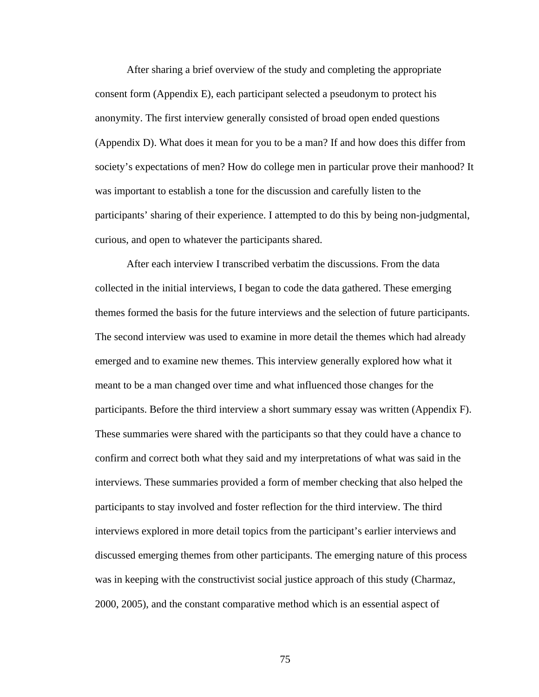After sharing a brief overview of the study and completing the appropriate consent form (Appendix E), each participant selected a pseudonym to protect his anonymity. The first interview generally consisted of broad open ended questions (Appendix D). What does it mean for you to be a man? If and how does this differ from society's expectations of men? How do college men in particular prove their manhood? It was important to establish a tone for the discussion and carefully listen to the participants' sharing of their experience. I attempted to do this by being non-judgmental, curious, and open to whatever the participants shared.

After each interview I transcribed verbatim the discussions. From the data collected in the initial interviews, I began to code the data gathered. These emerging themes formed the basis for the future interviews and the selection of future participants. The second interview was used to examine in more detail the themes which had already emerged and to examine new themes. This interview generally explored how what it meant to be a man changed over time and what influenced those changes for the participants. Before the third interview a short summary essay was written (Appendix F). These summaries were shared with the participants so that they could have a chance to confirm and correct both what they said and my interpretations of what was said in the interviews. These summaries provided a form of member checking that also helped the participants to stay involved and foster reflection for the third interview. The third interviews explored in more detail topics from the participant's earlier interviews and discussed emerging themes from other participants. The emerging nature of this process was in keeping with the constructivist social justice approach of this study (Charmaz, 2000, 2005), and the constant comparative method which is an essential aspect of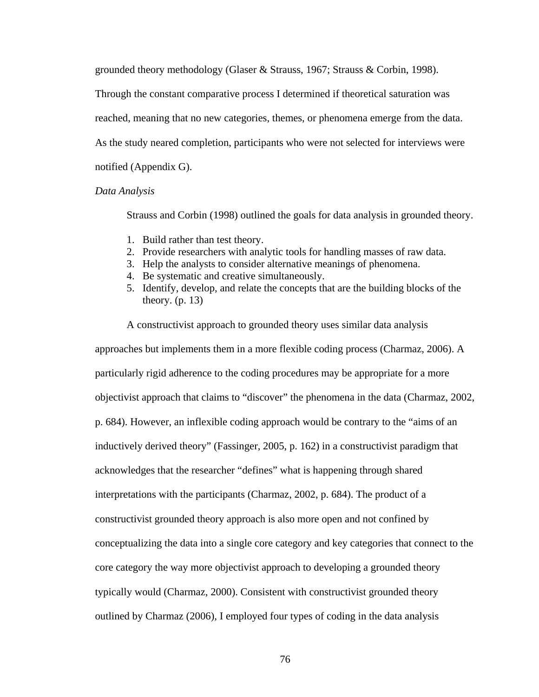grounded theory methodology (Glaser & Strauss, 1967; Strauss & Corbin, 1998).

Through the constant comparative process I determined if theoretical saturation was

reached, meaning that no new categories, themes, or phenomena emerge from the data.

As the study neared completion, participants who were not selected for interviews were

notified (Appendix G).

#### *Data Analysis*

Strauss and Corbin (1998) outlined the goals for data analysis in grounded theory.

- 1. Build rather than test theory.
- 2. Provide researchers with analytic tools for handling masses of raw data.
- 3. Help the analysts to consider alternative meanings of phenomena.

A constructivist approach to grounded theory uses similar data analysis

- 4. Be systematic and creative simultaneously.
- 5. Identify, develop, and relate the concepts that are the building blocks of the theory.  $(p. 13)$

approaches but implements them in a more flexible coding process (Charmaz, 2006). A particularly rigid adherence to the coding procedures may be appropriate for a more objectivist approach that claims to "discover" the phenomena in the data (Charmaz, 2002, p. 684). However, an inflexible coding approach would be contrary to the "aims of an inductively derived theory" (Fassinger, 2005, p. 162) in a constructivist paradigm that acknowledges that the researcher "defines" what is happening through shared interpretations with the participants (Charmaz, 2002, p. 684). The product of a constructivist grounded theory approach is also more open and not confined by conceptualizing the data into a single core category and key categories that connect to the core category the way more objectivist approach to developing a grounded theory typically would (Charmaz, 2000). Consistent with constructivist grounded theory outlined by Charmaz (2006), I employed four types of coding in the data analysis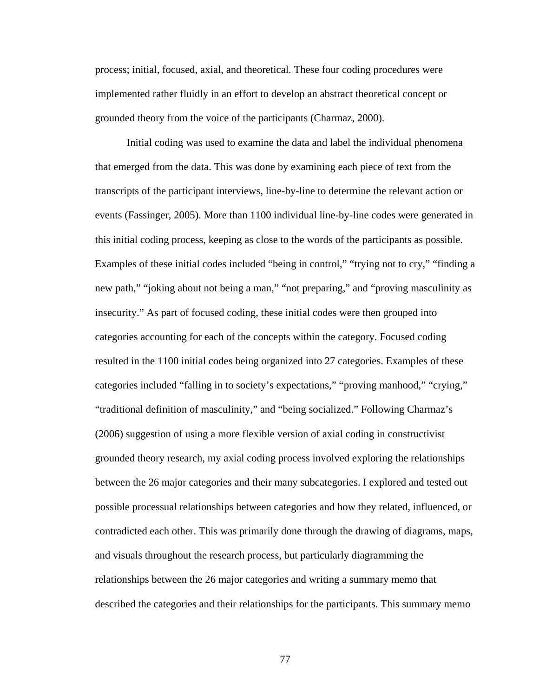process; initial, focused, axial, and theoretical. These four coding procedures were implemented rather fluidly in an effort to develop an abstract theoretical concept or grounded theory from the voice of the participants (Charmaz, 2000).

Initial coding was used to examine the data and label the individual phenomena that emerged from the data. This was done by examining each piece of text from the transcripts of the participant interviews, line-by-line to determine the relevant action or events (Fassinger, 2005). More than 1100 individual line-by-line codes were generated in this initial coding process, keeping as close to the words of the participants as possible. Examples of these initial codes included "being in control," "trying not to cry," "finding a new path," "joking about not being a man," "not preparing," and "proving masculinity as insecurity." As part of focused coding, these initial codes were then grouped into categories accounting for each of the concepts within the category. Focused coding resulted in the 1100 initial codes being organized into 27 categories. Examples of these categories included "falling in to society's expectations," "proving manhood," "crying," "traditional definition of masculinity," and "being socialized." Following Charmaz's (2006) suggestion of using a more flexible version of axial coding in constructivist grounded theory research, my axial coding process involved exploring the relationships between the 26 major categories and their many subcategories. I explored and tested out possible processual relationships between categories and how they related, influenced, or contradicted each other. This was primarily done through the drawing of diagrams, maps, and visuals throughout the research process, but particularly diagramming the relationships between the 26 major categories and writing a summary memo that described the categories and their relationships for the participants. This summary memo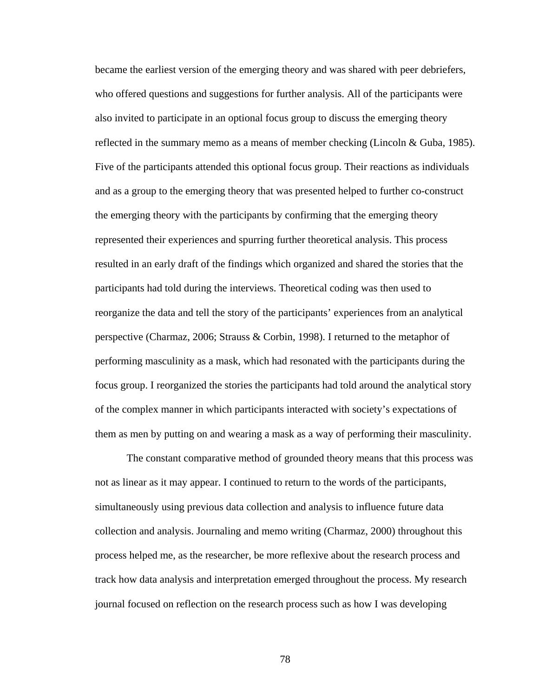became the earliest version of the emerging theory and was shared with peer debriefers, who offered questions and suggestions for further analysis. All of the participants were also invited to participate in an optional focus group to discuss the emerging theory reflected in the summary memo as a means of member checking (Lincoln & Guba, 1985). Five of the participants attended this optional focus group. Their reactions as individuals and as a group to the emerging theory that was presented helped to further co-construct the emerging theory with the participants by confirming that the emerging theory represented their experiences and spurring further theoretical analysis. This process resulted in an early draft of the findings which organized and shared the stories that the participants had told during the interviews. Theoretical coding was then used to reorganize the data and tell the story of the participants' experiences from an analytical perspective (Charmaz, 2006; Strauss & Corbin, 1998). I returned to the metaphor of performing masculinity as a mask, which had resonated with the participants during the focus group. I reorganized the stories the participants had told around the analytical story of the complex manner in which participants interacted with society's expectations of them as men by putting on and wearing a mask as a way of performing their masculinity.

The constant comparative method of grounded theory means that this process was not as linear as it may appear. I continued to return to the words of the participants, simultaneously using previous data collection and analysis to influence future data collection and analysis. Journaling and memo writing (Charmaz, 2000) throughout this process helped me, as the researcher, be more reflexive about the research process and track how data analysis and interpretation emerged throughout the process. My research journal focused on reflection on the research process such as how I was developing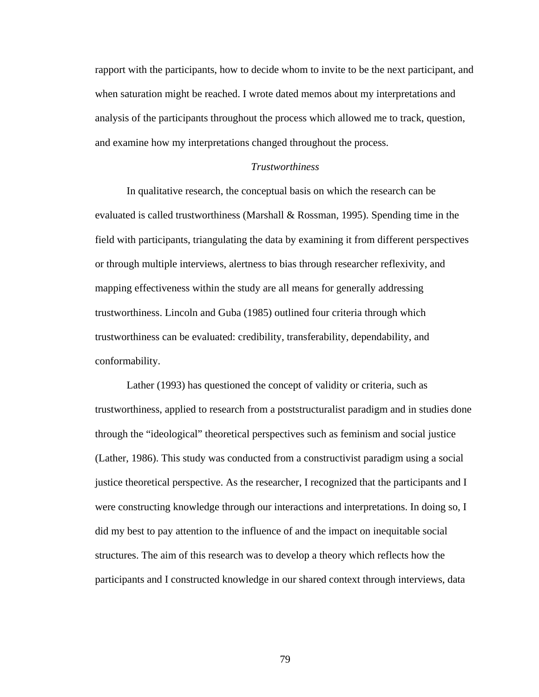rapport with the participants, how to decide whom to invite to be the next participant, and when saturation might be reached. I wrote dated memos about my interpretations and analysis of the participants throughout the process which allowed me to track, question, and examine how my interpretations changed throughout the process.

### *Trustworthiness*

In qualitative research, the conceptual basis on which the research can be evaluated is called trustworthiness (Marshall & Rossman, 1995). Spending time in the field with participants, triangulating the data by examining it from different perspectives or through multiple interviews, alertness to bias through researcher reflexivity, and mapping effectiveness within the study are all means for generally addressing trustworthiness. Lincoln and Guba (1985) outlined four criteria through which trustworthiness can be evaluated: credibility, transferability, dependability, and conformability.

Lather (1993) has questioned the concept of validity or criteria, such as trustworthiness, applied to research from a poststructuralist paradigm and in studies done through the "ideological" theoretical perspectives such as feminism and social justice (Lather, 1986). This study was conducted from a constructivist paradigm using a social justice theoretical perspective. As the researcher, I recognized that the participants and I were constructing knowledge through our interactions and interpretations. In doing so, I did my best to pay attention to the influence of and the impact on inequitable social structures. The aim of this research was to develop a theory which reflects how the participants and I constructed knowledge in our shared context through interviews, data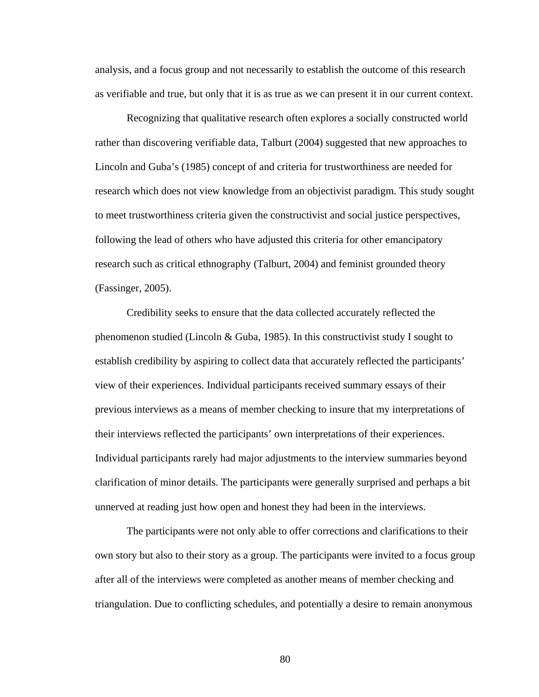analysis, and a focus group and not necessarily to establish the outcome of this research as verifiable and true, but only that it is as true as we can present it in our current context.

Recognizing that qualitative research often explores a socially constructed world rather than discovering verifiable data, Talburt (2004) suggested that new approaches to Lincoln and Guba's (1985) concept of and criteria for trustworthiness are needed for research which does not view knowledge from an objectivist paradigm. This study sought to meet trustworthiness criteria given the constructivist and social justice perspectives, following the lead of others who have adjusted this criteria for other emancipatory research such as critical ethnography (Talburt, 2004) and feminist grounded theory (Fassinger, 2005).

Credibility seeks to ensure that the data collected accurately reflected the phenomenon studied (Lincoln & Guba, 1985). In this constructivist study I sought to establish credibility by aspiring to collect data that accurately reflected the participants' view of their experiences. Individual participants received summary essays of their previous interviews as a means of member checking to insure that my interpretations of their interviews reflected the participants' own interpretations of their experiences. Individual participants rarely had major adjustments to the interview summaries beyond clarification of minor details. The participants were generally surprised and perhaps a bit unnerved at reading just how open and honest they had been in the interviews.

The participants were not only able to offer corrections and clarifications to their own story but also to their story as a group. The participants were invited to a focus group after all of the interviews were completed as another means of member checking and triangulation. Due to conflicting schedules, and potentially a desire to remain anonymous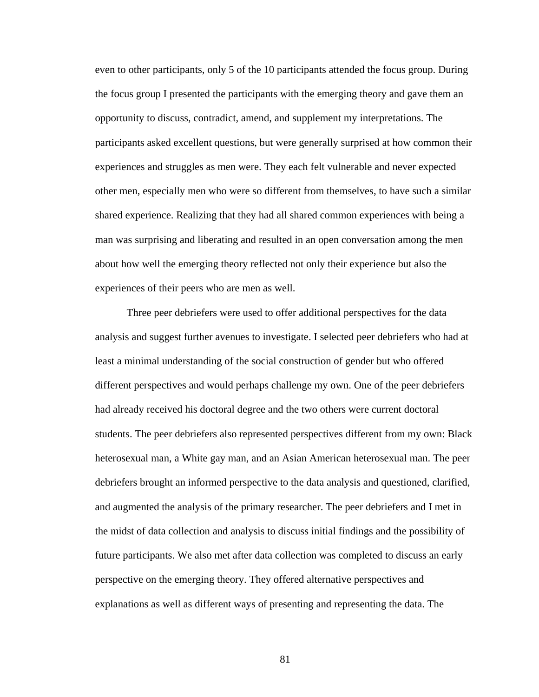even to other participants, only 5 of the 10 participants attended the focus group. During the focus group I presented the participants with the emerging theory and gave them an opportunity to discuss, contradict, amend, and supplement my interpretations. The participants asked excellent questions, but were generally surprised at how common their experiences and struggles as men were. They each felt vulnerable and never expected other men, especially men who were so different from themselves, to have such a similar shared experience. Realizing that they had all shared common experiences with being a man was surprising and liberating and resulted in an open conversation among the men about how well the emerging theory reflected not only their experience but also the experiences of their peers who are men as well.

Three peer debriefers were used to offer additional perspectives for the data analysis and suggest further avenues to investigate. I selected peer debriefers who had at least a minimal understanding of the social construction of gender but who offered different perspectives and would perhaps challenge my own. One of the peer debriefers had already received his doctoral degree and the two others were current doctoral students. The peer debriefers also represented perspectives different from my own: Black heterosexual man, a White gay man, and an Asian American heterosexual man. The peer debriefers brought an informed perspective to the data analysis and questioned, clarified, and augmented the analysis of the primary researcher. The peer debriefers and I met in the midst of data collection and analysis to discuss initial findings and the possibility of future participants. We also met after data collection was completed to discuss an early perspective on the emerging theory. They offered alternative perspectives and explanations as well as different ways of presenting and representing the data. The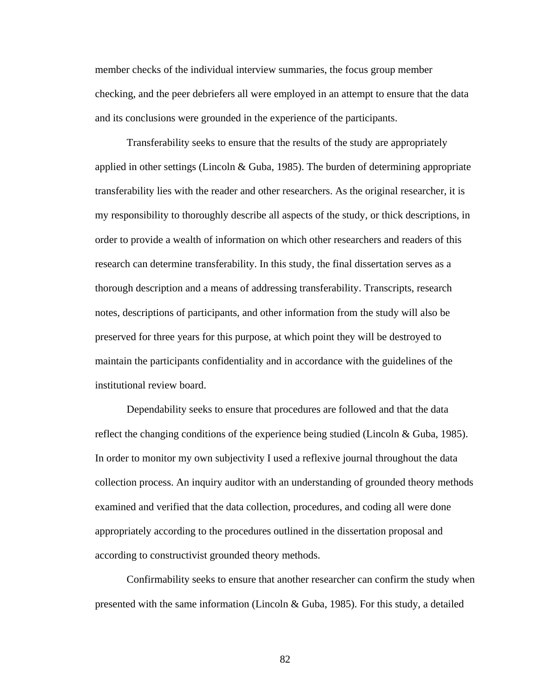member checks of the individual interview summaries, the focus group member checking, and the peer debriefers all were employed in an attempt to ensure that the data and its conclusions were grounded in the experience of the participants.

Transferability seeks to ensure that the results of the study are appropriately applied in other settings (Lincoln & Guba, 1985). The burden of determining appropriate transferability lies with the reader and other researchers. As the original researcher, it is my responsibility to thoroughly describe all aspects of the study, or thick descriptions, in order to provide a wealth of information on which other researchers and readers of this research can determine transferability. In this study, the final dissertation serves as a thorough description and a means of addressing transferability. Transcripts, research notes, descriptions of participants, and other information from the study will also be preserved for three years for this purpose, at which point they will be destroyed to maintain the participants confidentiality and in accordance with the guidelines of the institutional review board.

Dependability seeks to ensure that procedures are followed and that the data reflect the changing conditions of the experience being studied (Lincoln & Guba, 1985). In order to monitor my own subjectivity I used a reflexive journal throughout the data collection process. An inquiry auditor with an understanding of grounded theory methods examined and verified that the data collection, procedures, and coding all were done appropriately according to the procedures outlined in the dissertation proposal and according to constructivist grounded theory methods.

Confirmability seeks to ensure that another researcher can confirm the study when presented with the same information (Lincoln & Guba, 1985). For this study, a detailed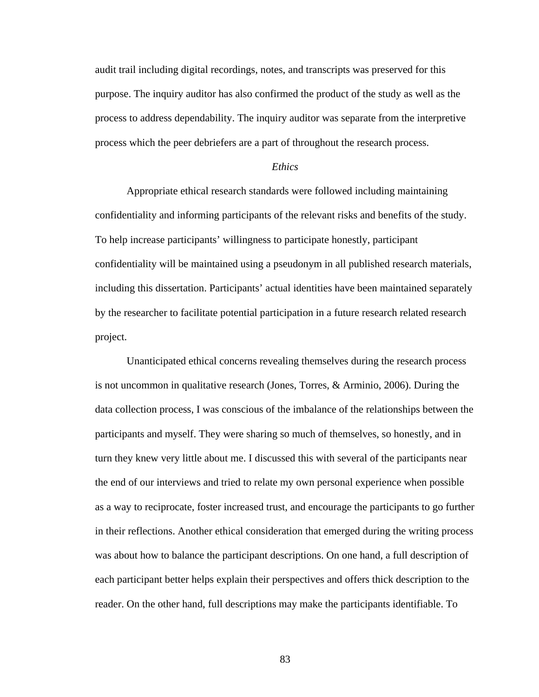audit trail including digital recordings, notes, and transcripts was preserved for this purpose. The inquiry auditor has also confirmed the product of the study as well as the process to address dependability. The inquiry auditor was separate from the interpretive process which the peer debriefers are a part of throughout the research process.

# *Ethics*

Appropriate ethical research standards were followed including maintaining confidentiality and informing participants of the relevant risks and benefits of the study. To help increase participants' willingness to participate honestly, participant confidentiality will be maintained using a pseudonym in all published research materials, including this dissertation. Participants' actual identities have been maintained separately by the researcher to facilitate potential participation in a future research related research project.

Unanticipated ethical concerns revealing themselves during the research process is not uncommon in qualitative research (Jones, Torres, & Arminio, 2006). During the data collection process, I was conscious of the imbalance of the relationships between the participants and myself. They were sharing so much of themselves, so honestly, and in turn they knew very little about me. I discussed this with several of the participants near the end of our interviews and tried to relate my own personal experience when possible as a way to reciprocate, foster increased trust, and encourage the participants to go further in their reflections. Another ethical consideration that emerged during the writing process was about how to balance the participant descriptions. On one hand, a full description of each participant better helps explain their perspectives and offers thick description to the reader. On the other hand, full descriptions may make the participants identifiable. To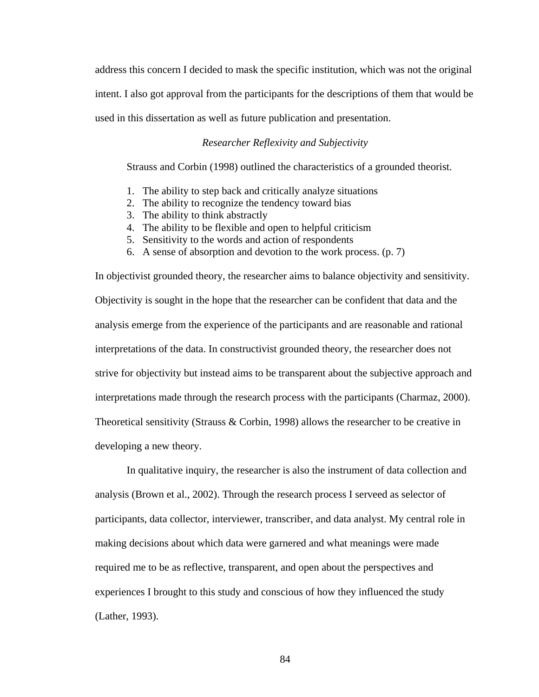address this concern I decided to mask the specific institution, which was not the original intent. I also got approval from the participants for the descriptions of them that would be used in this dissertation as well as future publication and presentation.

# *Researcher Reflexivity and Subjectivity*

Strauss and Corbin (1998) outlined the characteristics of a grounded theorist.

- 1. The ability to step back and critically analyze situations
- 2. The ability to recognize the tendency toward bias
- 3. The ability to think abstractly
- 4. The ability to be flexible and open to helpful criticism
- 5. Sensitivity to the words and action of respondents
- 6. A sense of absorption and devotion to the work process. (p. 7)

In objectivist grounded theory, the researcher aims to balance objectivity and sensitivity. Objectivity is sought in the hope that the researcher can be confident that data and the analysis emerge from the experience of the participants and are reasonable and rational interpretations of the data. In constructivist grounded theory, the researcher does not strive for objectivity but instead aims to be transparent about the subjective approach and interpretations made through the research process with the participants (Charmaz, 2000). Theoretical sensitivity (Strauss  $&$  Corbin, 1998) allows the researcher to be creative in developing a new theory.

In qualitative inquiry, the researcher is also the instrument of data collection and analysis (Brown et al., 2002). Through the research process I serveed as selector of participants, data collector, interviewer, transcriber, and data analyst. My central role in making decisions about which data were garnered and what meanings were made required me to be as reflective, transparent, and open about the perspectives and experiences I brought to this study and conscious of how they influenced the study (Lather, 1993).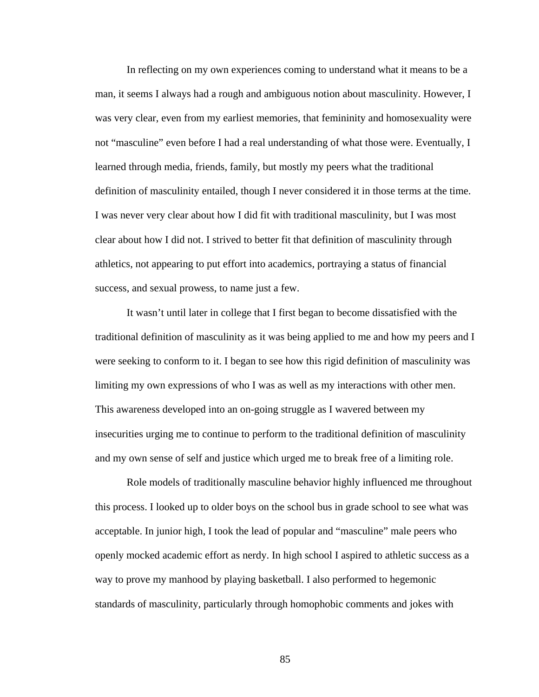In reflecting on my own experiences coming to understand what it means to be a man, it seems I always had a rough and ambiguous notion about masculinity. However, I was very clear, even from my earliest memories, that femininity and homosexuality were not "masculine" even before I had a real understanding of what those were. Eventually, I learned through media, friends, family, but mostly my peers what the traditional definition of masculinity entailed, though I never considered it in those terms at the time. I was never very clear about how I did fit with traditional masculinity, but I was most clear about how I did not. I strived to better fit that definition of masculinity through athletics, not appearing to put effort into academics, portraying a status of financial success, and sexual prowess, to name just a few.

It wasn't until later in college that I first began to become dissatisfied with the traditional definition of masculinity as it was being applied to me and how my peers and I were seeking to conform to it. I began to see how this rigid definition of masculinity was limiting my own expressions of who I was as well as my interactions with other men. This awareness developed into an on-going struggle as I wavered between my insecurities urging me to continue to perform to the traditional definition of masculinity and my own sense of self and justice which urged me to break free of a limiting role.

Role models of traditionally masculine behavior highly influenced me throughout this process. I looked up to older boys on the school bus in grade school to see what was acceptable. In junior high, I took the lead of popular and "masculine" male peers who openly mocked academic effort as nerdy. In high school I aspired to athletic success as a way to prove my manhood by playing basketball. I also performed to hegemonic standards of masculinity, particularly through homophobic comments and jokes with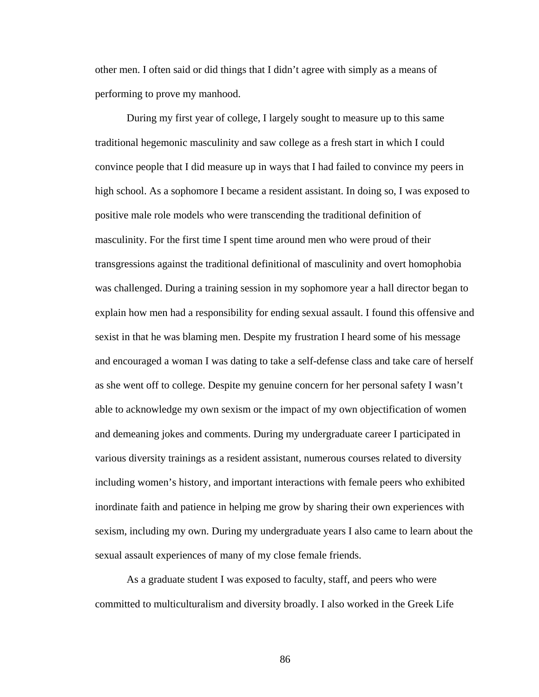other men. I often said or did things that I didn't agree with simply as a means of performing to prove my manhood.

During my first year of college, I largely sought to measure up to this same traditional hegemonic masculinity and saw college as a fresh start in which I could convince people that I did measure up in ways that I had failed to convince my peers in high school. As a sophomore I became a resident assistant. In doing so, I was exposed to positive male role models who were transcending the traditional definition of masculinity. For the first time I spent time around men who were proud of their transgressions against the traditional definitional of masculinity and overt homophobia was challenged. During a training session in my sophomore year a hall director began to explain how men had a responsibility for ending sexual assault. I found this offensive and sexist in that he was blaming men. Despite my frustration I heard some of his message and encouraged a woman I was dating to take a self-defense class and take care of herself as she went off to college. Despite my genuine concern for her personal safety I wasn't able to acknowledge my own sexism or the impact of my own objectification of women and demeaning jokes and comments. During my undergraduate career I participated in various diversity trainings as a resident assistant, numerous courses related to diversity including women's history, and important interactions with female peers who exhibited inordinate faith and patience in helping me grow by sharing their own experiences with sexism, including my own. During my undergraduate years I also came to learn about the sexual assault experiences of many of my close female friends.

 As a graduate student I was exposed to faculty, staff, and peers who were committed to multiculturalism and diversity broadly. I also worked in the Greek Life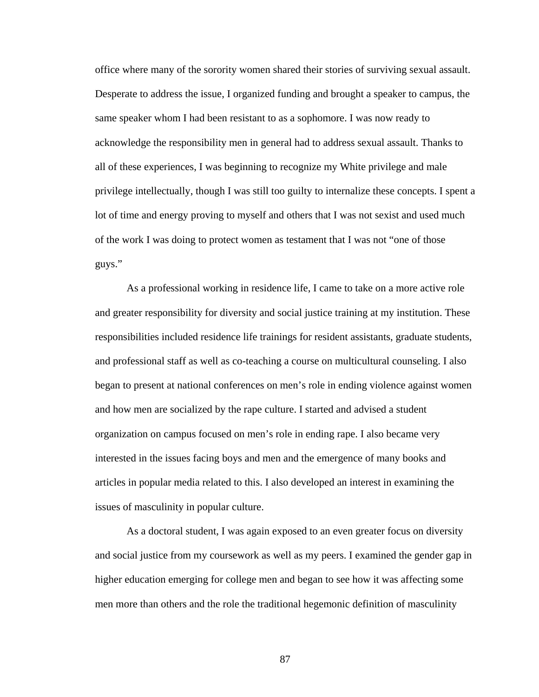office where many of the sorority women shared their stories of surviving sexual assault. Desperate to address the issue, I organized funding and brought a speaker to campus, the same speaker whom I had been resistant to as a sophomore. I was now ready to acknowledge the responsibility men in general had to address sexual assault. Thanks to all of these experiences, I was beginning to recognize my White privilege and male privilege intellectually, though I was still too guilty to internalize these concepts. I spent a lot of time and energy proving to myself and others that I was not sexist and used much of the work I was doing to protect women as testament that I was not "one of those guys."

 As a professional working in residence life, I came to take on a more active role and greater responsibility for diversity and social justice training at my institution. These responsibilities included residence life trainings for resident assistants, graduate students, and professional staff as well as co-teaching a course on multicultural counseling. I also began to present at national conferences on men's role in ending violence against women and how men are socialized by the rape culture. I started and advised a student organization on campus focused on men's role in ending rape. I also became very interested in the issues facing boys and men and the emergence of many books and articles in popular media related to this. I also developed an interest in examining the issues of masculinity in popular culture.

 As a doctoral student, I was again exposed to an even greater focus on diversity and social justice from my coursework as well as my peers. I examined the gender gap in higher education emerging for college men and began to see how it was affecting some men more than others and the role the traditional hegemonic definition of masculinity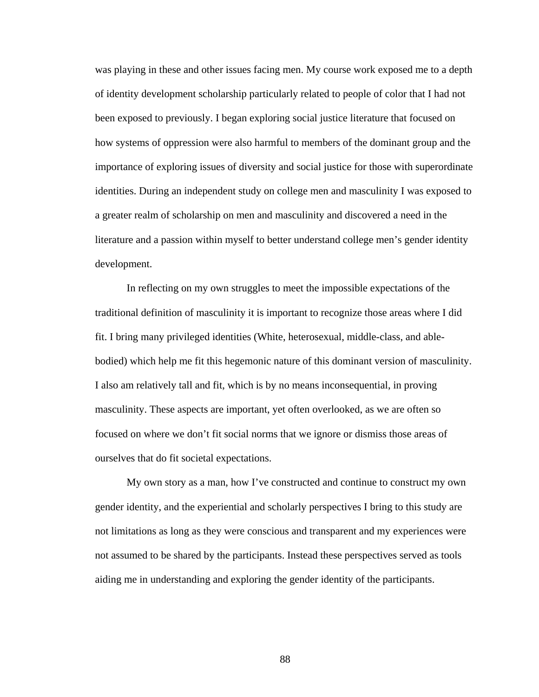was playing in these and other issues facing men. My course work exposed me to a depth of identity development scholarship particularly related to people of color that I had not been exposed to previously. I began exploring social justice literature that focused on how systems of oppression were also harmful to members of the dominant group and the importance of exploring issues of diversity and social justice for those with superordinate identities. During an independent study on college men and masculinity I was exposed to a greater realm of scholarship on men and masculinity and discovered a need in the literature and a passion within myself to better understand college men's gender identity development.

 In reflecting on my own struggles to meet the impossible expectations of the traditional definition of masculinity it is important to recognize those areas where I did fit. I bring many privileged identities (White, heterosexual, middle-class, and ablebodied) which help me fit this hegemonic nature of this dominant version of masculinity. I also am relatively tall and fit, which is by no means inconsequential, in proving masculinity. These aspects are important, yet often overlooked, as we are often so focused on where we don't fit social norms that we ignore or dismiss those areas of ourselves that do fit societal expectations.

 My own story as a man, how I've constructed and continue to construct my own gender identity, and the experiential and scholarly perspectives I bring to this study are not limitations as long as they were conscious and transparent and my experiences were not assumed to be shared by the participants. Instead these perspectives served as tools aiding me in understanding and exploring the gender identity of the participants.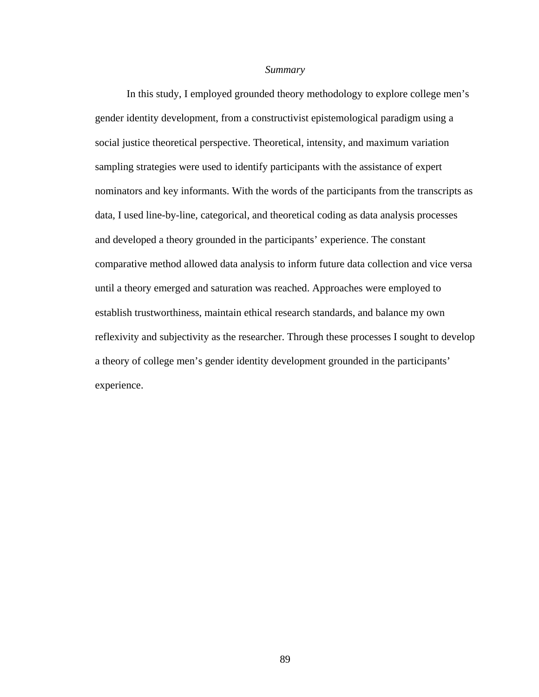#### *Summary*

In this study, I employed grounded theory methodology to explore college men's gender identity development, from a constructivist epistemological paradigm using a social justice theoretical perspective. Theoretical, intensity, and maximum variation sampling strategies were used to identify participants with the assistance of expert nominators and key informants. With the words of the participants from the transcripts as data, I used line-by-line, categorical, and theoretical coding as data analysis processes and developed a theory grounded in the participants' experience. The constant comparative method allowed data analysis to inform future data collection and vice versa until a theory emerged and saturation was reached. Approaches were employed to establish trustworthiness, maintain ethical research standards, and balance my own reflexivity and subjectivity as the researcher. Through these processes I sought to develop a theory of college men's gender identity development grounded in the participants' experience.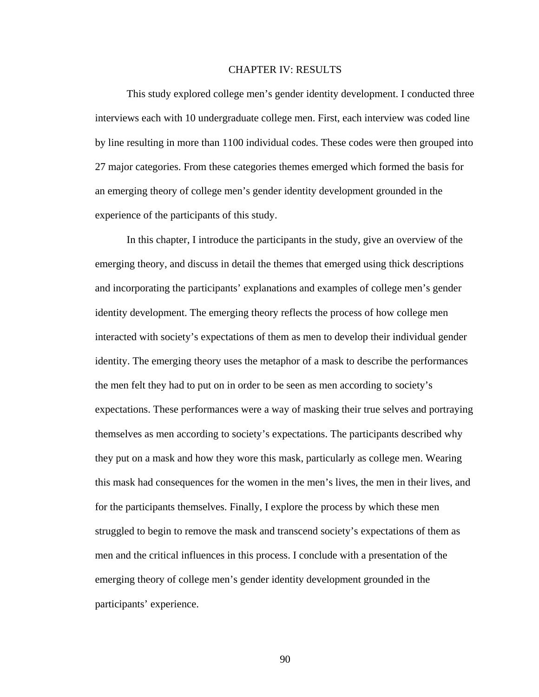### CHAPTER IV: RESULTS

This study explored college men's gender identity development. I conducted three interviews each with 10 undergraduate college men. First, each interview was coded line by line resulting in more than 1100 individual codes. These codes were then grouped into 27 major categories. From these categories themes emerged which formed the basis for an emerging theory of college men's gender identity development grounded in the experience of the participants of this study.

In this chapter, I introduce the participants in the study, give an overview of the emerging theory, and discuss in detail the themes that emerged using thick descriptions and incorporating the participants' explanations and examples of college men's gender identity development. The emerging theory reflects the process of how college men interacted with society's expectations of them as men to develop their individual gender identity. The emerging theory uses the metaphor of a mask to describe the performances the men felt they had to put on in order to be seen as men according to society's expectations. These performances were a way of masking their true selves and portraying themselves as men according to society's expectations. The participants described why they put on a mask and how they wore this mask, particularly as college men. Wearing this mask had consequences for the women in the men's lives, the men in their lives, and for the participants themselves. Finally, I explore the process by which these men struggled to begin to remove the mask and transcend society's expectations of them as men and the critical influences in this process. I conclude with a presentation of the emerging theory of college men's gender identity development grounded in the participants' experience.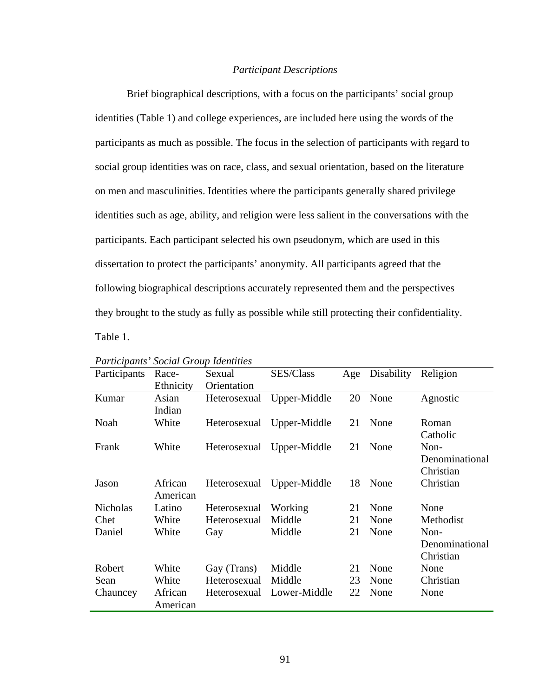## *Participant Descriptions*

Brief biographical descriptions, with a focus on the participants' social group identities (Table 1) and college experiences, are included here using the words of the participants as much as possible. The focus in the selection of participants with regard to social group identities was on race, class, and sexual orientation, based on the literature on men and masculinities. Identities where the participants generally shared privilege identities such as age, ability, and religion were less salient in the conversations with the participants. Each participant selected his own pseudonym, which are used in this dissertation to protect the participants' anonymity. All participants agreed that the following biographical descriptions accurately represented them and the perspectives they brought to the study as fully as possible while still protecting their confidentiality.

Table 1.

| I annupanus Boulai Group Iaeninius |           |              |                           |    |                |                |
|------------------------------------|-----------|--------------|---------------------------|----|----------------|----------------|
| Participants                       | Race-     | Sexual       | SES/Class                 |    | Age Disability | Religion       |
|                                    | Ethnicity | Orientation  |                           |    |                |                |
| Kumar                              | Asian     | Heterosexual | Upper-Middle              | 20 | None           | Agnostic       |
|                                    | Indian    |              |                           |    |                |                |
| Noah                               | White     |              | Heterosexual Upper-Middle | 21 | None           | Roman          |
|                                    |           |              |                           |    |                | Catholic       |
| Frank                              | White     |              | Heterosexual Upper-Middle | 21 | None           | Non-           |
|                                    |           |              |                           |    |                | Denominational |
|                                    |           |              |                           |    |                | Christian      |
| Jason                              | African   |              | Heterosexual Upper-Middle | 18 | None           | Christian      |
|                                    | American  |              |                           |    |                |                |
| <b>Nicholas</b>                    | Latino    | Heterosexual | Working                   | 21 | None           | None           |
| Chet                               | White     | Heterosexual | Middle                    | 21 | None           | Methodist      |
| Daniel                             | White     | Gay          | Middle                    | 21 | None           | Non-           |
|                                    |           |              |                           |    |                | Denominational |
|                                    |           |              |                           |    |                | Christian      |
| Robert                             | White     | Gay (Trans)  | Middle                    | 21 | None           | None           |
| Sean                               | White     | Heterosexual | Middle                    | 23 | None           | Christian      |
| Chauncey                           | African   |              | Heterosexual Lower-Middle | 22 | None           | None           |
|                                    | American  |              |                           |    |                |                |

| Participants' Social Group Identities |  |
|---------------------------------------|--|
|---------------------------------------|--|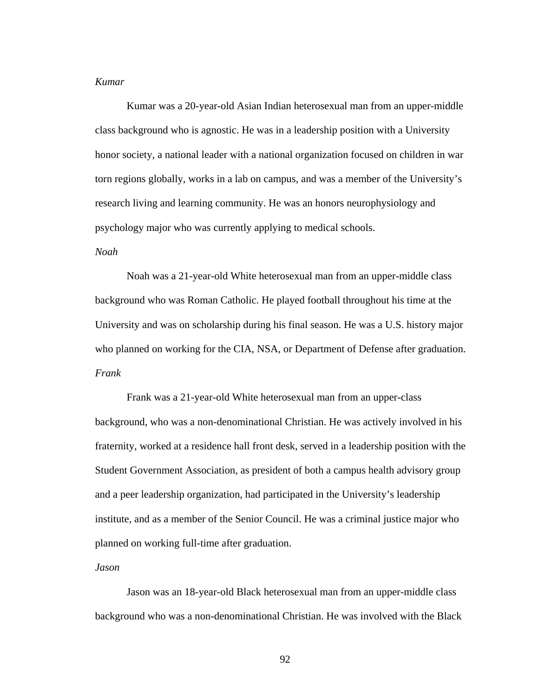## *Kumar*

Kumar was a 20-year-old Asian Indian heterosexual man from an upper-middle class background who is agnostic. He was in a leadership position with a University honor society, a national leader with a national organization focused on children in war torn regions globally, works in a lab on campus, and was a member of the University's research living and learning community. He was an honors neurophysiology and psychology major who was currently applying to medical schools.

# *Noah*

Noah was a 21-year-old White heterosexual man from an upper-middle class background who was Roman Catholic. He played football throughout his time at the University and was on scholarship during his final season. He was a U.S. history major who planned on working for the CIA, NSA, or Department of Defense after graduation. *Frank* 

Frank was a 21-year-old White heterosexual man from an upper-class background, who was a non-denominational Christian. He was actively involved in his fraternity, worked at a residence hall front desk, served in a leadership position with the Student Government Association, as president of both a campus health advisory group and a peer leadership organization, had participated in the University's leadership institute, and as a member of the Senior Council. He was a criminal justice major who planned on working full-time after graduation.

*Jason* 

Jason was an 18-year-old Black heterosexual man from an upper-middle class background who was a non-denominational Christian. He was involved with the Black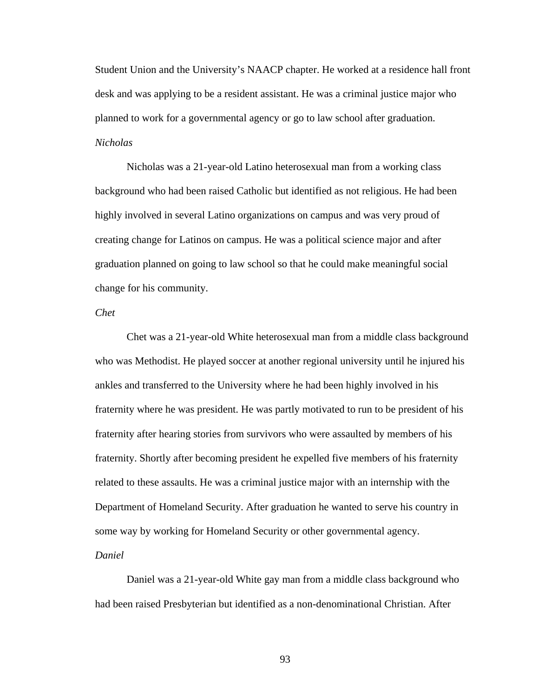Student Union and the University's NAACP chapter. He worked at a residence hall front desk and was applying to be a resident assistant. He was a criminal justice major who planned to work for a governmental agency or go to law school after graduation. *Nicholas* 

Nicholas was a 21-year-old Latino heterosexual man from a working class background who had been raised Catholic but identified as not religious. He had been highly involved in several Latino organizations on campus and was very proud of creating change for Latinos on campus. He was a political science major and after graduation planned on going to law school so that he could make meaningful social change for his community.

### *Chet*

Chet was a 21-year-old White heterosexual man from a middle class background who was Methodist. He played soccer at another regional university until he injured his ankles and transferred to the University where he had been highly involved in his fraternity where he was president. He was partly motivated to run to be president of his fraternity after hearing stories from survivors who were assaulted by members of his fraternity. Shortly after becoming president he expelled five members of his fraternity related to these assaults. He was a criminal justice major with an internship with the Department of Homeland Security. After graduation he wanted to serve his country in some way by working for Homeland Security or other governmental agency.

### *Daniel*

Daniel was a 21-year-old White gay man from a middle class background who had been raised Presbyterian but identified as a non-denominational Christian. After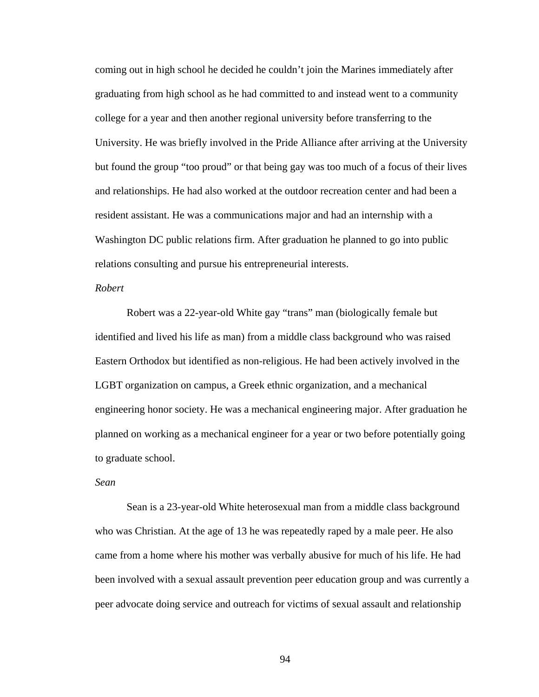coming out in high school he decided he couldn't join the Marines immediately after graduating from high school as he had committed to and instead went to a community college for a year and then another regional university before transferring to the University. He was briefly involved in the Pride Alliance after arriving at the University but found the group "too proud" or that being gay was too much of a focus of their lives and relationships. He had also worked at the outdoor recreation center and had been a resident assistant. He was a communications major and had an internship with a Washington DC public relations firm. After graduation he planned to go into public relations consulting and pursue his entrepreneurial interests.

# *Robert*

Robert was a 22-year-old White gay "trans" man (biologically female but identified and lived his life as man) from a middle class background who was raised Eastern Orthodox but identified as non-religious. He had been actively involved in the LGBT organization on campus, a Greek ethnic organization, and a mechanical engineering honor society. He was a mechanical engineering major. After graduation he planned on working as a mechanical engineer for a year or two before potentially going to graduate school.

# *Sean*

Sean is a 23-year-old White heterosexual man from a middle class background who was Christian. At the age of 13 he was repeatedly raped by a male peer. He also came from a home where his mother was verbally abusive for much of his life. He had been involved with a sexual assault prevention peer education group and was currently a peer advocate doing service and outreach for victims of sexual assault and relationship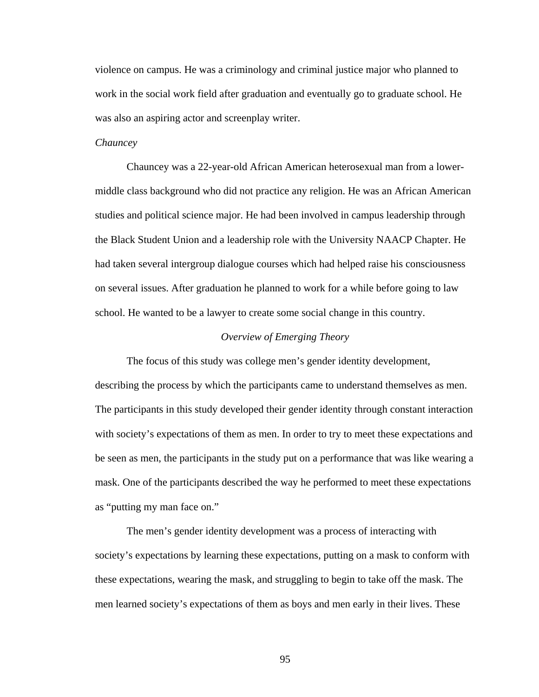violence on campus. He was a criminology and criminal justice major who planned to work in the social work field after graduation and eventually go to graduate school. He was also an aspiring actor and screenplay writer.

# *Chauncey*

Chauncey was a 22-year-old African American heterosexual man from a lowermiddle class background who did not practice any religion. He was an African American studies and political science major. He had been involved in campus leadership through the Black Student Union and a leadership role with the University NAACP Chapter. He had taken several intergroup dialogue courses which had helped raise his consciousness on several issues. After graduation he planned to work for a while before going to law school. He wanted to be a lawyer to create some social change in this country.

## *Overview of Emerging Theory*

 The focus of this study was college men's gender identity development, describing the process by which the participants came to understand themselves as men. The participants in this study developed their gender identity through constant interaction with society's expectations of them as men. In order to try to meet these expectations and be seen as men, the participants in the study put on a performance that was like wearing a mask. One of the participants described the way he performed to meet these expectations as "putting my man face on."

The men's gender identity development was a process of interacting with society's expectations by learning these expectations, putting on a mask to conform with these expectations, wearing the mask, and struggling to begin to take off the mask. The men learned society's expectations of them as boys and men early in their lives. These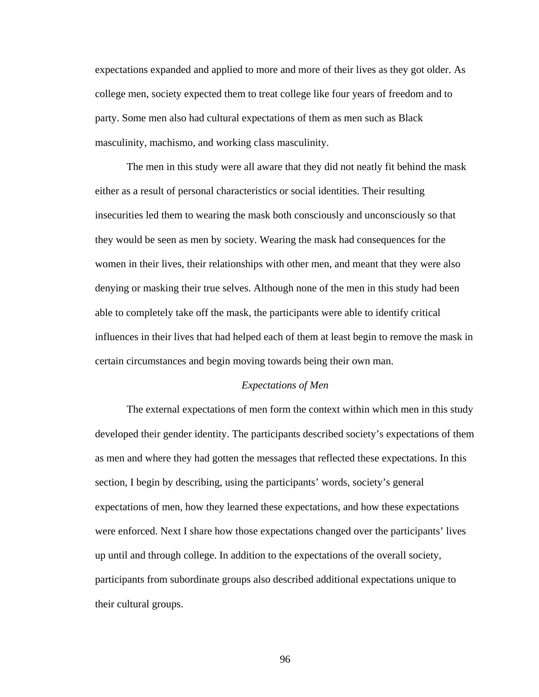expectations expanded and applied to more and more of their lives as they got older. As college men, society expected them to treat college like four years of freedom and to party. Some men also had cultural expectations of them as men such as Black masculinity, machismo, and working class masculinity.

The men in this study were all aware that they did not neatly fit behind the mask either as a result of personal characteristics or social identities. Their resulting insecurities led them to wearing the mask both consciously and unconsciously so that they would be seen as men by society. Wearing the mask had consequences for the women in their lives, their relationships with other men, and meant that they were also denying or masking their true selves. Although none of the men in this study had been able to completely take off the mask, the participants were able to identify critical influences in their lives that had helped each of them at least begin to remove the mask in certain circumstances and begin moving towards being their own man.

### *Expectations of Men*

The external expectations of men form the context within which men in this study developed their gender identity. The participants described society's expectations of them as men and where they had gotten the messages that reflected these expectations. In this section, I begin by describing, using the participants' words, society's general expectations of men, how they learned these expectations, and how these expectations were enforced. Next I share how those expectations changed over the participants' lives up until and through college. In addition to the expectations of the overall society, participants from subordinate groups also described additional expectations unique to their cultural groups.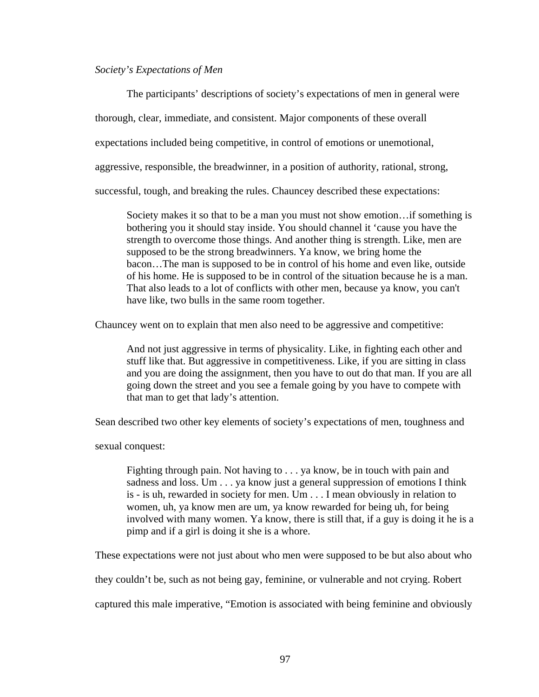### *Society's Expectations of Men*

The participants' descriptions of society's expectations of men in general were thorough, clear, immediate, and consistent. Major components of these overall expectations included being competitive, in control of emotions or unemotional, aggressive, responsible, the breadwinner, in a position of authority, rational, strong, successful, tough, and breaking the rules. Chauncey described these expectations:

Society makes it so that to be a man you must not show emotion…if something is bothering you it should stay inside. You should channel it 'cause you have the strength to overcome those things. And another thing is strength. Like, men are supposed to be the strong breadwinners. Ya know, we bring home the bacon…The man is supposed to be in control of his home and even like, outside of his home. He is supposed to be in control of the situation because he is a man. That also leads to a lot of conflicts with other men, because ya know, you can't have like, two bulls in the same room together.

Chauncey went on to explain that men also need to be aggressive and competitive:

And not just aggressive in terms of physicality. Like, in fighting each other and stuff like that. But aggressive in competitiveness. Like, if you are sitting in class and you are doing the assignment, then you have to out do that man. If you are all going down the street and you see a female going by you have to compete with that man to get that lady's attention.

Sean described two other key elements of society's expectations of men, toughness and

sexual conquest:

Fighting through pain. Not having to . . . ya know, be in touch with pain and sadness and loss. Um . . . ya know just a general suppression of emotions I think is - is uh, rewarded in society for men. Um . . . I mean obviously in relation to women, uh, ya know men are um, ya know rewarded for being uh, for being involved with many women. Ya know, there is still that, if a guy is doing it he is a pimp and if a girl is doing it she is a whore.

These expectations were not just about who men were supposed to be but also about who

they couldn't be, such as not being gay, feminine, or vulnerable and not crying. Robert

captured this male imperative, "Emotion is associated with being feminine and obviously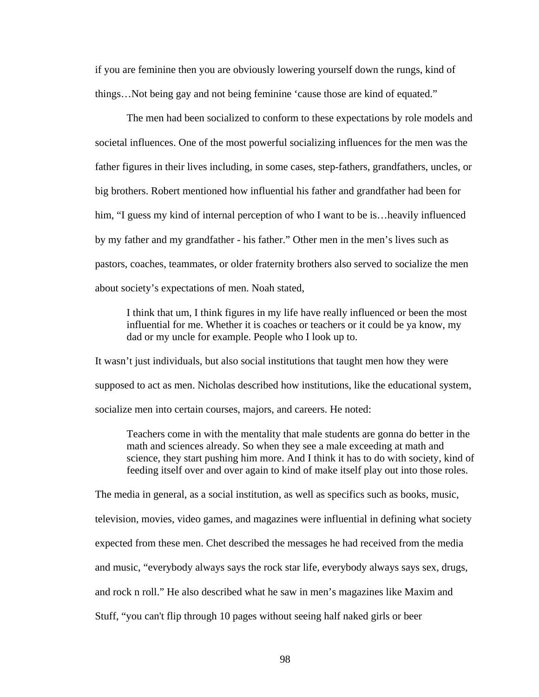if you are feminine then you are obviously lowering yourself down the rungs, kind of things…Not being gay and not being feminine 'cause those are kind of equated."

The men had been socialized to conform to these expectations by role models and societal influences. One of the most powerful socializing influences for the men was the father figures in their lives including, in some cases, step-fathers, grandfathers, uncles, or big brothers. Robert mentioned how influential his father and grandfather had been for him, "I guess my kind of internal perception of who I want to be is... heavily influenced by my father and my grandfather - his father." Other men in the men's lives such as pastors, coaches, teammates, or older fraternity brothers also served to socialize the men about society's expectations of men. Noah stated,

I think that um, I think figures in my life have really influenced or been the most influential for me. Whether it is coaches or teachers or it could be ya know, my dad or my uncle for example. People who I look up to.

It wasn't just individuals, but also social institutions that taught men how they were supposed to act as men. Nicholas described how institutions, like the educational system, socialize men into certain courses, majors, and careers. He noted:

Teachers come in with the mentality that male students are gonna do better in the math and sciences already. So when they see a male exceeding at math and science, they start pushing him more. And I think it has to do with society, kind of feeding itself over and over again to kind of make itself play out into those roles.

The media in general, as a social institution, as well as specifics such as books, music, television, movies, video games, and magazines were influential in defining what society expected from these men. Chet described the messages he had received from the media and music, "everybody always says the rock star life, everybody always says sex, drugs, and rock n roll." He also described what he saw in men's magazines like Maxim and Stuff, "you can't flip through 10 pages without seeing half naked girls or beer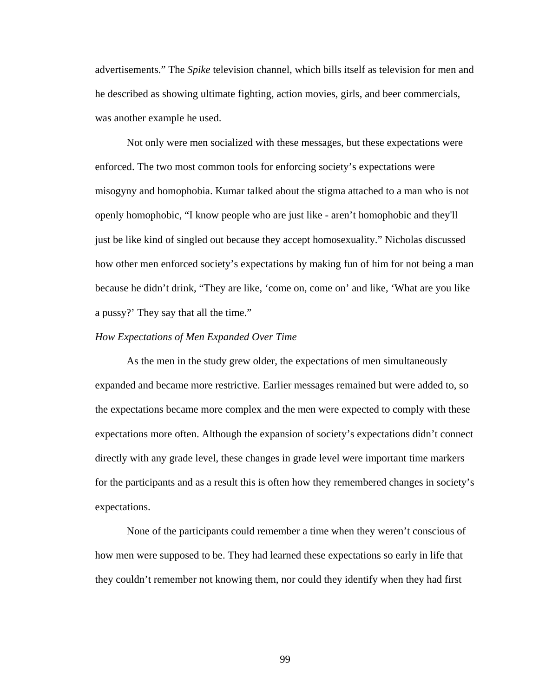advertisements." The *Spike* television channel, which bills itself as television for men and he described as showing ultimate fighting, action movies, girls, and beer commercials, was another example he used.

Not only were men socialized with these messages, but these expectations were enforced. The two most common tools for enforcing society's expectations were misogyny and homophobia. Kumar talked about the stigma attached to a man who is not openly homophobic, "I know people who are just like - aren't homophobic and they'll just be like kind of singled out because they accept homosexuality." Nicholas discussed how other men enforced society's expectations by making fun of him for not being a man because he didn't drink, "They are like, 'come on, come on' and like, 'What are you like a pussy?' They say that all the time."

### *How Expectations of Men Expanded Over Time*

As the men in the study grew older, the expectations of men simultaneously expanded and became more restrictive. Earlier messages remained but were added to, so the expectations became more complex and the men were expected to comply with these expectations more often. Although the expansion of society's expectations didn't connect directly with any grade level, these changes in grade level were important time markers for the participants and as a result this is often how they remembered changes in society's expectations.

None of the participants could remember a time when they weren't conscious of how men were supposed to be. They had learned these expectations so early in life that they couldn't remember not knowing them, nor could they identify when they had first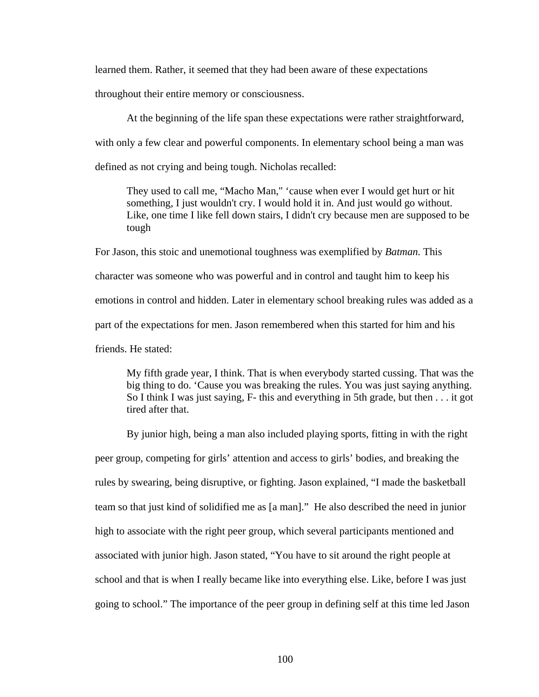learned them. Rather, it seemed that they had been aware of these expectations

throughout their entire memory or consciousness.

At the beginning of the life span these expectations were rather straightforward, with only a few clear and powerful components. In elementary school being a man was defined as not crying and being tough. Nicholas recalled:

They used to call me, "Macho Man," 'cause when ever I would get hurt or hit something, I just wouldn't cry. I would hold it in. And just would go without. Like, one time I like fell down stairs, I didn't cry because men are supposed to be tough

For Jason, this stoic and unemotional toughness was exemplified by *Batman.* This character was someone who was powerful and in control and taught him to keep his emotions in control and hidden. Later in elementary school breaking rules was added as a part of the expectations for men. Jason remembered when this started for him and his friends. He stated:

My fifth grade year, I think. That is when everybody started cussing. That was the big thing to do. 'Cause you was breaking the rules. You was just saying anything. So I think I was just saying, F- this and everything in 5th grade, but then . . . it got tired after that.

By junior high, being a man also included playing sports, fitting in with the right peer group, competing for girls' attention and access to girls' bodies, and breaking the rules by swearing, being disruptive, or fighting. Jason explained, "I made the basketball team so that just kind of solidified me as [a man]." He also described the need in junior high to associate with the right peer group, which several participants mentioned and associated with junior high. Jason stated, "You have to sit around the right people at school and that is when I really became like into everything else. Like, before I was just going to school." The importance of the peer group in defining self at this time led Jason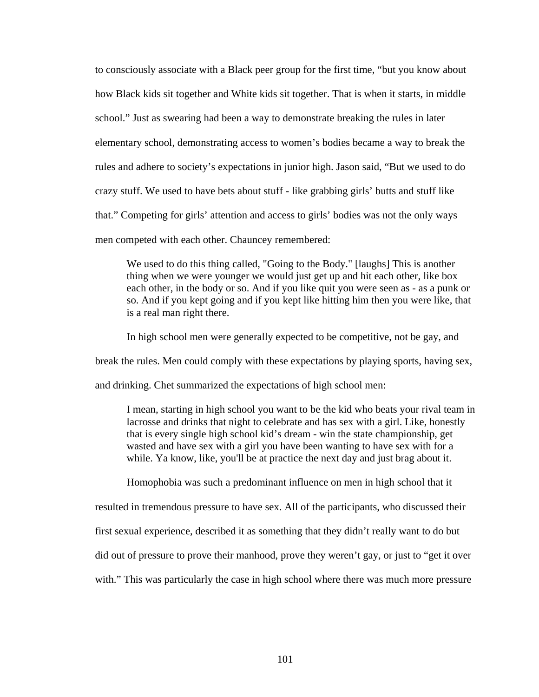to consciously associate with a Black peer group for the first time, "but you know about how Black kids sit together and White kids sit together. That is when it starts, in middle school." Just as swearing had been a way to demonstrate breaking the rules in later elementary school, demonstrating access to women's bodies became a way to break the rules and adhere to society's expectations in junior high. Jason said, "But we used to do crazy stuff. We used to have bets about stuff - like grabbing girls' butts and stuff like that." Competing for girls' attention and access to girls' bodies was not the only ways men competed with each other. Chauncey remembered:

We used to do this thing called, "Going to the Body." [laughs] This is another thing when we were younger we would just get up and hit each other, like box each other, in the body or so. And if you like quit you were seen as - as a punk or so. And if you kept going and if you kept like hitting him then you were like, that is a real man right there.

In high school men were generally expected to be competitive, not be gay, and

break the rules. Men could comply with these expectations by playing sports, having sex,

and drinking. Chet summarized the expectations of high school men:

I mean, starting in high school you want to be the kid who beats your rival team in lacrosse and drinks that night to celebrate and has sex with a girl. Like, honestly that is every single high school kid's dream - win the state championship, get wasted and have sex with a girl you have been wanting to have sex with for a while. Ya know, like, you'll be at practice the next day and just brag about it.

Homophobia was such a predominant influence on men in high school that it

resulted in tremendous pressure to have sex. All of the participants, who discussed their

first sexual experience, described it as something that they didn't really want to do but

did out of pressure to prove their manhood, prove they weren't gay, or just to "get it over

with." This was particularly the case in high school where there was much more pressure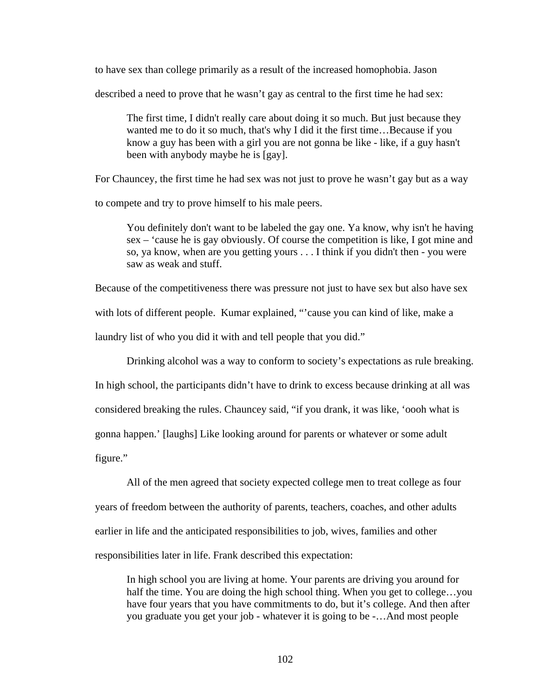to have sex than college primarily as a result of the increased homophobia. Jason

described a need to prove that he wasn't gay as central to the first time he had sex:

The first time, I didn't really care about doing it so much. But just because they wanted me to do it so much, that's why I did it the first time…Because if you know a guy has been with a girl you are not gonna be like - like, if a guy hasn't been with anybody maybe he is [gay].

For Chauncey, the first time he had sex was not just to prove he wasn't gay but as a way

to compete and try to prove himself to his male peers.

You definitely don't want to be labeled the gay one. Ya know, why isn't he having sex – 'cause he is gay obviously. Of course the competition is like, I got mine and so, ya know, when are you getting yours . . . I think if you didn't then - you were saw as weak and stuff.

Because of the competitiveness there was pressure not just to have sex but also have sex with lots of different people. Kumar explained, "cause you can kind of like, make a laundry list of who you did it with and tell people that you did."

Drinking alcohol was a way to conform to society's expectations as rule breaking.

In high school, the participants didn't have to drink to excess because drinking at all was considered breaking the rules. Chauncey said, "if you drank, it was like, 'oooh what is gonna happen.' [laughs] Like looking around for parents or whatever or some adult figure."

All of the men agreed that society expected college men to treat college as four years of freedom between the authority of parents, teachers, coaches, and other adults earlier in life and the anticipated responsibilities to job, wives, families and other responsibilities later in life. Frank described this expectation:

In high school you are living at home. Your parents are driving you around for half the time. You are doing the high school thing. When you get to college...you have four years that you have commitments to do, but it's college. And then after you graduate you get your job - whatever it is going to be -…And most people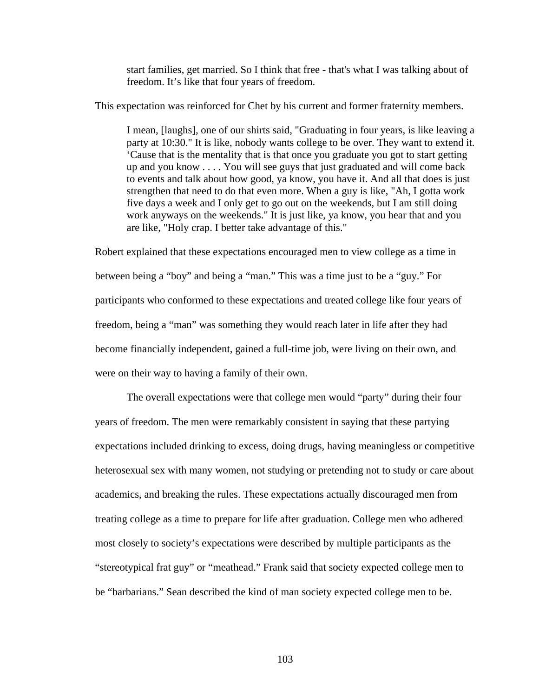start families, get married. So I think that free - that's what I was talking about of freedom. It's like that four years of freedom.

This expectation was reinforced for Chet by his current and former fraternity members.

I mean, [laughs], one of our shirts said, "Graduating in four years, is like leaving a party at 10:30." It is like, nobody wants college to be over. They want to extend it. 'Cause that is the mentality that is that once you graduate you got to start getting up and you know . . . . You will see guys that just graduated and will come back to events and talk about how good, ya know, you have it. And all that does is just strengthen that need to do that even more. When a guy is like, "Ah, I gotta work five days a week and I only get to go out on the weekends, but I am still doing work anyways on the weekends." It is just like, ya know, you hear that and you are like, "Holy crap. I better take advantage of this."

Robert explained that these expectations encouraged men to view college as a time in between being a "boy" and being a "man." This was a time just to be a "guy." For participants who conformed to these expectations and treated college like four years of freedom, being a "man" was something they would reach later in life after they had become financially independent, gained a full-time job, were living on their own, and were on their way to having a family of their own.

The overall expectations were that college men would "party" during their four years of freedom. The men were remarkably consistent in saying that these partying expectations included drinking to excess, doing drugs, having meaningless or competitive heterosexual sex with many women, not studying or pretending not to study or care about academics, and breaking the rules. These expectations actually discouraged men from treating college as a time to prepare for life after graduation. College men who adhered most closely to society's expectations were described by multiple participants as the "stereotypical frat guy" or "meathead." Frank said that society expected college men to be "barbarians." Sean described the kind of man society expected college men to be.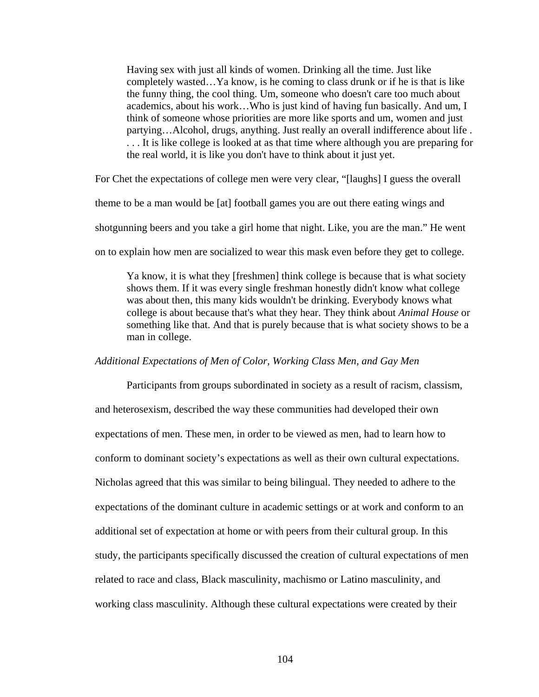Having sex with just all kinds of women. Drinking all the time. Just like completely wasted…Ya know, is he coming to class drunk or if he is that is like the funny thing, the cool thing. Um, someone who doesn't care too much about academics, about his work…Who is just kind of having fun basically. And um, I think of someone whose priorities are more like sports and um, women and just partying…Alcohol, drugs, anything. Just really an overall indifference about life . . . . It is like college is looked at as that time where although you are preparing for the real world, it is like you don't have to think about it just yet.

For Chet the expectations of college men were very clear, "[laughs] I guess the overall

theme to be a man would be [at] football games you are out there eating wings and

shotgunning beers and you take a girl home that night. Like, you are the man." He went

on to explain how men are socialized to wear this mask even before they get to college.

Ya know, it is what they [freshmen] think college is because that is what society shows them. If it was every single freshman honestly didn't know what college was about then, this many kids wouldn't be drinking. Everybody knows what college is about because that's what they hear. They think about *Animal House* or something like that. And that is purely because that is what society shows to be a man in college.

# *Additional Expectations of Men of Color, Working Class Men, and Gay Men*

Participants from groups subordinated in society as a result of racism, classism, and heterosexism, described the way these communities had developed their own expectations of men. These men, in order to be viewed as men, had to learn how to conform to dominant society's expectations as well as their own cultural expectations. Nicholas agreed that this was similar to being bilingual. They needed to adhere to the expectations of the dominant culture in academic settings or at work and conform to an additional set of expectation at home or with peers from their cultural group. In this study, the participants specifically discussed the creation of cultural expectations of men related to race and class, Black masculinity, machismo or Latino masculinity, and working class masculinity. Although these cultural expectations were created by their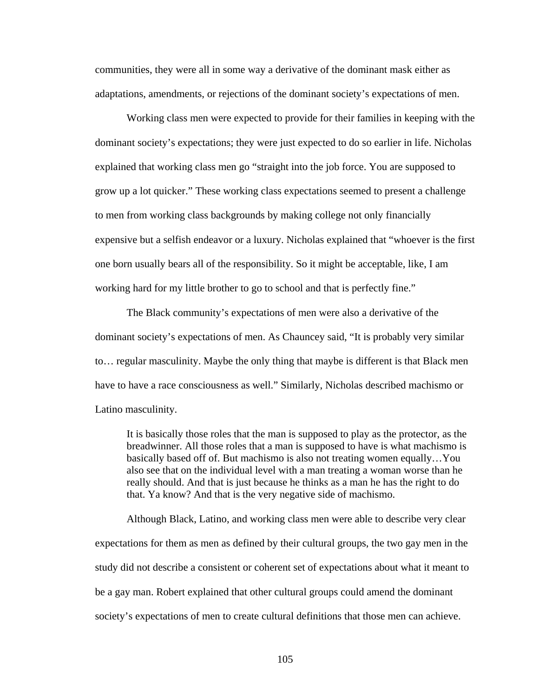communities, they were all in some way a derivative of the dominant mask either as adaptations, amendments, or rejections of the dominant society's expectations of men.

Working class men were expected to provide for their families in keeping with the dominant society's expectations; they were just expected to do so earlier in life. Nicholas explained that working class men go "straight into the job force. You are supposed to grow up a lot quicker." These working class expectations seemed to present a challenge to men from working class backgrounds by making college not only financially expensive but a selfish endeavor or a luxury. Nicholas explained that "whoever is the first one born usually bears all of the responsibility. So it might be acceptable, like, I am working hard for my little brother to go to school and that is perfectly fine."

The Black community's expectations of men were also a derivative of the dominant society's expectations of men. As Chauncey said, "It is probably very similar to… regular masculinity. Maybe the only thing that maybe is different is that Black men have to have a race consciousness as well." Similarly, Nicholas described machismo or Latino masculinity.

It is basically those roles that the man is supposed to play as the protector, as the breadwinner. All those roles that a man is supposed to have is what machismo is basically based off of. But machismo is also not treating women equally…You also see that on the individual level with a man treating a woman worse than he really should. And that is just because he thinks as a man he has the right to do that. Ya know? And that is the very negative side of machismo.

 Although Black, Latino, and working class men were able to describe very clear expectations for them as men as defined by their cultural groups, the two gay men in the study did not describe a consistent or coherent set of expectations about what it meant to be a gay man. Robert explained that other cultural groups could amend the dominant society's expectations of men to create cultural definitions that those men can achieve.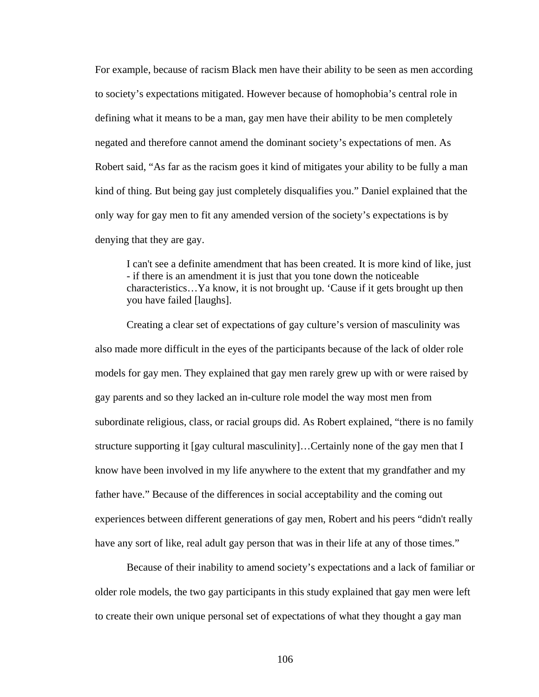For example, because of racism Black men have their ability to be seen as men according to society's expectations mitigated. However because of homophobia's central role in defining what it means to be a man, gay men have their ability to be men completely negated and therefore cannot amend the dominant society's expectations of men. As Robert said, "As far as the racism goes it kind of mitigates your ability to be fully a man kind of thing. But being gay just completely disqualifies you." Daniel explained that the only way for gay men to fit any amended version of the society's expectations is by denying that they are gay.

I can't see a definite amendment that has been created. It is more kind of like, just - if there is an amendment it is just that you tone down the noticeable characteristics…Ya know, it is not brought up. 'Cause if it gets brought up then you have failed [laughs].

Creating a clear set of expectations of gay culture's version of masculinity was also made more difficult in the eyes of the participants because of the lack of older role models for gay men. They explained that gay men rarely grew up with or were raised by gay parents and so they lacked an in-culture role model the way most men from subordinate religious, class, or racial groups did. As Robert explained, "there is no family structure supporting it [gay cultural masculinity]…Certainly none of the gay men that I know have been involved in my life anywhere to the extent that my grandfather and my father have." Because of the differences in social acceptability and the coming out experiences between different generations of gay men, Robert and his peers "didn't really have any sort of like, real adult gay person that was in their life at any of those times."

Because of their inability to amend society's expectations and a lack of familiar or older role models, the two gay participants in this study explained that gay men were left to create their own unique personal set of expectations of what they thought a gay man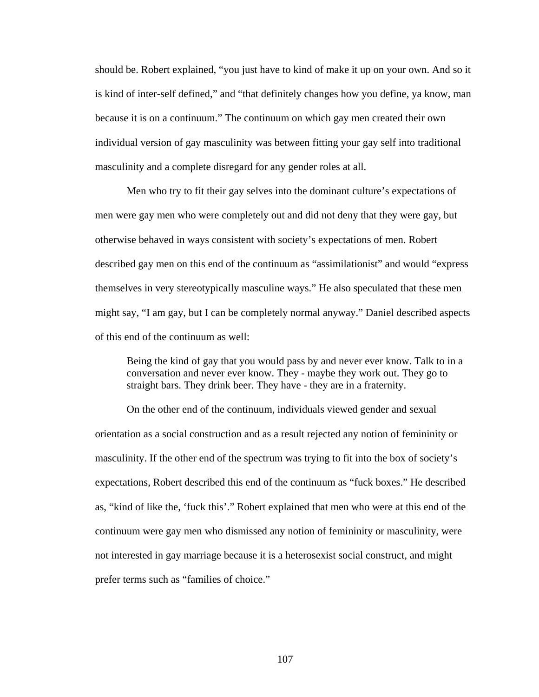should be. Robert explained, "you just have to kind of make it up on your own. And so it is kind of inter-self defined," and "that definitely changes how you define, ya know, man because it is on a continuum." The continuum on which gay men created their own individual version of gay masculinity was between fitting your gay self into traditional masculinity and a complete disregard for any gender roles at all.

Men who try to fit their gay selves into the dominant culture's expectations of men were gay men who were completely out and did not deny that they were gay, but otherwise behaved in ways consistent with society's expectations of men. Robert described gay men on this end of the continuum as "assimilationist" and would "express themselves in very stereotypically masculine ways." He also speculated that these men might say, "I am gay, but I can be completely normal anyway." Daniel described aspects of this end of the continuum as well:

Being the kind of gay that you would pass by and never ever know. Talk to in a conversation and never ever know. They - maybe they work out. They go to straight bars. They drink beer. They have - they are in a fraternity.

On the other end of the continuum, individuals viewed gender and sexual orientation as a social construction and as a result rejected any notion of femininity or masculinity. If the other end of the spectrum was trying to fit into the box of society's expectations, Robert described this end of the continuum as "fuck boxes." He described as, "kind of like the, 'fuck this'." Robert explained that men who were at this end of the continuum were gay men who dismissed any notion of femininity or masculinity, were not interested in gay marriage because it is a heterosexist social construct, and might prefer terms such as "families of choice."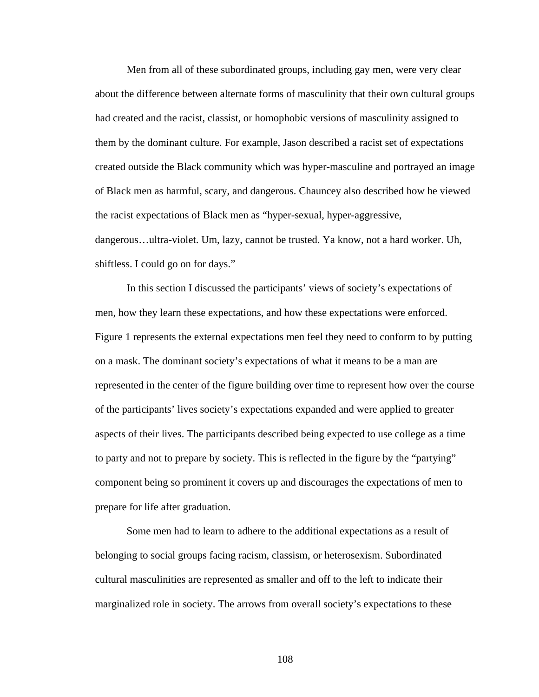Men from all of these subordinated groups, including gay men, were very clear about the difference between alternate forms of masculinity that their own cultural groups had created and the racist, classist, or homophobic versions of masculinity assigned to them by the dominant culture. For example, Jason described a racist set of expectations created outside the Black community which was hyper-masculine and portrayed an image of Black men as harmful, scary, and dangerous. Chauncey also described how he viewed the racist expectations of Black men as "hyper-sexual, hyper-aggressive, dangerous…ultra-violet. Um, lazy, cannot be trusted. Ya know, not a hard worker. Uh, shiftless. I could go on for days."

In this section I discussed the participants' views of society's expectations of men, how they learn these expectations, and how these expectations were enforced. Figure 1 represents the external expectations men feel they need to conform to by putting on a mask. The dominant society's expectations of what it means to be a man are represented in the center of the figure building over time to represent how over the course of the participants' lives society's expectations expanded and were applied to greater aspects of their lives. The participants described being expected to use college as a time to party and not to prepare by society. This is reflected in the figure by the "partying" component being so prominent it covers up and discourages the expectations of men to prepare for life after graduation.

Some men had to learn to adhere to the additional expectations as a result of belonging to social groups facing racism, classism, or heterosexism. Subordinated cultural masculinities are represented as smaller and off to the left to indicate their marginalized role in society. The arrows from overall society's expectations to these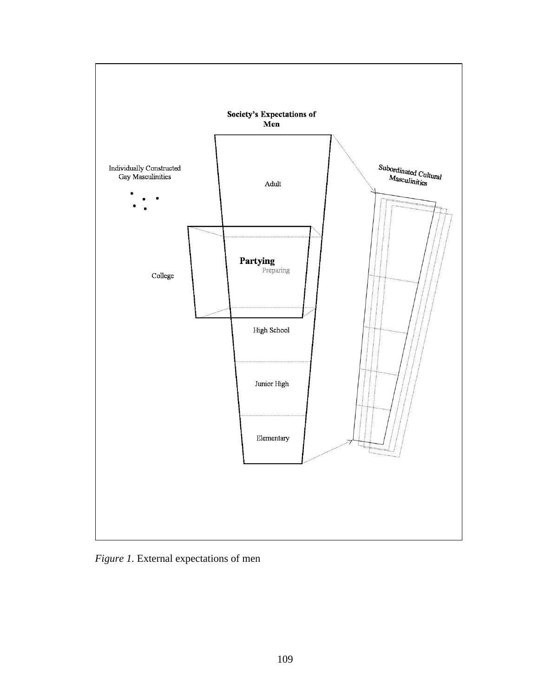

*Figure 1.* External expectations of men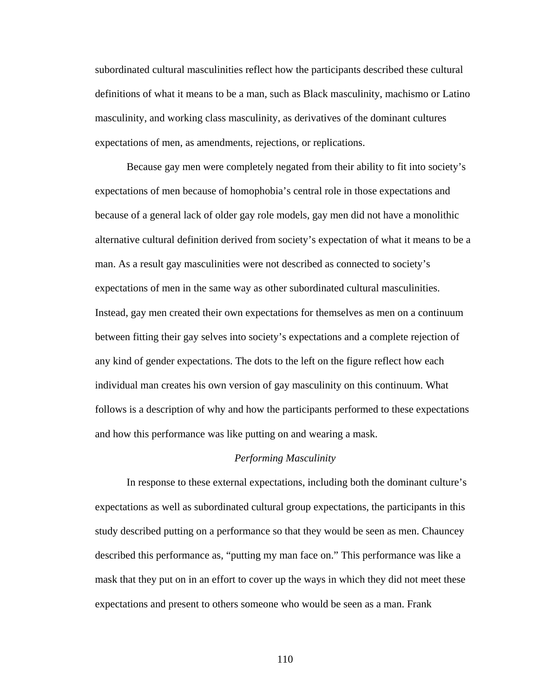subordinated cultural masculinities reflect how the participants described these cultural definitions of what it means to be a man, such as Black masculinity, machismo or Latino masculinity, and working class masculinity, as derivatives of the dominant cultures expectations of men, as amendments, rejections, or replications.

Because gay men were completely negated from their ability to fit into society's expectations of men because of homophobia's central role in those expectations and because of a general lack of older gay role models, gay men did not have a monolithic alternative cultural definition derived from society's expectation of what it means to be a man. As a result gay masculinities were not described as connected to society's expectations of men in the same way as other subordinated cultural masculinities. Instead, gay men created their own expectations for themselves as men on a continuum between fitting their gay selves into society's expectations and a complete rejection of any kind of gender expectations. The dots to the left on the figure reflect how each individual man creates his own version of gay masculinity on this continuum. What follows is a description of why and how the participants performed to these expectations and how this performance was like putting on and wearing a mask.

#### *Performing Masculinity*

In response to these external expectations, including both the dominant culture's expectations as well as subordinated cultural group expectations, the participants in this study described putting on a performance so that they would be seen as men. Chauncey described this performance as, "putting my man face on." This performance was like a mask that they put on in an effort to cover up the ways in which they did not meet these expectations and present to others someone who would be seen as a man. Frank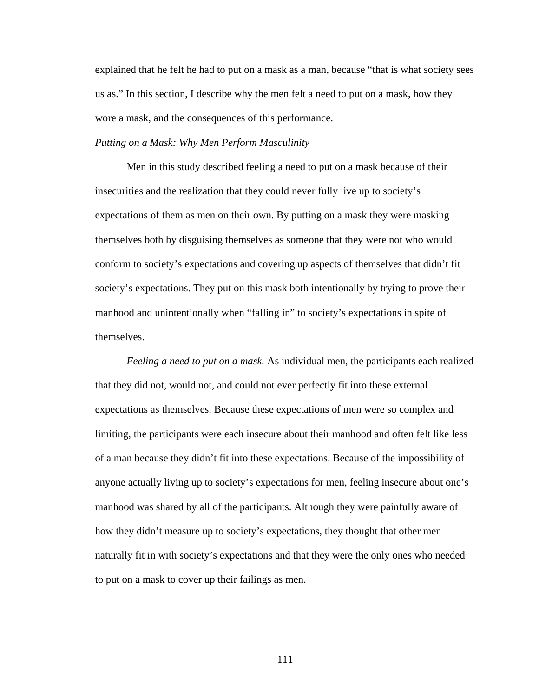explained that he felt he had to put on a mask as a man, because "that is what society sees us as." In this section, I describe why the men felt a need to put on a mask, how they wore a mask, and the consequences of this performance.

# *Putting on a Mask: Why Men Perform Masculinity*

Men in this study described feeling a need to put on a mask because of their insecurities and the realization that they could never fully live up to society's expectations of them as men on their own. By putting on a mask they were masking themselves both by disguising themselves as someone that they were not who would conform to society's expectations and covering up aspects of themselves that didn't fit society's expectations. They put on this mask both intentionally by trying to prove their manhood and unintentionally when "falling in" to society's expectations in spite of themselves.

*Feeling a need to put on a mask.* As individual men, the participants each realized that they did not, would not, and could not ever perfectly fit into these external expectations as themselves. Because these expectations of men were so complex and limiting, the participants were each insecure about their manhood and often felt like less of a man because they didn't fit into these expectations. Because of the impossibility of anyone actually living up to society's expectations for men, feeling insecure about one's manhood was shared by all of the participants. Although they were painfully aware of how they didn't measure up to society's expectations, they thought that other men naturally fit in with society's expectations and that they were the only ones who needed to put on a mask to cover up their failings as men.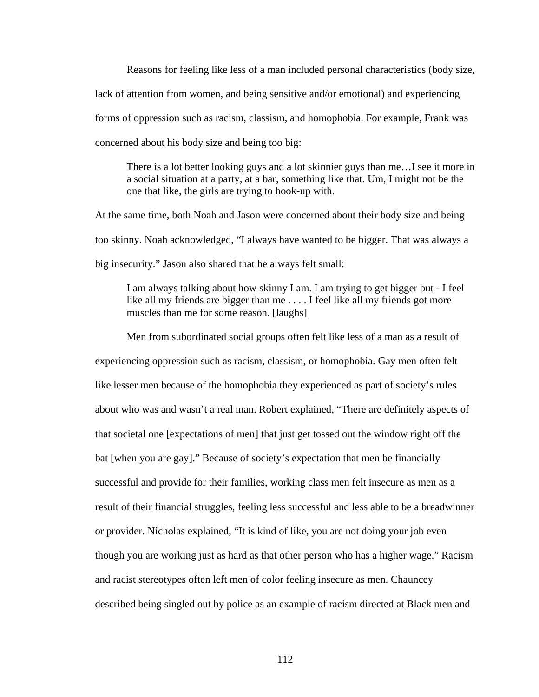Reasons for feeling like less of a man included personal characteristics (body size, lack of attention from women, and being sensitive and/or emotional) and experiencing forms of oppression such as racism, classism, and homophobia. For example, Frank was concerned about his body size and being too big:

There is a lot better looking guys and a lot skinnier guys than me…I see it more in a social situation at a party, at a bar, something like that. Um, I might not be the one that like, the girls are trying to hook-up with.

At the same time, both Noah and Jason were concerned about their body size and being too skinny. Noah acknowledged, "I always have wanted to be bigger. That was always a big insecurity." Jason also shared that he always felt small:

I am always talking about how skinny I am. I am trying to get bigger but - I feel like all my friends are bigger than me . . . . I feel like all my friends got more muscles than me for some reason. [laughs]

Men from subordinated social groups often felt like less of a man as a result of experiencing oppression such as racism, classism, or homophobia. Gay men often felt like lesser men because of the homophobia they experienced as part of society's rules about who was and wasn't a real man. Robert explained, "There are definitely aspects of that societal one [expectations of men] that just get tossed out the window right off the bat [when you are gay]." Because of society's expectation that men be financially successful and provide for their families, working class men felt insecure as men as a result of their financial struggles, feeling less successful and less able to be a breadwinner or provider. Nicholas explained, "It is kind of like, you are not doing your job even though you are working just as hard as that other person who has a higher wage." Racism and racist stereotypes often left men of color feeling insecure as men. Chauncey described being singled out by police as an example of racism directed at Black men and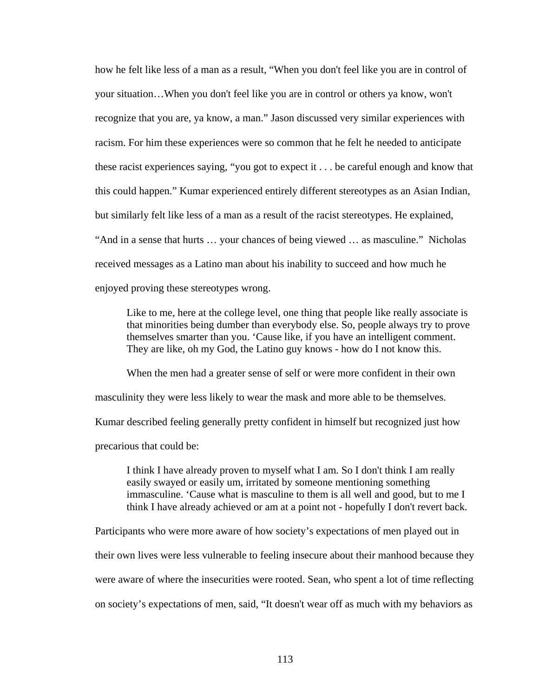how he felt like less of a man as a result, "When you don't feel like you are in control of your situation…When you don't feel like you are in control or others ya know, won't recognize that you are, ya know, a man." Jason discussed very similar experiences with racism. For him these experiences were so common that he felt he needed to anticipate these racist experiences saying, "you got to expect it . . . be careful enough and know that this could happen." Kumar experienced entirely different stereotypes as an Asian Indian, but similarly felt like less of a man as a result of the racist stereotypes. He explained, "And in a sense that hurts … your chances of being viewed … as masculine." Nicholas received messages as a Latino man about his inability to succeed and how much he enjoyed proving these stereotypes wrong.

Like to me, here at the college level, one thing that people like really associate is that minorities being dumber than everybody else. So, people always try to prove themselves smarter than you. 'Cause like, if you have an intelligent comment. They are like, oh my God, the Latino guy knows - how do I not know this.

When the men had a greater sense of self or were more confident in their own masculinity they were less likely to wear the mask and more able to be themselves. Kumar described feeling generally pretty confident in himself but recognized just how precarious that could be:

I think I have already proven to myself what I am. So I don't think I am really easily swayed or easily um, irritated by someone mentioning something immasculine. 'Cause what is masculine to them is all well and good, but to me I think I have already achieved or am at a point not - hopefully I don't revert back.

Participants who were more aware of how society's expectations of men played out in

their own lives were less vulnerable to feeling insecure about their manhood because they

were aware of where the insecurities were rooted. Sean, who spent a lot of time reflecting

on society's expectations of men, said, "It doesn't wear off as much with my behaviors as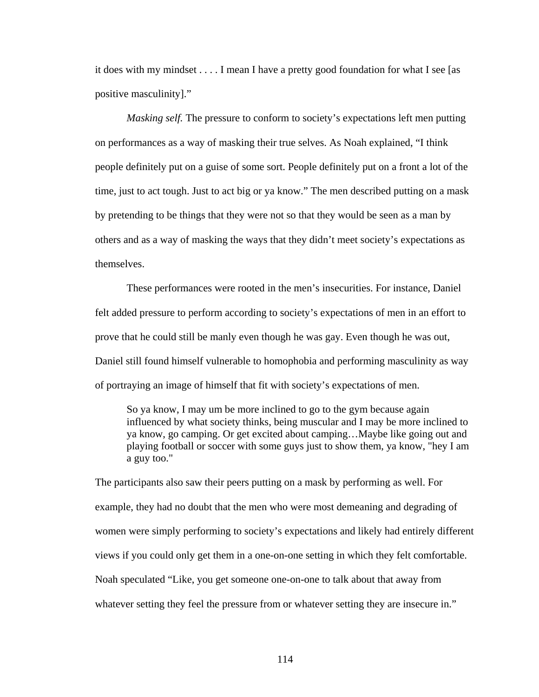it does with my mindset . . . . I mean I have a pretty good foundation for what I see [as positive masculinity]."

*Masking self.* The pressure to conform to society's expectations left men putting on performances as a way of masking their true selves. As Noah explained, "I think people definitely put on a guise of some sort. People definitely put on a front a lot of the time, just to act tough. Just to act big or ya know." The men described putting on a mask by pretending to be things that they were not so that they would be seen as a man by others and as a way of masking the ways that they didn't meet society's expectations as themselves.

These performances were rooted in the men's insecurities. For instance, Daniel felt added pressure to perform according to society's expectations of men in an effort to prove that he could still be manly even though he was gay. Even though he was out, Daniel still found himself vulnerable to homophobia and performing masculinity as way of portraying an image of himself that fit with society's expectations of men.

So ya know, I may um be more inclined to go to the gym because again influenced by what society thinks, being muscular and I may be more inclined to ya know, go camping. Or get excited about camping…Maybe like going out and playing football or soccer with some guys just to show them, ya know, "hey I am a guy too."

The participants also saw their peers putting on a mask by performing as well. For example, they had no doubt that the men who were most demeaning and degrading of women were simply performing to society's expectations and likely had entirely different views if you could only get them in a one-on-one setting in which they felt comfortable. Noah speculated "Like, you get someone one-on-one to talk about that away from whatever setting they feel the pressure from or whatever setting they are insecure in."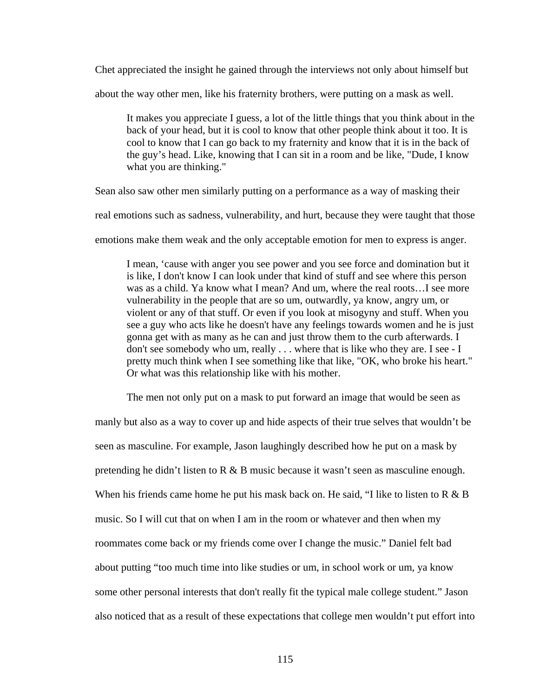Chet appreciated the insight he gained through the interviews not only about himself but

about the way other men, like his fraternity brothers, were putting on a mask as well.

It makes you appreciate I guess, a lot of the little things that you think about in the back of your head, but it is cool to know that other people think about it too. It is cool to know that I can go back to my fraternity and know that it is in the back of the guy's head. Like, knowing that I can sit in a room and be like, "Dude, I know what you are thinking."

Sean also saw other men similarly putting on a performance as a way of masking their

real emotions such as sadness, vulnerability, and hurt, because they were taught that those

emotions make them weak and the only acceptable emotion for men to express is anger.

I mean, 'cause with anger you see power and you see force and domination but it is like, I don't know I can look under that kind of stuff and see where this person was as a child. Ya know what I mean? And um, where the real roots…I see more vulnerability in the people that are so um, outwardly, ya know, angry um, or violent or any of that stuff. Or even if you look at misogyny and stuff. When you see a guy who acts like he doesn't have any feelings towards women and he is just gonna get with as many as he can and just throw them to the curb afterwards. I don't see somebody who um, really . . . where that is like who they are. I see - I pretty much think when I see something like that like, "OK, who broke his heart." Or what was this relationship like with his mother.

The men not only put on a mask to put forward an image that would be seen as

manly but also as a way to cover up and hide aspects of their true selves that wouldn't be seen as masculine. For example, Jason laughingly described how he put on a mask by pretending he didn't listen to  $R \& B$  music because it wasn't seen as masculine enough. When his friends came home he put his mask back on. He said, "I like to listen to  $R \& B$ music. So I will cut that on when I am in the room or whatever and then when my roommates come back or my friends come over I change the music." Daniel felt bad about putting "too much time into like studies or um, in school work or um, ya know some other personal interests that don't really fit the typical male college student." Jason also noticed that as a result of these expectations that college men wouldn't put effort into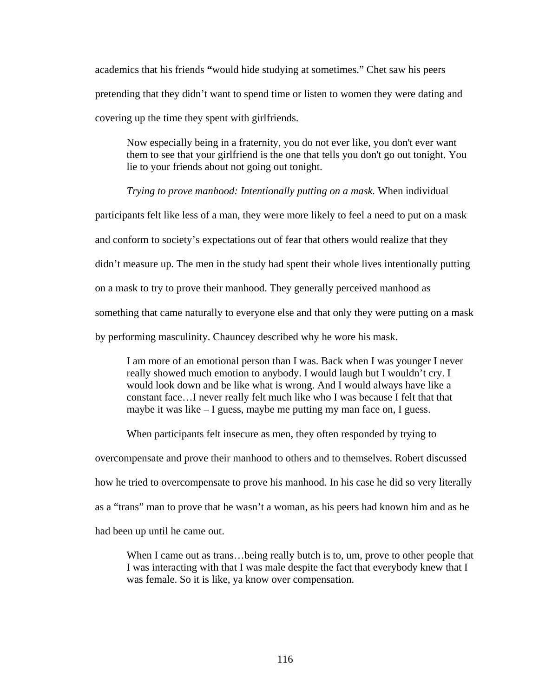academics that his friends **"**would hide studying at sometimes." Chet saw his peers pretending that they didn't want to spend time or listen to women they were dating and covering up the time they spent with girlfriends.

Now especially being in a fraternity, you do not ever like, you don't ever want them to see that your girlfriend is the one that tells you don't go out tonight. You lie to your friends about not going out tonight.

*Trying to prove manhood: Intentionally putting on a mask.* When individual

participants felt like less of a man, they were more likely to feel a need to put on a mask

and conform to society's expectations out of fear that others would realize that they

didn't measure up. The men in the study had spent their whole lives intentionally putting

on a mask to try to prove their manhood. They generally perceived manhood as

something that came naturally to everyone else and that only they were putting on a mask

by performing masculinity. Chauncey described why he wore his mask.

I am more of an emotional person than I was. Back when I was younger I never really showed much emotion to anybody. I would laugh but I wouldn't cry. I would look down and be like what is wrong. And I would always have like a constant face…I never really felt much like who I was because I felt that that maybe it was like – I guess, maybe me putting my man face on, I guess.

When participants felt insecure as men, they often responded by trying to

overcompensate and prove their manhood to others and to themselves. Robert discussed

how he tried to overcompensate to prove his manhood. In his case he did so very literally

as a "trans" man to prove that he wasn't a woman, as his peers had known him and as he

had been up until he came out.

When I came out as trans...being really butch is to, um, prove to other people that I was interacting with that I was male despite the fact that everybody knew that I was female. So it is like, ya know over compensation.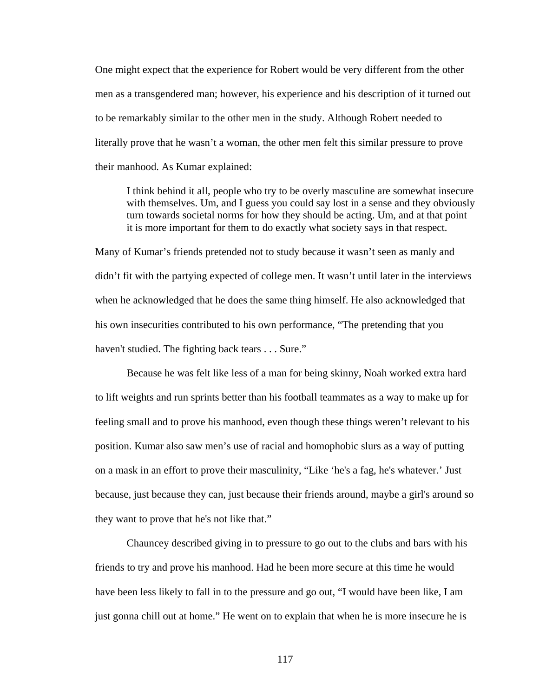One might expect that the experience for Robert would be very different from the other men as a transgendered man; however, his experience and his description of it turned out to be remarkably similar to the other men in the study. Although Robert needed to literally prove that he wasn't a woman, the other men felt this similar pressure to prove their manhood. As Kumar explained:

I think behind it all, people who try to be overly masculine are somewhat insecure with themselves. Um, and I guess you could say lost in a sense and they obviously turn towards societal norms for how they should be acting. Um, and at that point it is more important for them to do exactly what society says in that respect.

Many of Kumar's friends pretended not to study because it wasn't seen as manly and didn't fit with the partying expected of college men. It wasn't until later in the interviews when he acknowledged that he does the same thing himself. He also acknowledged that his own insecurities contributed to his own performance, "The pretending that you haven't studied. The fighting back tears . . . Sure."

Because he was felt like less of a man for being skinny, Noah worked extra hard to lift weights and run sprints better than his football teammates as a way to make up for feeling small and to prove his manhood, even though these things weren't relevant to his position. Kumar also saw men's use of racial and homophobic slurs as a way of putting on a mask in an effort to prove their masculinity, "Like 'he's a fag, he's whatever.' Just because, just because they can, just because their friends around, maybe a girl's around so they want to prove that he's not like that."

Chauncey described giving in to pressure to go out to the clubs and bars with his friends to try and prove his manhood. Had he been more secure at this time he would have been less likely to fall in to the pressure and go out, "I would have been like, I am just gonna chill out at home." He went on to explain that when he is more insecure he is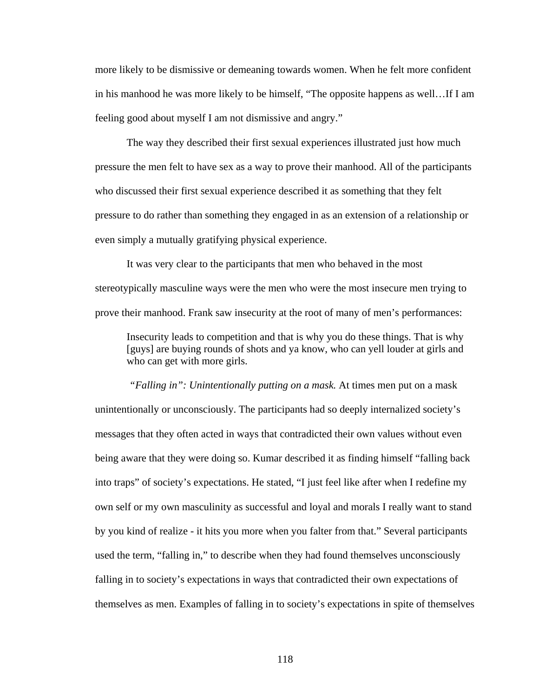more likely to be dismissive or demeaning towards women. When he felt more confident in his manhood he was more likely to be himself, "The opposite happens as well…If I am feeling good about myself I am not dismissive and angry."

The way they described their first sexual experiences illustrated just how much pressure the men felt to have sex as a way to prove their manhood. All of the participants who discussed their first sexual experience described it as something that they felt pressure to do rather than something they engaged in as an extension of a relationship or even simply a mutually gratifying physical experience.

It was very clear to the participants that men who behaved in the most stereotypically masculine ways were the men who were the most insecure men trying to prove their manhood. Frank saw insecurity at the root of many of men's performances:

Insecurity leads to competition and that is why you do these things. That is why [guys] are buying rounds of shots and ya know, who can yell louder at girls and who can get with more girls.

 *"Falling in": Unintentionally putting on a mask.* At times men put on a mask unintentionally or unconsciously. The participants had so deeply internalized society's messages that they often acted in ways that contradicted their own values without even being aware that they were doing so. Kumar described it as finding himself "falling back into traps" of society's expectations. He stated, "I just feel like after when I redefine my own self or my own masculinity as successful and loyal and morals I really want to stand by you kind of realize - it hits you more when you falter from that." Several participants used the term, "falling in," to describe when they had found themselves unconsciously falling in to society's expectations in ways that contradicted their own expectations of themselves as men. Examples of falling in to society's expectations in spite of themselves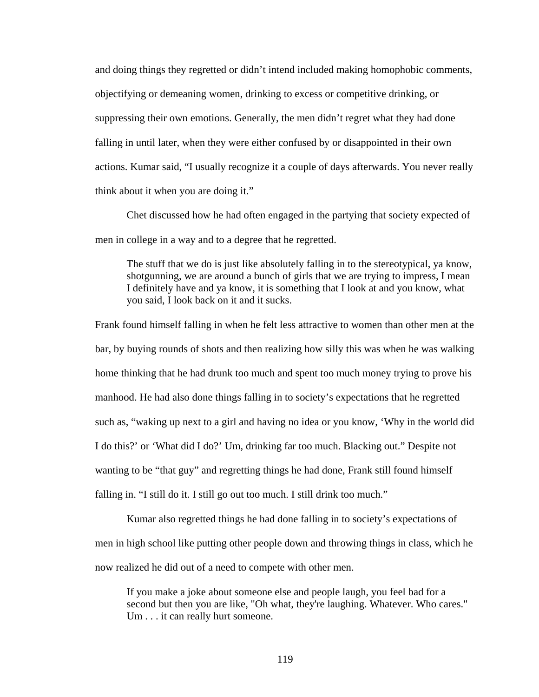and doing things they regretted or didn't intend included making homophobic comments, objectifying or demeaning women, drinking to excess or competitive drinking, or suppressing their own emotions. Generally, the men didn't regret what they had done falling in until later, when they were either confused by or disappointed in their own actions. Kumar said, "I usually recognize it a couple of days afterwards. You never really think about it when you are doing it."

Chet discussed how he had often engaged in the partying that society expected of men in college in a way and to a degree that he regretted.

The stuff that we do is just like absolutely falling in to the stereotypical, ya know, shotgunning, we are around a bunch of girls that we are trying to impress, I mean I definitely have and ya know, it is something that I look at and you know, what you said, I look back on it and it sucks.

Frank found himself falling in when he felt less attractive to women than other men at the bar, by buying rounds of shots and then realizing how silly this was when he was walking home thinking that he had drunk too much and spent too much money trying to prove his manhood. He had also done things falling in to society's expectations that he regretted such as, "waking up next to a girl and having no idea or you know, 'Why in the world did I do this?' or 'What did I do?' Um, drinking far too much. Blacking out." Despite not wanting to be "that guy" and regretting things he had done, Frank still found himself falling in. "I still do it. I still go out too much. I still drink too much."

Kumar also regretted things he had done falling in to society's expectations of men in high school like putting other people down and throwing things in class, which he now realized he did out of a need to compete with other men.

If you make a joke about someone else and people laugh, you feel bad for a second but then you are like, "Oh what, they're laughing. Whatever. Who cares." Um . . . it can really hurt someone.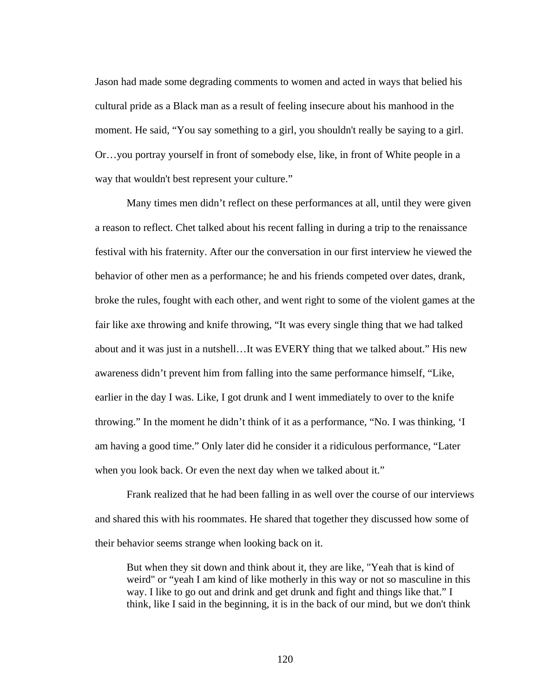Jason had made some degrading comments to women and acted in ways that belied his cultural pride as a Black man as a result of feeling insecure about his manhood in the moment. He said, "You say something to a girl, you shouldn't really be saying to a girl. Or…you portray yourself in front of somebody else, like, in front of White people in a way that wouldn't best represent your culture."

Many times men didn't reflect on these performances at all, until they were given a reason to reflect. Chet talked about his recent falling in during a trip to the renaissance festival with his fraternity. After our the conversation in our first interview he viewed the behavior of other men as a performance; he and his friends competed over dates, drank, broke the rules, fought with each other, and went right to some of the violent games at the fair like axe throwing and knife throwing, "It was every single thing that we had talked about and it was just in a nutshell…It was EVERY thing that we talked about." His new awareness didn't prevent him from falling into the same performance himself, "Like, earlier in the day I was. Like, I got drunk and I went immediately to over to the knife throwing." In the moment he didn't think of it as a performance, "No. I was thinking, 'I am having a good time." Only later did he consider it a ridiculous performance, "Later when you look back. Or even the next day when we talked about it."

Frank realized that he had been falling in as well over the course of our interviews and shared this with his roommates. He shared that together they discussed how some of their behavior seems strange when looking back on it.

But when they sit down and think about it, they are like, "Yeah that is kind of weird" or "yeah I am kind of like motherly in this way or not so masculine in this way. I like to go out and drink and get drunk and fight and things like that." I think, like I said in the beginning, it is in the back of our mind, but we don't think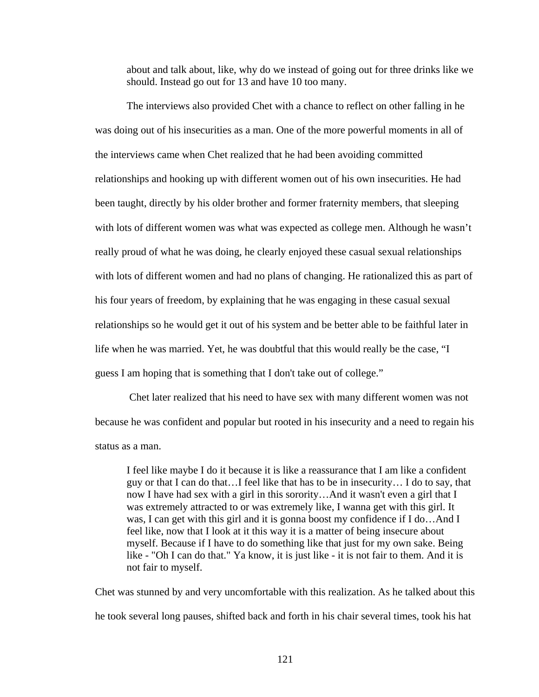about and talk about, like, why do we instead of going out for three drinks like we should. Instead go out for 13 and have 10 too many.

The interviews also provided Chet with a chance to reflect on other falling in he was doing out of his insecurities as a man. One of the more powerful moments in all of the interviews came when Chet realized that he had been avoiding committed relationships and hooking up with different women out of his own insecurities. He had been taught, directly by his older brother and former fraternity members, that sleeping with lots of different women was what was expected as college men. Although he wasn't really proud of what he was doing, he clearly enjoyed these casual sexual relationships with lots of different women and had no plans of changing. He rationalized this as part of his four years of freedom, by explaining that he was engaging in these casual sexual relationships so he would get it out of his system and be better able to be faithful later in life when he was married. Yet, he was doubtful that this would really be the case, "I guess I am hoping that is something that I don't take out of college."

 Chet later realized that his need to have sex with many different women was not because he was confident and popular but rooted in his insecurity and a need to regain his status as a man.

I feel like maybe I do it because it is like a reassurance that I am like a confident guy or that I can do that…I feel like that has to be in insecurity… I do to say, that now I have had sex with a girl in this sorority…And it wasn't even a girl that I was extremely attracted to or was extremely like, I wanna get with this girl. It was, I can get with this girl and it is gonna boost my confidence if I do…And I feel like, now that I look at it this way it is a matter of being insecure about myself. Because if I have to do something like that just for my own sake. Being like - "Oh I can do that." Ya know, it is just like - it is not fair to them. And it is not fair to myself.

Chet was stunned by and very uncomfortable with this realization. As he talked about this he took several long pauses, shifted back and forth in his chair several times, took his hat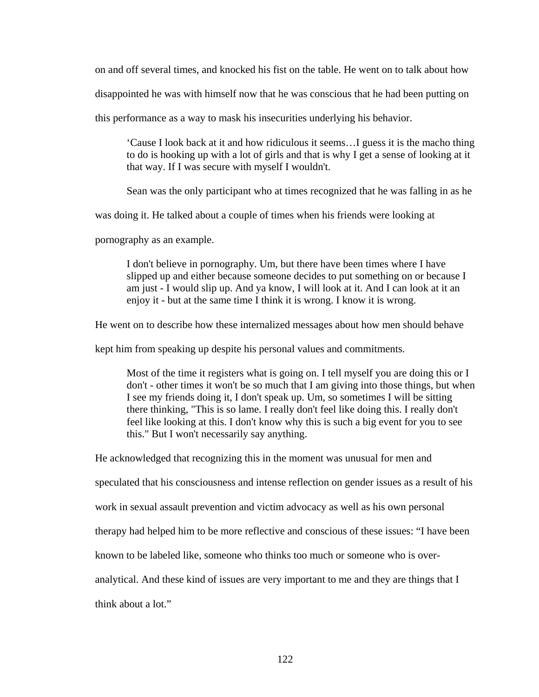on and off several times, and knocked his fist on the table. He went on to talk about how

disappointed he was with himself now that he was conscious that he had been putting on

this performance as a way to mask his insecurities underlying his behavior.

'Cause I look back at it and how ridiculous it seems…I guess it is the macho thing to do is hooking up with a lot of girls and that is why I get a sense of looking at it that way. If I was secure with myself I wouldn't.

Sean was the only participant who at times recognized that he was falling in as he

was doing it. He talked about a couple of times when his friends were looking at

pornography as an example.

I don't believe in pornography. Um, but there have been times where I have slipped up and either because someone decides to put something on or because I am just - I would slip up. And ya know, I will look at it. And I can look at it an enjoy it - but at the same time I think it is wrong. I know it is wrong.

He went on to describe how these internalized messages about how men should behave

kept him from speaking up despite his personal values and commitments.

Most of the time it registers what is going on. I tell myself you are doing this or I don't - other times it won't be so much that I am giving into those things, but when I see my friends doing it, I don't speak up. Um, so sometimes I will be sitting there thinking, "This is so lame. I really don't feel like doing this. I really don't feel like looking at this. I don't know why this is such a big event for you to see this." But I won't necessarily say anything.

He acknowledged that recognizing this in the moment was unusual for men and

speculated that his consciousness and intense reflection on gender issues as a result of his

work in sexual assault prevention and victim advocacy as well as his own personal

therapy had helped him to be more reflective and conscious of these issues: "I have been

known to be labeled like, someone who thinks too much or someone who is over-

analytical. And these kind of issues are very important to me and they are things that I

think about a lot."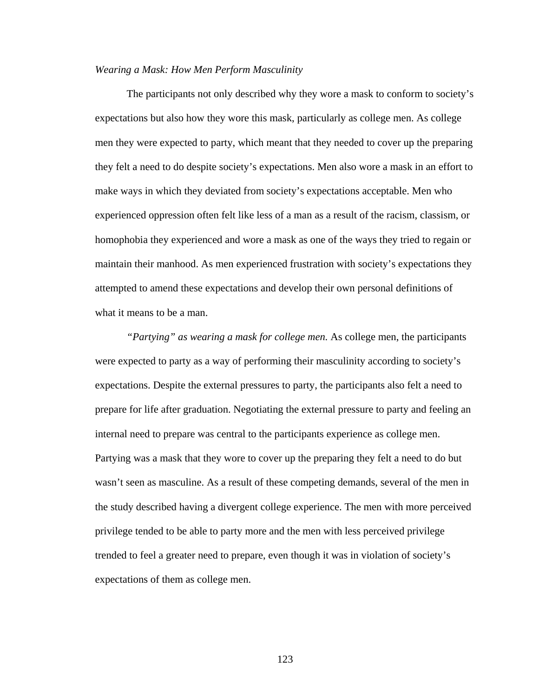#### *Wearing a Mask: How Men Perform Masculinity*

 The participants not only described why they wore a mask to conform to society's expectations but also how they wore this mask, particularly as college men. As college men they were expected to party, which meant that they needed to cover up the preparing they felt a need to do despite society's expectations. Men also wore a mask in an effort to make ways in which they deviated from society's expectations acceptable. Men who experienced oppression often felt like less of a man as a result of the racism, classism, or homophobia they experienced and wore a mask as one of the ways they tried to regain or maintain their manhood. As men experienced frustration with society's expectations they attempted to amend these expectations and develop their own personal definitions of what it means to be a man.

*"Partying" as wearing a mask for college men.* As college men, the participants were expected to party as a way of performing their masculinity according to society's expectations. Despite the external pressures to party, the participants also felt a need to prepare for life after graduation. Negotiating the external pressure to party and feeling an internal need to prepare was central to the participants experience as college men. Partying was a mask that they wore to cover up the preparing they felt a need to do but wasn't seen as masculine. As a result of these competing demands, several of the men in the study described having a divergent college experience. The men with more perceived privilege tended to be able to party more and the men with less perceived privilege trended to feel a greater need to prepare, even though it was in violation of society's expectations of them as college men.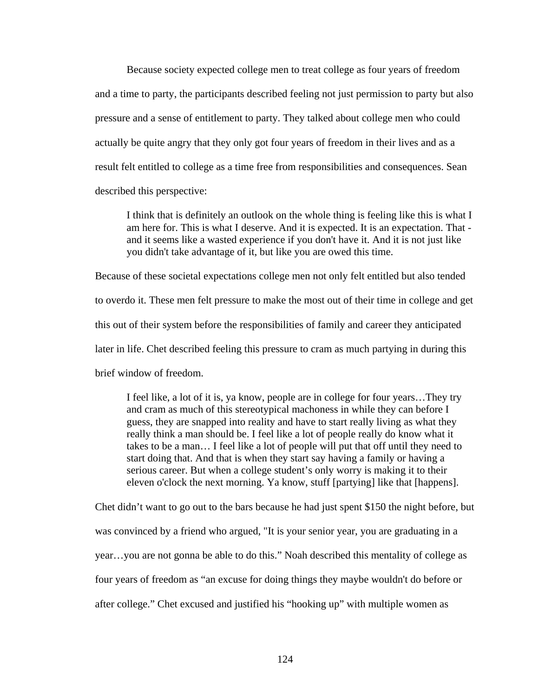Because society expected college men to treat college as four years of freedom and a time to party, the participants described feeling not just permission to party but also pressure and a sense of entitlement to party. They talked about college men who could actually be quite angry that they only got four years of freedom in their lives and as a result felt entitled to college as a time free from responsibilities and consequences. Sean described this perspective:

I think that is definitely an outlook on the whole thing is feeling like this is what I am here for. This is what I deserve. And it is expected. It is an expectation. That and it seems like a wasted experience if you don't have it. And it is not just like you didn't take advantage of it, but like you are owed this time.

Because of these societal expectations college men not only felt entitled but also tended to overdo it. These men felt pressure to make the most out of their time in college and get this out of their system before the responsibilities of family and career they anticipated later in life. Chet described feeling this pressure to cram as much partying in during this brief window of freedom.

I feel like, a lot of it is, ya know, people are in college for four years…They try and cram as much of this stereotypical machoness in while they can before I guess, they are snapped into reality and have to start really living as what they really think a man should be. I feel like a lot of people really do know what it takes to be a man… I feel like a lot of people will put that off until they need to start doing that. And that is when they start say having a family or having a serious career. But when a college student's only worry is making it to their eleven o'clock the next morning. Ya know, stuff [partying] like that [happens].

Chet didn't want to go out to the bars because he had just spent \$150 the night before, but was convinced by a friend who argued, "It is your senior year, you are graduating in a year…you are not gonna be able to do this." Noah described this mentality of college as four years of freedom as "an excuse for doing things they maybe wouldn't do before or after college." Chet excused and justified his "hooking up" with multiple women as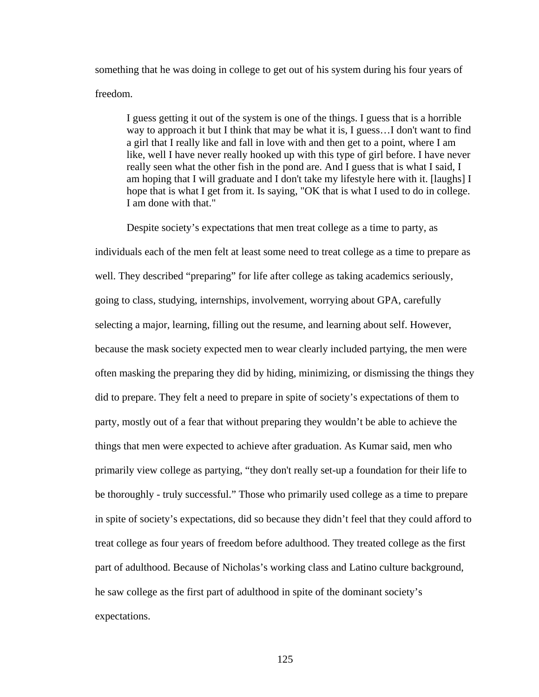something that he was doing in college to get out of his system during his four years of freedom.

I guess getting it out of the system is one of the things. I guess that is a horrible way to approach it but I think that may be what it is, I guess…I don't want to find a girl that I really like and fall in love with and then get to a point, where I am like, well I have never really hooked up with this type of girl before. I have never really seen what the other fish in the pond are. And I guess that is what I said, I am hoping that I will graduate and I don't take my lifestyle here with it. [laughs] I hope that is what I get from it. Is saying, "OK that is what I used to do in college. I am done with that."

Despite society's expectations that men treat college as a time to party, as

individuals each of the men felt at least some need to treat college as a time to prepare as well. They described "preparing" for life after college as taking academics seriously, going to class, studying, internships, involvement, worrying about GPA, carefully selecting a major, learning, filling out the resume, and learning about self. However, because the mask society expected men to wear clearly included partying, the men were often masking the preparing they did by hiding, minimizing, or dismissing the things they did to prepare. They felt a need to prepare in spite of society's expectations of them to party, mostly out of a fear that without preparing they wouldn't be able to achieve the things that men were expected to achieve after graduation. As Kumar said, men who primarily view college as partying, "they don't really set-up a foundation for their life to be thoroughly - truly successful." Those who primarily used college as a time to prepare in spite of society's expectations, did so because they didn't feel that they could afford to treat college as four years of freedom before adulthood. They treated college as the first part of adulthood. Because of Nicholas's working class and Latino culture background, he saw college as the first part of adulthood in spite of the dominant society's expectations.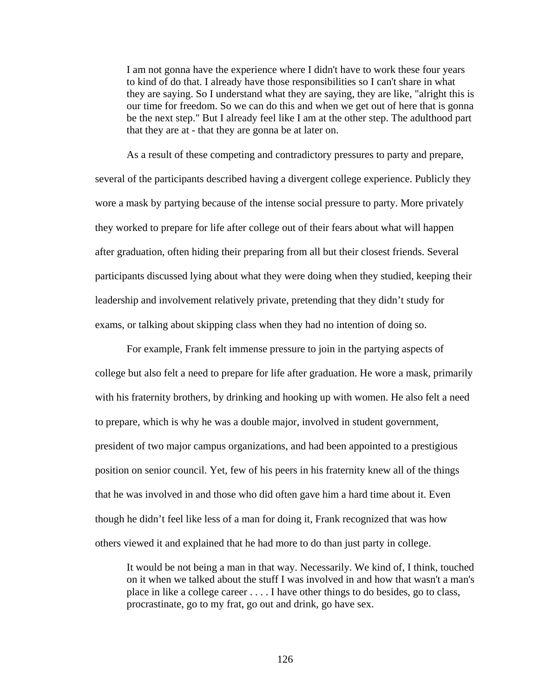I am not gonna have the experience where I didn't have to work these four years to kind of do that. I already have those responsibilities so I can't share in what they are saying. So I understand what they are saying, they are like, "alright this is our time for freedom. So we can do this and when we get out of here that is gonna be the next step." But I already feel like I am at the other step. The adulthood part that they are at - that they are gonna be at later on.

As a result of these competing and contradictory pressures to party and prepare, several of the participants described having a divergent college experience. Publicly they wore a mask by partying because of the intense social pressure to party. More privately they worked to prepare for life after college out of their fears about what will happen after graduation, often hiding their preparing from all but their closest friends. Several participants discussed lying about what they were doing when they studied, keeping their leadership and involvement relatively private, pretending that they didn't study for exams, or talking about skipping class when they had no intention of doing so.

For example, Frank felt immense pressure to join in the partying aspects of college but also felt a need to prepare for life after graduation. He wore a mask, primarily with his fraternity brothers, by drinking and hooking up with women. He also felt a need to prepare, which is why he was a double major, involved in student government, president of two major campus organizations, and had been appointed to a prestigious position on senior council. Yet, few of his peers in his fraternity knew all of the things that he was involved in and those who did often gave him a hard time about it. Even though he didn't feel like less of a man for doing it, Frank recognized that was how others viewed it and explained that he had more to do than just party in college.

It would be not being a man in that way. Necessarily. We kind of, I think, touched on it when we talked about the stuff I was involved in and how that wasn't a man's place in like a college career . . . . I have other things to do besides, go to class, procrastinate, go to my frat, go out and drink, go have sex.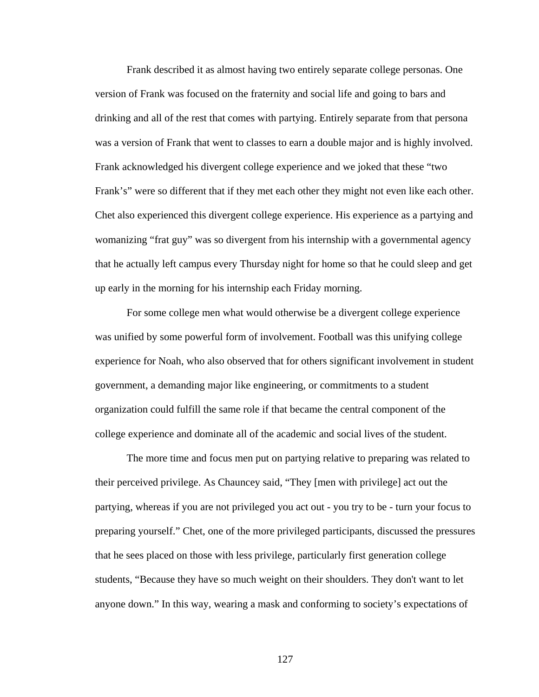Frank described it as almost having two entirely separate college personas. One version of Frank was focused on the fraternity and social life and going to bars and drinking and all of the rest that comes with partying. Entirely separate from that persona was a version of Frank that went to classes to earn a double major and is highly involved. Frank acknowledged his divergent college experience and we joked that these "two Frank's" were so different that if they met each other they might not even like each other. Chet also experienced this divergent college experience. His experience as a partying and womanizing "frat guy" was so divergent from his internship with a governmental agency that he actually left campus every Thursday night for home so that he could sleep and get up early in the morning for his internship each Friday morning.

For some college men what would otherwise be a divergent college experience was unified by some powerful form of involvement. Football was this unifying college experience for Noah, who also observed that for others significant involvement in student government, a demanding major like engineering, or commitments to a student organization could fulfill the same role if that became the central component of the college experience and dominate all of the academic and social lives of the student.

The more time and focus men put on partying relative to preparing was related to their perceived privilege. As Chauncey said, "They [men with privilege] act out the partying, whereas if you are not privileged you act out - you try to be - turn your focus to preparing yourself." Chet, one of the more privileged participants, discussed the pressures that he sees placed on those with less privilege, particularly first generation college students, "Because they have so much weight on their shoulders. They don't want to let anyone down." In this way, wearing a mask and conforming to society's expectations of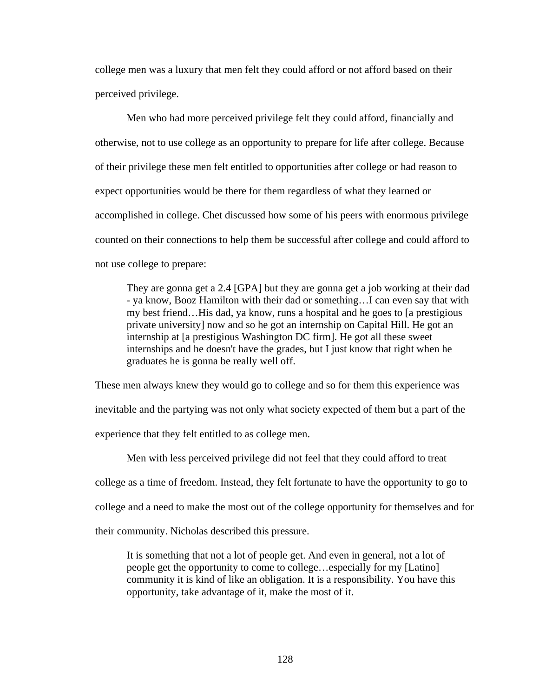college men was a luxury that men felt they could afford or not afford based on their perceived privilege.

Men who had more perceived privilege felt they could afford, financially and otherwise, not to use college as an opportunity to prepare for life after college. Because of their privilege these men felt entitled to opportunities after college or had reason to expect opportunities would be there for them regardless of what they learned or accomplished in college. Chet discussed how some of his peers with enormous privilege counted on their connections to help them be successful after college and could afford to not use college to prepare:

They are gonna get a 2.4 [GPA] but they are gonna get a job working at their dad - ya know, Booz Hamilton with their dad or something…I can even say that with my best friend…His dad, ya know, runs a hospital and he goes to [a prestigious private university] now and so he got an internship on Capital Hill. He got an internship at [a prestigious Washington DC firm]. He got all these sweet internships and he doesn't have the grades, but I just know that right when he graduates he is gonna be really well off.

These men always knew they would go to college and so for them this experience was inevitable and the partying was not only what society expected of them but a part of the experience that they felt entitled to as college men.

Men with less perceived privilege did not feel that they could afford to treat

college as a time of freedom. Instead, they felt fortunate to have the opportunity to go to

college and a need to make the most out of the college opportunity for themselves and for

their community. Nicholas described this pressure.

It is something that not a lot of people get. And even in general, not a lot of people get the opportunity to come to college…especially for my [Latino] community it is kind of like an obligation. It is a responsibility. You have this opportunity, take advantage of it, make the most of it.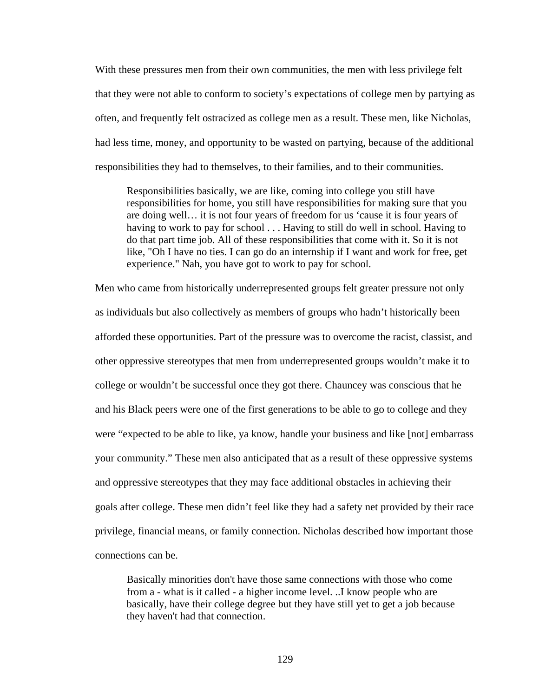With these pressures men from their own communities, the men with less privilege felt that they were not able to conform to society's expectations of college men by partying as often, and frequently felt ostracized as college men as a result. These men, like Nicholas, had less time, money, and opportunity to be wasted on partying, because of the additional responsibilities they had to themselves, to their families, and to their communities.

Responsibilities basically, we are like, coming into college you still have responsibilities for home, you still have responsibilities for making sure that you are doing well… it is not four years of freedom for us 'cause it is four years of having to work to pay for school . . . Having to still do well in school. Having to do that part time job. All of these responsibilities that come with it. So it is not like, "Oh I have no ties. I can go do an internship if I want and work for free, get experience." Nah, you have got to work to pay for school.

Men who came from historically underrepresented groups felt greater pressure not only as individuals but also collectively as members of groups who hadn't historically been afforded these opportunities. Part of the pressure was to overcome the racist, classist, and other oppressive stereotypes that men from underrepresented groups wouldn't make it to college or wouldn't be successful once they got there. Chauncey was conscious that he and his Black peers were one of the first generations to be able to go to college and they were "expected to be able to like, ya know, handle your business and like [not] embarrass your community." These men also anticipated that as a result of these oppressive systems and oppressive stereotypes that they may face additional obstacles in achieving their goals after college. These men didn't feel like they had a safety net provided by their race privilege, financial means, or family connection. Nicholas described how important those connections can be.

Basically minorities don't have those same connections with those who come from a - what is it called - a higher income level. ..I know people who are basically, have their college degree but they have still yet to get a job because they haven't had that connection.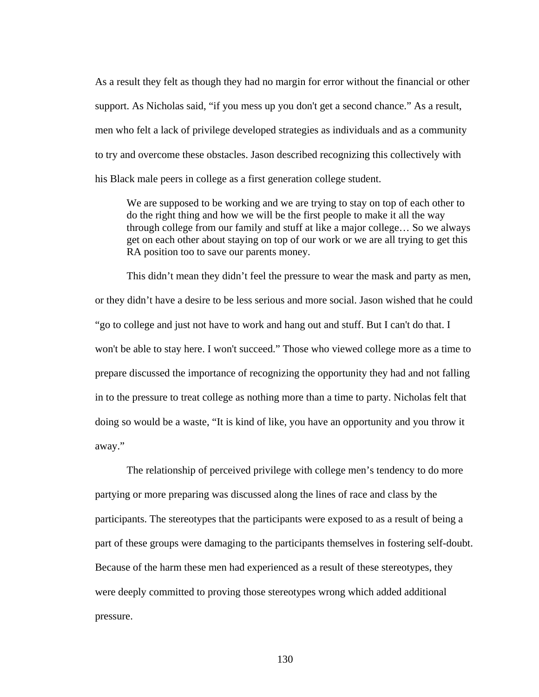As a result they felt as though they had no margin for error without the financial or other support. As Nicholas said, "if you mess up you don't get a second chance." As a result, men who felt a lack of privilege developed strategies as individuals and as a community to try and overcome these obstacles. Jason described recognizing this collectively with his Black male peers in college as a first generation college student.

We are supposed to be working and we are trying to stay on top of each other to do the right thing and how we will be the first people to make it all the way through college from our family and stuff at like a major college… So we always get on each other about staying on top of our work or we are all trying to get this RA position too to save our parents money.

This didn't mean they didn't feel the pressure to wear the mask and party as men, or they didn't have a desire to be less serious and more social. Jason wished that he could "go to college and just not have to work and hang out and stuff. But I can't do that. I won't be able to stay here. I won't succeed." Those who viewed college more as a time to prepare discussed the importance of recognizing the opportunity they had and not falling in to the pressure to treat college as nothing more than a time to party. Nicholas felt that doing so would be a waste, "It is kind of like, you have an opportunity and you throw it away."

The relationship of perceived privilege with college men's tendency to do more partying or more preparing was discussed along the lines of race and class by the participants. The stereotypes that the participants were exposed to as a result of being a part of these groups were damaging to the participants themselves in fostering self-doubt. Because of the harm these men had experienced as a result of these stereotypes, they were deeply committed to proving those stereotypes wrong which added additional pressure.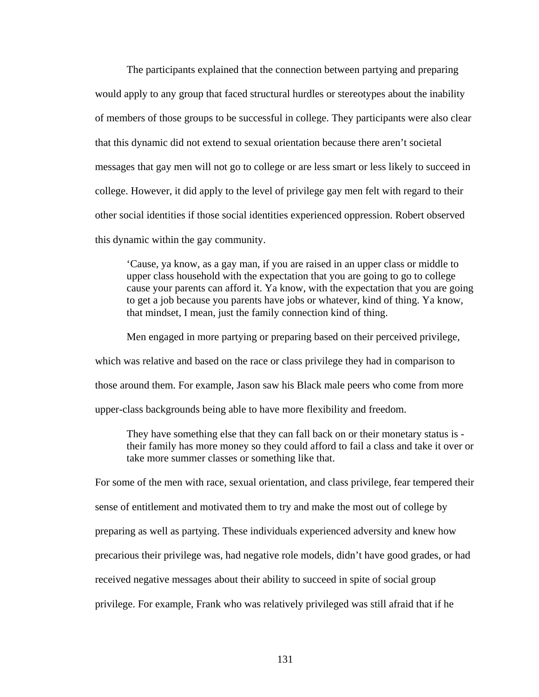The participants explained that the connection between partying and preparing would apply to any group that faced structural hurdles or stereotypes about the inability of members of those groups to be successful in college. They participants were also clear that this dynamic did not extend to sexual orientation because there aren't societal messages that gay men will not go to college or are less smart or less likely to succeed in college. However, it did apply to the level of privilege gay men felt with regard to their other social identities if those social identities experienced oppression. Robert observed this dynamic within the gay community.

'Cause, ya know, as a gay man, if you are raised in an upper class or middle to upper class household with the expectation that you are going to go to college cause your parents can afford it. Ya know, with the expectation that you are going to get a job because you parents have jobs or whatever, kind of thing. Ya know, that mindset, I mean, just the family connection kind of thing.

Men engaged in more partying or preparing based on their perceived privilege,

which was relative and based on the race or class privilege they had in comparison to

those around them. For example, Jason saw his Black male peers who come from more

upper-class backgrounds being able to have more flexibility and freedom.

They have something else that they can fall back on or their monetary status is their family has more money so they could afford to fail a class and take it over or take more summer classes or something like that.

For some of the men with race, sexual orientation, and class privilege, fear tempered their sense of entitlement and motivated them to try and make the most out of college by preparing as well as partying. These individuals experienced adversity and knew how precarious their privilege was, had negative role models, didn't have good grades, or had received negative messages about their ability to succeed in spite of social group privilege. For example, Frank who was relatively privileged was still afraid that if he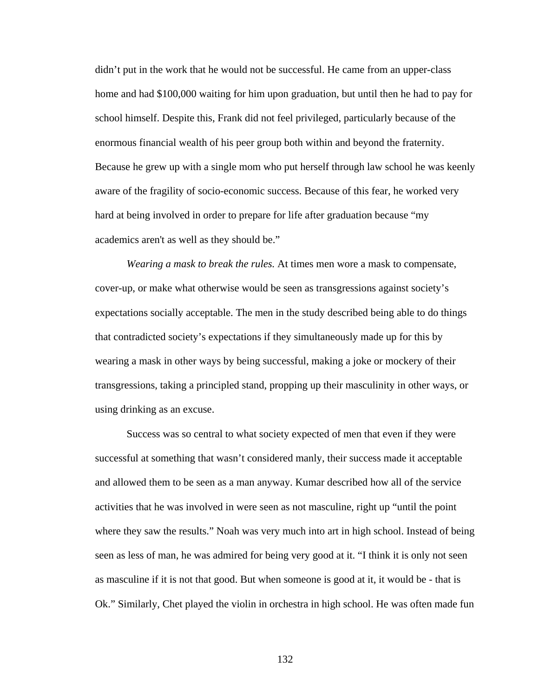didn't put in the work that he would not be successful. He came from an upper-class home and had \$100,000 waiting for him upon graduation, but until then he had to pay for school himself. Despite this, Frank did not feel privileged, particularly because of the enormous financial wealth of his peer group both within and beyond the fraternity. Because he grew up with a single mom who put herself through law school he was keenly aware of the fragility of socio-economic success. Because of this fear, he worked very hard at being involved in order to prepare for life after graduation because "my academics aren't as well as they should be."

*Wearing a mask to break the rules.* At times men wore a mask to compensate, cover-up, or make what otherwise would be seen as transgressions against society's expectations socially acceptable. The men in the study described being able to do things that contradicted society's expectations if they simultaneously made up for this by wearing a mask in other ways by being successful, making a joke or mockery of their transgressions, taking a principled stand, propping up their masculinity in other ways, or using drinking as an excuse.

Success was so central to what society expected of men that even if they were successful at something that wasn't considered manly, their success made it acceptable and allowed them to be seen as a man anyway. Kumar described how all of the service activities that he was involved in were seen as not masculine, right up "until the point where they saw the results." Noah was very much into art in high school. Instead of being seen as less of man, he was admired for being very good at it. "I think it is only not seen as masculine if it is not that good. But when someone is good at it, it would be - that is Ok." Similarly, Chet played the violin in orchestra in high school. He was often made fun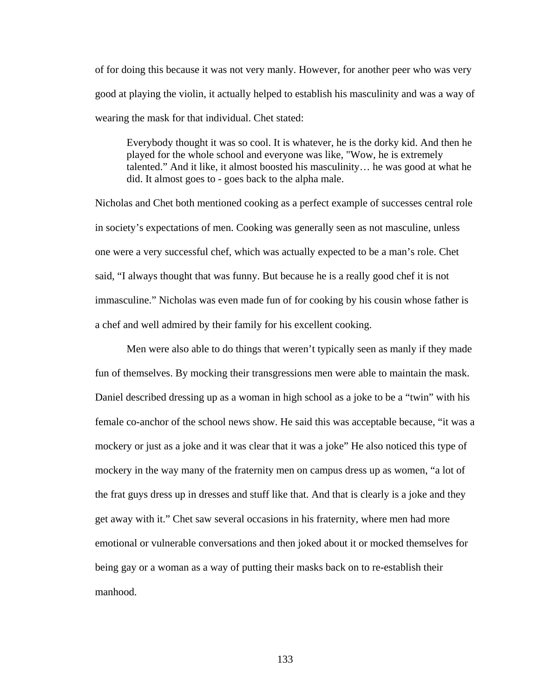of for doing this because it was not very manly. However, for another peer who was very good at playing the violin, it actually helped to establish his masculinity and was a way of wearing the mask for that individual. Chet stated:

Everybody thought it was so cool. It is whatever, he is the dorky kid. And then he played for the whole school and everyone was like, "Wow, he is extremely talented." And it like, it almost boosted his masculinity… he was good at what he did. It almost goes to - goes back to the alpha male.

Nicholas and Chet both mentioned cooking as a perfect example of successes central role in society's expectations of men. Cooking was generally seen as not masculine, unless one were a very successful chef, which was actually expected to be a man's role. Chet said, "I always thought that was funny. But because he is a really good chef it is not immasculine." Nicholas was even made fun of for cooking by his cousin whose father is a chef and well admired by their family for his excellent cooking.

 Men were also able to do things that weren't typically seen as manly if they made fun of themselves. By mocking their transgressions men were able to maintain the mask. Daniel described dressing up as a woman in high school as a joke to be a "twin" with his female co-anchor of the school news show. He said this was acceptable because, "it was a mockery or just as a joke and it was clear that it was a joke" He also noticed this type of mockery in the way many of the fraternity men on campus dress up as women, "a lot of the frat guys dress up in dresses and stuff like that. And that is clearly is a joke and they get away with it." Chet saw several occasions in his fraternity, where men had more emotional or vulnerable conversations and then joked about it or mocked themselves for being gay or a woman as a way of putting their masks back on to re-establish their manhood.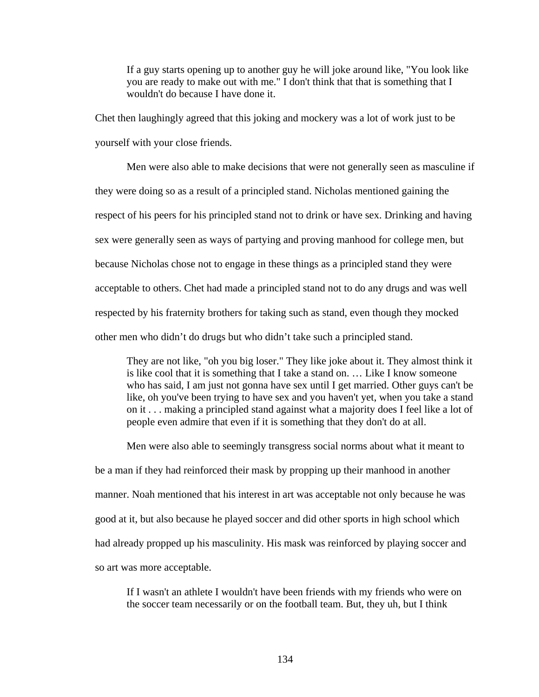If a guy starts opening up to another guy he will joke around like, "You look like you are ready to make out with me." I don't think that that is something that I wouldn't do because I have done it.

Chet then laughingly agreed that this joking and mockery was a lot of work just to be yourself with your close friends.

 Men were also able to make decisions that were not generally seen as masculine if they were doing so as a result of a principled stand. Nicholas mentioned gaining the respect of his peers for his principled stand not to drink or have sex. Drinking and having sex were generally seen as ways of partying and proving manhood for college men, but because Nicholas chose not to engage in these things as a principled stand they were acceptable to others. Chet had made a principled stand not to do any drugs and was well respected by his fraternity brothers for taking such as stand, even though they mocked other men who didn't do drugs but who didn't take such a principled stand.

They are not like, "oh you big loser." They like joke about it. They almost think it is like cool that it is something that I take a stand on. … Like I know someone who has said, I am just not gonna have sex until I get married. Other guys can't be like, oh you've been trying to have sex and you haven't yet, when you take a stand on it . . . making a principled stand against what a majority does I feel like a lot of people even admire that even if it is something that they don't do at all.

Men were also able to seemingly transgress social norms about what it meant to be a man if they had reinforced their mask by propping up their manhood in another manner. Noah mentioned that his interest in art was acceptable not only because he was good at it, but also because he played soccer and did other sports in high school which had already propped up his masculinity. His mask was reinforced by playing soccer and so art was more acceptable.

If I wasn't an athlete I wouldn't have been friends with my friends who were on the soccer team necessarily or on the football team. But, they uh, but I think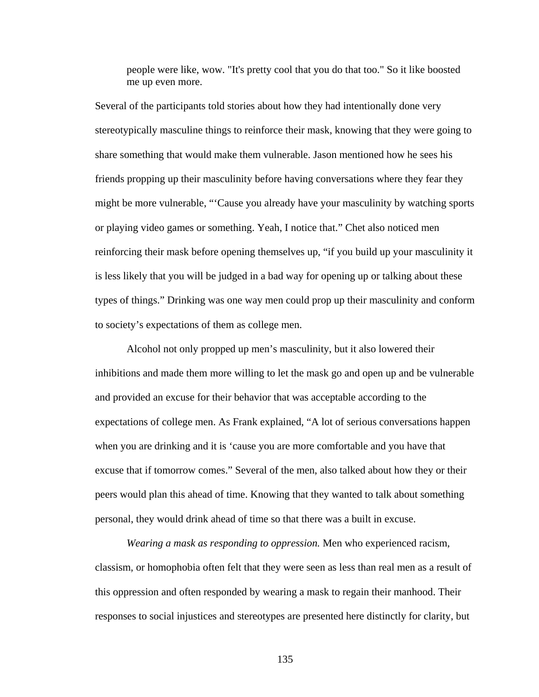people were like, wow. "It's pretty cool that you do that too." So it like boosted me up even more.

Several of the participants told stories about how they had intentionally done very stereotypically masculine things to reinforce their mask, knowing that they were going to share something that would make them vulnerable. Jason mentioned how he sees his friends propping up their masculinity before having conversations where they fear they might be more vulnerable, "'Cause you already have your masculinity by watching sports or playing video games or something. Yeah, I notice that." Chet also noticed men reinforcing their mask before opening themselves up, "if you build up your masculinity it is less likely that you will be judged in a bad way for opening up or talking about these types of things." Drinking was one way men could prop up their masculinity and conform to society's expectations of them as college men.

 Alcohol not only propped up men's masculinity, but it also lowered their inhibitions and made them more willing to let the mask go and open up and be vulnerable and provided an excuse for their behavior that was acceptable according to the expectations of college men. As Frank explained, "A lot of serious conversations happen when you are drinking and it is 'cause you are more comfortable and you have that excuse that if tomorrow comes." Several of the men, also talked about how they or their peers would plan this ahead of time. Knowing that they wanted to talk about something personal, they would drink ahead of time so that there was a built in excuse.

*Wearing a mask as responding to oppression.* Men who experienced racism, classism, or homophobia often felt that they were seen as less than real men as a result of this oppression and often responded by wearing a mask to regain their manhood. Their responses to social injustices and stereotypes are presented here distinctly for clarity, but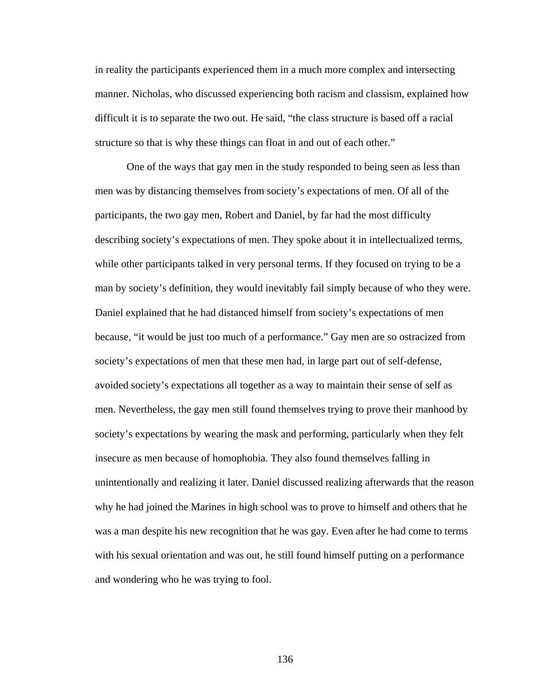in reality the participants experienced them in a much more complex and intersecting manner. Nicholas, who discussed experiencing both racism and classism, explained how difficult it is to separate the two out. He said, "the class structure is based off a racial structure so that is why these things can float in and out of each other."

One of the ways that gay men in the study responded to being seen as less than men was by distancing themselves from society's expectations of men. Of all of the participants, the two gay men, Robert and Daniel, by far had the most difficulty describing society's expectations of men. They spoke about it in intellectualized terms, while other participants talked in very personal terms. If they focused on trying to be a man by society's definition, they would inevitably fail simply because of who they were. Daniel explained that he had distanced himself from society's expectations of men because, "it would be just too much of a performance." Gay men are so ostracized from society's expectations of men that these men had, in large part out of self-defense, avoided society's expectations all together as a way to maintain their sense of self as men. Nevertheless, the gay men still found themselves trying to prove their manhood by society's expectations by wearing the mask and performing, particularly when they felt insecure as men because of homophobia. They also found themselves falling in unintentionally and realizing it later. Daniel discussed realizing afterwards that the reason why he had joined the Marines in high school was to prove to himself and others that he was a man despite his new recognition that he was gay. Even after he had come to terms with his sexual orientation and was out, he still found himself putting on a performance and wondering who he was trying to fool.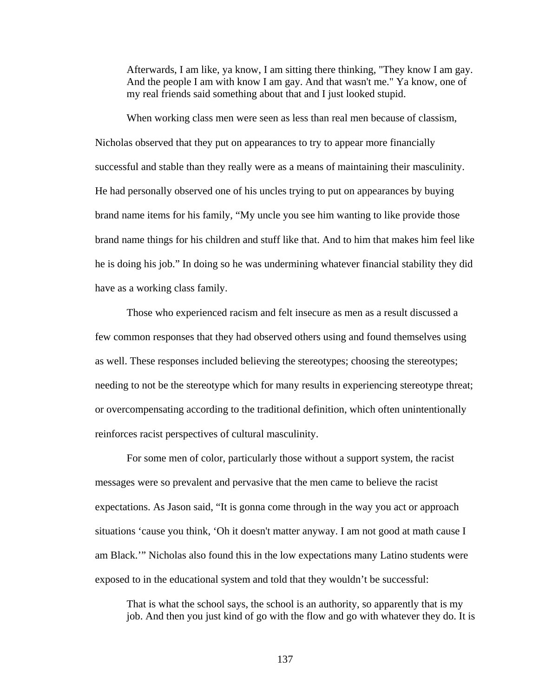Afterwards, I am like, ya know, I am sitting there thinking, "They know I am gay. And the people I am with know I am gay. And that wasn't me." Ya know, one of my real friends said something about that and I just looked stupid.

When working class men were seen as less than real men because of classism, Nicholas observed that they put on appearances to try to appear more financially successful and stable than they really were as a means of maintaining their masculinity. He had personally observed one of his uncles trying to put on appearances by buying brand name items for his family, "My uncle you see him wanting to like provide those brand name things for his children and stuff like that. And to him that makes him feel like he is doing his job." In doing so he was undermining whatever financial stability they did have as a working class family.

Those who experienced racism and felt insecure as men as a result discussed a few common responses that they had observed others using and found themselves using as well. These responses included believing the stereotypes; choosing the stereotypes; needing to not be the stereotype which for many results in experiencing stereotype threat; or overcompensating according to the traditional definition, which often unintentionally reinforces racist perspectives of cultural masculinity.

For some men of color, particularly those without a support system, the racist messages were so prevalent and pervasive that the men came to believe the racist expectations. As Jason said, "It is gonna come through in the way you act or approach situations 'cause you think, 'Oh it doesn't matter anyway. I am not good at math cause I am Black.'" Nicholas also found this in the low expectations many Latino students were exposed to in the educational system and told that they wouldn't be successful:

That is what the school says, the school is an authority, so apparently that is my job. And then you just kind of go with the flow and go with whatever they do. It is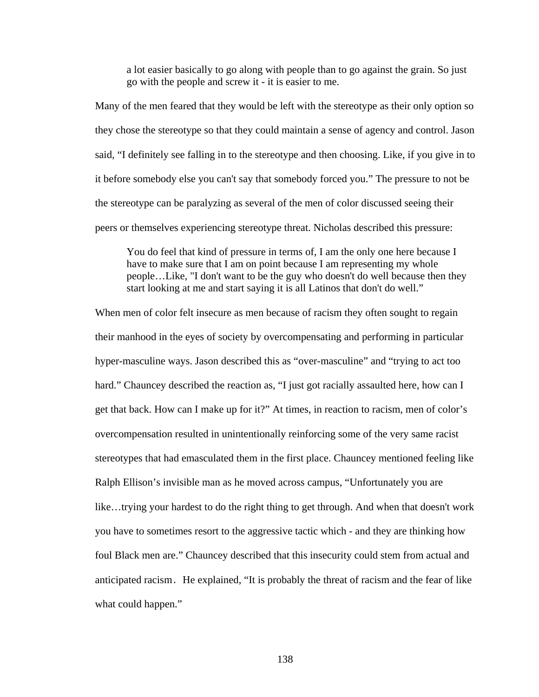a lot easier basically to go along with people than to go against the grain. So just go with the people and screw it - it is easier to me.

Many of the men feared that they would be left with the stereotype as their only option so they chose the stereotype so that they could maintain a sense of agency and control. Jason said, "I definitely see falling in to the stereotype and then choosing. Like, if you give in to it before somebody else you can't say that somebody forced you." The pressure to not be the stereotype can be paralyzing as several of the men of color discussed seeing their peers or themselves experiencing stereotype threat. Nicholas described this pressure:

You do feel that kind of pressure in terms of, I am the only one here because I have to make sure that I am on point because I am representing my whole people…Like, "I don't want to be the guy who doesn't do well because then they start looking at me and start saying it is all Latinos that don't do well."

When men of color felt insecure as men because of racism they often sought to regain their manhood in the eyes of society by overcompensating and performing in particular hyper-masculine ways. Jason described this as "over-masculine" and "trying to act too hard." Chauncey described the reaction as, "I just got racially assaulted here, how can I get that back. How can I make up for it?" At times, in reaction to racism, men of color's overcompensation resulted in unintentionally reinforcing some of the very same racist stereotypes that had emasculated them in the first place. Chauncey mentioned feeling like Ralph Ellison's invisible man as he moved across campus, "Unfortunately you are like…trying your hardest to do the right thing to get through. And when that doesn't work you have to sometimes resort to the aggressive tactic which - and they are thinking how foul Black men are." Chauncey described that this insecurity could stem from actual and anticipated racism. He explained, "It is probably the threat of racism and the fear of like what could happen."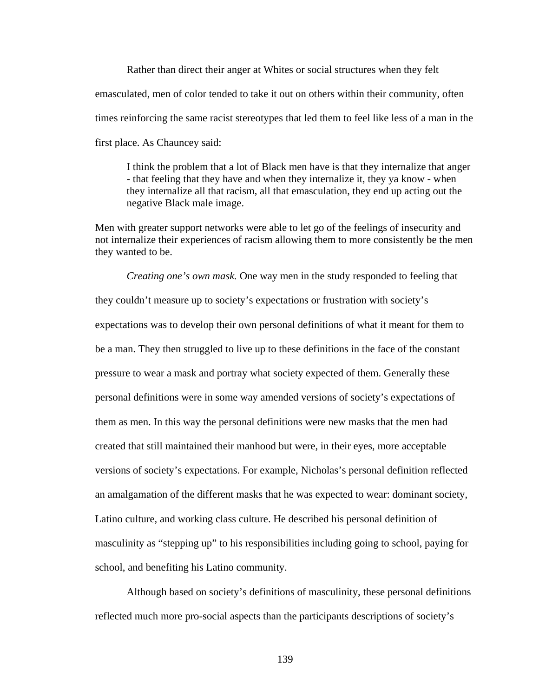Rather than direct their anger at Whites or social structures when they felt emasculated, men of color tended to take it out on others within their community, often times reinforcing the same racist stereotypes that led them to feel like less of a man in the first place. As Chauncey said:

I think the problem that a lot of Black men have is that they internalize that anger - that feeling that they have and when they internalize it, they ya know - when they internalize all that racism, all that emasculation, they end up acting out the negative Black male image.

Men with greater support networks were able to let go of the feelings of insecurity and not internalize their experiences of racism allowing them to more consistently be the men they wanted to be.

*Creating one's own mask.* One way men in the study responded to feeling that they couldn't measure up to society's expectations or frustration with society's expectations was to develop their own personal definitions of what it meant for them to be a man. They then struggled to live up to these definitions in the face of the constant pressure to wear a mask and portray what society expected of them. Generally these personal definitions were in some way amended versions of society's expectations of them as men. In this way the personal definitions were new masks that the men had created that still maintained their manhood but were, in their eyes, more acceptable versions of society's expectations. For example, Nicholas's personal definition reflected an amalgamation of the different masks that he was expected to wear: dominant society, Latino culture, and working class culture. He described his personal definition of masculinity as "stepping up" to his responsibilities including going to school, paying for school, and benefiting his Latino community.

Although based on society's definitions of masculinity, these personal definitions reflected much more pro-social aspects than the participants descriptions of society's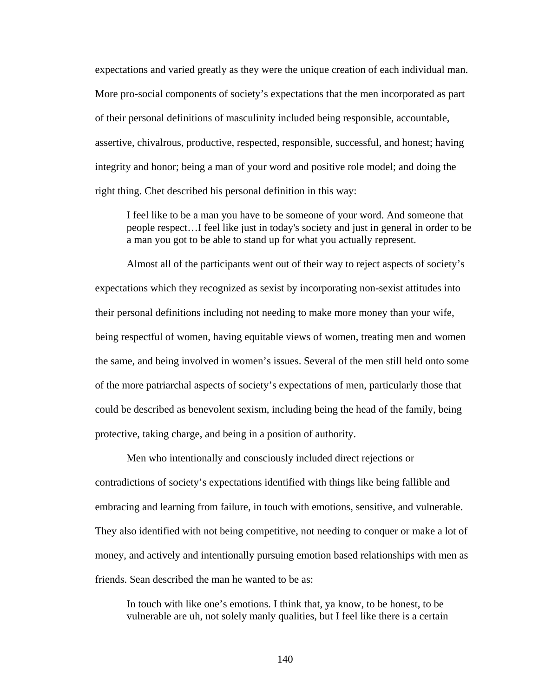expectations and varied greatly as they were the unique creation of each individual man. More pro-social components of society's expectations that the men incorporated as part of their personal definitions of masculinity included being responsible, accountable, assertive, chivalrous, productive, respected, responsible, successful, and honest; having integrity and honor; being a man of your word and positive role model; and doing the right thing. Chet described his personal definition in this way:

I feel like to be a man you have to be someone of your word. And someone that people respect…I feel like just in today's society and just in general in order to be a man you got to be able to stand up for what you actually represent.

Almost all of the participants went out of their way to reject aspects of society's expectations which they recognized as sexist by incorporating non-sexist attitudes into their personal definitions including not needing to make more money than your wife, being respectful of women, having equitable views of women, treating men and women the same, and being involved in women's issues. Several of the men still held onto some of the more patriarchal aspects of society's expectations of men, particularly those that could be described as benevolent sexism, including being the head of the family, being protective, taking charge, and being in a position of authority.

Men who intentionally and consciously included direct rejections or contradictions of society's expectations identified with things like being fallible and embracing and learning from failure, in touch with emotions, sensitive, and vulnerable. They also identified with not being competitive, not needing to conquer or make a lot of money, and actively and intentionally pursuing emotion based relationships with men as friends. Sean described the man he wanted to be as:

In touch with like one's emotions. I think that, ya know, to be honest, to be vulnerable are uh, not solely manly qualities, but I feel like there is a certain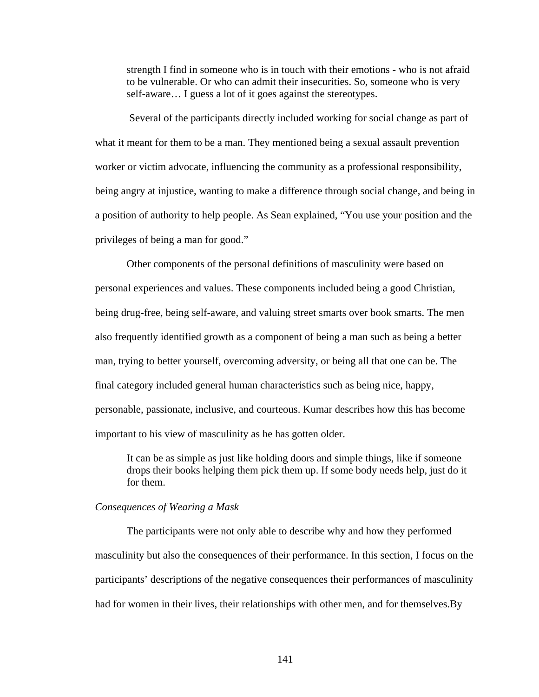strength I find in someone who is in touch with their emotions - who is not afraid to be vulnerable. Or who can admit their insecurities. So, someone who is very self-aware… I guess a lot of it goes against the stereotypes.

 Several of the participants directly included working for social change as part of what it meant for them to be a man. They mentioned being a sexual assault prevention worker or victim advocate, influencing the community as a professional responsibility, being angry at injustice, wanting to make a difference through social change, and being in a position of authority to help people. As Sean explained, "You use your position and the privileges of being a man for good."

Other components of the personal definitions of masculinity were based on personal experiences and values. These components included being a good Christian, being drug-free, being self-aware, and valuing street smarts over book smarts. The men also frequently identified growth as a component of being a man such as being a better man, trying to better yourself, overcoming adversity, or being all that one can be. The final category included general human characteristics such as being nice, happy, personable, passionate, inclusive, and courteous. Kumar describes how this has become important to his view of masculinity as he has gotten older.

It can be as simple as just like holding doors and simple things, like if someone drops their books helping them pick them up. If some body needs help, just do it for them.

#### *Consequences of Wearing a Mask*

 The participants were not only able to describe why and how they performed masculinity but also the consequences of their performance. In this section, I focus on the participants' descriptions of the negative consequences their performances of masculinity had for women in their lives, their relationships with other men, and for themselves.By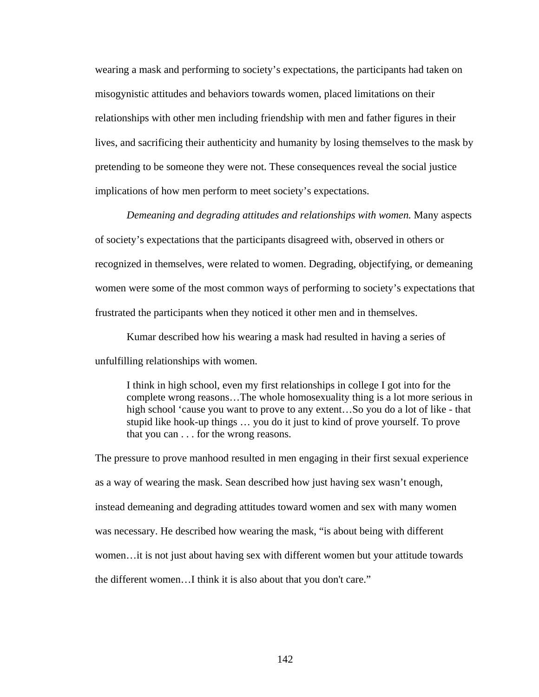wearing a mask and performing to society's expectations, the participants had taken on misogynistic attitudes and behaviors towards women, placed limitations on their relationships with other men including friendship with men and father figures in their lives, and sacrificing their authenticity and humanity by losing themselves to the mask by pretending to be someone they were not. These consequences reveal the social justice implications of how men perform to meet society's expectations.

*Demeaning and degrading attitudes and relationships with women.* Many aspects of society's expectations that the participants disagreed with, observed in others or recognized in themselves, were related to women. Degrading, objectifying, or demeaning women were some of the most common ways of performing to society's expectations that frustrated the participants when they noticed it other men and in themselves.

Kumar described how his wearing a mask had resulted in having a series of unfulfilling relationships with women.

I think in high school, even my first relationships in college I got into for the complete wrong reasons…The whole homosexuality thing is a lot more serious in high school 'cause you want to prove to any extent…So you do a lot of like - that stupid like hook-up things … you do it just to kind of prove yourself. To prove that you can . . . for the wrong reasons.

The pressure to prove manhood resulted in men engaging in their first sexual experience as a way of wearing the mask. Sean described how just having sex wasn't enough, instead demeaning and degrading attitudes toward women and sex with many women was necessary. He described how wearing the mask, "is about being with different women…it is not just about having sex with different women but your attitude towards the different women…I think it is also about that you don't care."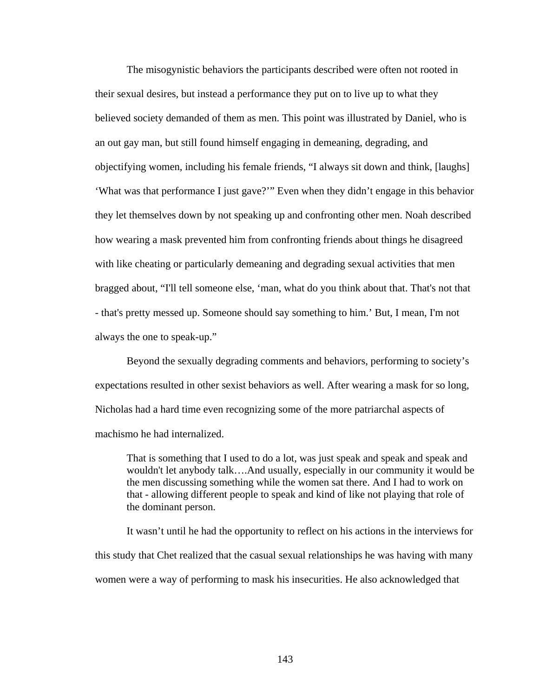The misogynistic behaviors the participants described were often not rooted in their sexual desires, but instead a performance they put on to live up to what they believed society demanded of them as men. This point was illustrated by Daniel, who is an out gay man, but still found himself engaging in demeaning, degrading, and objectifying women, including his female friends, "I always sit down and think, [laughs] 'What was that performance I just gave?'" Even when they didn't engage in this behavior they let themselves down by not speaking up and confronting other men. Noah described how wearing a mask prevented him from confronting friends about things he disagreed with like cheating or particularly demeaning and degrading sexual activities that men bragged about, "I'll tell someone else, 'man, what do you think about that. That's not that - that's pretty messed up. Someone should say something to him.' But, I mean, I'm not always the one to speak-up."

Beyond the sexually degrading comments and behaviors, performing to society's expectations resulted in other sexist behaviors as well. After wearing a mask for so long, Nicholas had a hard time even recognizing some of the more patriarchal aspects of machismo he had internalized.

That is something that I used to do a lot, was just speak and speak and speak and wouldn't let anybody talk….And usually, especially in our community it would be the men discussing something while the women sat there. And I had to work on that - allowing different people to speak and kind of like not playing that role of the dominant person.

It wasn't until he had the opportunity to reflect on his actions in the interviews for this study that Chet realized that the casual sexual relationships he was having with many women were a way of performing to mask his insecurities. He also acknowledged that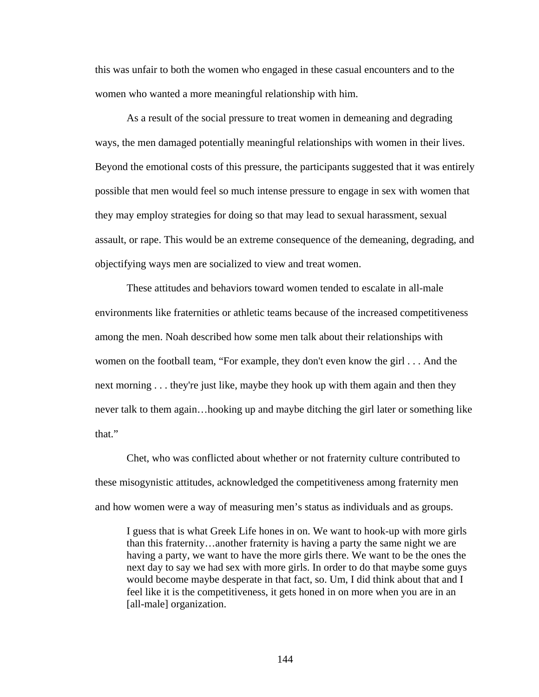this was unfair to both the women who engaged in these casual encounters and to the women who wanted a more meaningful relationship with him.

As a result of the social pressure to treat women in demeaning and degrading ways, the men damaged potentially meaningful relationships with women in their lives. Beyond the emotional costs of this pressure, the participants suggested that it was entirely possible that men would feel so much intense pressure to engage in sex with women that they may employ strategies for doing so that may lead to sexual harassment, sexual assault, or rape. This would be an extreme consequence of the demeaning, degrading, and objectifying ways men are socialized to view and treat women.

These attitudes and behaviors toward women tended to escalate in all-male environments like fraternities or athletic teams because of the increased competitiveness among the men. Noah described how some men talk about their relationships with women on the football team, "For example, they don't even know the girl . . . And the next morning . . . they're just like, maybe they hook up with them again and then they never talk to them again…hooking up and maybe ditching the girl later or something like that."

Chet, who was conflicted about whether or not fraternity culture contributed to these misogynistic attitudes, acknowledged the competitiveness among fraternity men and how women were a way of measuring men's status as individuals and as groups.

I guess that is what Greek Life hones in on. We want to hook-up with more girls than this fraternity…another fraternity is having a party the same night we are having a party, we want to have the more girls there. We want to be the ones the next day to say we had sex with more girls. In order to do that maybe some guys would become maybe desperate in that fact, so. Um, I did think about that and I feel like it is the competitiveness, it gets honed in on more when you are in an [all-male] organization.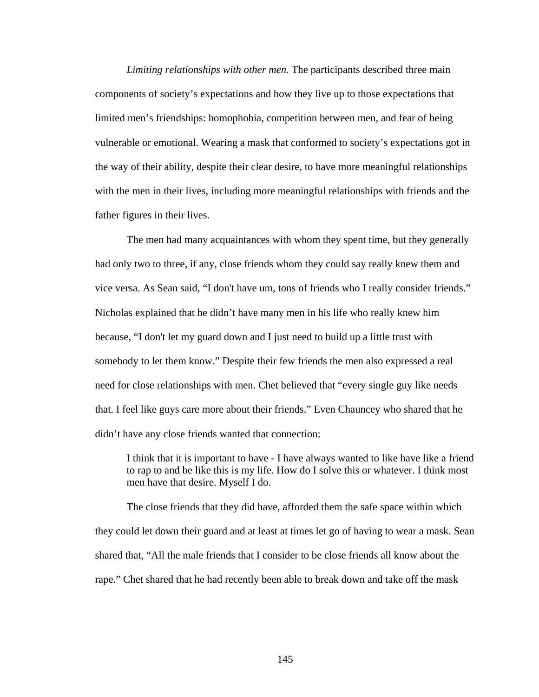*Limiting relationships with other men.* The participants described three main components of society's expectations and how they live up to those expectations that limited men's friendships: homophobia, competition between men, and fear of being vulnerable or emotional. Wearing a mask that conformed to society's expectations got in the way of their ability, despite their clear desire, to have more meaningful relationships with the men in their lives, including more meaningful relationships with friends and the father figures in their lives.

The men had many acquaintances with whom they spent time, but they generally had only two to three, if any, close friends whom they could say really knew them and vice versa. As Sean said, "I don't have um, tons of friends who I really consider friends." Nicholas explained that he didn't have many men in his life who really knew him because, "I don't let my guard down and I just need to build up a little trust with somebody to let them know." Despite their few friends the men also expressed a real need for close relationships with men. Chet believed that "every single guy like needs that. I feel like guys care more about their friends." Even Chauncey who shared that he didn't have any close friends wanted that connection:

I think that it is important to have - I have always wanted to like have like a friend to rap to and be like this is my life. How do I solve this or whatever. I think most men have that desire. Myself I do.

The close friends that they did have, afforded them the safe space within which they could let down their guard and at least at times let go of having to wear a mask. Sean shared that, "All the male friends that I consider to be close friends all know about the rape." Chet shared that he had recently been able to break down and take off the mask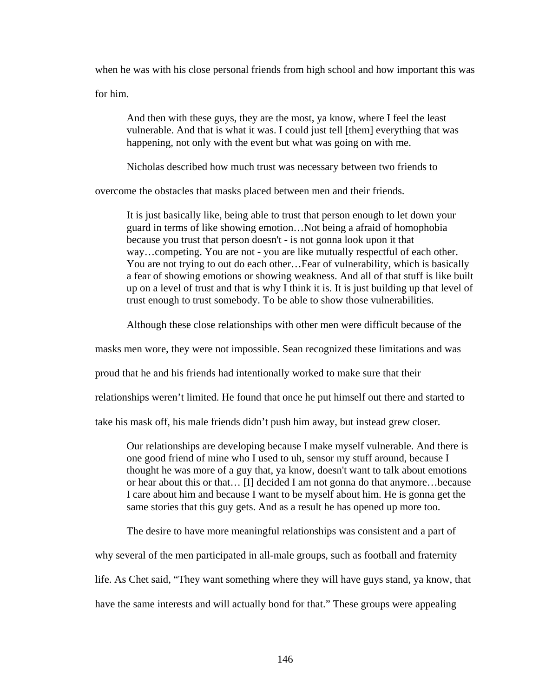when he was with his close personal friends from high school and how important this was

for him.

And then with these guys, they are the most, ya know, where I feel the least vulnerable. And that is what it was. I could just tell [them] everything that was happening, not only with the event but what was going on with me.

Nicholas described how much trust was necessary between two friends to

overcome the obstacles that masks placed between men and their friends.

It is just basically like, being able to trust that person enough to let down your guard in terms of like showing emotion…Not being a afraid of homophobia because you trust that person doesn't - is not gonna look upon it that way…competing. You are not - you are like mutually respectful of each other. You are not trying to out do each other…Fear of vulnerability, which is basically a fear of showing emotions or showing weakness. And all of that stuff is like built up on a level of trust and that is why I think it is. It is just building up that level of trust enough to trust somebody. To be able to show those vulnerabilities.

Although these close relationships with other men were difficult because of the

masks men wore, they were not impossible. Sean recognized these limitations and was

proud that he and his friends had intentionally worked to make sure that their

relationships weren't limited. He found that once he put himself out there and started to

take his mask off, his male friends didn't push him away, but instead grew closer.

Our relationships are developing because I make myself vulnerable. And there is one good friend of mine who I used to uh, sensor my stuff around, because I thought he was more of a guy that, ya know, doesn't want to talk about emotions or hear about this or that… [I] decided I am not gonna do that anymore…because I care about him and because I want to be myself about him. He is gonna get the same stories that this guy gets. And as a result he has opened up more too.

The desire to have more meaningful relationships was consistent and a part of

why several of the men participated in all-male groups, such as football and fraternity

life. As Chet said, "They want something where they will have guys stand, ya know, that

have the same interests and will actually bond for that." These groups were appealing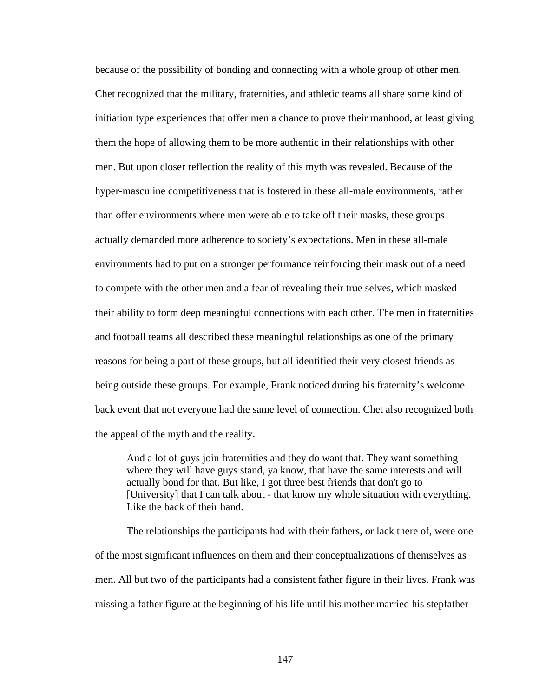because of the possibility of bonding and connecting with a whole group of other men. Chet recognized that the military, fraternities, and athletic teams all share some kind of initiation type experiences that offer men a chance to prove their manhood, at least giving them the hope of allowing them to be more authentic in their relationships with other men. But upon closer reflection the reality of this myth was revealed. Because of the hyper-masculine competitiveness that is fostered in these all-male environments, rather than offer environments where men were able to take off their masks, these groups actually demanded more adherence to society's expectations. Men in these all-male environments had to put on a stronger performance reinforcing their mask out of a need to compete with the other men and a fear of revealing their true selves, which masked their ability to form deep meaningful connections with each other. The men in fraternities and football teams all described these meaningful relationships as one of the primary reasons for being a part of these groups, but all identified their very closest friends as being outside these groups. For example, Frank noticed during his fraternity's welcome back event that not everyone had the same level of connection. Chet also recognized both the appeal of the myth and the reality.

And a lot of guys join fraternities and they do want that. They want something where they will have guys stand, ya know, that have the same interests and will actually bond for that. But like, I got three best friends that don't go to [University] that I can talk about - that know my whole situation with everything. Like the back of their hand.

The relationships the participants had with their fathers, or lack there of, were one of the most significant influences on them and their conceptualizations of themselves as men. All but two of the participants had a consistent father figure in their lives. Frank was missing a father figure at the beginning of his life until his mother married his stepfather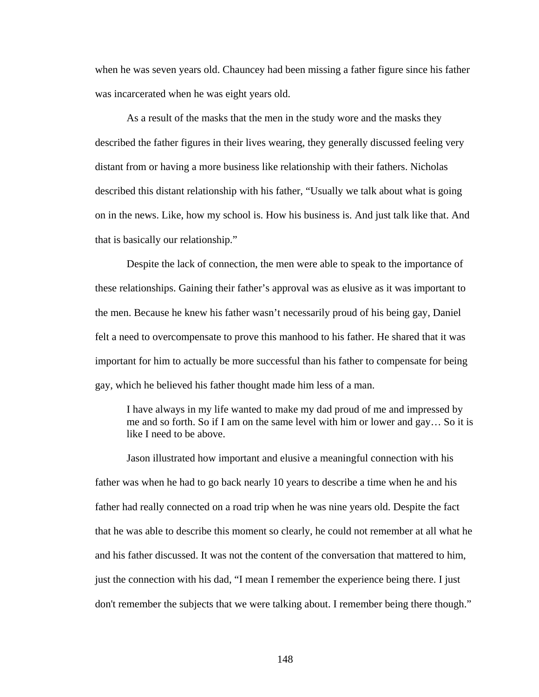when he was seven years old. Chauncey had been missing a father figure since his father was incarcerated when he was eight years old.

As a result of the masks that the men in the study wore and the masks they described the father figures in their lives wearing, they generally discussed feeling very distant from or having a more business like relationship with their fathers. Nicholas described this distant relationship with his father, "Usually we talk about what is going on in the news. Like, how my school is. How his business is. And just talk like that. And that is basically our relationship."

 Despite the lack of connection, the men were able to speak to the importance of these relationships. Gaining their father's approval was as elusive as it was important to the men. Because he knew his father wasn't necessarily proud of his being gay, Daniel felt a need to overcompensate to prove this manhood to his father. He shared that it was important for him to actually be more successful than his father to compensate for being gay, which he believed his father thought made him less of a man.

I have always in my life wanted to make my dad proud of me and impressed by me and so forth. So if I am on the same level with him or lower and gay… So it is like I need to be above.

Jason illustrated how important and elusive a meaningful connection with his father was when he had to go back nearly 10 years to describe a time when he and his father had really connected on a road trip when he was nine years old. Despite the fact that he was able to describe this moment so clearly, he could not remember at all what he and his father discussed. It was not the content of the conversation that mattered to him, just the connection with his dad, "I mean I remember the experience being there. I just don't remember the subjects that we were talking about. I remember being there though."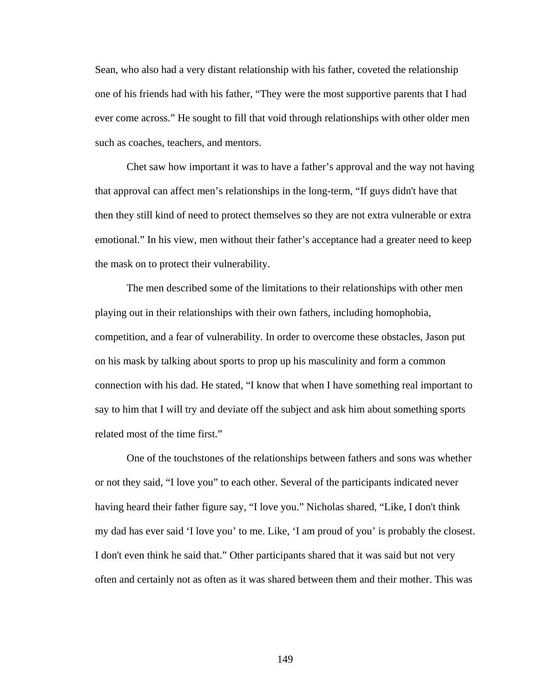Sean, who also had a very distant relationship with his father, coveted the relationship one of his friends had with his father, "They were the most supportive parents that I had ever come across." He sought to fill that void through relationships with other older men such as coaches, teachers, and mentors.

Chet saw how important it was to have a father's approval and the way not having that approval can affect men's relationships in the long-term, "If guys didn't have that then they still kind of need to protect themselves so they are not extra vulnerable or extra emotional." In his view, men without their father's acceptance had a greater need to keep the mask on to protect their vulnerability.

The men described some of the limitations to their relationships with other men playing out in their relationships with their own fathers, including homophobia, competition, and a fear of vulnerability. In order to overcome these obstacles, Jason put on his mask by talking about sports to prop up his masculinity and form a common connection with his dad. He stated, "I know that when I have something real important to say to him that I will try and deviate off the subject and ask him about something sports related most of the time first."

One of the touchstones of the relationships between fathers and sons was whether or not they said, "I love you" to each other. Several of the participants indicated never having heard their father figure say, "I love you." Nicholas shared, "Like, I don't think my dad has ever said 'I love you' to me. Like, 'I am proud of you' is probably the closest. I don't even think he said that." Other participants shared that it was said but not very often and certainly not as often as it was shared between them and their mother. This was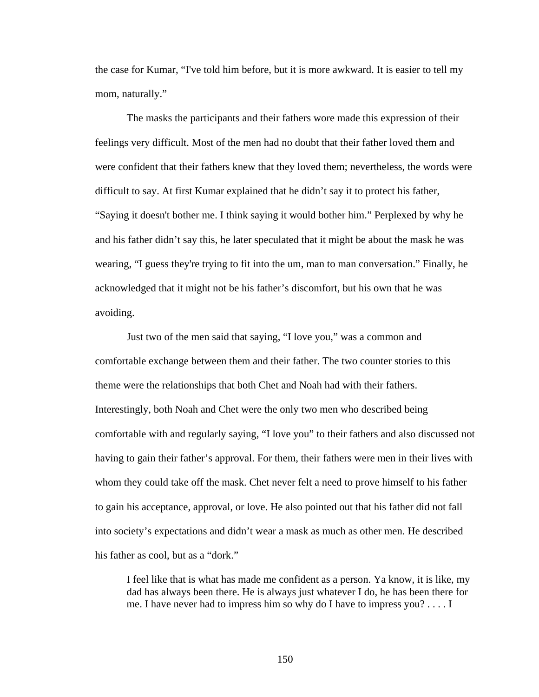the case for Kumar, "I've told him before, but it is more awkward. It is easier to tell my mom, naturally."

The masks the participants and their fathers wore made this expression of their feelings very difficult. Most of the men had no doubt that their father loved them and were confident that their fathers knew that they loved them; nevertheless, the words were difficult to say. At first Kumar explained that he didn't say it to protect his father, "Saying it doesn't bother me. I think saying it would bother him." Perplexed by why he and his father didn't say this, he later speculated that it might be about the mask he was wearing, "I guess they're trying to fit into the um, man to man conversation." Finally, he acknowledged that it might not be his father's discomfort, but his own that he was avoiding.

Just two of the men said that saying, "I love you," was a common and comfortable exchange between them and their father. The two counter stories to this theme were the relationships that both Chet and Noah had with their fathers. Interestingly, both Noah and Chet were the only two men who described being comfortable with and regularly saying, "I love you" to their fathers and also discussed not having to gain their father's approval. For them, their fathers were men in their lives with whom they could take off the mask. Chet never felt a need to prove himself to his father to gain his acceptance, approval, or love. He also pointed out that his father did not fall into society's expectations and didn't wear a mask as much as other men. He described his father as cool, but as a "dork."

I feel like that is what has made me confident as a person. Ya know, it is like, my dad has always been there. He is always just whatever I do, he has been there for me. I have never had to impress him so why do I have to impress you? . . . . I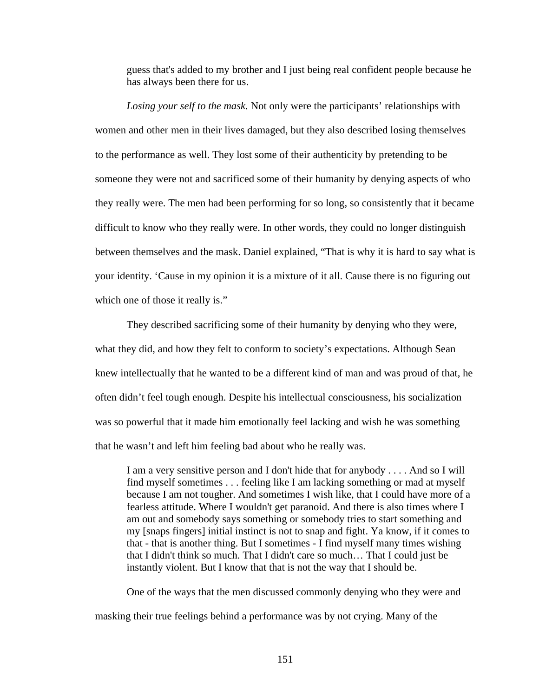guess that's added to my brother and I just being real confident people because he has always been there for us.

*Losing your self to the mask.* Not only were the participants' relationships with women and other men in their lives damaged, but they also described losing themselves to the performance as well. They lost some of their authenticity by pretending to be someone they were not and sacrificed some of their humanity by denying aspects of who they really were. The men had been performing for so long, so consistently that it became difficult to know who they really were. In other words, they could no longer distinguish between themselves and the mask. Daniel explained, "That is why it is hard to say what is your identity. 'Cause in my opinion it is a mixture of it all. Cause there is no figuring out which one of those it really is."

They described sacrificing some of their humanity by denying who they were, what they did, and how they felt to conform to society's expectations. Although Sean knew intellectually that he wanted to be a different kind of man and was proud of that, he often didn't feel tough enough. Despite his intellectual consciousness, his socialization was so powerful that it made him emotionally feel lacking and wish he was something that he wasn't and left him feeling bad about who he really was.

I am a very sensitive person and I don't hide that for anybody . . . . And so I will find myself sometimes . . . feeling like I am lacking something or mad at myself because I am not tougher. And sometimes I wish like, that I could have more of a fearless attitude. Where I wouldn't get paranoid. And there is also times where I am out and somebody says something or somebody tries to start something and my [snaps fingers] initial instinct is not to snap and fight. Ya know, if it comes to that - that is another thing. But I sometimes - I find myself many times wishing that I didn't think so much. That I didn't care so much… That I could just be instantly violent. But I know that that is not the way that I should be.

One of the ways that the men discussed commonly denying who they were and masking their true feelings behind a performance was by not crying. Many of the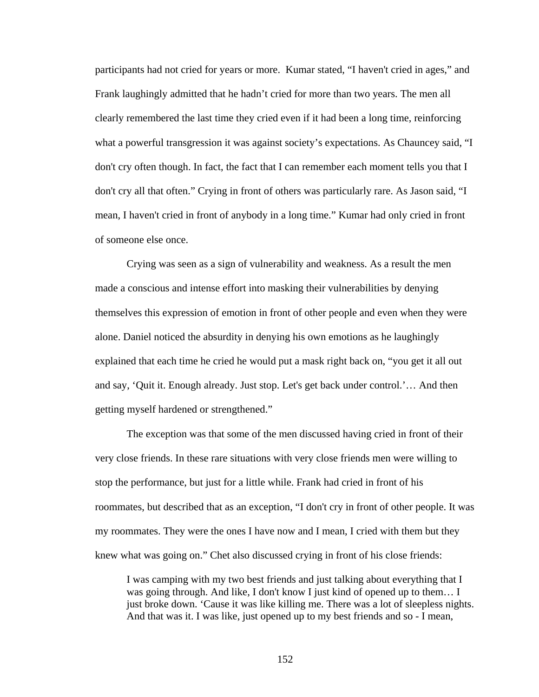participants had not cried for years or more. Kumar stated, "I haven't cried in ages," and Frank laughingly admitted that he hadn't cried for more than two years. The men all clearly remembered the last time they cried even if it had been a long time, reinforcing what a powerful transgression it was against society's expectations. As Chauncey said, "I don't cry often though. In fact, the fact that I can remember each moment tells you that I don't cry all that often." Crying in front of others was particularly rare. As Jason said, "I mean, I haven't cried in front of anybody in a long time." Kumar had only cried in front of someone else once.

Crying was seen as a sign of vulnerability and weakness. As a result the men made a conscious and intense effort into masking their vulnerabilities by denying themselves this expression of emotion in front of other people and even when they were alone. Daniel noticed the absurdity in denying his own emotions as he laughingly explained that each time he cried he would put a mask right back on, "you get it all out and say, 'Quit it. Enough already. Just stop. Let's get back under control.'… And then getting myself hardened or strengthened."

The exception was that some of the men discussed having cried in front of their very close friends. In these rare situations with very close friends men were willing to stop the performance, but just for a little while. Frank had cried in front of his roommates, but described that as an exception, "I don't cry in front of other people. It was my roommates. They were the ones I have now and I mean, I cried with them but they knew what was going on." Chet also discussed crying in front of his close friends:

I was camping with my two best friends and just talking about everything that I was going through. And like, I don't know I just kind of opened up to them… I just broke down. 'Cause it was like killing me. There was a lot of sleepless nights. And that was it. I was like, just opened up to my best friends and so - I mean,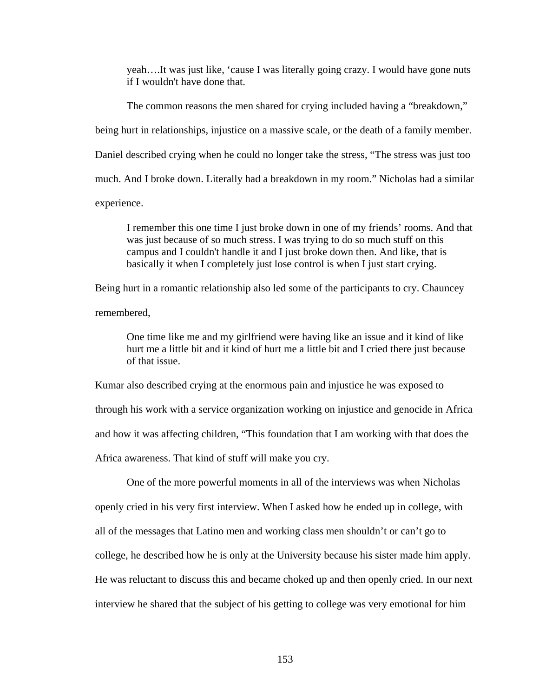yeah….It was just like, 'cause I was literally going crazy. I would have gone nuts if I wouldn't have done that.

The common reasons the men shared for crying included having a "breakdown," being hurt in relationships, injustice on a massive scale, or the death of a family member. Daniel described crying when he could no longer take the stress, "The stress was just too much. And I broke down. Literally had a breakdown in my room." Nicholas had a similar experience.

I remember this one time I just broke down in one of my friends' rooms. And that was just because of so much stress. I was trying to do so much stuff on this campus and I couldn't handle it and I just broke down then. And like, that is basically it when I completely just lose control is when I just start crying.

Being hurt in a romantic relationship also led some of the participants to cry. Chauncey remembered,

One time like me and my girlfriend were having like an issue and it kind of like hurt me a little bit and it kind of hurt me a little bit and I cried there just because of that issue.

Kumar also described crying at the enormous pain and injustice he was exposed to through his work with a service organization working on injustice and genocide in Africa and how it was affecting children, "This foundation that I am working with that does the Africa awareness. That kind of stuff will make you cry.

One of the more powerful moments in all of the interviews was when Nicholas openly cried in his very first interview. When I asked how he ended up in college, with all of the messages that Latino men and working class men shouldn't or can't go to college, he described how he is only at the University because his sister made him apply. He was reluctant to discuss this and became choked up and then openly cried. In our next interview he shared that the subject of his getting to college was very emotional for him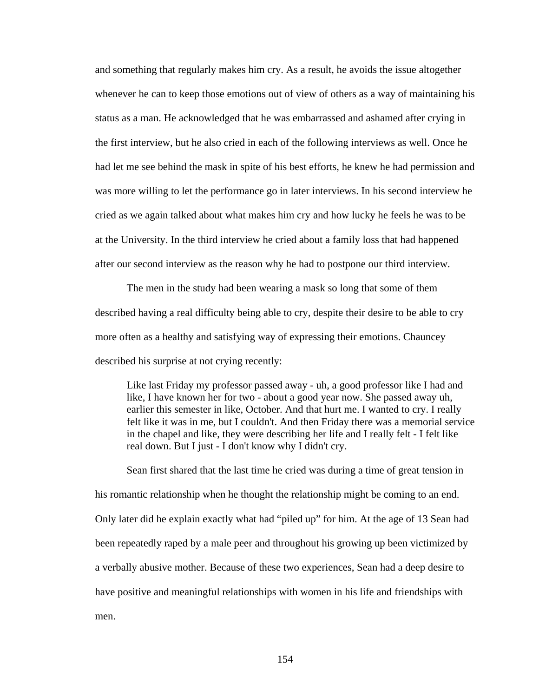and something that regularly makes him cry. As a result, he avoids the issue altogether whenever he can to keep those emotions out of view of others as a way of maintaining his status as a man. He acknowledged that he was embarrassed and ashamed after crying in the first interview, but he also cried in each of the following interviews as well. Once he had let me see behind the mask in spite of his best efforts, he knew he had permission and was more willing to let the performance go in later interviews. In his second interview he cried as we again talked about what makes him cry and how lucky he feels he was to be at the University. In the third interview he cried about a family loss that had happened after our second interview as the reason why he had to postpone our third interview.

The men in the study had been wearing a mask so long that some of them described having a real difficulty being able to cry, despite their desire to be able to cry more often as a healthy and satisfying way of expressing their emotions. Chauncey described his surprise at not crying recently:

Like last Friday my professor passed away - uh, a good professor like I had and like, I have known her for two - about a good year now. She passed away uh, earlier this semester in like, October. And that hurt me. I wanted to cry. I really felt like it was in me, but I couldn't. And then Friday there was a memorial service in the chapel and like, they were describing her life and I really felt - I felt like real down. But I just - I don't know why I didn't cry.

Sean first shared that the last time he cried was during a time of great tension in his romantic relationship when he thought the relationship might be coming to an end. Only later did he explain exactly what had "piled up" for him. At the age of 13 Sean had been repeatedly raped by a male peer and throughout his growing up been victimized by a verbally abusive mother. Because of these two experiences, Sean had a deep desire to have positive and meaningful relationships with women in his life and friendships with men.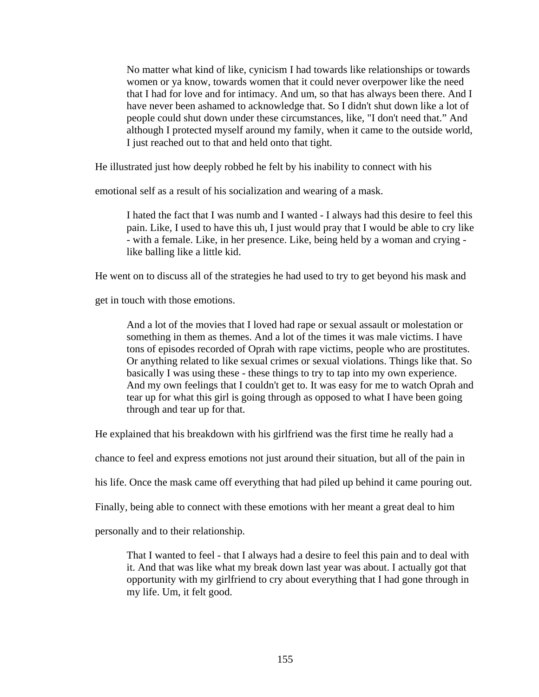No matter what kind of like, cynicism I had towards like relationships or towards women or ya know, towards women that it could never overpower like the need that I had for love and for intimacy. And um, so that has always been there. And I have never been ashamed to acknowledge that. So I didn't shut down like a lot of people could shut down under these circumstances, like, "I don't need that." And although I protected myself around my family, when it came to the outside world, I just reached out to that and held onto that tight.

He illustrated just how deeply robbed he felt by his inability to connect with his

emotional self as a result of his socialization and wearing of a mask.

I hated the fact that I was numb and I wanted - I always had this desire to feel this pain. Like, I used to have this uh, I just would pray that I would be able to cry like - with a female. Like, in her presence. Like, being held by a woman and crying like balling like a little kid.

He went on to discuss all of the strategies he had used to try to get beyond his mask and

get in touch with those emotions.

And a lot of the movies that I loved had rape or sexual assault or molestation or something in them as themes. And a lot of the times it was male victims. I have tons of episodes recorded of Oprah with rape victims, people who are prostitutes. Or anything related to like sexual crimes or sexual violations. Things like that. So basically I was using these - these things to try to tap into my own experience. And my own feelings that I couldn't get to. It was easy for me to watch Oprah and tear up for what this girl is going through as opposed to what I have been going through and tear up for that.

He explained that his breakdown with his girlfriend was the first time he really had a

chance to feel and express emotions not just around their situation, but all of the pain in

his life. Once the mask came off everything that had piled up behind it came pouring out.

Finally, being able to connect with these emotions with her meant a great deal to him

personally and to their relationship.

That I wanted to feel - that I always had a desire to feel this pain and to deal with it. And that was like what my break down last year was about. I actually got that opportunity with my girlfriend to cry about everything that I had gone through in my life. Um, it felt good.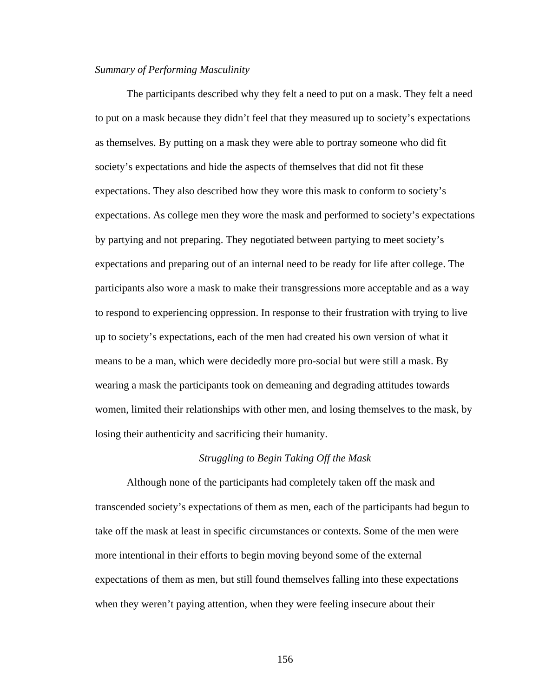### *Summary of Performing Masculinity*

 The participants described why they felt a need to put on a mask. They felt a need to put on a mask because they didn't feel that they measured up to society's expectations as themselves. By putting on a mask they were able to portray someone who did fit society's expectations and hide the aspects of themselves that did not fit these expectations. They also described how they wore this mask to conform to society's expectations. As college men they wore the mask and performed to society's expectations by partying and not preparing. They negotiated between partying to meet society's expectations and preparing out of an internal need to be ready for life after college. The participants also wore a mask to make their transgressions more acceptable and as a way to respond to experiencing oppression. In response to their frustration with trying to live up to society's expectations, each of the men had created his own version of what it means to be a man, which were decidedly more pro-social but were still a mask. By wearing a mask the participants took on demeaning and degrading attitudes towards women, limited their relationships with other men, and losing themselves to the mask, by losing their authenticity and sacrificing their humanity.

#### *Struggling to Begin Taking Off the Mask*

Although none of the participants had completely taken off the mask and transcended society's expectations of them as men, each of the participants had begun to take off the mask at least in specific circumstances or contexts. Some of the men were more intentional in their efforts to begin moving beyond some of the external expectations of them as men, but still found themselves falling into these expectations when they weren't paying attention, when they were feeling insecure about their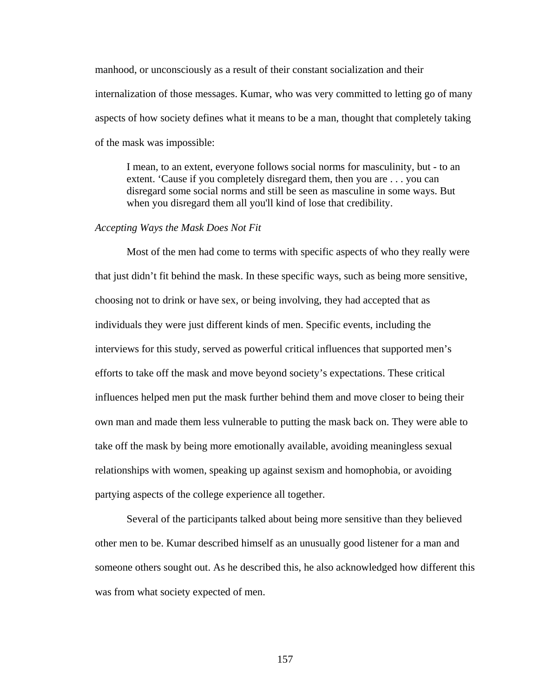manhood, or unconsciously as a result of their constant socialization and their internalization of those messages. Kumar, who was very committed to letting go of many aspects of how society defines what it means to be a man, thought that completely taking of the mask was impossible:

I mean, to an extent, everyone follows social norms for masculinity, but - to an extent. 'Cause if you completely disregard them, then you are . . . you can disregard some social norms and still be seen as masculine in some ways. But when you disregard them all you'll kind of lose that credibility.

## *Accepting Ways the Mask Does Not Fit*

Most of the men had come to terms with specific aspects of who they really were that just didn't fit behind the mask. In these specific ways, such as being more sensitive, choosing not to drink or have sex, or being involving, they had accepted that as individuals they were just different kinds of men. Specific events, including the interviews for this study, served as powerful critical influences that supported men's efforts to take off the mask and move beyond society's expectations. These critical influences helped men put the mask further behind them and move closer to being their own man and made them less vulnerable to putting the mask back on. They were able to take off the mask by being more emotionally available, avoiding meaningless sexual relationships with women, speaking up against sexism and homophobia, or avoiding partying aspects of the college experience all together.

Several of the participants talked about being more sensitive than they believed other men to be. Kumar described himself as an unusually good listener for a man and someone others sought out. As he described this, he also acknowledged how different this was from what society expected of men.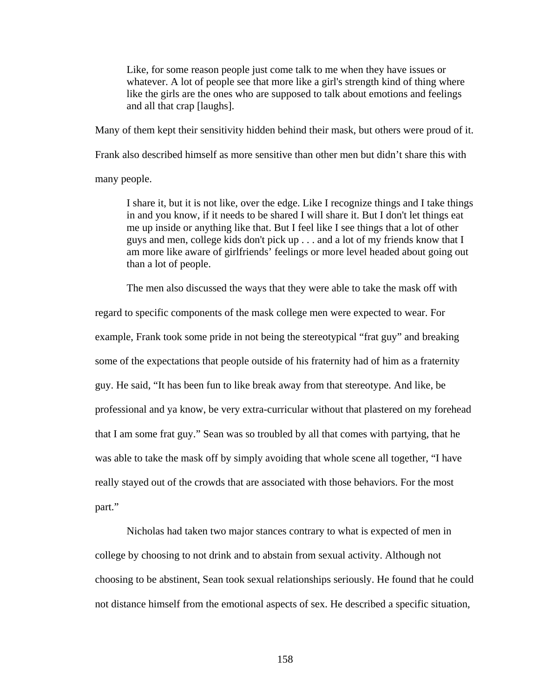Like, for some reason people just come talk to me when they have issues or whatever. A lot of people see that more like a girl's strength kind of thing where like the girls are the ones who are supposed to talk about emotions and feelings and all that crap [laughs].

Many of them kept their sensitivity hidden behind their mask, but others were proud of it.

Frank also described himself as more sensitive than other men but didn't share this with

many people.

I share it, but it is not like, over the edge. Like I recognize things and I take things in and you know, if it needs to be shared I will share it. But I don't let things eat me up inside or anything like that. But I feel like I see things that a lot of other guys and men, college kids don't pick up . . . and a lot of my friends know that I am more like aware of girlfriends' feelings or more level headed about going out than a lot of people.

The men also discussed the ways that they were able to take the mask off with

regard to specific components of the mask college men were expected to wear. For example, Frank took some pride in not being the stereotypical "frat guy" and breaking some of the expectations that people outside of his fraternity had of him as a fraternity guy. He said, "It has been fun to like break away from that stereotype. And like, be professional and ya know, be very extra-curricular without that plastered on my forehead that I am some frat guy." Sean was so troubled by all that comes with partying, that he was able to take the mask off by simply avoiding that whole scene all together, "I have really stayed out of the crowds that are associated with those behaviors. For the most part."

Nicholas had taken two major stances contrary to what is expected of men in college by choosing to not drink and to abstain from sexual activity. Although not choosing to be abstinent, Sean took sexual relationships seriously. He found that he could not distance himself from the emotional aspects of sex. He described a specific situation,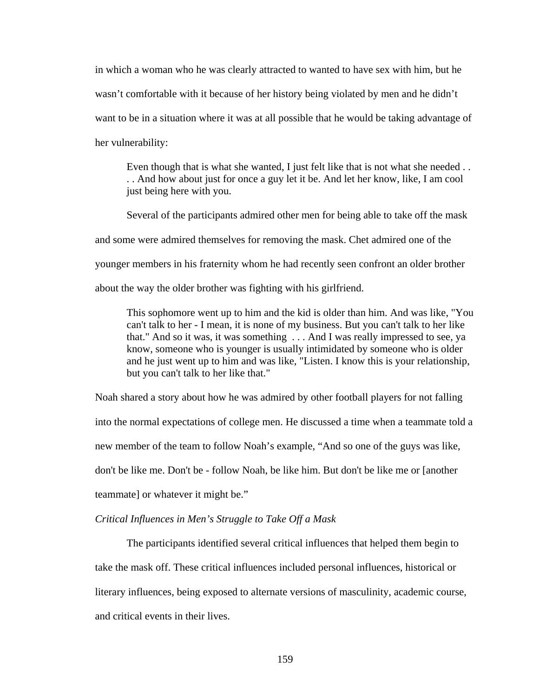in which a woman who he was clearly attracted to wanted to have sex with him, but he wasn't comfortable with it because of her history being violated by men and he didn't want to be in a situation where it was at all possible that he would be taking advantage of her vulnerability:

Even though that is what she wanted, I just felt like that is not what she needed . . . . And how about just for once a guy let it be. And let her know, like, I am cool just being here with you.

Several of the participants admired other men for being able to take off the mask and some were admired themselves for removing the mask. Chet admired one of the younger members in his fraternity whom he had recently seen confront an older brother about the way the older brother was fighting with his girlfriend.

This sophomore went up to him and the kid is older than him. And was like, "You can't talk to her - I mean, it is none of my business. But you can't talk to her like that." And so it was, it was something . . . And I was really impressed to see, ya know, someone who is younger is usually intimidated by someone who is older and he just went up to him and was like, "Listen. I know this is your relationship, but you can't talk to her like that."

Noah shared a story about how he was admired by other football players for not falling into the normal expectations of college men. He discussed a time when a teammate told a new member of the team to follow Noah's example, "And so one of the guys was like, don't be like me. Don't be - follow Noah, be like him. But don't be like me or [another teammate] or whatever it might be."

# *Critical Influences in Men's Struggle to Take Off a Mask*

The participants identified several critical influences that helped them begin to take the mask off. These critical influences included personal influences, historical or literary influences, being exposed to alternate versions of masculinity, academic course, and critical events in their lives.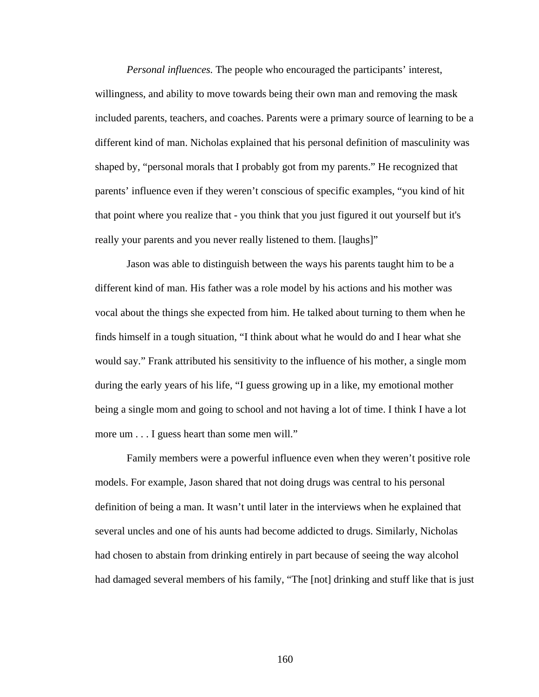*Personal influences.* The people who encouraged the participants' interest, willingness, and ability to move towards being their own man and removing the mask included parents, teachers, and coaches. Parents were a primary source of learning to be a different kind of man. Nicholas explained that his personal definition of masculinity was shaped by, "personal morals that I probably got from my parents." He recognized that parents' influence even if they weren't conscious of specific examples, "you kind of hit that point where you realize that - you think that you just figured it out yourself but it's really your parents and you never really listened to them. [laughs]"

Jason was able to distinguish between the ways his parents taught him to be a different kind of man. His father was a role model by his actions and his mother was vocal about the things she expected from him. He talked about turning to them when he finds himself in a tough situation, "I think about what he would do and I hear what she would say." Frank attributed his sensitivity to the influence of his mother, a single mom during the early years of his life, "I guess growing up in a like, my emotional mother being a single mom and going to school and not having a lot of time. I think I have a lot more um . . . I guess heart than some men will."

Family members were a powerful influence even when they weren't positive role models. For example, Jason shared that not doing drugs was central to his personal definition of being a man. It wasn't until later in the interviews when he explained that several uncles and one of his aunts had become addicted to drugs. Similarly, Nicholas had chosen to abstain from drinking entirely in part because of seeing the way alcohol had damaged several members of his family, "The [not] drinking and stuff like that is just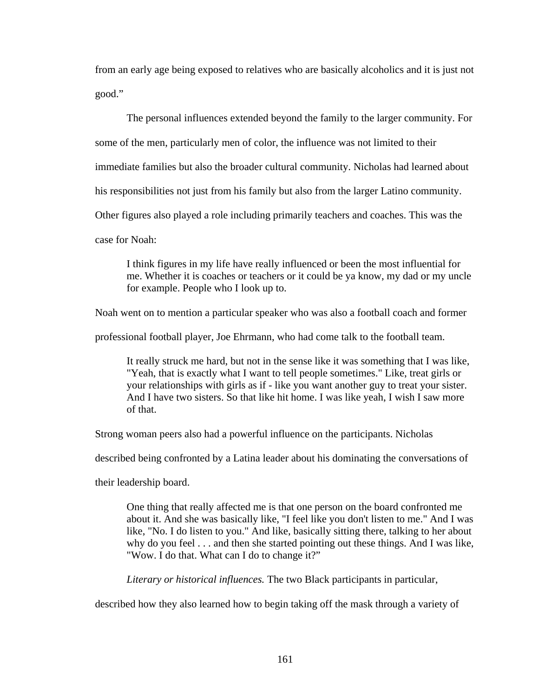from an early age being exposed to relatives who are basically alcoholics and it is just not good."

The personal influences extended beyond the family to the larger community. For some of the men, particularly men of color, the influence was not limited to their immediate families but also the broader cultural community. Nicholas had learned about his responsibilities not just from his family but also from the larger Latino community. Other figures also played a role including primarily teachers and coaches. This was the case for Noah:

I think figures in my life have really influenced or been the most influential for me. Whether it is coaches or teachers or it could be ya know, my dad or my uncle for example. People who I look up to.

Noah went on to mention a particular speaker who was also a football coach and former

professional football player, Joe Ehrmann, who had come talk to the football team.

It really struck me hard, but not in the sense like it was something that I was like, "Yeah, that is exactly what I want to tell people sometimes." Like, treat girls or your relationships with girls as if - like you want another guy to treat your sister. And I have two sisters. So that like hit home. I was like yeah, I wish I saw more of that.

Strong woman peers also had a powerful influence on the participants. Nicholas

described being confronted by a Latina leader about his dominating the conversations of

their leadership board.

One thing that really affected me is that one person on the board confronted me about it. And she was basically like, "I feel like you don't listen to me." And I was like, "No. I do listen to you." And like, basically sitting there, talking to her about why do you feel . . . and then she started pointing out these things. And I was like, "Wow. I do that. What can I do to change it?"

*Literary or historical influences.* The two Black participants in particular,

described how they also learned how to begin taking off the mask through a variety of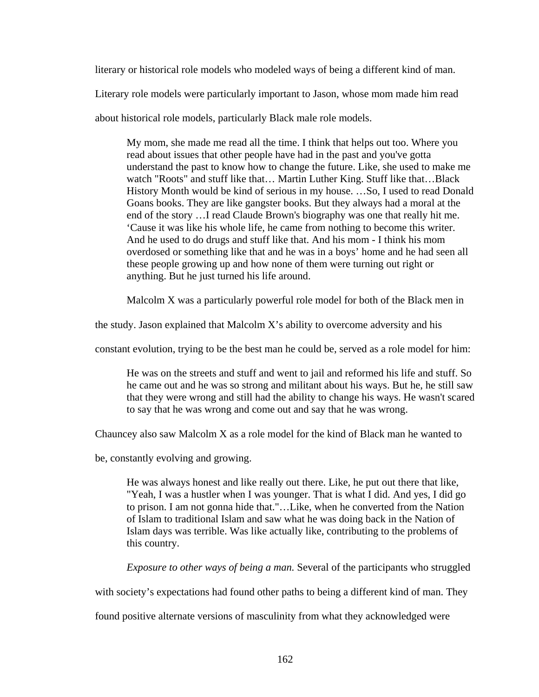literary or historical role models who modeled ways of being a different kind of man.

Literary role models were particularly important to Jason, whose mom made him read

about historical role models, particularly Black male role models.

My mom, she made me read all the time. I think that helps out too. Where you read about issues that other people have had in the past and you've gotta understand the past to know how to change the future. Like, she used to make me watch "Roots" and stuff like that... Martin Luther King. Stuff like that...Black History Month would be kind of serious in my house. …So, I used to read Donald Goans books. They are like gangster books. But they always had a moral at the end of the story …I read Claude Brown's biography was one that really hit me. 'Cause it was like his whole life, he came from nothing to become this writer. And he used to do drugs and stuff like that. And his mom - I think his mom overdosed or something like that and he was in a boys' home and he had seen all these people growing up and how none of them were turning out right or anything. But he just turned his life around.

Malcolm X was a particularly powerful role model for both of the Black men in

the study. Jason explained that Malcolm X's ability to overcome adversity and his

constant evolution, trying to be the best man he could be, served as a role model for him:

He was on the streets and stuff and went to jail and reformed his life and stuff. So he came out and he was so strong and militant about his ways. But he, he still saw that they were wrong and still had the ability to change his ways. He wasn't scared to say that he was wrong and come out and say that he was wrong.

Chauncey also saw Malcolm X as a role model for the kind of Black man he wanted to

be, constantly evolving and growing.

He was always honest and like really out there. Like, he put out there that like, "Yeah, I was a hustler when I was younger. That is what I did. And yes, I did go to prison. I am not gonna hide that."…Like, when he converted from the Nation of Islam to traditional Islam and saw what he was doing back in the Nation of Islam days was terrible. Was like actually like, contributing to the problems of this country.

*Exposure to other ways of being a man.* Several of the participants who struggled

with society's expectations had found other paths to being a different kind of man. They

found positive alternate versions of masculinity from what they acknowledged were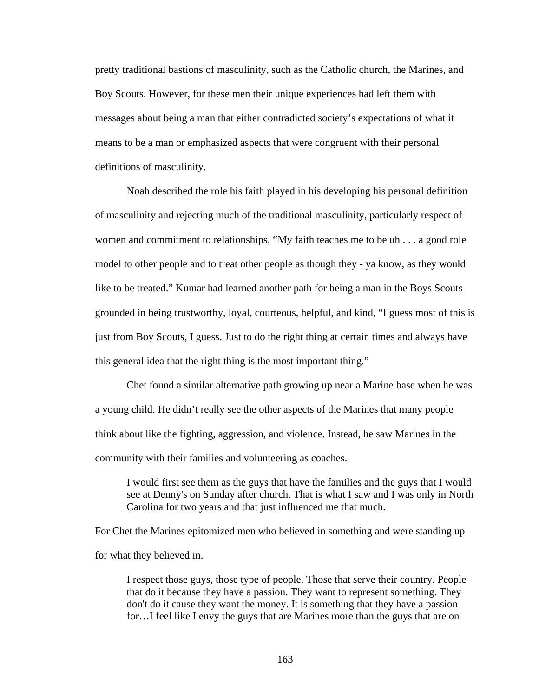pretty traditional bastions of masculinity, such as the Catholic church, the Marines, and Boy Scouts. However, for these men their unique experiences had left them with messages about being a man that either contradicted society's expectations of what it means to be a man or emphasized aspects that were congruent with their personal definitions of masculinity.

Noah described the role his faith played in his developing his personal definition of masculinity and rejecting much of the traditional masculinity, particularly respect of women and commitment to relationships, "My faith teaches me to be uh . . . a good role model to other people and to treat other people as though they - ya know, as they would like to be treated." Kumar had learned another path for being a man in the Boys Scouts grounded in being trustworthy, loyal, courteous, helpful, and kind, "I guess most of this is just from Boy Scouts, I guess. Just to do the right thing at certain times and always have this general idea that the right thing is the most important thing."

Chet found a similar alternative path growing up near a Marine base when he was a young child. He didn't really see the other aspects of the Marines that many people think about like the fighting, aggression, and violence. Instead, he saw Marines in the community with their families and volunteering as coaches.

I would first see them as the guys that have the families and the guys that I would see at Denny's on Sunday after church. That is what I saw and I was only in North Carolina for two years and that just influenced me that much.

For Chet the Marines epitomized men who believed in something and were standing up for what they believed in.

I respect those guys, those type of people. Those that serve their country. People that do it because they have a passion. They want to represent something. They don't do it cause they want the money. It is something that they have a passion for…I feel like I envy the guys that are Marines more than the guys that are on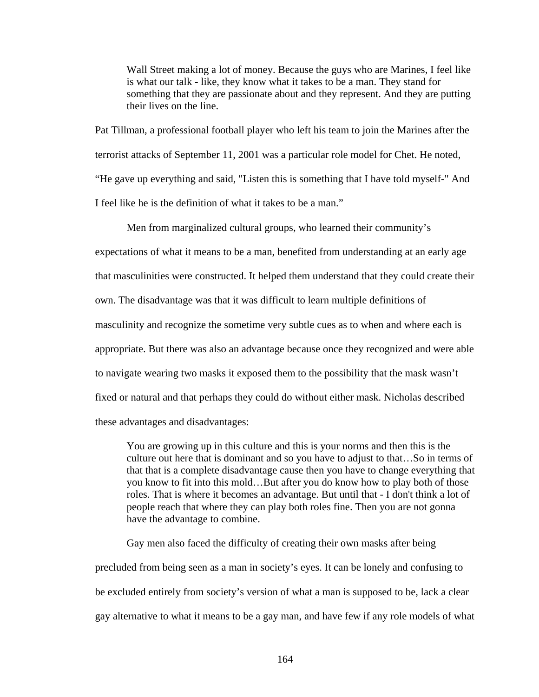Wall Street making a lot of money. Because the guys who are Marines, I feel like is what our talk - like, they know what it takes to be a man. They stand for something that they are passionate about and they represent. And they are putting their lives on the line.

Pat Tillman, a professional football player who left his team to join the Marines after the terrorist attacks of September 11, 2001 was a particular role model for Chet. He noted, "He gave up everything and said, "Listen this is something that I have told myself-" And I feel like he is the definition of what it takes to be a man."

Men from marginalized cultural groups, who learned their community's expectations of what it means to be a man, benefited from understanding at an early age that masculinities were constructed. It helped them understand that they could create their own. The disadvantage was that it was difficult to learn multiple definitions of masculinity and recognize the sometime very subtle cues as to when and where each is appropriate. But there was also an advantage because once they recognized and were able to navigate wearing two masks it exposed them to the possibility that the mask wasn't fixed or natural and that perhaps they could do without either mask. Nicholas described these advantages and disadvantages:

You are growing up in this culture and this is your norms and then this is the culture out here that is dominant and so you have to adjust to that…So in terms of that that is a complete disadvantage cause then you have to change everything that you know to fit into this mold…But after you do know how to play both of those roles. That is where it becomes an advantage. But until that - I don't think a lot of people reach that where they can play both roles fine. Then you are not gonna have the advantage to combine.

Gay men also faced the difficulty of creating their own masks after being precluded from being seen as a man in society's eyes. It can be lonely and confusing to be excluded entirely from society's version of what a man is supposed to be, lack a clear gay alternative to what it means to be a gay man, and have few if any role models of what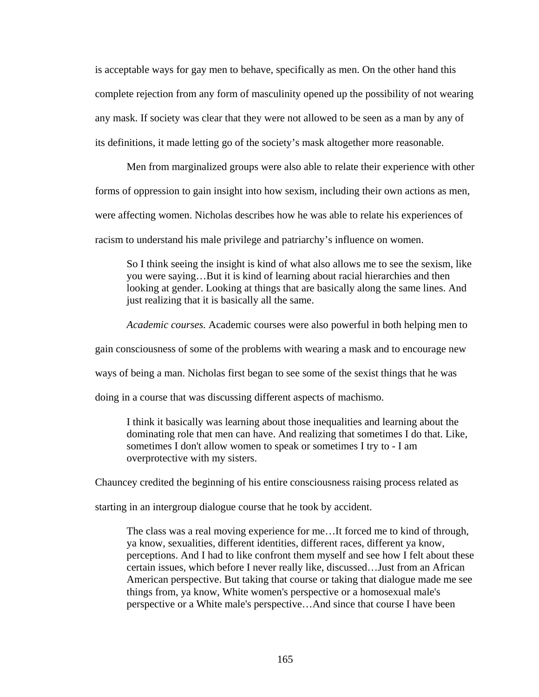is acceptable ways for gay men to behave, specifically as men. On the other hand this complete rejection from any form of masculinity opened up the possibility of not wearing any mask. If society was clear that they were not allowed to be seen as a man by any of its definitions, it made letting go of the society's mask altogether more reasonable.

Men from marginalized groups were also able to relate their experience with other forms of oppression to gain insight into how sexism, including their own actions as men, were affecting women. Nicholas describes how he was able to relate his experiences of racism to understand his male privilege and patriarchy's influence on women.

So I think seeing the insight is kind of what also allows me to see the sexism, like you were saying…But it is kind of learning about racial hierarchies and then looking at gender. Looking at things that are basically along the same lines. And just realizing that it is basically all the same.

*Academic courses.* Academic courses were also powerful in both helping men to

gain consciousness of some of the problems with wearing a mask and to encourage new

ways of being a man. Nicholas first began to see some of the sexist things that he was

doing in a course that was discussing different aspects of machismo.

I think it basically was learning about those inequalities and learning about the dominating role that men can have. And realizing that sometimes I do that. Like, sometimes I don't allow women to speak or sometimes I try to - I am overprotective with my sisters.

Chauncey credited the beginning of his entire consciousness raising process related as

starting in an intergroup dialogue course that he took by accident.

The class was a real moving experience for me…It forced me to kind of through, ya know, sexualities, different identities, different races, different ya know, perceptions. And I had to like confront them myself and see how I felt about these certain issues, which before I never really like, discussed…Just from an African American perspective. But taking that course or taking that dialogue made me see things from, ya know, White women's perspective or a homosexual male's perspective or a White male's perspective…And since that course I have been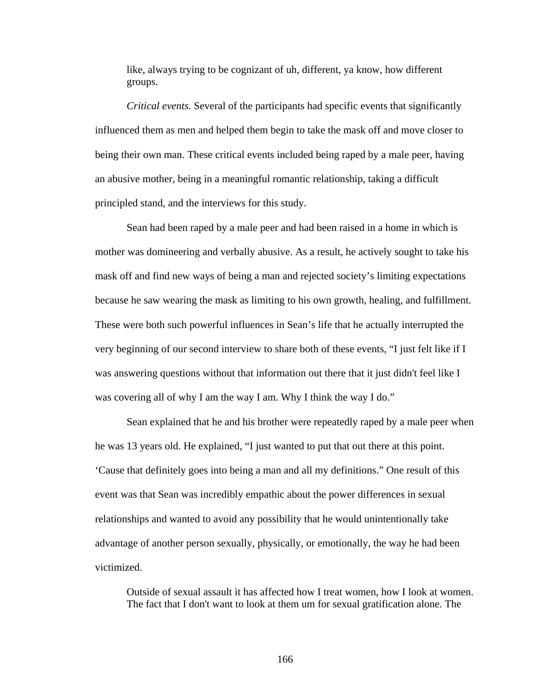like, always trying to be cognizant of uh, different, ya know, how different groups.

*Critical events.* Several of the participants had specific events that significantly influenced them as men and helped them begin to take the mask off and move closer to being their own man. These critical events included being raped by a male peer, having an abusive mother, being in a meaningful romantic relationship, taking a difficult principled stand, and the interviews for this study.

Sean had been raped by a male peer and had been raised in a home in which is mother was domineering and verbally abusive. As a result, he actively sought to take his mask off and find new ways of being a man and rejected society's limiting expectations because he saw wearing the mask as limiting to his own growth, healing, and fulfillment. These were both such powerful influences in Sean's life that he actually interrupted the very beginning of our second interview to share both of these events, "I just felt like if I was answering questions without that information out there that it just didn't feel like I was covering all of why I am the way I am. Why I think the way I do."

 Sean explained that he and his brother were repeatedly raped by a male peer when he was 13 years old. He explained, "I just wanted to put that out there at this point. 'Cause that definitely goes into being a man and all my definitions." One result of this event was that Sean was incredibly empathic about the power differences in sexual relationships and wanted to avoid any possibility that he would unintentionally take advantage of another person sexually, physically, or emotionally, the way he had been victimized.

Outside of sexual assault it has affected how I treat women, how I look at women. The fact that I don't want to look at them um for sexual gratification alone. The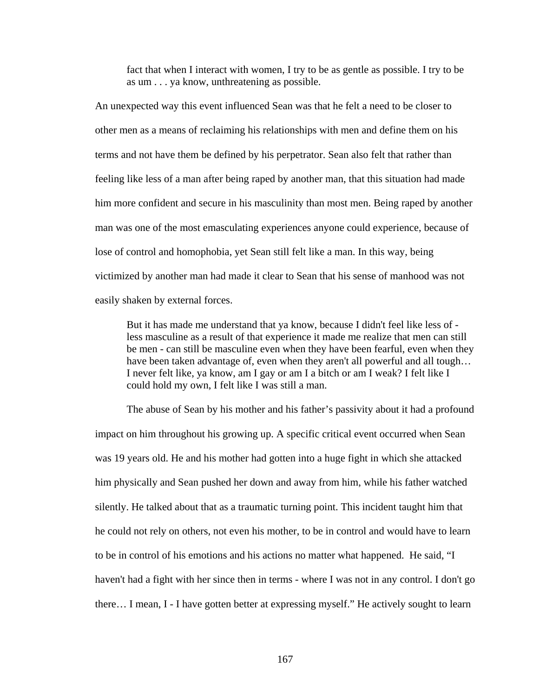fact that when I interact with women, I try to be as gentle as possible. I try to be as um . . . ya know, unthreatening as possible.

An unexpected way this event influenced Sean was that he felt a need to be closer to other men as a means of reclaiming his relationships with men and define them on his terms and not have them be defined by his perpetrator. Sean also felt that rather than feeling like less of a man after being raped by another man, that this situation had made him more confident and secure in his masculinity than most men. Being raped by another man was one of the most emasculating experiences anyone could experience, because of lose of control and homophobia, yet Sean still felt like a man. In this way, being victimized by another man had made it clear to Sean that his sense of manhood was not easily shaken by external forces.

But it has made me understand that ya know, because I didn't feel like less of less masculine as a result of that experience it made me realize that men can still be men - can still be masculine even when they have been fearful, even when they have been taken advantage of, even when they aren't all powerful and all tough… I never felt like, ya know, am I gay or am I a bitch or am I weak? I felt like I could hold my own, I felt like I was still a man.

The abuse of Sean by his mother and his father's passivity about it had a profound impact on him throughout his growing up. A specific critical event occurred when Sean was 19 years old. He and his mother had gotten into a huge fight in which she attacked him physically and Sean pushed her down and away from him, while his father watched silently. He talked about that as a traumatic turning point. This incident taught him that he could not rely on others, not even his mother, to be in control and would have to learn to be in control of his emotions and his actions no matter what happened. He said, "I haven't had a fight with her since then in terms - where I was not in any control. I don't go there… I mean, I - I have gotten better at expressing myself." He actively sought to learn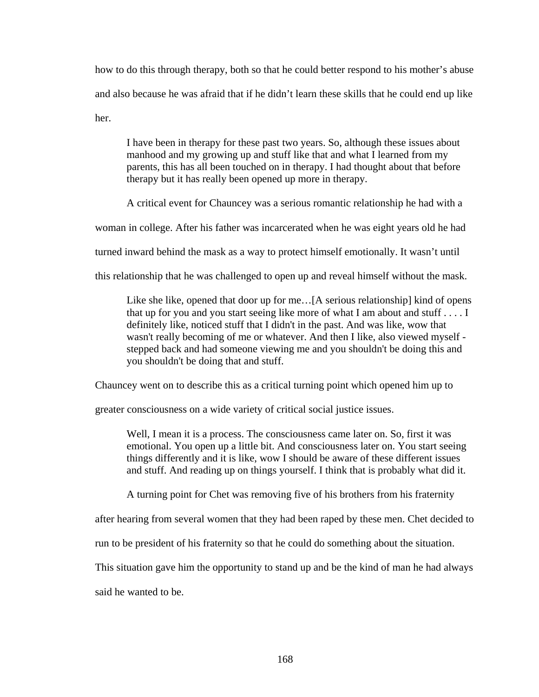how to do this through therapy, both so that he could better respond to his mother's abuse and also because he was afraid that if he didn't learn these skills that he could end up like her.

I have been in therapy for these past two years. So, although these issues about manhood and my growing up and stuff like that and what I learned from my parents, this has all been touched on in therapy. I had thought about that before therapy but it has really been opened up more in therapy.

A critical event for Chauncey was a serious romantic relationship he had with a

woman in college. After his father was incarcerated when he was eight years old he had

turned inward behind the mask as a way to protect himself emotionally. It wasn't until

this relationship that he was challenged to open up and reveal himself without the mask.

Like she like, opened that door up for me...[A serious relationship] kind of opens that up for you and you start seeing like more of what I am about and stuff . . . . I definitely like, noticed stuff that I didn't in the past. And was like, wow that wasn't really becoming of me or whatever. And then I like, also viewed myself stepped back and had someone viewing me and you shouldn't be doing this and you shouldn't be doing that and stuff.

Chauncey went on to describe this as a critical turning point which opened him up to

greater consciousness on a wide variety of critical social justice issues.

Well, I mean it is a process. The consciousness came later on. So, first it was emotional. You open up a little bit. And consciousness later on. You start seeing things differently and it is like, wow I should be aware of these different issues and stuff. And reading up on things yourself. I think that is probably what did it.

A turning point for Chet was removing five of his brothers from his fraternity

after hearing from several women that they had been raped by these men. Chet decided to

run to be president of his fraternity so that he could do something about the situation.

This situation gave him the opportunity to stand up and be the kind of man he had always

said he wanted to be.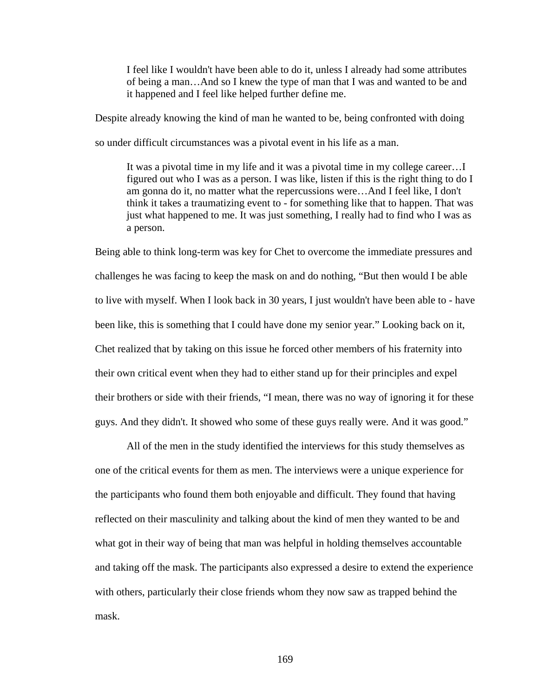I feel like I wouldn't have been able to do it, unless I already had some attributes of being a man…And so I knew the type of man that I was and wanted to be and it happened and I feel like helped further define me.

Despite already knowing the kind of man he wanted to be, being confronted with doing

so under difficult circumstances was a pivotal event in his life as a man.

It was a pivotal time in my life and it was a pivotal time in my college career…I figured out who I was as a person. I was like, listen if this is the right thing to do I am gonna do it, no matter what the repercussions were…And I feel like, I don't think it takes a traumatizing event to - for something like that to happen. That was just what happened to me. It was just something, I really had to find who I was as a person.

Being able to think long-term was key for Chet to overcome the immediate pressures and challenges he was facing to keep the mask on and do nothing, "But then would I be able to live with myself. When I look back in 30 years, I just wouldn't have been able to - have been like, this is something that I could have done my senior year." Looking back on it, Chet realized that by taking on this issue he forced other members of his fraternity into their own critical event when they had to either stand up for their principles and expel their brothers or side with their friends, "I mean, there was no way of ignoring it for these guys. And they didn't. It showed who some of these guys really were. And it was good."

All of the men in the study identified the interviews for this study themselves as one of the critical events for them as men. The interviews were a unique experience for the participants who found them both enjoyable and difficult. They found that having reflected on their masculinity and talking about the kind of men they wanted to be and what got in their way of being that man was helpful in holding themselves accountable and taking off the mask. The participants also expressed a desire to extend the experience with others, particularly their close friends whom they now saw as trapped behind the mask.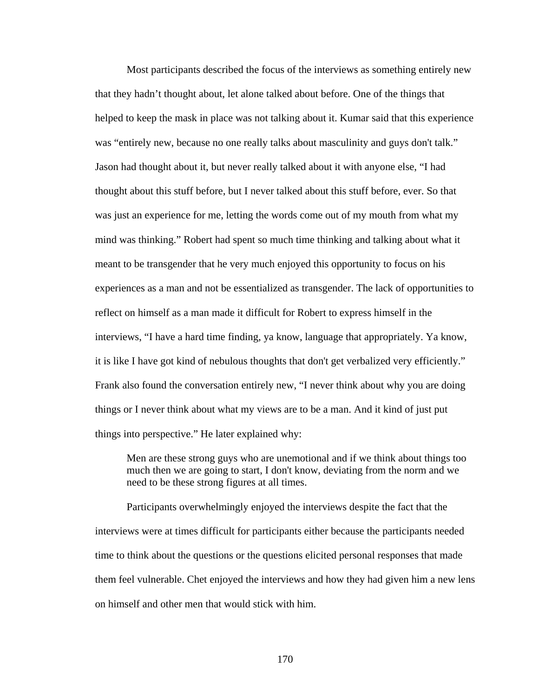Most participants described the focus of the interviews as something entirely new that they hadn't thought about, let alone talked about before. One of the things that helped to keep the mask in place was not talking about it. Kumar said that this experience was "entirely new, because no one really talks about masculinity and guys don't talk." Jason had thought about it, but never really talked about it with anyone else, "I had thought about this stuff before, but I never talked about this stuff before, ever. So that was just an experience for me, letting the words come out of my mouth from what my mind was thinking." Robert had spent so much time thinking and talking about what it meant to be transgender that he very much enjoyed this opportunity to focus on his experiences as a man and not be essentialized as transgender. The lack of opportunities to reflect on himself as a man made it difficult for Robert to express himself in the interviews, "I have a hard time finding, ya know, language that appropriately. Ya know, it is like I have got kind of nebulous thoughts that don't get verbalized very efficiently." Frank also found the conversation entirely new, "I never think about why you are doing things or I never think about what my views are to be a man. And it kind of just put things into perspective." He later explained why:

Men are these strong guys who are unemotional and if we think about things too much then we are going to start, I don't know, deviating from the norm and we need to be these strong figures at all times.

Participants overwhelmingly enjoyed the interviews despite the fact that the interviews were at times difficult for participants either because the participants needed time to think about the questions or the questions elicited personal responses that made them feel vulnerable. Chet enjoyed the interviews and how they had given him a new lens on himself and other men that would stick with him.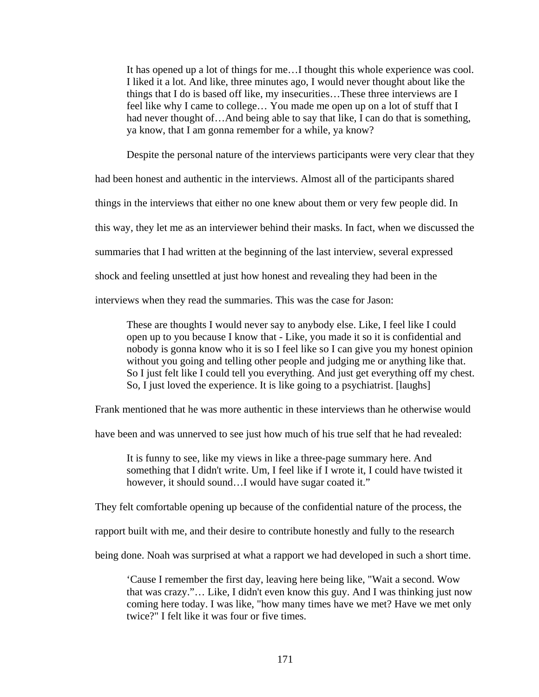It has opened up a lot of things for me…I thought this whole experience was cool. I liked it a lot. And like, three minutes ago, I would never thought about like the things that I do is based off like, my insecurities…These three interviews are I feel like why I came to college… You made me open up on a lot of stuff that I had never thought of...And being able to say that like, I can do that is something, ya know, that I am gonna remember for a while, ya know?

Despite the personal nature of the interviews participants were very clear that they

had been honest and authentic in the interviews. Almost all of the participants shared

things in the interviews that either no one knew about them or very few people did. In

this way, they let me as an interviewer behind their masks. In fact, when we discussed the

summaries that I had written at the beginning of the last interview, several expressed

shock and feeling unsettled at just how honest and revealing they had been in the

interviews when they read the summaries. This was the case for Jason:

These are thoughts I would never say to anybody else. Like, I feel like I could open up to you because I know that - Like, you made it so it is confidential and nobody is gonna know who it is so I feel like so I can give you my honest opinion without you going and telling other people and judging me or anything like that. So I just felt like I could tell you everything. And just get everything off my chest. So, I just loved the experience. It is like going to a psychiatrist. [laughs]

Frank mentioned that he was more authentic in these interviews than he otherwise would

have been and was unnerved to see just how much of his true self that he had revealed:

It is funny to see, like my views in like a three-page summary here. And something that I didn't write. Um, I feel like if I wrote it, I could have twisted it however, it should sound...I would have sugar coated it."

They felt comfortable opening up because of the confidential nature of the process, the

rapport built with me, and their desire to contribute honestly and fully to the research

being done. Noah was surprised at what a rapport we had developed in such a short time.

'Cause I remember the first day, leaving here being like, "Wait a second. Wow that was crazy."… Like, I didn't even know this guy. And I was thinking just now coming here today. I was like, "how many times have we met? Have we met only twice?" I felt like it was four or five times.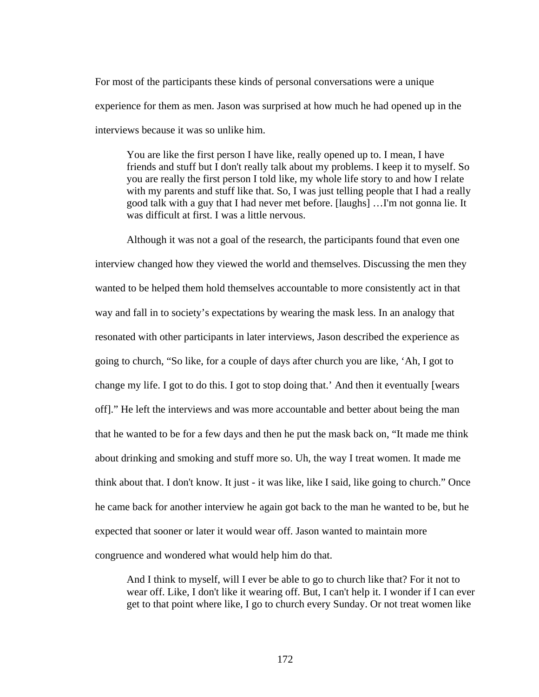For most of the participants these kinds of personal conversations were a unique experience for them as men. Jason was surprised at how much he had opened up in the interviews because it was so unlike him.

You are like the first person I have like, really opened up to. I mean, I have friends and stuff but I don't really talk about my problems. I keep it to myself. So you are really the first person I told like, my whole life story to and how I relate with my parents and stuff like that. So, I was just telling people that I had a really good talk with a guy that I had never met before. [laughs] …I'm not gonna lie. It was difficult at first. I was a little nervous.

Although it was not a goal of the research, the participants found that even one interview changed how they viewed the world and themselves. Discussing the men they wanted to be helped them hold themselves accountable to more consistently act in that way and fall in to society's expectations by wearing the mask less. In an analogy that resonated with other participants in later interviews, Jason described the experience as going to church, "So like, for a couple of days after church you are like, 'Ah, I got to change my life. I got to do this. I got to stop doing that.' And then it eventually [wears off]." He left the interviews and was more accountable and better about being the man that he wanted to be for a few days and then he put the mask back on, "It made me think about drinking and smoking and stuff more so. Uh, the way I treat women. It made me think about that. I don't know. It just - it was like, like I said, like going to church." Once he came back for another interview he again got back to the man he wanted to be, but he expected that sooner or later it would wear off. Jason wanted to maintain more congruence and wondered what would help him do that.

And I think to myself, will I ever be able to go to church like that? For it not to wear off. Like, I don't like it wearing off. But, I can't help it. I wonder if I can ever get to that point where like, I go to church every Sunday. Or not treat women like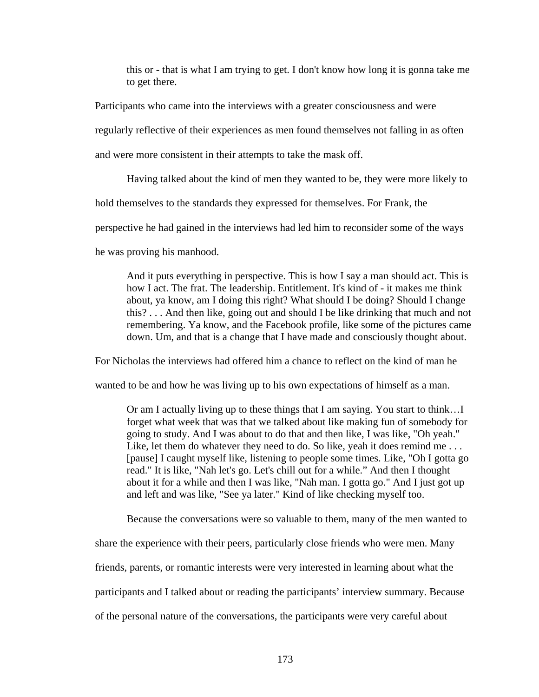this or - that is what I am trying to get. I don't know how long it is gonna take me to get there.

Participants who came into the interviews with a greater consciousness and were

regularly reflective of their experiences as men found themselves not falling in as often

and were more consistent in their attempts to take the mask off.

Having talked about the kind of men they wanted to be, they were more likely to

hold themselves to the standards they expressed for themselves. For Frank, the

perspective he had gained in the interviews had led him to reconsider some of the ways

he was proving his manhood.

And it puts everything in perspective. This is how I say a man should act. This is how I act. The frat. The leadership. Entitlement. It's kind of - it makes me think about, ya know, am I doing this right? What should I be doing? Should I change this? . . . And then like, going out and should I be like drinking that much and not remembering. Ya know, and the Facebook profile, like some of the pictures came down. Um, and that is a change that I have made and consciously thought about.

For Nicholas the interviews had offered him a chance to reflect on the kind of man he

wanted to be and how he was living up to his own expectations of himself as a man.

Or am I actually living up to these things that I am saying. You start to think…I forget what week that was that we talked about like making fun of somebody for going to study. And I was about to do that and then like, I was like, "Oh yeah." Like, let them do whatever they need to do. So like, yeah it does remind me ... [pause] I caught myself like, listening to people some times. Like, "Oh I gotta go read." It is like, "Nah let's go. Let's chill out for a while." And then I thought about it for a while and then I was like, "Nah man. I gotta go." And I just got up and left and was like, "See ya later." Kind of like checking myself too.

Because the conversations were so valuable to them, many of the men wanted to

share the experience with their peers, particularly close friends who were men. Many

friends, parents, or romantic interests were very interested in learning about what the

participants and I talked about or reading the participants' interview summary. Because

of the personal nature of the conversations, the participants were very careful about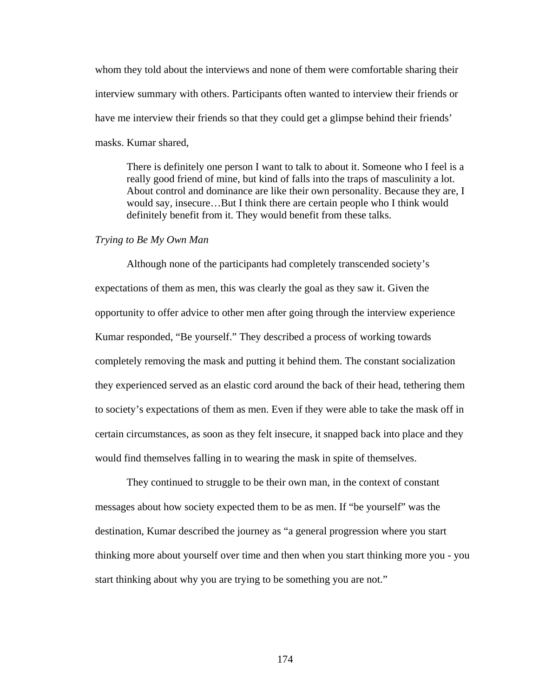whom they told about the interviews and none of them were comfortable sharing their interview summary with others. Participants often wanted to interview their friends or have me interview their friends so that they could get a glimpse behind their friends' masks. Kumar shared,

There is definitely one person I want to talk to about it. Someone who I feel is a really good friend of mine, but kind of falls into the traps of masculinity a lot. About control and dominance are like their own personality. Because they are, I would say, insecure…But I think there are certain people who I think would definitely benefit from it. They would benefit from these talks.

### *Trying to Be My Own Man*

Although none of the participants had completely transcended society's expectations of them as men, this was clearly the goal as they saw it. Given the opportunity to offer advice to other men after going through the interview experience Kumar responded, "Be yourself." They described a process of working towards completely removing the mask and putting it behind them. The constant socialization they experienced served as an elastic cord around the back of their head, tethering them to society's expectations of them as men. Even if they were able to take the mask off in certain circumstances, as soon as they felt insecure, it snapped back into place and they would find themselves falling in to wearing the mask in spite of themselves.

They continued to struggle to be their own man, in the context of constant messages about how society expected them to be as men. If "be yourself" was the destination, Kumar described the journey as "a general progression where you start thinking more about yourself over time and then when you start thinking more you - you start thinking about why you are trying to be something you are not."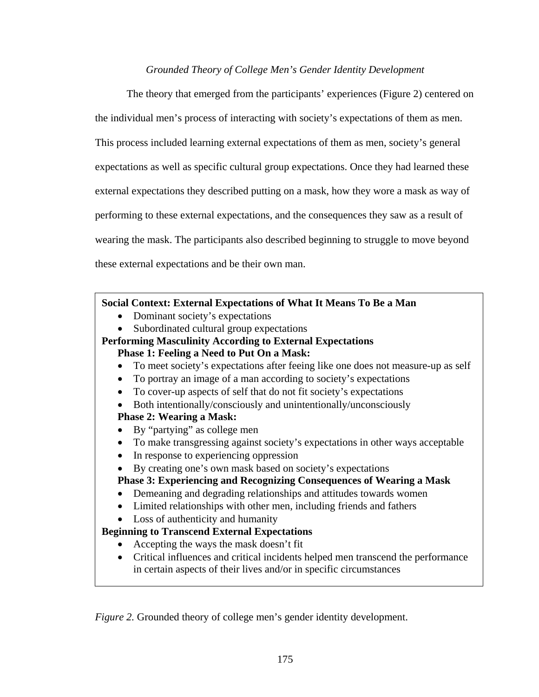# *Grounded Theory of College Men's Gender Identity Development*

The theory that emerged from the participants' experiences (Figure 2) centered on the individual men's process of interacting with society's expectations of them as men. This process included learning external expectations of them as men, society's general expectations as well as specific cultural group expectations. Once they had learned these external expectations they described putting on a mask, how they wore a mask as way of performing to these external expectations, and the consequences they saw as a result of wearing the mask. The participants also described beginning to struggle to move beyond these external expectations and be their own man.

# **Social Context: External Expectations of What It Means To Be a Man**

- Dominant society's expectations
- Subordinated cultural group expectations

# **Performing Masculinity According to External Expectations Phase 1: Feeling a Need to Put On a Mask:**

- To meet society's expectations after feeing like one does not measure-up as self
- To portray an image of a man according to society's expectations
- To cover-up aspects of self that do not fit society's expectations
- Both intentionally/consciously and unintentionally/unconsciously

# **Phase 2: Wearing a Mask:**

- By "partying" as college men
- To make transgressing against society's expectations in other ways acceptable
- In response to experiencing oppression
- By creating one's own mask based on society's expectations

**Phase 3: Experiencing and Recognizing Consequences of Wearing a Mask** 

- Demeaning and degrading relationships and attitudes towards women
- Limited relationships with other men, including friends and fathers
- Loss of authenticity and humanity

# **Beginning to Transcend External Expectations**

- Accepting the ways the mask doesn't fit
- Critical influences and critical incidents helped men transcend the performance in certain aspects of their lives and/or in specific circumstances

*Figure 2.* Grounded theory of college men's gender identity development.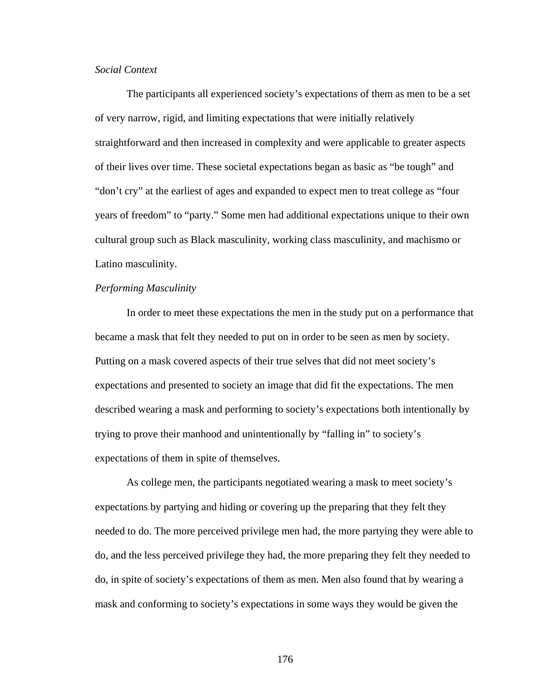# *Social Context*

The participants all experienced society's expectations of them as men to be a set of very narrow, rigid, and limiting expectations that were initially relatively straightforward and then increased in complexity and were applicable to greater aspects of their lives over time. These societal expectations began as basic as "be tough" and "don't cry" at the earliest of ages and expanded to expect men to treat college as "four years of freedom" to "party." Some men had additional expectations unique to their own cultural group such as Black masculinity, working class masculinity, and machismo or Latino masculinity.

# *Performing Masculinity*

In order to meet these expectations the men in the study put on a performance that became a mask that felt they needed to put on in order to be seen as men by society. Putting on a mask covered aspects of their true selves that did not meet society's expectations and presented to society an image that did fit the expectations. The men described wearing a mask and performing to society's expectations both intentionally by trying to prove their manhood and unintentionally by "falling in" to society's expectations of them in spite of themselves.

As college men, the participants negotiated wearing a mask to meet society's expectations by partying and hiding or covering up the preparing that they felt they needed to do. The more perceived privilege men had, the more partying they were able to do, and the less perceived privilege they had, the more preparing they felt they needed to do, in spite of society's expectations of them as men. Men also found that by wearing a mask and conforming to society's expectations in some ways they would be given the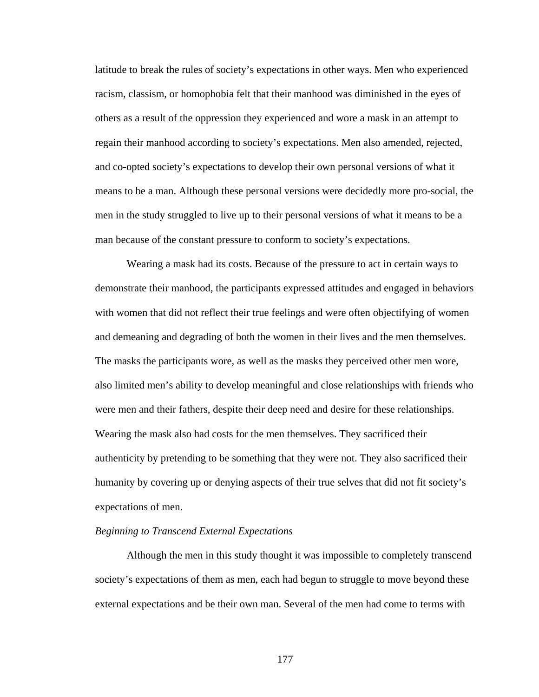latitude to break the rules of society's expectations in other ways. Men who experienced racism, classism, or homophobia felt that their manhood was diminished in the eyes of others as a result of the oppression they experienced and wore a mask in an attempt to regain their manhood according to society's expectations. Men also amended, rejected, and co-opted society's expectations to develop their own personal versions of what it means to be a man. Although these personal versions were decidedly more pro-social, the men in the study struggled to live up to their personal versions of what it means to be a man because of the constant pressure to conform to society's expectations.

Wearing a mask had its costs. Because of the pressure to act in certain ways to demonstrate their manhood, the participants expressed attitudes and engaged in behaviors with women that did not reflect their true feelings and were often objectifying of women and demeaning and degrading of both the women in their lives and the men themselves. The masks the participants wore, as well as the masks they perceived other men wore, also limited men's ability to develop meaningful and close relationships with friends who were men and their fathers, despite their deep need and desire for these relationships. Wearing the mask also had costs for the men themselves. They sacrificed their authenticity by pretending to be something that they were not. They also sacrificed their humanity by covering up or denying aspects of their true selves that did not fit society's expectations of men.

## *Beginning to Transcend External Expectations*

Although the men in this study thought it was impossible to completely transcend society's expectations of them as men, each had begun to struggle to move beyond these external expectations and be their own man. Several of the men had come to terms with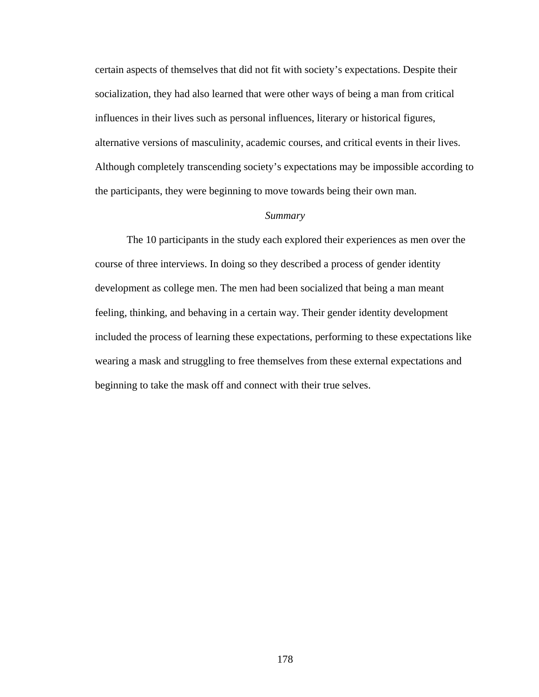certain aspects of themselves that did not fit with society's expectations. Despite their socialization, they had also learned that were other ways of being a man from critical influences in their lives such as personal influences, literary or historical figures, alternative versions of masculinity, academic courses, and critical events in their lives. Although completely transcending society's expectations may be impossible according to the participants, they were beginning to move towards being their own man.

#### *Summary*

The 10 participants in the study each explored their experiences as men over the course of three interviews. In doing so they described a process of gender identity development as college men. The men had been socialized that being a man meant feeling, thinking, and behaving in a certain way. Their gender identity development included the process of learning these expectations, performing to these expectations like wearing a mask and struggling to free themselves from these external expectations and beginning to take the mask off and connect with their true selves.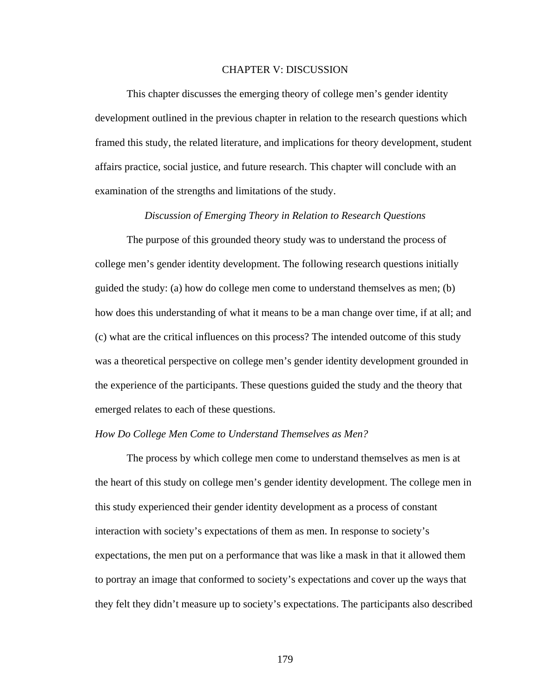## CHAPTER V: DISCUSSION

This chapter discusses the emerging theory of college men's gender identity development outlined in the previous chapter in relation to the research questions which framed this study, the related literature, and implications for theory development, student affairs practice, social justice, and future research. This chapter will conclude with an examination of the strengths and limitations of the study.

# *Discussion of Emerging Theory in Relation to Research Questions*

The purpose of this grounded theory study was to understand the process of college men's gender identity development. The following research questions initially guided the study: (a) how do college men come to understand themselves as men; (b) how does this understanding of what it means to be a man change over time, if at all; and (c) what are the critical influences on this process? The intended outcome of this study was a theoretical perspective on college men's gender identity development grounded in the experience of the participants. These questions guided the study and the theory that emerged relates to each of these questions.

# *How Do College Men Come to Understand Themselves as Men?*

The process by which college men come to understand themselves as men is at the heart of this study on college men's gender identity development. The college men in this study experienced their gender identity development as a process of constant interaction with society's expectations of them as men. In response to society's expectations, the men put on a performance that was like a mask in that it allowed them to portray an image that conformed to society's expectations and cover up the ways that they felt they didn't measure up to society's expectations. The participants also described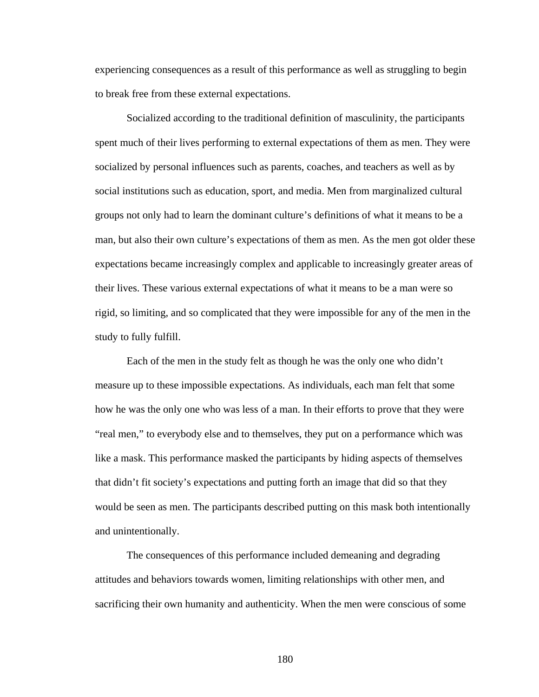experiencing consequences as a result of this performance as well as struggling to begin to break free from these external expectations.

Socialized according to the traditional definition of masculinity, the participants spent much of their lives performing to external expectations of them as men. They were socialized by personal influences such as parents, coaches, and teachers as well as by social institutions such as education, sport, and media. Men from marginalized cultural groups not only had to learn the dominant culture's definitions of what it means to be a man, but also their own culture's expectations of them as men. As the men got older these expectations became increasingly complex and applicable to increasingly greater areas of their lives. These various external expectations of what it means to be a man were so rigid, so limiting, and so complicated that they were impossible for any of the men in the study to fully fulfill.

Each of the men in the study felt as though he was the only one who didn't measure up to these impossible expectations. As individuals, each man felt that some how he was the only one who was less of a man. In their efforts to prove that they were "real men," to everybody else and to themselves, they put on a performance which was like a mask. This performance masked the participants by hiding aspects of themselves that didn't fit society's expectations and putting forth an image that did so that they would be seen as men. The participants described putting on this mask both intentionally and unintentionally.

The consequences of this performance included demeaning and degrading attitudes and behaviors towards women, limiting relationships with other men, and sacrificing their own humanity and authenticity. When the men were conscious of some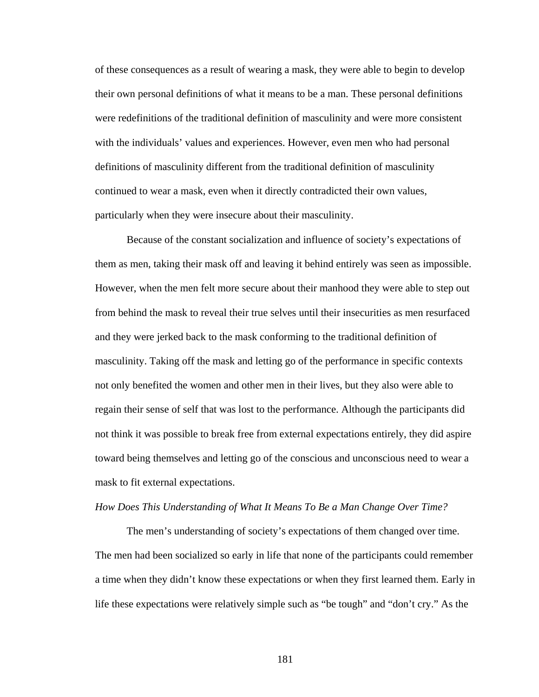of these consequences as a result of wearing a mask, they were able to begin to develop their own personal definitions of what it means to be a man. These personal definitions were redefinitions of the traditional definition of masculinity and were more consistent with the individuals' values and experiences. However, even men who had personal definitions of masculinity different from the traditional definition of masculinity continued to wear a mask, even when it directly contradicted their own values, particularly when they were insecure about their masculinity.

Because of the constant socialization and influence of society's expectations of them as men, taking their mask off and leaving it behind entirely was seen as impossible. However, when the men felt more secure about their manhood they were able to step out from behind the mask to reveal their true selves until their insecurities as men resurfaced and they were jerked back to the mask conforming to the traditional definition of masculinity. Taking off the mask and letting go of the performance in specific contexts not only benefited the women and other men in their lives, but they also were able to regain their sense of self that was lost to the performance. Although the participants did not think it was possible to break free from external expectations entirely, they did aspire toward being themselves and letting go of the conscious and unconscious need to wear a mask to fit external expectations.

#### *How Does This Understanding of What It Means To Be a Man Change Over Time?*

 The men's understanding of society's expectations of them changed over time. The men had been socialized so early in life that none of the participants could remember a time when they didn't know these expectations or when they first learned them. Early in life these expectations were relatively simple such as "be tough" and "don't cry." As the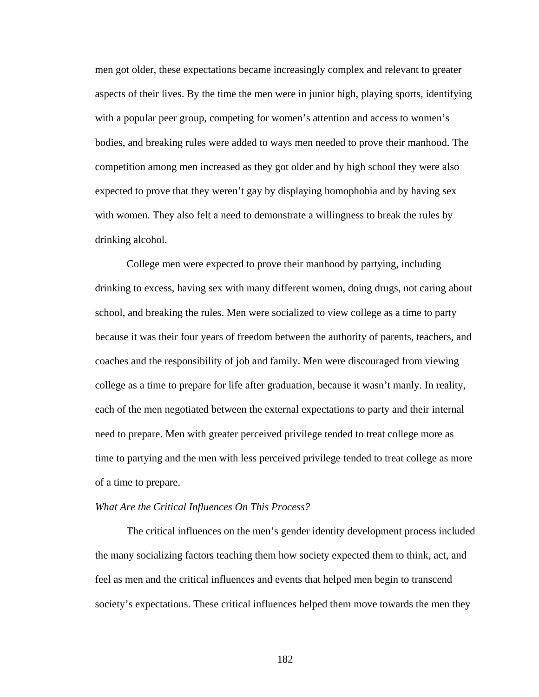men got older, these expectations became increasingly complex and relevant to greater aspects of their lives. By the time the men were in junior high, playing sports, identifying with a popular peer group, competing for women's attention and access to women's bodies, and breaking rules were added to ways men needed to prove their manhood. The competition among men increased as they got older and by high school they were also expected to prove that they weren't gay by displaying homophobia and by having sex with women. They also felt a need to demonstrate a willingness to break the rules by drinking alcohol.

 College men were expected to prove their manhood by partying, including drinking to excess, having sex with many different women, doing drugs, not caring about school, and breaking the rules. Men were socialized to view college as a time to party because it was their four years of freedom between the authority of parents, teachers, and coaches and the responsibility of job and family. Men were discouraged from viewing college as a time to prepare for life after graduation, because it wasn't manly. In reality, each of the men negotiated between the external expectations to party and their internal need to prepare. Men with greater perceived privilege tended to treat college more as time to partying and the men with less perceived privilege tended to treat college as more of a time to prepare.

### *What Are the Critical Influences On This Process?*

 The critical influences on the men's gender identity development process included the many socializing factors teaching them how society expected them to think, act, and feel as men and the critical influences and events that helped men begin to transcend society's expectations. These critical influences helped them move towards the men they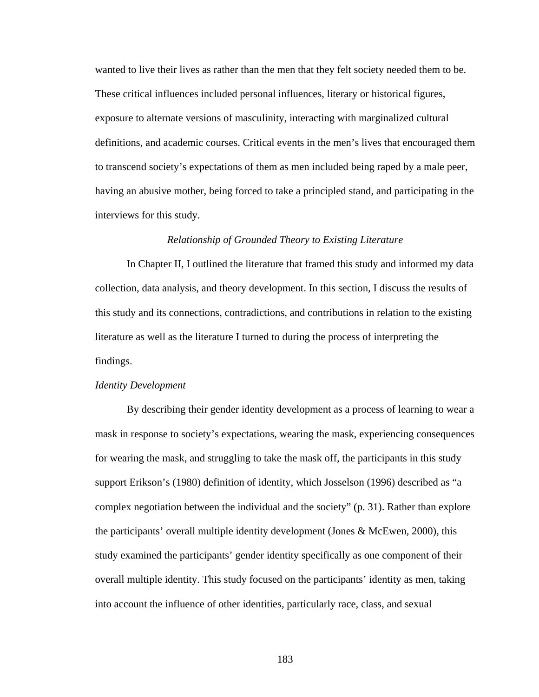wanted to live their lives as rather than the men that they felt society needed them to be. These critical influences included personal influences, literary or historical figures, exposure to alternate versions of masculinity, interacting with marginalized cultural definitions, and academic courses. Critical events in the men's lives that encouraged them to transcend society's expectations of them as men included being raped by a male peer, having an abusive mother, being forced to take a principled stand, and participating in the interviews for this study.

# *Relationship of Grounded Theory to Existing Literature*

 In Chapter II, I outlined the literature that framed this study and informed my data collection, data analysis, and theory development. In this section, I discuss the results of this study and its connections, contradictions, and contributions in relation to the existing literature as well as the literature I turned to during the process of interpreting the findings.

#### *Identity Development*

 By describing their gender identity development as a process of learning to wear a mask in response to society's expectations, wearing the mask, experiencing consequences for wearing the mask, and struggling to take the mask off, the participants in this study support Erikson's (1980) definition of identity, which Josselson (1996) described as "a complex negotiation between the individual and the society" (p. 31). Rather than explore the participants' overall multiple identity development (Jones & McEwen, 2000), this study examined the participants' gender identity specifically as one component of their overall multiple identity. This study focused on the participants' identity as men, taking into account the influence of other identities, particularly race, class, and sexual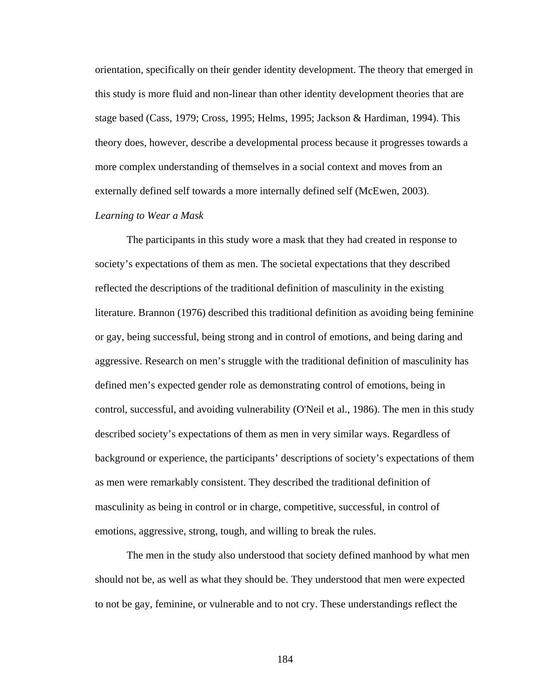orientation, specifically on their gender identity development. The theory that emerged in this study is more fluid and non-linear than other identity development theories that are stage based (Cass, 1979; Cross, 1995; Helms, 1995; Jackson & Hardiman, 1994). This theory does, however, describe a developmental process because it progresses towards a more complex understanding of themselves in a social context and moves from an externally defined self towards a more internally defined self (McEwen, 2003).

# *Learning to Wear a Mask*

The participants in this study wore a mask that they had created in response to society's expectations of them as men. The societal expectations that they described reflected the descriptions of the traditional definition of masculinity in the existing literature. Brannon (1976) described this traditional definition as avoiding being feminine or gay, being successful, being strong and in control of emotions, and being daring and aggressive. Research on men's struggle with the traditional definition of masculinity has defined men's expected gender role as demonstrating control of emotions, being in control, successful, and avoiding vulnerability (O'Neil et al., 1986). The men in this study described society's expectations of them as men in very similar ways. Regardless of background or experience, the participants' descriptions of society's expectations of them as men were remarkably consistent. They described the traditional definition of masculinity as being in control or in charge, competitive, successful, in control of emotions, aggressive, strong, tough, and willing to break the rules.

The men in the study also understood that society defined manhood by what men should not be, as well as what they should be. They understood that men were expected to not be gay, feminine, or vulnerable and to not cry. These understandings reflect the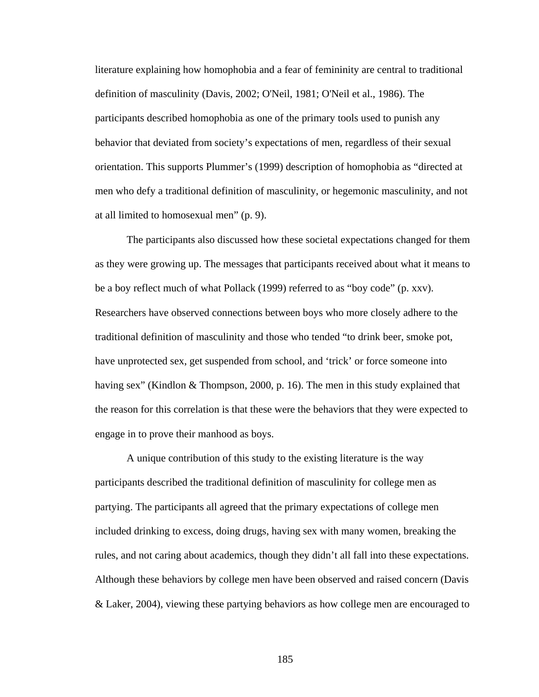literature explaining how homophobia and a fear of femininity are central to traditional definition of masculinity (Davis, 2002; O'Neil, 1981; O'Neil et al., 1986). The participants described homophobia as one of the primary tools used to punish any behavior that deviated from society's expectations of men, regardless of their sexual orientation. This supports Plummer's (1999) description of homophobia as "directed at men who defy a traditional definition of masculinity, or hegemonic masculinity, and not at all limited to homosexual men" (p. 9).

The participants also discussed how these societal expectations changed for them as they were growing up. The messages that participants received about what it means to be a boy reflect much of what Pollack (1999) referred to as "boy code" (p. xxv). Researchers have observed connections between boys who more closely adhere to the traditional definition of masculinity and those who tended "to drink beer, smoke pot, have unprotected sex, get suspended from school, and 'trick' or force someone into having sex" (Kindlon & Thompson, 2000, p. 16). The men in this study explained that the reason for this correlation is that these were the behaviors that they were expected to engage in to prove their manhood as boys.

A unique contribution of this study to the existing literature is the way participants described the traditional definition of masculinity for college men as partying. The participants all agreed that the primary expectations of college men included drinking to excess, doing drugs, having sex with many women, breaking the rules, and not caring about academics, though they didn't all fall into these expectations. Although these behaviors by college men have been observed and raised concern (Davis & Laker, 2004), viewing these partying behaviors as how college men are encouraged to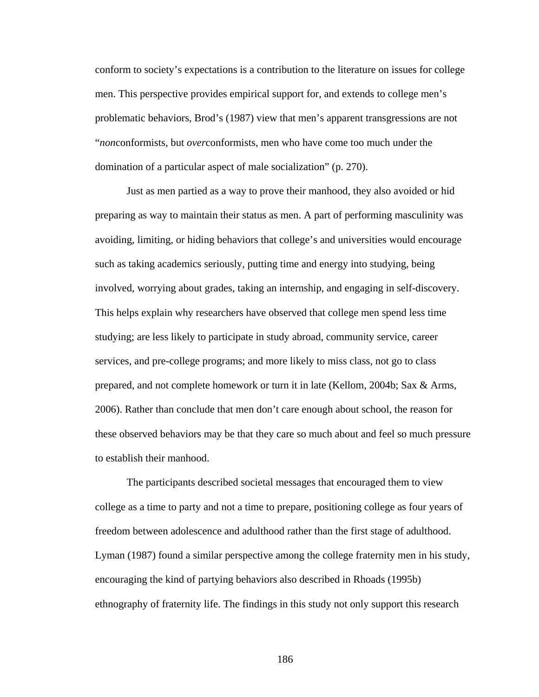conform to society's expectations is a contribution to the literature on issues for college men. This perspective provides empirical support for, and extends to college men's problematic behaviors, Brod's (1987) view that men's apparent transgressions are not "*non*conformists, but *over*conformists, men who have come too much under the domination of a particular aspect of male socialization" (p. 270).

Just as men partied as a way to prove their manhood, they also avoided or hid preparing as way to maintain their status as men. A part of performing masculinity was avoiding, limiting, or hiding behaviors that college's and universities would encourage such as taking academics seriously, putting time and energy into studying, being involved, worrying about grades, taking an internship, and engaging in self-discovery. This helps explain why researchers have observed that college men spend less time studying; are less likely to participate in study abroad, community service, career services, and pre-college programs; and more likely to miss class, not go to class prepared, and not complete homework or turn it in late (Kellom, 2004b; Sax & Arms, 2006). Rather than conclude that men don't care enough about school, the reason for these observed behaviors may be that they care so much about and feel so much pressure to establish their manhood.

The participants described societal messages that encouraged them to view college as a time to party and not a time to prepare, positioning college as four years of freedom between adolescence and adulthood rather than the first stage of adulthood. Lyman (1987) found a similar perspective among the college fraternity men in his study, encouraging the kind of partying behaviors also described in Rhoads (1995b) ethnography of fraternity life. The findings in this study not only support this research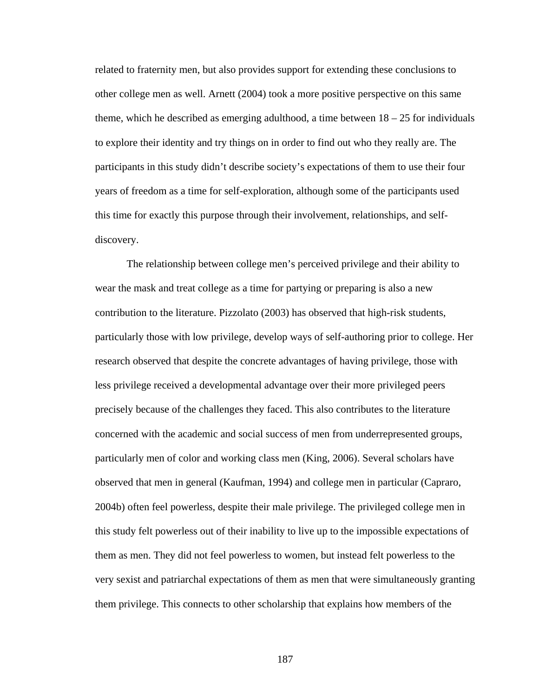related to fraternity men, but also provides support for extending these conclusions to other college men as well. Arnett (2004) took a more positive perspective on this same theme, which he described as emerging adulthood, a time between  $18 - 25$  for individuals to explore their identity and try things on in order to find out who they really are. The participants in this study didn't describe society's expectations of them to use their four years of freedom as a time for self-exploration, although some of the participants used this time for exactly this purpose through their involvement, relationships, and selfdiscovery.

The relationship between college men's perceived privilege and their ability to wear the mask and treat college as a time for partying or preparing is also a new contribution to the literature. Pizzolato (2003) has observed that high-risk students, particularly those with low privilege, develop ways of self-authoring prior to college. Her research observed that despite the concrete advantages of having privilege, those with less privilege received a developmental advantage over their more privileged peers precisely because of the challenges they faced. This also contributes to the literature concerned with the academic and social success of men from underrepresented groups, particularly men of color and working class men (King, 2006). Several scholars have observed that men in general (Kaufman, 1994) and college men in particular (Capraro, 2004b) often feel powerless, despite their male privilege. The privileged college men in this study felt powerless out of their inability to live up to the impossible expectations of them as men. They did not feel powerless to women, but instead felt powerless to the very sexist and patriarchal expectations of them as men that were simultaneously granting them privilege. This connects to other scholarship that explains how members of the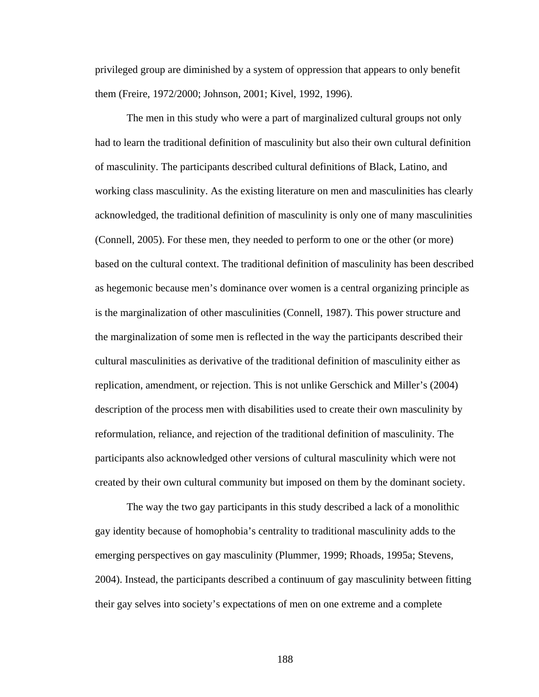privileged group are diminished by a system of oppression that appears to only benefit them (Freire, 1972/2000; Johnson, 2001; Kivel, 1992, 1996).

 The men in this study who were a part of marginalized cultural groups not only had to learn the traditional definition of masculinity but also their own cultural definition of masculinity. The participants described cultural definitions of Black, Latino, and working class masculinity. As the existing literature on men and masculinities has clearly acknowledged, the traditional definition of masculinity is only one of many masculinities (Connell, 2005). For these men, they needed to perform to one or the other (or more) based on the cultural context. The traditional definition of masculinity has been described as hegemonic because men's dominance over women is a central organizing principle as is the marginalization of other masculinities (Connell, 1987). This power structure and the marginalization of some men is reflected in the way the participants described their cultural masculinities as derivative of the traditional definition of masculinity either as replication, amendment, or rejection. This is not unlike Gerschick and Miller's (2004) description of the process men with disabilities used to create their own masculinity by reformulation, reliance, and rejection of the traditional definition of masculinity. The participants also acknowledged other versions of cultural masculinity which were not created by their own cultural community but imposed on them by the dominant society.

The way the two gay participants in this study described a lack of a monolithic gay identity because of homophobia's centrality to traditional masculinity adds to the emerging perspectives on gay masculinity (Plummer, 1999; Rhoads, 1995a; Stevens, 2004). Instead, the participants described a continuum of gay masculinity between fitting their gay selves into society's expectations of men on one extreme and a complete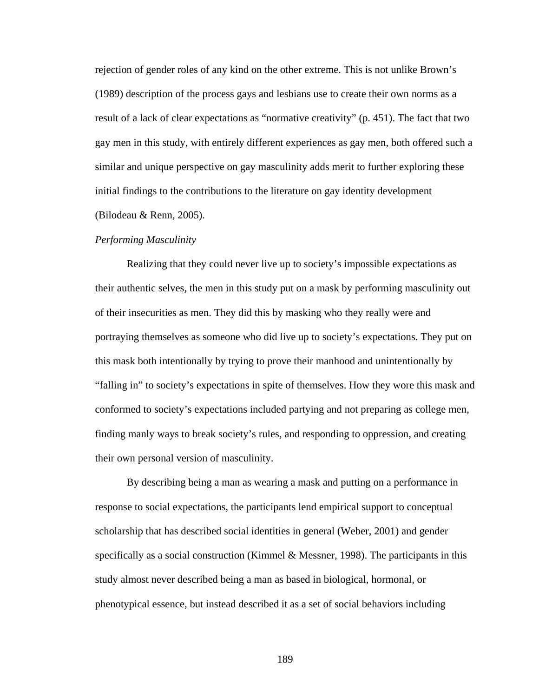rejection of gender roles of any kind on the other extreme. This is not unlike Brown's (1989) description of the process gays and lesbians use to create their own norms as a result of a lack of clear expectations as "normative creativity" (p. 451). The fact that two gay men in this study, with entirely different experiences as gay men, both offered such a similar and unique perspective on gay masculinity adds merit to further exploring these initial findings to the contributions to the literature on gay identity development (Bilodeau & Renn, 2005).

#### *Performing Masculinity*

Realizing that they could never live up to society's impossible expectations as their authentic selves, the men in this study put on a mask by performing masculinity out of their insecurities as men. They did this by masking who they really were and portraying themselves as someone who did live up to society's expectations. They put on this mask both intentionally by trying to prove their manhood and unintentionally by "falling in" to society's expectations in spite of themselves. How they wore this mask and conformed to society's expectations included partying and not preparing as college men, finding manly ways to break society's rules, and responding to oppression, and creating their own personal version of masculinity.

By describing being a man as wearing a mask and putting on a performance in response to social expectations, the participants lend empirical support to conceptual scholarship that has described social identities in general (Weber, 2001) and gender specifically as a social construction (Kimmel & Messner, 1998). The participants in this study almost never described being a man as based in biological, hormonal, or phenotypical essence, but instead described it as a set of social behaviors including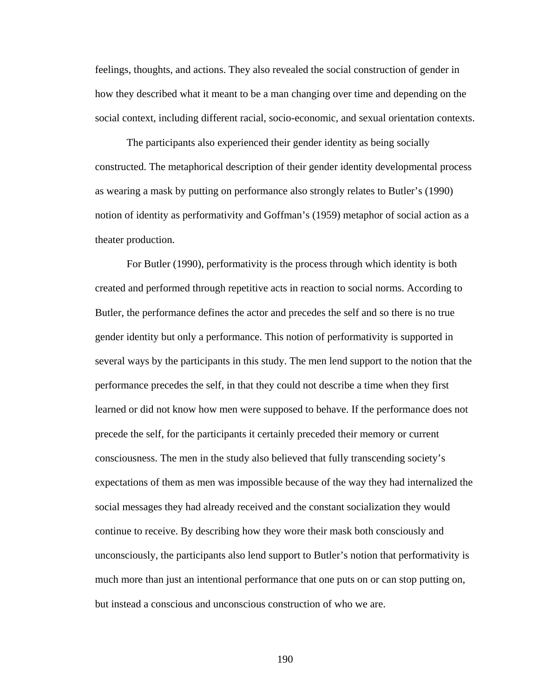feelings, thoughts, and actions. They also revealed the social construction of gender in how they described what it meant to be a man changing over time and depending on the social context, including different racial, socio-economic, and sexual orientation contexts.

The participants also experienced their gender identity as being socially constructed. The metaphorical description of their gender identity developmental process as wearing a mask by putting on performance also strongly relates to Butler's (1990) notion of identity as performativity and Goffman's (1959) metaphor of social action as a theater production.

For Butler (1990), performativity is the process through which identity is both created and performed through repetitive acts in reaction to social norms. According to Butler, the performance defines the actor and precedes the self and so there is no true gender identity but only a performance. This notion of performativity is supported in several ways by the participants in this study. The men lend support to the notion that the performance precedes the self, in that they could not describe a time when they first learned or did not know how men were supposed to behave. If the performance does not precede the self, for the participants it certainly preceded their memory or current consciousness. The men in the study also believed that fully transcending society's expectations of them as men was impossible because of the way they had internalized the social messages they had already received and the constant socialization they would continue to receive. By describing how they wore their mask both consciously and unconsciously, the participants also lend support to Butler's notion that performativity is much more than just an intentional performance that one puts on or can stop putting on, but instead a conscious and unconscious construction of who we are.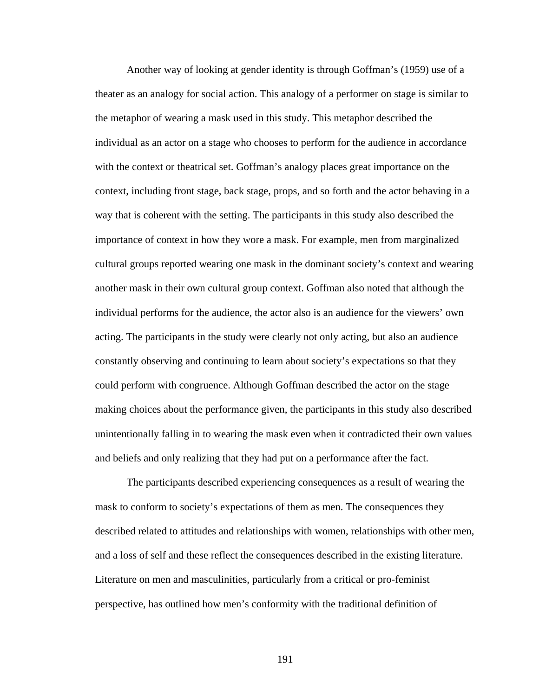Another way of looking at gender identity is through Goffman's (1959) use of a theater as an analogy for social action. This analogy of a performer on stage is similar to the metaphor of wearing a mask used in this study. This metaphor described the individual as an actor on a stage who chooses to perform for the audience in accordance with the context or theatrical set. Goffman's analogy places great importance on the context, including front stage, back stage, props, and so forth and the actor behaving in a way that is coherent with the setting. The participants in this study also described the importance of context in how they wore a mask. For example, men from marginalized cultural groups reported wearing one mask in the dominant society's context and wearing another mask in their own cultural group context. Goffman also noted that although the individual performs for the audience, the actor also is an audience for the viewers' own acting. The participants in the study were clearly not only acting, but also an audience constantly observing and continuing to learn about society's expectations so that they could perform with congruence. Although Goffman described the actor on the stage making choices about the performance given, the participants in this study also described unintentionally falling in to wearing the mask even when it contradicted their own values and beliefs and only realizing that they had put on a performance after the fact.

 The participants described experiencing consequences as a result of wearing the mask to conform to society's expectations of them as men. The consequences they described related to attitudes and relationships with women, relationships with other men, and a loss of self and these reflect the consequences described in the existing literature. Literature on men and masculinities, particularly from a critical or pro-feminist perspective, has outlined how men's conformity with the traditional definition of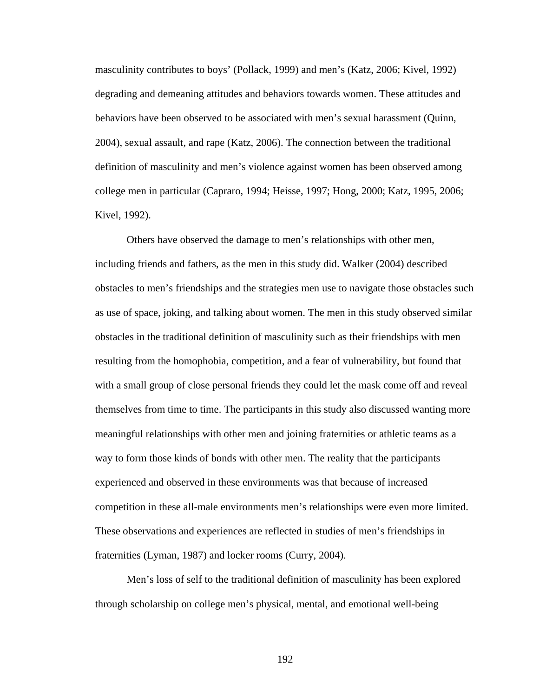masculinity contributes to boys' (Pollack, 1999) and men's (Katz, 2006; Kivel, 1992) degrading and demeaning attitudes and behaviors towards women. These attitudes and behaviors have been observed to be associated with men's sexual harassment (Quinn, 2004), sexual assault, and rape (Katz, 2006). The connection between the traditional definition of masculinity and men's violence against women has been observed among college men in particular (Capraro, 1994; Heisse, 1997; Hong, 2000; Katz, 1995, 2006; Kivel, 1992).

Others have observed the damage to men's relationships with other men, including friends and fathers, as the men in this study did. Walker (2004) described obstacles to men's friendships and the strategies men use to navigate those obstacles such as use of space, joking, and talking about women. The men in this study observed similar obstacles in the traditional definition of masculinity such as their friendships with men resulting from the homophobia, competition, and a fear of vulnerability, but found that with a small group of close personal friends they could let the mask come off and reveal themselves from time to time. The participants in this study also discussed wanting more meaningful relationships with other men and joining fraternities or athletic teams as a way to form those kinds of bonds with other men. The reality that the participants experienced and observed in these environments was that because of increased competition in these all-male environments men's relationships were even more limited. These observations and experiences are reflected in studies of men's friendships in fraternities (Lyman, 1987) and locker rooms (Curry, 2004).

Men's loss of self to the traditional definition of masculinity has been explored through scholarship on college men's physical, mental, and emotional well-being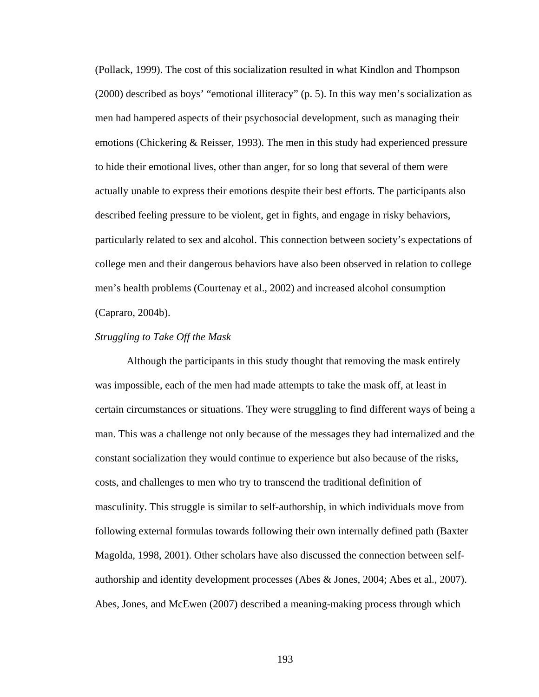(Pollack, 1999). The cost of this socialization resulted in what Kindlon and Thompson (2000) described as boys' "emotional illiteracy" (p. 5). In this way men's socialization as men had hampered aspects of their psychosocial development, such as managing their emotions (Chickering & Reisser, 1993). The men in this study had experienced pressure to hide their emotional lives, other than anger, for so long that several of them were actually unable to express their emotions despite their best efforts. The participants also described feeling pressure to be violent, get in fights, and engage in risky behaviors, particularly related to sex and alcohol. This connection between society's expectations of college men and their dangerous behaviors have also been observed in relation to college men's health problems (Courtenay et al., 2002) and increased alcohol consumption (Capraro, 2004b).

# *Struggling to Take Off the Mask*

Although the participants in this study thought that removing the mask entirely was impossible, each of the men had made attempts to take the mask off, at least in certain circumstances or situations. They were struggling to find different ways of being a man. This was a challenge not only because of the messages they had internalized and the constant socialization they would continue to experience but also because of the risks, costs, and challenges to men who try to transcend the traditional definition of masculinity. This struggle is similar to self-authorship, in which individuals move from following external formulas towards following their own internally defined path (Baxter Magolda, 1998, 2001). Other scholars have also discussed the connection between selfauthorship and identity development processes (Abes & Jones, 2004; Abes et al., 2007). Abes, Jones, and McEwen (2007) described a meaning-making process through which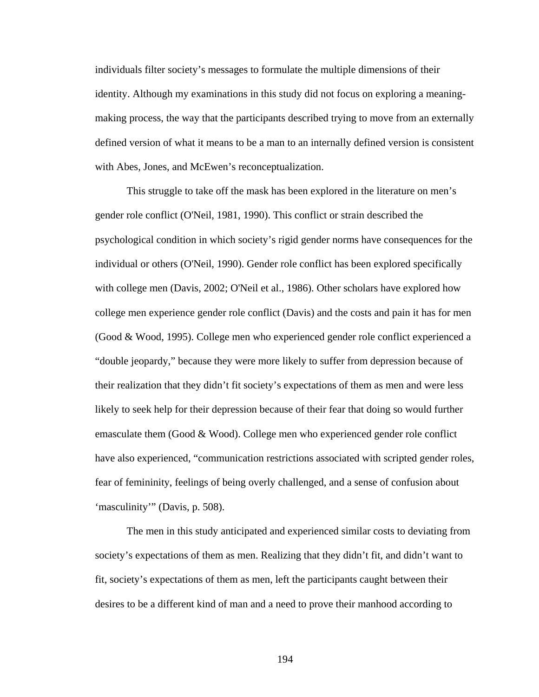individuals filter society's messages to formulate the multiple dimensions of their identity. Although my examinations in this study did not focus on exploring a meaningmaking process, the way that the participants described trying to move from an externally defined version of what it means to be a man to an internally defined version is consistent with Abes, Jones, and McEwen's reconceptualization.

This struggle to take off the mask has been explored in the literature on men's gender role conflict (O'Neil, 1981, 1990). This conflict or strain described the psychological condition in which society's rigid gender norms have consequences for the individual or others (O'Neil, 1990). Gender role conflict has been explored specifically with college men (Davis, 2002; O'Neil et al., 1986). Other scholars have explored how college men experience gender role conflict (Davis) and the costs and pain it has for men (Good & Wood, 1995). College men who experienced gender role conflict experienced a "double jeopardy," because they were more likely to suffer from depression because of their realization that they didn't fit society's expectations of them as men and were less likely to seek help for their depression because of their fear that doing so would further emasculate them (Good & Wood). College men who experienced gender role conflict have also experienced, "communication restrictions associated with scripted gender roles, fear of femininity, feelings of being overly challenged, and a sense of confusion about 'masculinity'" (Davis, p. 508).

The men in this study anticipated and experienced similar costs to deviating from society's expectations of them as men. Realizing that they didn't fit, and didn't want to fit, society's expectations of them as men, left the participants caught between their desires to be a different kind of man and a need to prove their manhood according to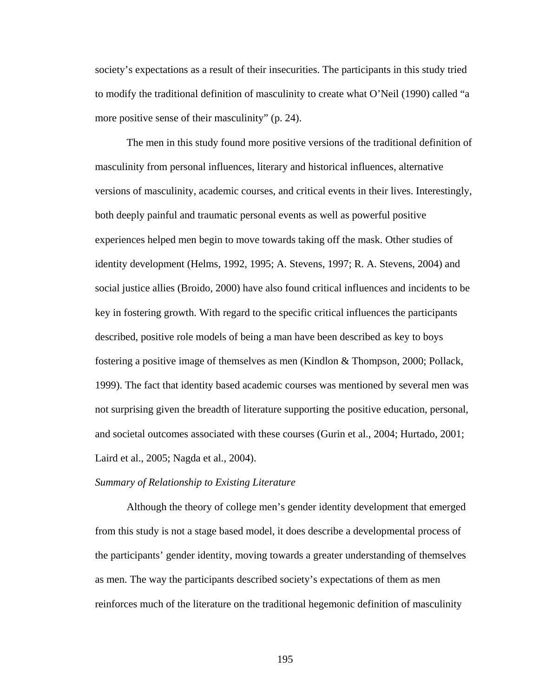society's expectations as a result of their insecurities. The participants in this study tried to modify the traditional definition of masculinity to create what O'Neil (1990) called "a more positive sense of their masculinity" (p. 24).

The men in this study found more positive versions of the traditional definition of masculinity from personal influences, literary and historical influences, alternative versions of masculinity, academic courses, and critical events in their lives. Interestingly, both deeply painful and traumatic personal events as well as powerful positive experiences helped men begin to move towards taking off the mask. Other studies of identity development (Helms, 1992, 1995; A. Stevens, 1997; R. A. Stevens, 2004) and social justice allies (Broido, 2000) have also found critical influences and incidents to be key in fostering growth. With regard to the specific critical influences the participants described, positive role models of being a man have been described as key to boys fostering a positive image of themselves as men (Kindlon & Thompson, 2000; Pollack, 1999). The fact that identity based academic courses was mentioned by several men was not surprising given the breadth of literature supporting the positive education, personal, and societal outcomes associated with these courses (Gurin et al., 2004; Hurtado, 2001; Laird et al., 2005; Nagda et al., 2004).

### *Summary of Relationship to Existing Literature*

Although the theory of college men's gender identity development that emerged from this study is not a stage based model, it does describe a developmental process of the participants' gender identity, moving towards a greater understanding of themselves as men. The way the participants described society's expectations of them as men reinforces much of the literature on the traditional hegemonic definition of masculinity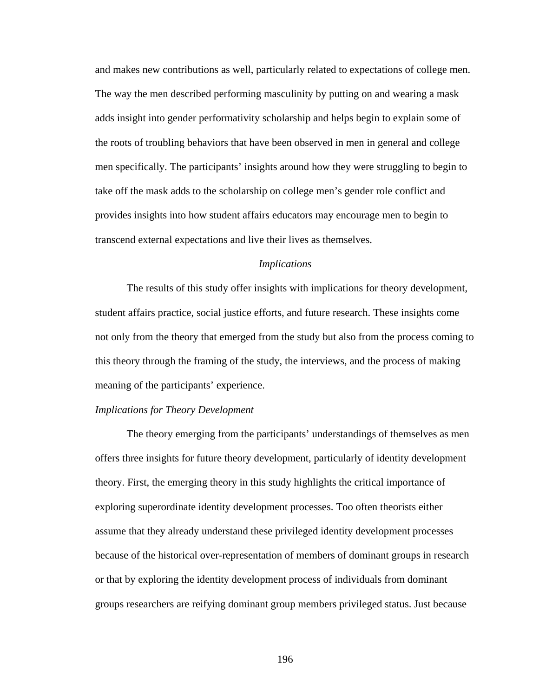and makes new contributions as well, particularly related to expectations of college men. The way the men described performing masculinity by putting on and wearing a mask adds insight into gender performativity scholarship and helps begin to explain some of the roots of troubling behaviors that have been observed in men in general and college men specifically. The participants' insights around how they were struggling to begin to take off the mask adds to the scholarship on college men's gender role conflict and provides insights into how student affairs educators may encourage men to begin to transcend external expectations and live their lives as themselves.

# *Implications*

 The results of this study offer insights with implications for theory development, student affairs practice, social justice efforts, and future research. These insights come not only from the theory that emerged from the study but also from the process coming to this theory through the framing of the study, the interviews, and the process of making meaning of the participants' experience.

### *Implications for Theory Development*

 The theory emerging from the participants' understandings of themselves as men offers three insights for future theory development, particularly of identity development theory. First, the emerging theory in this study highlights the critical importance of exploring superordinate identity development processes. Too often theorists either assume that they already understand these privileged identity development processes because of the historical over-representation of members of dominant groups in research or that by exploring the identity development process of individuals from dominant groups researchers are reifying dominant group members privileged status. Just because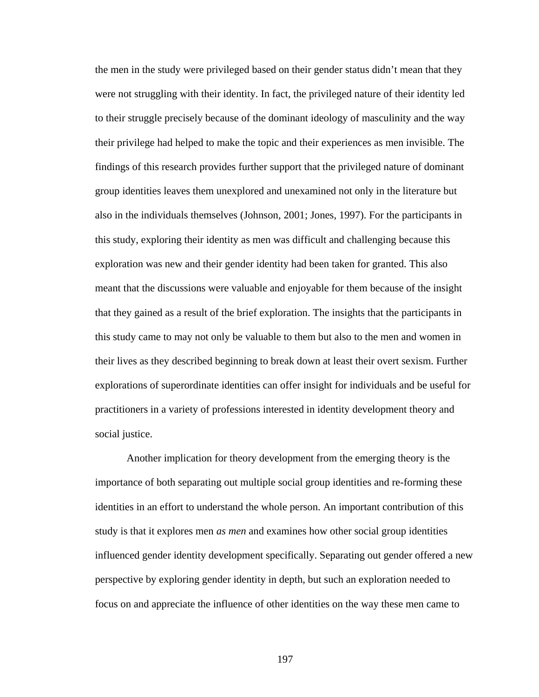the men in the study were privileged based on their gender status didn't mean that they were not struggling with their identity. In fact, the privileged nature of their identity led to their struggle precisely because of the dominant ideology of masculinity and the way their privilege had helped to make the topic and their experiences as men invisible. The findings of this research provides further support that the privileged nature of dominant group identities leaves them unexplored and unexamined not only in the literature but also in the individuals themselves (Johnson, 2001; Jones, 1997). For the participants in this study, exploring their identity as men was difficult and challenging because this exploration was new and their gender identity had been taken for granted. This also meant that the discussions were valuable and enjoyable for them because of the insight that they gained as a result of the brief exploration. The insights that the participants in this study came to may not only be valuable to them but also to the men and women in their lives as they described beginning to break down at least their overt sexism. Further explorations of superordinate identities can offer insight for individuals and be useful for practitioners in a variety of professions interested in identity development theory and social justice.

 Another implication for theory development from the emerging theory is the importance of both separating out multiple social group identities and re-forming these identities in an effort to understand the whole person. An important contribution of this study is that it explores men *as men* and examines how other social group identities influenced gender identity development specifically. Separating out gender offered a new perspective by exploring gender identity in depth, but such an exploration needed to focus on and appreciate the influence of other identities on the way these men came to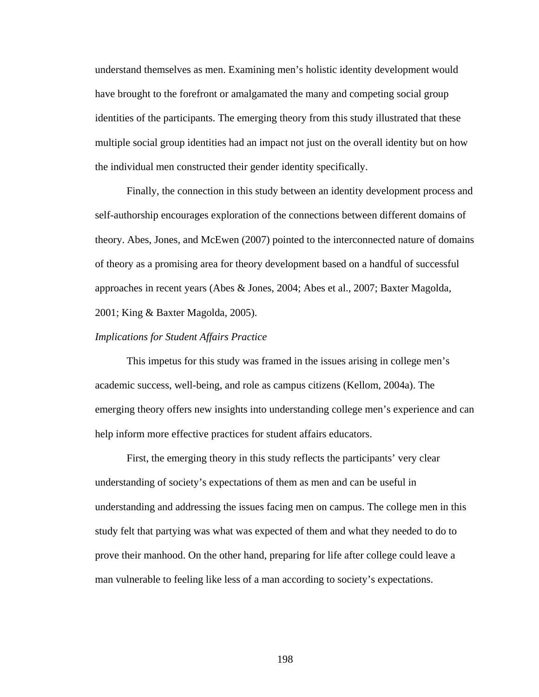understand themselves as men. Examining men's holistic identity development would have brought to the forefront or amalgamated the many and competing social group identities of the participants. The emerging theory from this study illustrated that these multiple social group identities had an impact not just on the overall identity but on how the individual men constructed their gender identity specifically.

 Finally, the connection in this study between an identity development process and self-authorship encourages exploration of the connections between different domains of theory. Abes, Jones, and McEwen (2007) pointed to the interconnected nature of domains of theory as a promising area for theory development based on a handful of successful approaches in recent years (Abes & Jones, 2004; Abes et al., 2007; Baxter Magolda, 2001; King & Baxter Magolda, 2005).

### *Implications for Student Affairs Practice*

 This impetus for this study was framed in the issues arising in college men's academic success, well-being, and role as campus citizens (Kellom, 2004a). The emerging theory offers new insights into understanding college men's experience and can help inform more effective practices for student affairs educators.

 First, the emerging theory in this study reflects the participants' very clear understanding of society's expectations of them as men and can be useful in understanding and addressing the issues facing men on campus. The college men in this study felt that partying was what was expected of them and what they needed to do to prove their manhood. On the other hand, preparing for life after college could leave a man vulnerable to feeling like less of a man according to society's expectations.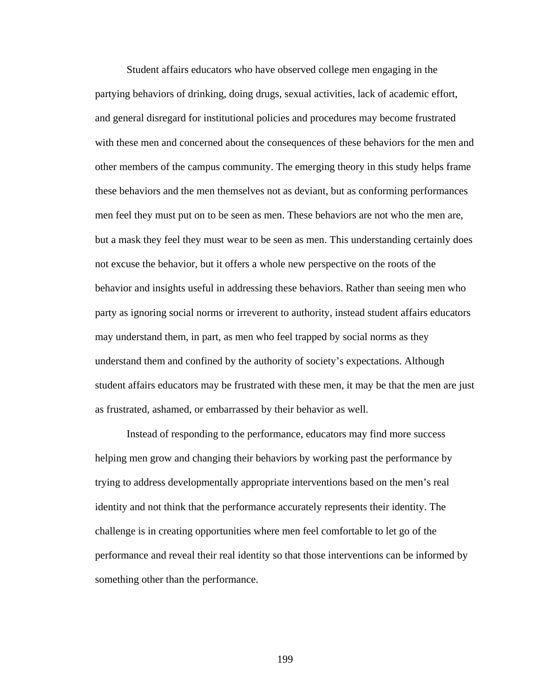Student affairs educators who have observed college men engaging in the partying behaviors of drinking, doing drugs, sexual activities, lack of academic effort, and general disregard for institutional policies and procedures may become frustrated with these men and concerned about the consequences of these behaviors for the men and other members of the campus community. The emerging theory in this study helps frame these behaviors and the men themselves not as deviant, but as conforming performances men feel they must put on to be seen as men. These behaviors are not who the men are, but a mask they feel they must wear to be seen as men. This understanding certainly does not excuse the behavior, but it offers a whole new perspective on the roots of the behavior and insights useful in addressing these behaviors. Rather than seeing men who party as ignoring social norms or irreverent to authority, instead student affairs educators may understand them, in part, as men who feel trapped by social norms as they understand them and confined by the authority of society's expectations. Although student affairs educators may be frustrated with these men, it may be that the men are just as frustrated, ashamed, or embarrassed by their behavior as well.

Instead of responding to the performance, educators may find more success helping men grow and changing their behaviors by working past the performance by trying to address developmentally appropriate interventions based on the men's real identity and not think that the performance accurately represents their identity. The challenge is in creating opportunities where men feel comfortable to let go of the performance and reveal their real identity so that those interventions can be informed by something other than the performance.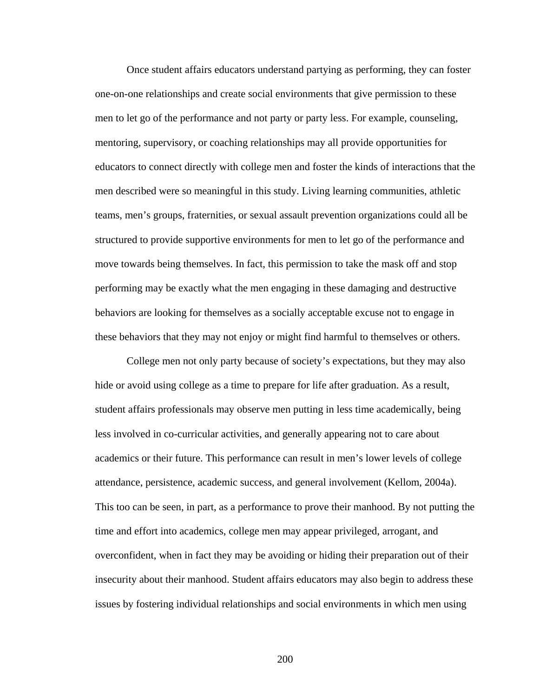Once student affairs educators understand partying as performing, they can foster one-on-one relationships and create social environments that give permission to these men to let go of the performance and not party or party less. For example, counseling, mentoring, supervisory, or coaching relationships may all provide opportunities for educators to connect directly with college men and foster the kinds of interactions that the men described were so meaningful in this study. Living learning communities, athletic teams, men's groups, fraternities, or sexual assault prevention organizations could all be structured to provide supportive environments for men to let go of the performance and move towards being themselves. In fact, this permission to take the mask off and stop performing may be exactly what the men engaging in these damaging and destructive behaviors are looking for themselves as a socially acceptable excuse not to engage in these behaviors that they may not enjoy or might find harmful to themselves or others.

 College men not only party because of society's expectations, but they may also hide or avoid using college as a time to prepare for life after graduation. As a result, student affairs professionals may observe men putting in less time academically, being less involved in co-curricular activities, and generally appearing not to care about academics or their future. This performance can result in men's lower levels of college attendance, persistence, academic success, and general involvement (Kellom, 2004a). This too can be seen, in part, as a performance to prove their manhood. By not putting the time and effort into academics, college men may appear privileged, arrogant, and overconfident, when in fact they may be avoiding or hiding their preparation out of their insecurity about their manhood. Student affairs educators may also begin to address these issues by fostering individual relationships and social environments in which men using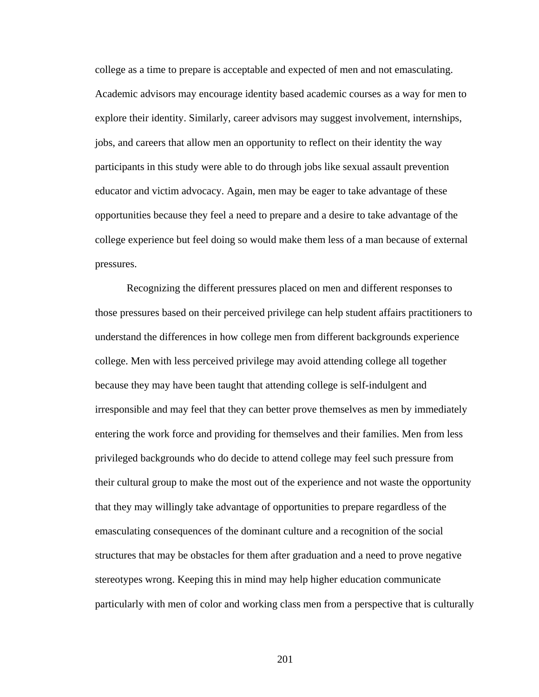college as a time to prepare is acceptable and expected of men and not emasculating. Academic advisors may encourage identity based academic courses as a way for men to explore their identity. Similarly, career advisors may suggest involvement, internships, jobs, and careers that allow men an opportunity to reflect on their identity the way participants in this study were able to do through jobs like sexual assault prevention educator and victim advocacy. Again, men may be eager to take advantage of these opportunities because they feel a need to prepare and a desire to take advantage of the college experience but feel doing so would make them less of a man because of external pressures.

 Recognizing the different pressures placed on men and different responses to those pressures based on their perceived privilege can help student affairs practitioners to understand the differences in how college men from different backgrounds experience college. Men with less perceived privilege may avoid attending college all together because they may have been taught that attending college is self-indulgent and irresponsible and may feel that they can better prove themselves as men by immediately entering the work force and providing for themselves and their families. Men from less privileged backgrounds who do decide to attend college may feel such pressure from their cultural group to make the most out of the experience and not waste the opportunity that they may willingly take advantage of opportunities to prepare regardless of the emasculating consequences of the dominant culture and a recognition of the social structures that may be obstacles for them after graduation and a need to prove negative stereotypes wrong. Keeping this in mind may help higher education communicate particularly with men of color and working class men from a perspective that is culturally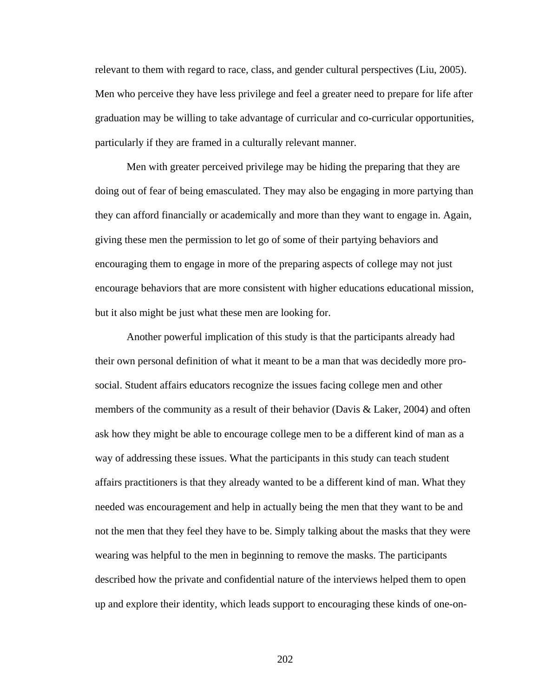relevant to them with regard to race, class, and gender cultural perspectives (Liu, 2005). Men who perceive they have less privilege and feel a greater need to prepare for life after graduation may be willing to take advantage of curricular and co-curricular opportunities, particularly if they are framed in a culturally relevant manner.

 Men with greater perceived privilege may be hiding the preparing that they are doing out of fear of being emasculated. They may also be engaging in more partying than they can afford financially or academically and more than they want to engage in. Again, giving these men the permission to let go of some of their partying behaviors and encouraging them to engage in more of the preparing aspects of college may not just encourage behaviors that are more consistent with higher educations educational mission, but it also might be just what these men are looking for.

 Another powerful implication of this study is that the participants already had their own personal definition of what it meant to be a man that was decidedly more prosocial. Student affairs educators recognize the issues facing college men and other members of the community as a result of their behavior (Davis & Laker, 2004) and often ask how they might be able to encourage college men to be a different kind of man as a way of addressing these issues. What the participants in this study can teach student affairs practitioners is that they already wanted to be a different kind of man. What they needed was encouragement and help in actually being the men that they want to be and not the men that they feel they have to be. Simply talking about the masks that they were wearing was helpful to the men in beginning to remove the masks. The participants described how the private and confidential nature of the interviews helped them to open up and explore their identity, which leads support to encouraging these kinds of one-on-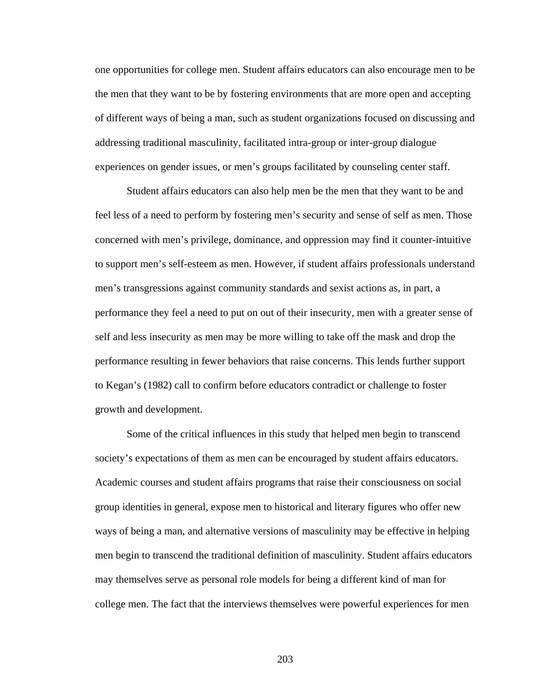one opportunities for college men. Student affairs educators can also encourage men to be the men that they want to be by fostering environments that are more open and accepting of different ways of being a man, such as student organizations focused on discussing and addressing traditional masculinity, facilitated intra-group or inter-group dialogue experiences on gender issues, or men's groups facilitated by counseling center staff.

Student affairs educators can also help men be the men that they want to be and feel less of a need to perform by fostering men's security and sense of self as men. Those concerned with men's privilege, dominance, and oppression may find it counter-intuitive to support men's self-esteem as men. However, if student affairs professionals understand men's transgressions against community standards and sexist actions as, in part, a performance they feel a need to put on out of their insecurity, men with a greater sense of self and less insecurity as men may be more willing to take off the mask and drop the performance resulting in fewer behaviors that raise concerns. This lends further support to Kegan's (1982) call to confirm before educators contradict or challenge to foster growth and development.

Some of the critical influences in this study that helped men begin to transcend society's expectations of them as men can be encouraged by student affairs educators. Academic courses and student affairs programs that raise their consciousness on social group identities in general, expose men to historical and literary figures who offer new ways of being a man, and alternative versions of masculinity may be effective in helping men begin to transcend the traditional definition of masculinity. Student affairs educators may themselves serve as personal role models for being a different kind of man for college men. The fact that the interviews themselves were powerful experiences for men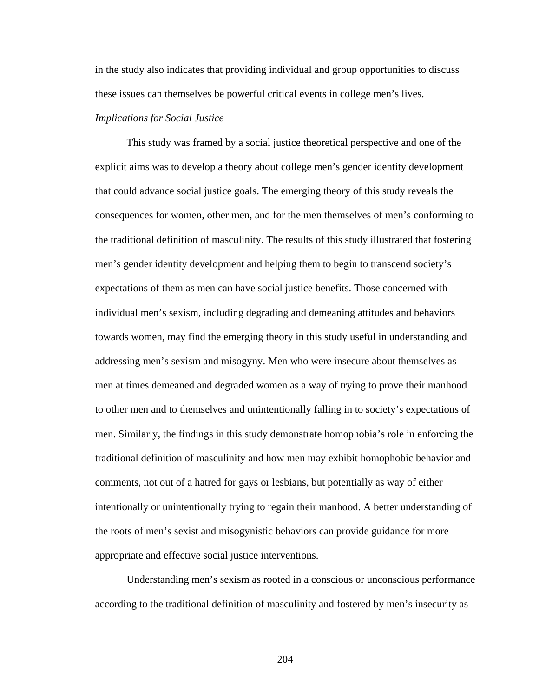in the study also indicates that providing individual and group opportunities to discuss these issues can themselves be powerful critical events in college men's lives.

# *Implications for Social Justice*

 This study was framed by a social justice theoretical perspective and one of the explicit aims was to develop a theory about college men's gender identity development that could advance social justice goals. The emerging theory of this study reveals the consequences for women, other men, and for the men themselves of men's conforming to the traditional definition of masculinity. The results of this study illustrated that fostering men's gender identity development and helping them to begin to transcend society's expectations of them as men can have social justice benefits. Those concerned with individual men's sexism, including degrading and demeaning attitudes and behaviors towards women, may find the emerging theory in this study useful in understanding and addressing men's sexism and misogyny. Men who were insecure about themselves as men at times demeaned and degraded women as a way of trying to prove their manhood to other men and to themselves and unintentionally falling in to society's expectations of men. Similarly, the findings in this study demonstrate homophobia's role in enforcing the traditional definition of masculinity and how men may exhibit homophobic behavior and comments, not out of a hatred for gays or lesbians, but potentially as way of either intentionally or unintentionally trying to regain their manhood. A better understanding of the roots of men's sexist and misogynistic behaviors can provide guidance for more appropriate and effective social justice interventions.

 Understanding men's sexism as rooted in a conscious or unconscious performance according to the traditional definition of masculinity and fostered by men's insecurity as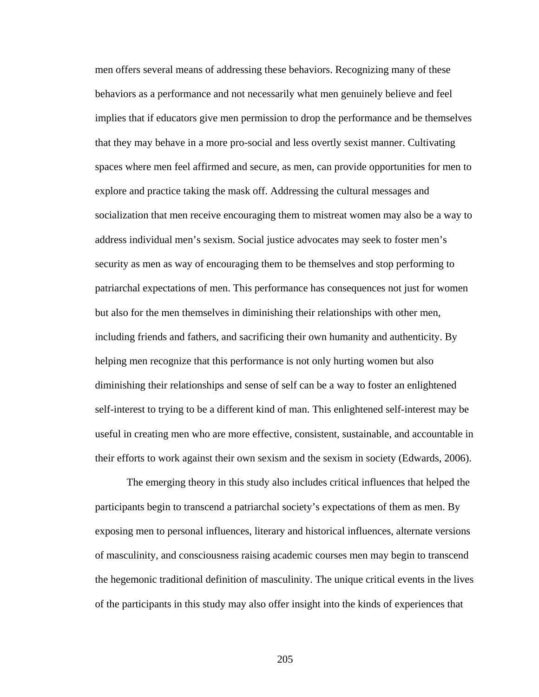men offers several means of addressing these behaviors. Recognizing many of these behaviors as a performance and not necessarily what men genuinely believe and feel implies that if educators give men permission to drop the performance and be themselves that they may behave in a more pro-social and less overtly sexist manner. Cultivating spaces where men feel affirmed and secure, as men, can provide opportunities for men to explore and practice taking the mask off. Addressing the cultural messages and socialization that men receive encouraging them to mistreat women may also be a way to address individual men's sexism. Social justice advocates may seek to foster men's security as men as way of encouraging them to be themselves and stop performing to patriarchal expectations of men. This performance has consequences not just for women but also for the men themselves in diminishing their relationships with other men, including friends and fathers, and sacrificing their own humanity and authenticity. By helping men recognize that this performance is not only hurting women but also diminishing their relationships and sense of self can be a way to foster an enlightened self-interest to trying to be a different kind of man. This enlightened self-interest may be useful in creating men who are more effective, consistent, sustainable, and accountable in their efforts to work against their own sexism and the sexism in society (Edwards, 2006).

 The emerging theory in this study also includes critical influences that helped the participants begin to transcend a patriarchal society's expectations of them as men. By exposing men to personal influences, literary and historical influences, alternate versions of masculinity, and consciousness raising academic courses men may begin to transcend the hegemonic traditional definition of masculinity. The unique critical events in the lives of the participants in this study may also offer insight into the kinds of experiences that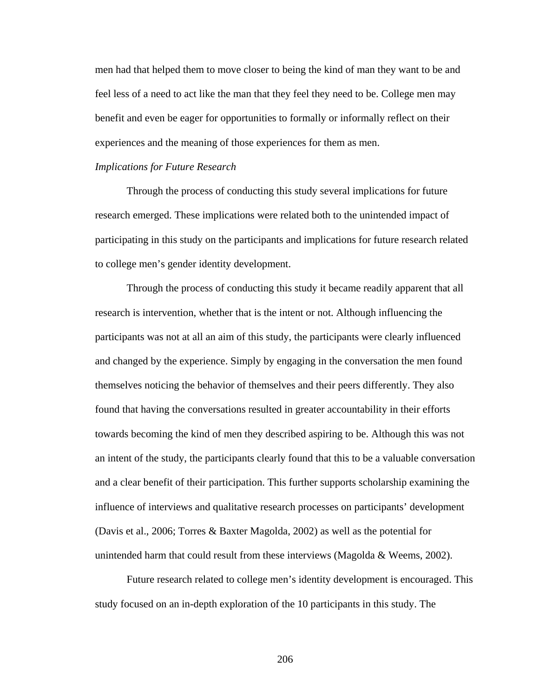men had that helped them to move closer to being the kind of man they want to be and feel less of a need to act like the man that they feel they need to be. College men may benefit and even be eager for opportunities to formally or informally reflect on their experiences and the meaning of those experiences for them as men.

#### *Implications for Future Research*

 Through the process of conducting this study several implications for future research emerged. These implications were related both to the unintended impact of participating in this study on the participants and implications for future research related to college men's gender identity development.

Through the process of conducting this study it became readily apparent that all research is intervention, whether that is the intent or not. Although influencing the participants was not at all an aim of this study, the participants were clearly influenced and changed by the experience. Simply by engaging in the conversation the men found themselves noticing the behavior of themselves and their peers differently. They also found that having the conversations resulted in greater accountability in their efforts towards becoming the kind of men they described aspiring to be. Although this was not an intent of the study, the participants clearly found that this to be a valuable conversation and a clear benefit of their participation. This further supports scholarship examining the influence of interviews and qualitative research processes on participants' development (Davis et al., 2006; Torres & Baxter Magolda, 2002) as well as the potential for unintended harm that could result from these interviews (Magolda & Weems, 2002).

 Future research related to college men's identity development is encouraged. This study focused on an in-depth exploration of the 10 participants in this study. The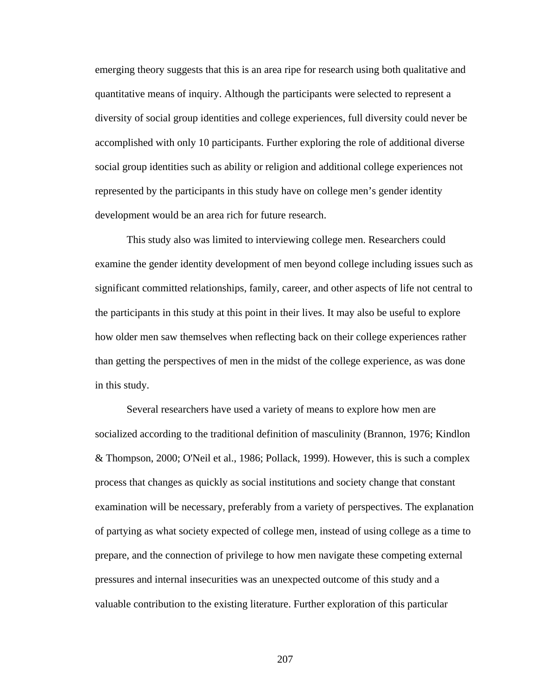emerging theory suggests that this is an area ripe for research using both qualitative and quantitative means of inquiry. Although the participants were selected to represent a diversity of social group identities and college experiences, full diversity could never be accomplished with only 10 participants. Further exploring the role of additional diverse social group identities such as ability or religion and additional college experiences not represented by the participants in this study have on college men's gender identity development would be an area rich for future research.

This study also was limited to interviewing college men. Researchers could examine the gender identity development of men beyond college including issues such as significant committed relationships, family, career, and other aspects of life not central to the participants in this study at this point in their lives. It may also be useful to explore how older men saw themselves when reflecting back on their college experiences rather than getting the perspectives of men in the midst of the college experience, as was done in this study.

 Several researchers have used a variety of means to explore how men are socialized according to the traditional definition of masculinity (Brannon, 1976; Kindlon & Thompson, 2000; O'Neil et al., 1986; Pollack, 1999). However, this is such a complex process that changes as quickly as social institutions and society change that constant examination will be necessary, preferably from a variety of perspectives. The explanation of partying as what society expected of college men, instead of using college as a time to prepare, and the connection of privilege to how men navigate these competing external pressures and internal insecurities was an unexpected outcome of this study and a valuable contribution to the existing literature. Further exploration of this particular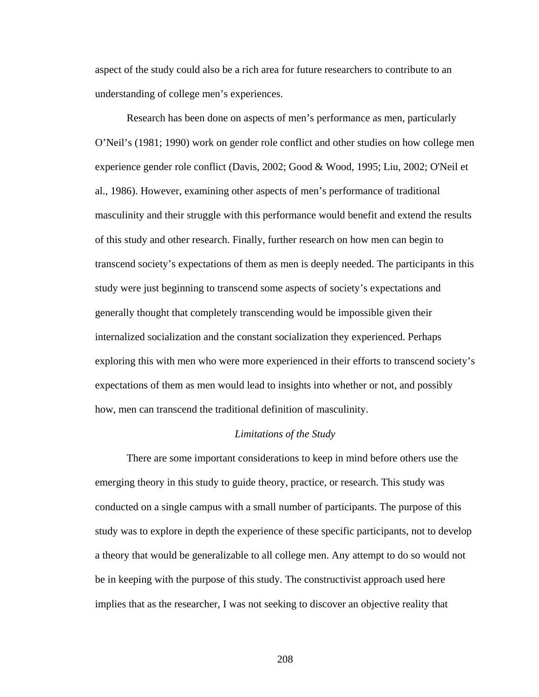aspect of the study could also be a rich area for future researchers to contribute to an understanding of college men's experiences.

Research has been done on aspects of men's performance as men, particularly O'Neil's (1981; 1990) work on gender role conflict and other studies on how college men experience gender role conflict (Davis, 2002; Good & Wood, 1995; Liu, 2002; O'Neil et al., 1986). However, examining other aspects of men's performance of traditional masculinity and their struggle with this performance would benefit and extend the results of this study and other research. Finally, further research on how men can begin to transcend society's expectations of them as men is deeply needed. The participants in this study were just beginning to transcend some aspects of society's expectations and generally thought that completely transcending would be impossible given their internalized socialization and the constant socialization they experienced. Perhaps exploring this with men who were more experienced in their efforts to transcend society's expectations of them as men would lead to insights into whether or not, and possibly how, men can transcend the traditional definition of masculinity.

#### *Limitations of the Study*

There are some important considerations to keep in mind before others use the emerging theory in this study to guide theory, practice, or research. This study was conducted on a single campus with a small number of participants. The purpose of this study was to explore in depth the experience of these specific participants, not to develop a theory that would be generalizable to all college men. Any attempt to do so would not be in keeping with the purpose of this study. The constructivist approach used here implies that as the researcher, I was not seeking to discover an objective reality that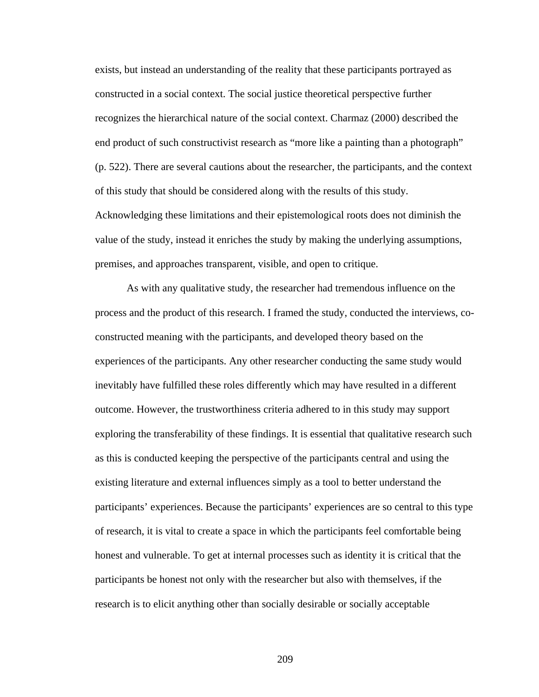exists, but instead an understanding of the reality that these participants portrayed as constructed in a social context. The social justice theoretical perspective further recognizes the hierarchical nature of the social context. Charmaz (2000) described the end product of such constructivist research as "more like a painting than a photograph" (p. 522). There are several cautions about the researcher, the participants, and the context of this study that should be considered along with the results of this study. Acknowledging these limitations and their epistemological roots does not diminish the value of the study, instead it enriches the study by making the underlying assumptions, premises, and approaches transparent, visible, and open to critique.

 As with any qualitative study, the researcher had tremendous influence on the process and the product of this research. I framed the study, conducted the interviews, coconstructed meaning with the participants, and developed theory based on the experiences of the participants. Any other researcher conducting the same study would inevitably have fulfilled these roles differently which may have resulted in a different outcome. However, the trustworthiness criteria adhered to in this study may support exploring the transferability of these findings. It is essential that qualitative research such as this is conducted keeping the perspective of the participants central and using the existing literature and external influences simply as a tool to better understand the participants' experiences. Because the participants' experiences are so central to this type of research, it is vital to create a space in which the participants feel comfortable being honest and vulnerable. To get at internal processes such as identity it is critical that the participants be honest not only with the researcher but also with themselves, if the research is to elicit anything other than socially desirable or socially acceptable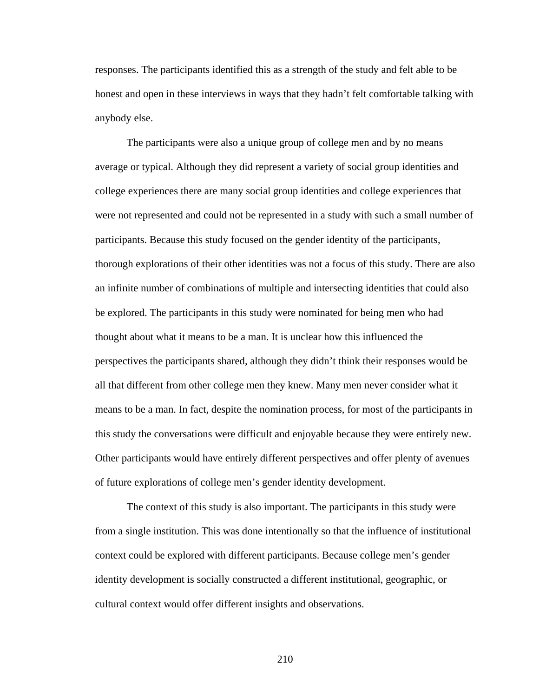responses. The participants identified this as a strength of the study and felt able to be honest and open in these interviews in ways that they hadn't felt comfortable talking with anybody else.

 The participants were also a unique group of college men and by no means average or typical. Although they did represent a variety of social group identities and college experiences there are many social group identities and college experiences that were not represented and could not be represented in a study with such a small number of participants. Because this study focused on the gender identity of the participants, thorough explorations of their other identities was not a focus of this study. There are also an infinite number of combinations of multiple and intersecting identities that could also be explored. The participants in this study were nominated for being men who had thought about what it means to be a man. It is unclear how this influenced the perspectives the participants shared, although they didn't think their responses would be all that different from other college men they knew. Many men never consider what it means to be a man. In fact, despite the nomination process, for most of the participants in this study the conversations were difficult and enjoyable because they were entirely new. Other participants would have entirely different perspectives and offer plenty of avenues of future explorations of college men's gender identity development.

 The context of this study is also important. The participants in this study were from a single institution. This was done intentionally so that the influence of institutional context could be explored with different participants. Because college men's gender identity development is socially constructed a different institutional, geographic, or cultural context would offer different insights and observations.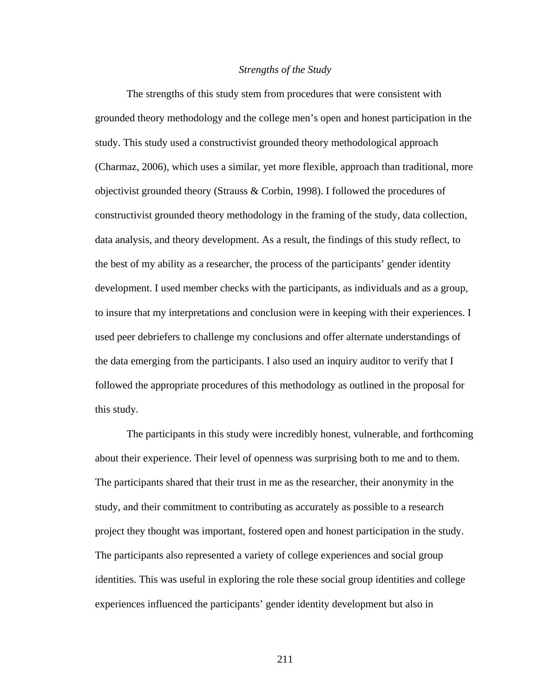#### *Strengths of the Study*

 The strengths of this study stem from procedures that were consistent with grounded theory methodology and the college men's open and honest participation in the study. This study used a constructivist grounded theory methodological approach (Charmaz, 2006), which uses a similar, yet more flexible, approach than traditional, more objectivist grounded theory (Strauss & Corbin, 1998). I followed the procedures of constructivist grounded theory methodology in the framing of the study, data collection, data analysis, and theory development. As a result, the findings of this study reflect, to the best of my ability as a researcher, the process of the participants' gender identity development. I used member checks with the participants, as individuals and as a group, to insure that my interpretations and conclusion were in keeping with their experiences. I used peer debriefers to challenge my conclusions and offer alternate understandings of the data emerging from the participants. I also used an inquiry auditor to verify that I followed the appropriate procedures of this methodology as outlined in the proposal for this study.

 The participants in this study were incredibly honest, vulnerable, and forthcoming about their experience. Their level of openness was surprising both to me and to them. The participants shared that their trust in me as the researcher, their anonymity in the study, and their commitment to contributing as accurately as possible to a research project they thought was important, fostered open and honest participation in the study. The participants also represented a variety of college experiences and social group identities. This was useful in exploring the role these social group identities and college experiences influenced the participants' gender identity development but also in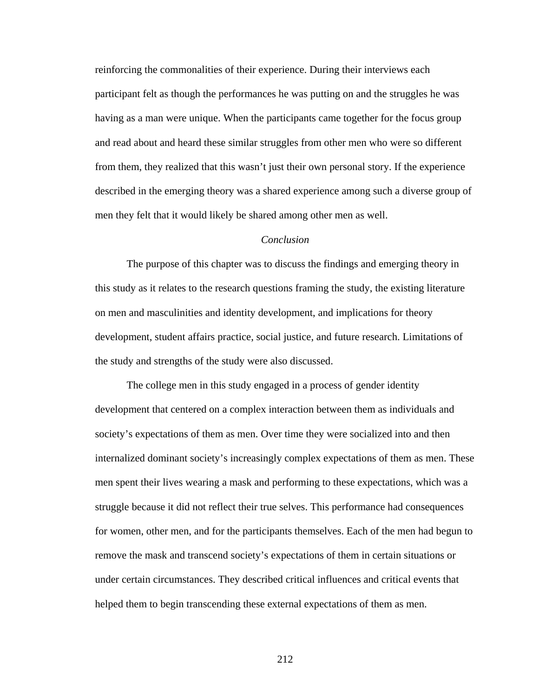reinforcing the commonalities of their experience. During their interviews each participant felt as though the performances he was putting on and the struggles he was having as a man were unique. When the participants came together for the focus group and read about and heard these similar struggles from other men who were so different from them, they realized that this wasn't just their own personal story. If the experience described in the emerging theory was a shared experience among such a diverse group of men they felt that it would likely be shared among other men as well.

#### *Conclusion*

 The purpose of this chapter was to discuss the findings and emerging theory in this study as it relates to the research questions framing the study, the existing literature on men and masculinities and identity development, and implications for theory development, student affairs practice, social justice, and future research. Limitations of the study and strengths of the study were also discussed.

 The college men in this study engaged in a process of gender identity development that centered on a complex interaction between them as individuals and society's expectations of them as men. Over time they were socialized into and then internalized dominant society's increasingly complex expectations of them as men. These men spent their lives wearing a mask and performing to these expectations, which was a struggle because it did not reflect their true selves. This performance had consequences for women, other men, and for the participants themselves. Each of the men had begun to remove the mask and transcend society's expectations of them in certain situations or under certain circumstances. They described critical influences and critical events that helped them to begin transcending these external expectations of them as men.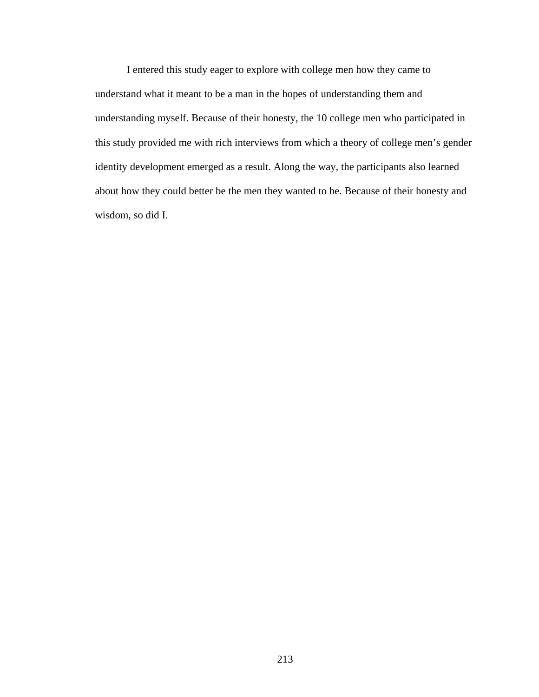I entered this study eager to explore with college men how they came to understand what it meant to be a man in the hopes of understanding them and understanding myself. Because of their honesty, the 10 college men who participated in this study provided me with rich interviews from which a theory of college men's gender identity development emerged as a result. Along the way, the participants also learned about how they could better be the men they wanted to be. Because of their honesty and wisdom, so did I.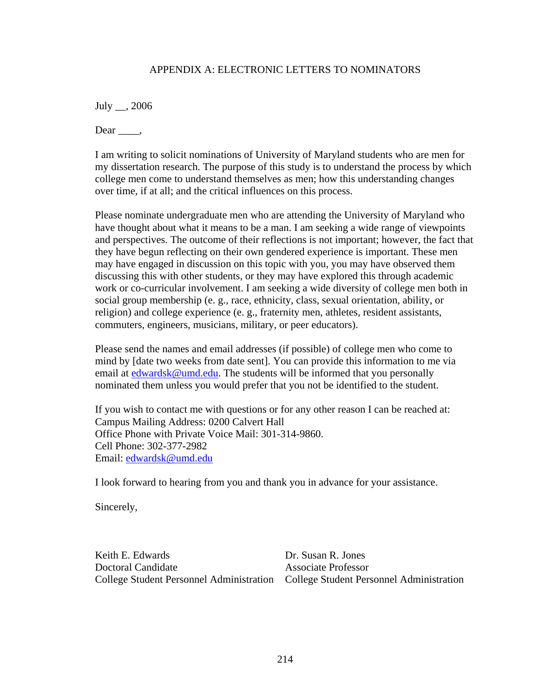### APPENDIX A: ELECTRONIC LETTERS TO NOMINATORS

July \_\_, 2006

Dear  $\_\_\_\$ 

I am writing to solicit nominations of University of Maryland students who are men for my dissertation research. The purpose of this study is to understand the process by which college men come to understand themselves as men; how this understanding changes over time, if at all; and the critical influences on this process.

Please nominate undergraduate men who are attending the University of Maryland who have thought about what it means to be a man. I am seeking a wide range of viewpoints and perspectives. The outcome of their reflections is not important; however, the fact that they have begun reflecting on their own gendered experience is important. These men may have engaged in discussion on this topic with you, you may have observed them discussing this with other students, or they may have explored this through academic work or co-curricular involvement. I am seeking a wide diversity of college men both in social group membership (e. g., race, ethnicity, class, sexual orientation, ability, or religion) and college experience (e. g., fraternity men, athletes, resident assistants, commuters, engineers, musicians, military, or peer educators).

Please send the names and email addresses (if possible) of college men who come to mind by [date two weeks from date sent]. You can provide this information to me via email at edwardsk@umd.edu. The students will be informed that you personally nominated them unless you would prefer that you not be identified to the student.

If you wish to contact me with questions or for any other reason I can be reached at: Campus Mailing Address: 0200 Calvert Hall Office Phone with Private Voice Mail: 301-314-9860. Cell Phone: 302-377-2982 Email: edwardsk@umd.edu

I look forward to hearing from you and thank you in advance for your assistance.

Sincerely,

Keith E. Edwards **Dr. Susan R. Jones** Doctoral Candidate **Associate** Professor College Student Personnel Administration College Student Personnel Administration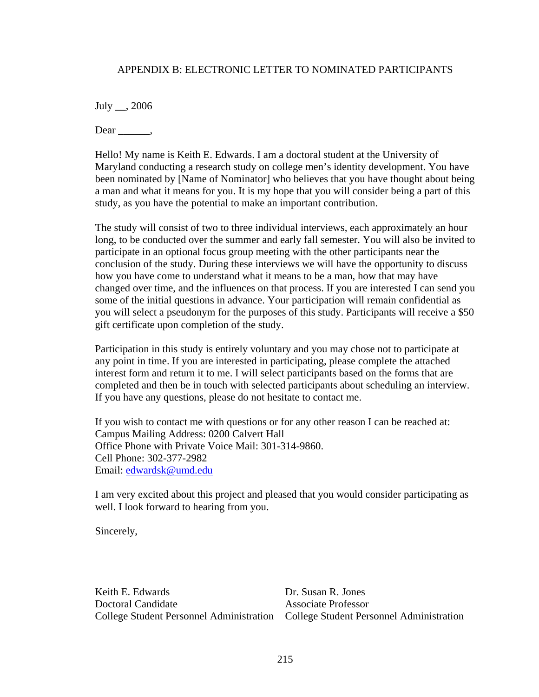#### APPENDIX B: ELECTRONIC LETTER TO NOMINATED PARTICIPANTS

July \_\_, 2006

 $Dear \_\_\_\_\$ 

Hello! My name is Keith E. Edwards. I am a doctoral student at the University of Maryland conducting a research study on college men's identity development. You have been nominated by [Name of Nominator] who believes that you have thought about being a man and what it means for you. It is my hope that you will consider being a part of this study, as you have the potential to make an important contribution.

The study will consist of two to three individual interviews, each approximately an hour long, to be conducted over the summer and early fall semester. You will also be invited to participate in an optional focus group meeting with the other participants near the conclusion of the study. During these interviews we will have the opportunity to discuss how you have come to understand what it means to be a man, how that may have changed over time, and the influences on that process. If you are interested I can send you some of the initial questions in advance. Your participation will remain confidential as you will select a pseudonym for the purposes of this study. Participants will receive a \$50 gift certificate upon completion of the study.

Participation in this study is entirely voluntary and you may chose not to participate at any point in time. If you are interested in participating, please complete the attached interest form and return it to me. I will select participants based on the forms that are completed and then be in touch with selected participants about scheduling an interview. If you have any questions, please do not hesitate to contact me.

If you wish to contact me with questions or for any other reason I can be reached at: Campus Mailing Address: 0200 Calvert Hall Office Phone with Private Voice Mail: 301-314-9860. Cell Phone: 302-377-2982 Email: edwardsk@umd.edu

I am very excited about this project and pleased that you would consider participating as well. I look forward to hearing from you.

Sincerely,

Keith E. Edwards Dr. Susan R. Jones Doctoral Candidate Associate Professor College Student Personnel Administration College Student Personnel Administration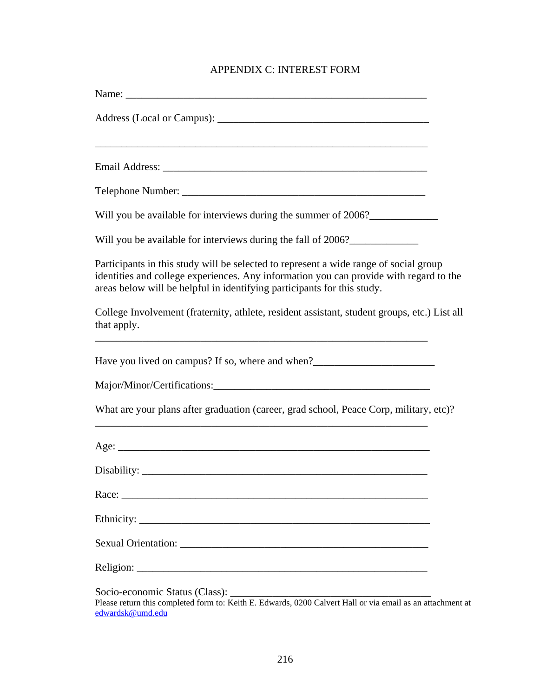# APPENDIX C: INTEREST FORM

| Will you be available for interviews during the summer of 2006?                                                                                                                                                                                            |
|------------------------------------------------------------------------------------------------------------------------------------------------------------------------------------------------------------------------------------------------------------|
| Will you be available for interviews during the fall of 2006?                                                                                                                                                                                              |
| Participants in this study will be selected to represent a wide range of social group<br>identities and college experiences. Any information you can provide with regard to the<br>areas below will be helpful in identifying participants for this study. |
| College Involvement (fraternity, athlete, resident assistant, student groups, etc.) List all<br>that apply.                                                                                                                                                |
| Have you lived on campus? If so, where and when?_________________________________                                                                                                                                                                          |
|                                                                                                                                                                                                                                                            |
| What are your plans after graduation (career, grad school, Peace Corp, military, etc)?<br>,我们也不会有什么。""我们的人,我们也不会有什么?""我们的人,我们也不会有什么?""我们的人,我们的人,我们也不会有什么?""我们的人,我们的人,我们的人,我                                                                                |
|                                                                                                                                                                                                                                                            |
|                                                                                                                                                                                                                                                            |
|                                                                                                                                                                                                                                                            |
|                                                                                                                                                                                                                                                            |
|                                                                                                                                                                                                                                                            |
|                                                                                                                                                                                                                                                            |
| Socio-economic Status (Class):<br>Please return this completed form to: Keith E. Edwards, 0200 Calvert Hall or via email as an attachment at<br>edwardsk@umd.edu                                                                                           |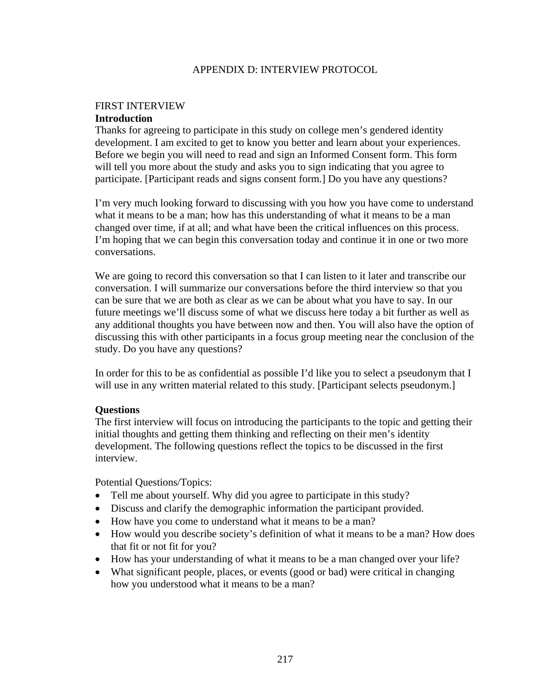### APPENDIX D: INTERVIEW PROTOCOL

### FIRST INTERVIEW **Introduction**

Thanks for agreeing to participate in this study on college men's gendered identity development. I am excited to get to know you better and learn about your experiences. Before we begin you will need to read and sign an Informed Consent form. This form will tell you more about the study and asks you to sign indicating that you agree to participate. [Participant reads and signs consent form.] Do you have any questions?

I'm very much looking forward to discussing with you how you have come to understand what it means to be a man; how has this understanding of what it means to be a man changed over time, if at all; and what have been the critical influences on this process. I'm hoping that we can begin this conversation today and continue it in one or two more conversations.

We are going to record this conversation so that I can listen to it later and transcribe our conversation. I will summarize our conversations before the third interview so that you can be sure that we are both as clear as we can be about what you have to say. In our future meetings we'll discuss some of what we discuss here today a bit further as well as any additional thoughts you have between now and then. You will also have the option of discussing this with other participants in a focus group meeting near the conclusion of the study. Do you have any questions?

In order for this to be as confidential as possible I'd like you to select a pseudonym that I will use in any written material related to this study. [Participant selects pseudonym.]

# **Questions**

The first interview will focus on introducing the participants to the topic and getting their initial thoughts and getting them thinking and reflecting on their men's identity development. The following questions reflect the topics to be discussed in the first interview.

Potential Questions/Topics:

- Tell me about yourself. Why did you agree to participate in this study?
- Discuss and clarify the demographic information the participant provided.
- How have you come to understand what it means to be a man?
- How would you describe society's definition of what it means to be a man? How does that fit or not fit for you?
- How has your understanding of what it means to be a man changed over your life?
- What significant people, places, or events (good or bad) were critical in changing how you understood what it means to be a man?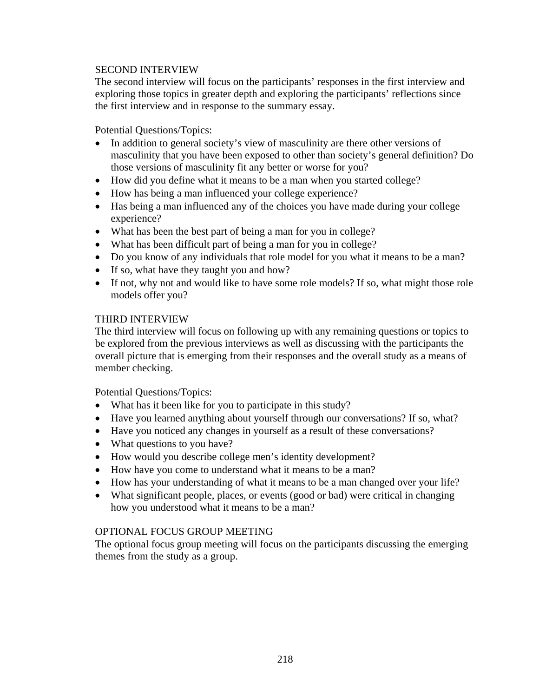### SECOND INTERVIEW

The second interview will focus on the participants' responses in the first interview and exploring those topics in greater depth and exploring the participants' reflections since the first interview and in response to the summary essay.

Potential Questions/Topics:

- In addition to general society's view of masculinity are there other versions of masculinity that you have been exposed to other than society's general definition? Do those versions of masculinity fit any better or worse for you?
- How did you define what it means to be a man when you started college?
- How has being a man influenced your college experience?
- Has being a man influenced any of the choices you have made during your college experience?
- What has been the best part of being a man for you in college?
- What has been difficult part of being a man for you in college?
- Do you know of any individuals that role model for you what it means to be a man?
- If so, what have they taught you and how?
- If not, why not and would like to have some role models? If so, what might those role models offer you?

#### THIRD INTERVIEW

The third interview will focus on following up with any remaining questions or topics to be explored from the previous interviews as well as discussing with the participants the overall picture that is emerging from their responses and the overall study as a means of member checking.

Potential Questions/Topics:

- What has it been like for you to participate in this study?
- Have you learned anything about yourself through our conversations? If so, what?
- Have you noticed any changes in yourself as a result of these conversations?
- What questions to you have?
- How would you describe college men's identity development?
- How have you come to understand what it means to be a man?
- How has your understanding of what it means to be a man changed over your life?
- What significant people, places, or events (good or bad) were critical in changing how you understood what it means to be a man?

#### OPTIONAL FOCUS GROUP MEETING

The optional focus group meeting will focus on the participants discussing the emerging themes from the study as a group.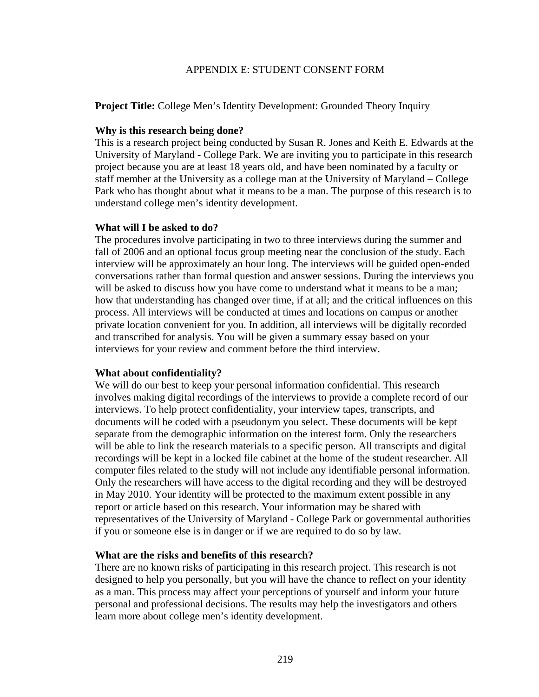#### APPENDIX E: STUDENT CONSENT FORM

**Project Title:** College Men's Identity Development: Grounded Theory Inquiry

#### **Why is this research being done?**

This is a research project being conducted by Susan R. Jones and Keith E. Edwards at the University of Maryland - College Park. We are inviting you to participate in this research project because you are at least 18 years old, and have been nominated by a faculty or staff member at the University as a college man at the University of Maryland – College Park who has thought about what it means to be a man. The purpose of this research is to understand college men's identity development.

### **What will I be asked to do?**

The procedures involve participating in two to three interviews during the summer and fall of 2006 and an optional focus group meeting near the conclusion of the study. Each interview will be approximately an hour long. The interviews will be guided open-ended conversations rather than formal question and answer sessions. During the interviews you will be asked to discuss how you have come to understand what it means to be a man; how that understanding has changed over time, if at all; and the critical influences on this process. All interviews will be conducted at times and locations on campus or another private location convenient for you. In addition, all interviews will be digitally recorded and transcribed for analysis. You will be given a summary essay based on your interviews for your review and comment before the third interview.

# **What about confidentiality?**

We will do our best to keep your personal information confidential. This research involves making digital recordings of the interviews to provide a complete record of our interviews. To help protect confidentiality, your interview tapes, transcripts, and documents will be coded with a pseudonym you select. These documents will be kept separate from the demographic information on the interest form. Only the researchers will be able to link the research materials to a specific person. All transcripts and digital recordings will be kept in a locked file cabinet at the home of the student researcher. All computer files related to the study will not include any identifiable personal information. Only the researchers will have access to the digital recording and they will be destroyed in May 2010. Your identity will be protected to the maximum extent possible in any report or article based on this research. Your information may be shared with representatives of the University of Maryland - College Park or governmental authorities if you or someone else is in danger or if we are required to do so by law.

#### **What are the risks and benefits of this research?**

There are no known risks of participating in this research project. This research is not designed to help you personally, but you will have the chance to reflect on your identity as a man. This process may affect your perceptions of yourself and inform your future personal and professional decisions. The results may help the investigators and others learn more about college men's identity development.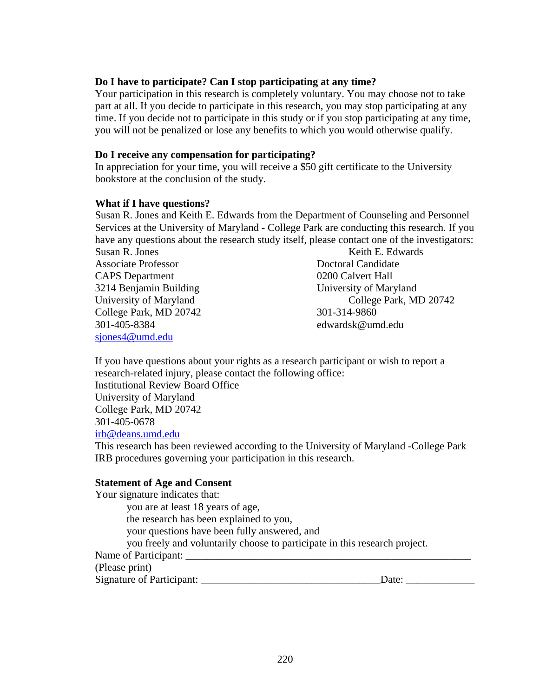#### **Do I have to participate? Can I stop participating at any time?**

Your participation in this research is completely voluntary. You may choose not to take part at all. If you decide to participate in this research, you may stop participating at any time. If you decide not to participate in this study or if you stop participating at any time, you will not be penalized or lose any benefits to which you would otherwise qualify.

#### **Do I receive any compensation for participating?**

In appreciation for your time, you will receive a \$50 gift certificate to the University bookstore at the conclusion of the study.

#### **What if I have questions?**

Susan R. Jones and Keith E. Edwards from the Department of Counseling and Personnel Services at the University of Maryland - College Park are conducting this research. If you have any questions about the research study itself, please contact one of the investigators:

Susan R. Jones Keith E. Edwards Associate Professor **Doctoral Candidate** CAPS Department 0200 Calvert Hall 3214 Benjamin Building University of Maryland College Park, MD 20742 301-314-9860 301-405-8384 edwardsk@umd.edu sjones4@umd.edu

University of Maryland College Park, MD 20742

If you have questions about your rights as a research participant or wish to report a research-related injury, please contact the following office: Institutional Review Board Office University of Maryland College Park, MD 20742

301-405-0678

irb@deans.umd.edu

This research has been reviewed according to the University of Maryland -College Park IRB procedures governing your participation in this research.

#### **Statement of Age and Consent**

Your signature indicates that: you are at least 18 years of age, the research has been explained to you, your questions have been fully answered, and you freely and voluntarily choose to participate in this research project. Name of Participant: (Please print) Signature of Participant: \_\_\_\_\_\_\_\_\_\_\_\_\_\_\_\_\_\_\_\_\_\_\_\_\_\_\_\_\_\_\_\_\_\_Date: \_\_\_\_\_\_\_\_\_\_\_\_\_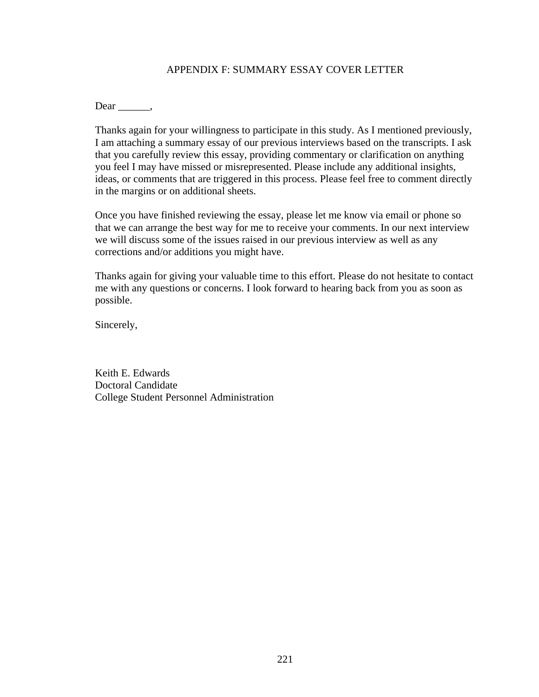### APPENDIX F: SUMMARY ESSAY COVER LETTER

Dear .

Thanks again for your willingness to participate in this study. As I mentioned previously, I am attaching a summary essay of our previous interviews based on the transcripts. I ask that you carefully review this essay, providing commentary or clarification on anything you feel I may have missed or misrepresented. Please include any additional insights, ideas, or comments that are triggered in this process. Please feel free to comment directly in the margins or on additional sheets.

Once you have finished reviewing the essay, please let me know via email or phone so that we can arrange the best way for me to receive your comments. In our next interview we will discuss some of the issues raised in our previous interview as well as any corrections and/or additions you might have.

Thanks again for giving your valuable time to this effort. Please do not hesitate to contact me with any questions or concerns. I look forward to hearing back from you as soon as possible.

Sincerely,

Keith E. Edwards Doctoral Candidate College Student Personnel Administration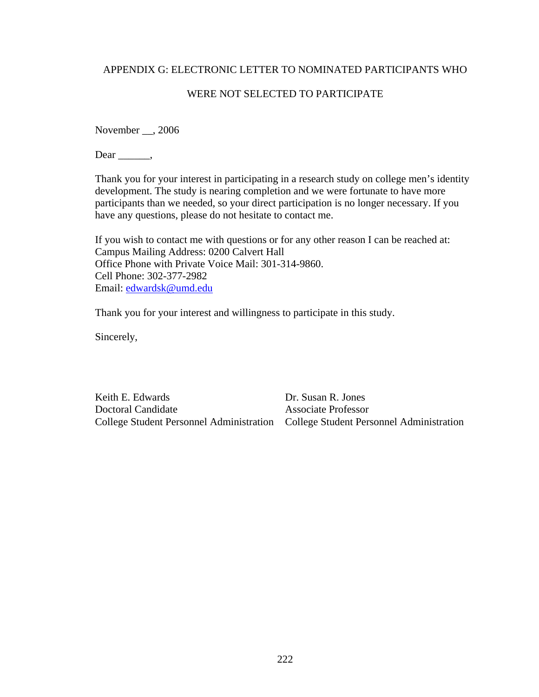### APPENDIX G: ELECTRONIC LETTER TO NOMINATED PARTICIPANTS WHO

### WERE NOT SELECTED TO PARTICIPATE

November \_\_, 2006

 $Dear \_\_\_\$ 

Thank you for your interest in participating in a research study on college men's identity development. The study is nearing completion and we were fortunate to have more participants than we needed, so your direct participation is no longer necessary. If you have any questions, please do not hesitate to contact me.

If you wish to contact me with questions or for any other reason I can be reached at: Campus Mailing Address: 0200 Calvert Hall Office Phone with Private Voice Mail: 301-314-9860. Cell Phone: 302-377-2982 Email: edwardsk@umd.edu

Thank you for your interest and willingness to participate in this study.

Sincerely,

Keith E. Edwards Dr. Susan R. Jones **Doctoral Candidate** Associate Professor

College Student Personnel Administration College Student Personnel Administration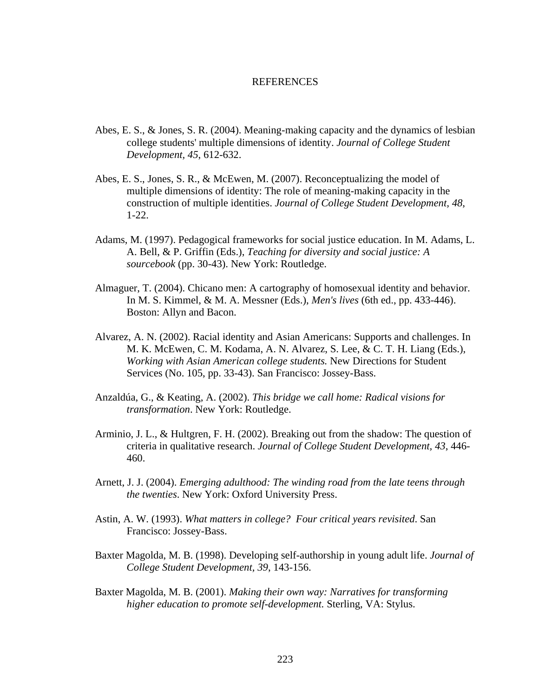#### REFERENCES

- Abes, E. S., & Jones, S. R. (2004). Meaning-making capacity and the dynamics of lesbian college students' multiple dimensions of identity. *Journal of College Student Development, 45*, 612-632.
- Abes, E. S., Jones, S. R., & McEwen, M. (2007). Reconceptualizing the model of multiple dimensions of identity: The role of meaning-making capacity in the construction of multiple identities. *Journal of College Student Development, 48*, 1-22.
- Adams, M. (1997). Pedagogical frameworks for social justice education. In M. Adams, L. A. Bell, & P. Griffin (Eds.), *Teaching for diversity and social justice: A sourcebook* (pp. 30-43). New York: Routledge.
- Almaguer, T. (2004). Chicano men: A cartography of homosexual identity and behavior. In M. S. Kimmel, & M. A. Messner (Eds.), *Men's lives* (6th ed., pp. 433-446). Boston: Allyn and Bacon.
- Alvarez, A. N. (2002). Racial identity and Asian Americans: Supports and challenges. In M. K. McEwen, C. M. Kodama, A. N. Alvarez, S. Lee, & C. T. H. Liang (Eds.), *Working with Asian American college students.* New Directions for Student Services (No. 105, pp. 33-43). San Francisco: Jossey-Bass.
- Anzaldúa, G., & Keating, A. (2002). *This bridge we call home: Radical visions for transformation*. New York: Routledge.
- Arminio, J. L., & Hultgren, F. H. (2002). Breaking out from the shadow: The question of criteria in qualitative research. *Journal of College Student Development, 43*, 446- 460.
- Arnett, J. J. (2004). *Emerging adulthood: The winding road from the late teens through the twenties*. New York: Oxford University Press.
- Astin, A. W. (1993). *What matters in college? Four critical years revisited*. San Francisco: Jossey-Bass.
- Baxter Magolda, M. B. (1998). Developing self-authorship in young adult life. *Journal of College Student Development, 39*, 143-156.
- Baxter Magolda, M. B. (2001). *Making their own way: Narratives for transforming higher education to promote self-development.* Sterling, VA: Stylus.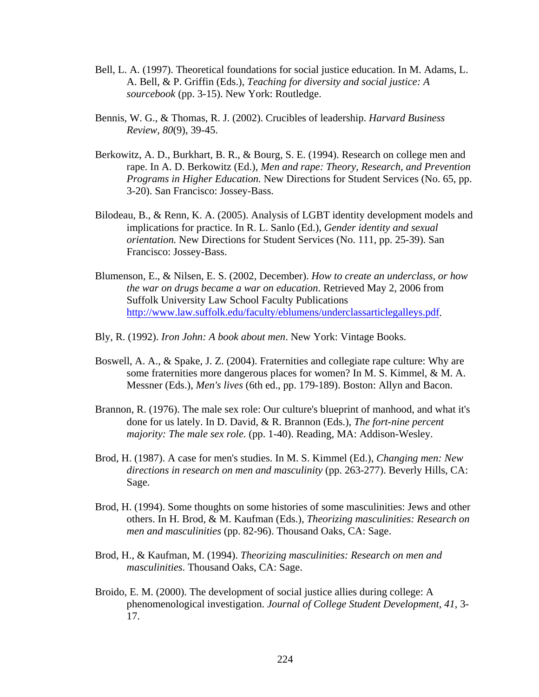- Bell, L. A. (1997). Theoretical foundations for social justice education. In M. Adams, L. A. Bell, & P. Griffin (Eds.), *Teaching for diversity and social justice: A sourcebook* (pp. 3-15). New York: Routledge.
- Bennis, W. G., & Thomas, R. J. (2002). Crucibles of leadership. *Harvard Business Review, 80*(9), 39-45.
- Berkowitz, A. D., Burkhart, B. R., & Bourg, S. E. (1994). Research on college men and rape. In A. D. Berkowitz (Ed.), *Men and rape: Theory, Research, and Prevention Programs in Higher Education.* New Directions for Student Services (No. 65, pp. 3-20). San Francisco: Jossey-Bass.
- Bilodeau, B., & Renn, K. A. (2005). Analysis of LGBT identity development models and implications for practice. In R. L. Sanlo (Ed.), *Gender identity and sexual orientation.* New Directions for Student Services (No. 111, pp. 25-39). San Francisco: Jossey-Bass.
- Blumenson, E., & Nilsen, E. S. (2002, December). *How to create an underclass, or how the war on drugs became a war on education*. Retrieved May 2, 2006 from Suffolk University Law School Faculty Publications http://www.law.suffolk.edu/faculty/eblumens/underclassarticlegalleys.pdf.
- Bly, R. (1992). *Iron John: A book about men*. New York: Vintage Books.
- Boswell, A. A., & Spake, J. Z. (2004). Fraternities and collegiate rape culture: Why are some fraternities more dangerous places for women? In M. S. Kimmel, & M. A. Messner (Eds.), *Men's lives* (6th ed., pp. 179-189). Boston: Allyn and Bacon.
- Brannon, R. (1976). The male sex role: Our culture's blueprint of manhood, and what it's done for us lately. In D. David, & R. Brannon (Eds.), *The fort-nine percent majority: The male sex role.* (pp. 1-40). Reading, MA: Addison-Wesley.
- Brod, H. (1987). A case for men's studies. In M. S. Kimmel (Ed.), *Changing men: New directions in research on men and masculinity* (pp. 263-277). Beverly Hills, CA: Sage.
- Brod, H. (1994). Some thoughts on some histories of some masculinities: Jews and other others. In H. Brod, & M. Kaufman (Eds.), *Theorizing masculinities: Research on men and masculinities* (pp. 82-96). Thousand Oaks, CA: Sage.
- Brod, H., & Kaufman, M. (1994). *Theorizing masculinities: Research on men and masculinities*. Thousand Oaks, CA: Sage.
- Broido, E. M. (2000). The development of social justice allies during college: A phenomenological investigation. *Journal of College Student Development, 41*, 3- 17.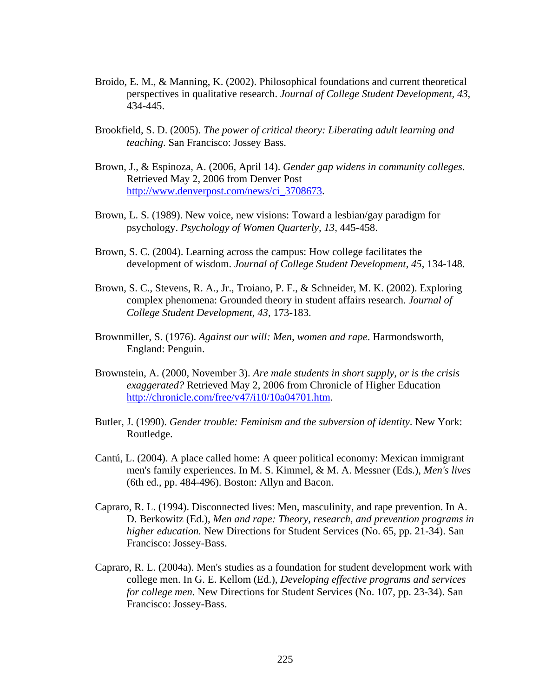- Broido, E. M., & Manning, K. (2002). Philosophical foundations and current theoretical perspectives in qualitative research. *Journal of College Student Development, 43*, 434-445.
- Brookfield, S. D. (2005). *The power of critical theory: Liberating adult learning and teaching*. San Francisco: Jossey Bass.
- Brown, J., & Espinoza, A. (2006, April 14). *Gender gap widens in community colleges*. Retrieved May 2, 2006 from Denver Post http://www.denverpost.com/news/ci\_3708673.
- Brown, L. S. (1989). New voice, new visions: Toward a lesbian/gay paradigm for psychology. *Psychology of Women Quarterly, 13*, 445-458.
- Brown, S. C. (2004). Learning across the campus: How college facilitates the development of wisdom. *Journal of College Student Development, 45*, 134-148.
- Brown, S. C., Stevens, R. A., Jr., Troiano, P. F., & Schneider, M. K. (2002). Exploring complex phenomena: Grounded theory in student affairs research. *Journal of College Student Development, 43*, 173-183.
- Brownmiller, S. (1976). *Against our will: Men, women and rape*. Harmondsworth, England: Penguin.
- Brownstein, A. (2000, November 3). *Are male students in short supply, or is the crisis exaggerated?* Retrieved May 2, 2006 from Chronicle of Higher Education http://chronicle.com/free/v47/i10/10a04701.htm.
- Butler, J. (1990). *Gender trouble: Feminism and the subversion of identity*. New York: Routledge.
- Cantú, L. (2004). A place called home: A queer political economy: Mexican immigrant men's family experiences. In M. S. Kimmel, & M. A. Messner (Eds.), *Men's lives* (6th ed., pp. 484-496). Boston: Allyn and Bacon.
- Capraro, R. L. (1994). Disconnected lives: Men, masculinity, and rape prevention. In A. D. Berkowitz (Ed.), *Men and rape: Theory, research, and prevention programs in higher education.* New Directions for Student Services (No. 65, pp. 21-34). San Francisco: Jossey-Bass.
- Capraro, R. L. (2004a). Men's studies as a foundation for student development work with college men. In G. E. Kellom (Ed.), *Developing effective programs and services for college men.* New Directions for Student Services (No. 107, pp. 23-34). San Francisco: Jossey-Bass.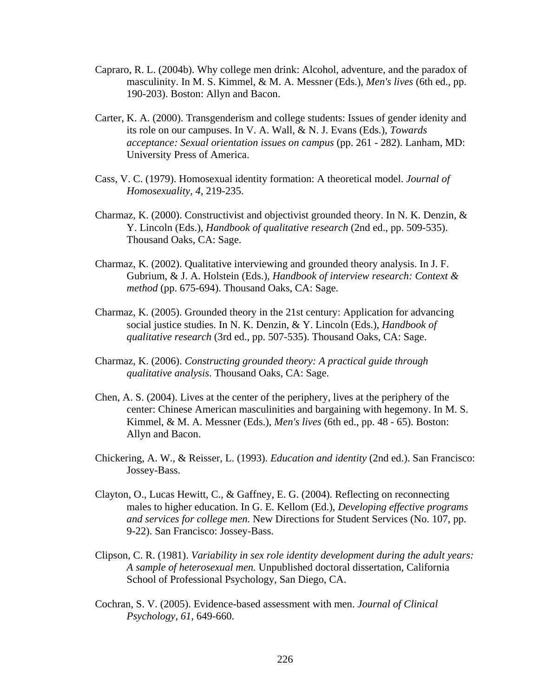- Capraro, R. L. (2004b). Why college men drink: Alcohol, adventure, and the paradox of masculinity. In M. S. Kimmel, & M. A. Messner (Eds.), *Men's lives* (6th ed., pp. 190-203). Boston: Allyn and Bacon.
- Carter, K. A. (2000). Transgenderism and college students: Issues of gender idenity and its role on our campuses. In V. A. Wall, & N. J. Evans (Eds.), *Towards acceptance: Sexual orientation issues on campus* (pp. 261 - 282). Lanham, MD: University Press of America.
- Cass, V. C. (1979). Homosexual identity formation: A theoretical model. *Journal of Homosexuality, 4*, 219-235.
- Charmaz, K. (2000). Constructivist and objectivist grounded theory. In N. K. Denzin, & Y. Lincoln (Eds.), *Handbook of qualitative research* (2nd ed., pp. 509-535). Thousand Oaks, CA: Sage.
- Charmaz, K. (2002). Qualitative interviewing and grounded theory analysis. In J. F. Gubrium, & J. A. Holstein (Eds.), *Handbook of interview research: Context & method* (pp. 675-694). Thousand Oaks, CA: Sage.
- Charmaz, K. (2005). Grounded theory in the 21st century: Application for advancing social justice studies. In N. K. Denzin, & Y. Lincoln (Eds.), *Handbook of qualitative research* (3rd ed., pp. 507-535). Thousand Oaks, CA: Sage.
- Charmaz, K. (2006). *Constructing grounded theory: A practical guide through qualitative analysis*. Thousand Oaks, CA: Sage.
- Chen, A. S. (2004). Lives at the center of the periphery, lives at the periphery of the center: Chinese American masculinities and bargaining with hegemony. In M. S. Kimmel, & M. A. Messner (Eds.), *Men's lives* (6th ed., pp. 48 - 65). Boston: Allyn and Bacon.
- Chickering, A. W., & Reisser, L. (1993). *Education and identity* (2nd ed.). San Francisco: Jossey-Bass.
- Clayton, O., Lucas Hewitt, C., & Gaffney, E. G. (2004). Reflecting on reconnecting males to higher education. In G. E. Kellom (Ed.), *Developing effective programs and services for college men.* New Directions for Student Services (No. 107, pp. 9-22). San Francisco: Jossey-Bass.
- Clipson, C. R. (1981). *Variability in sex role identity development during the adult years: A sample of heterosexual men.* Unpublished doctoral dissertation, California School of Professional Psychology, San Diego, CA.
- Cochran, S. V. (2005). Evidence-based assessment with men. *Journal of Clinical Psychology, 61*, 649-660.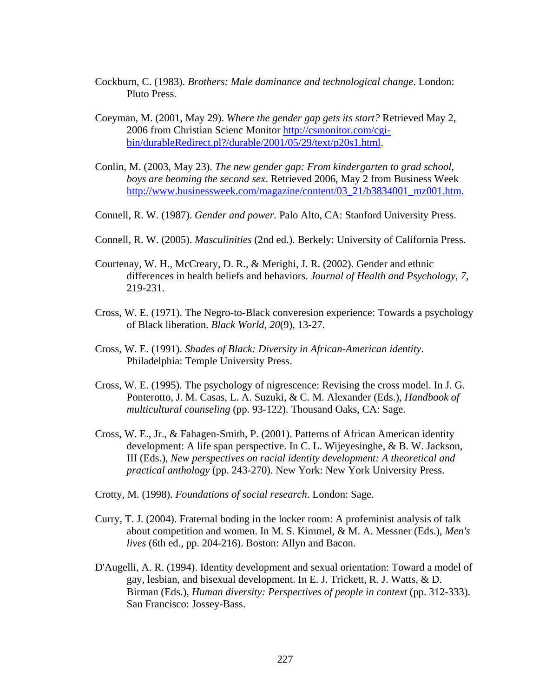- Cockburn, C. (1983). *Brothers: Male dominance and technological change*. London: Pluto Press.
- Coeyman, M. (2001, May 29). *Where the gender gap gets its start?* Retrieved May 2, 2006 from Christian Scienc Monitor http://csmonitor.com/cgibin/durableRedirect.pl?/durable/2001/05/29/text/p20s1.html.
- Conlin, M. (2003, May 23). *The new gender gap: From kindergarten to grad school, boys are beoming the second sex*. Retrieved 2006, May 2 from Business Week http://www.businessweek.com/magazine/content/03\_21/b3834001\_mz001.htm.
- Connell, R. W. (1987). *Gender and power.* Palo Alto, CA: Stanford University Press.
- Connell, R. W. (2005). *Masculinities* (2nd ed.). Berkely: University of California Press.
- Courtenay, W. H., McCreary, D. R., & Merighi, J. R. (2002). Gender and ethnic differences in health beliefs and behaviors. *Journal of Health and Psychology, 7*, 219-231.
- Cross, W. E. (1971). The Negro-to-Black converesion experience: Towards a psychology of Black liberation. *Black World, 20*(9), 13-27.
- Cross, W. E. (1991). *Shades of Black: Diversity in African-American identity*. Philadelphia: Temple University Press.
- Cross, W. E. (1995). The psychology of nigrescence: Revising the cross model. In J. G. Ponterotto, J. M. Casas, L. A. Suzuki, & C. M. Alexander (Eds.), *Handbook of multicultural counseling* (pp. 93-122). Thousand Oaks, CA: Sage.
- Cross, W. E., Jr., & Fahagen-Smith, P. (2001). Patterns of African American identity development: A life span perspective. In C. L. Wijeyesinghe, & B. W. Jackson, III (Eds.), *New perspectives on racial identity development: A theoretical and practical anthology* (pp. 243-270). New York: New York University Press.
- Crotty, M. (1998). *Foundations of social research*. London: Sage.
- Curry, T. J. (2004). Fraternal boding in the locker room: A profeminist analysis of talk about competition and women. In M. S. Kimmel, & M. A. Messner (Eds.), *Men's lives* (6th ed., pp. 204-216). Boston: Allyn and Bacon.
- D'Augelli, A. R. (1994). Identity development and sexual orientation: Toward a model of gay, lesbian, and bisexual development. In E. J. Trickett, R. J. Watts, & D. Birman (Eds.), *Human diversity: Perspectives of people in context* (pp. 312-333). San Francisco: Jossey-Bass.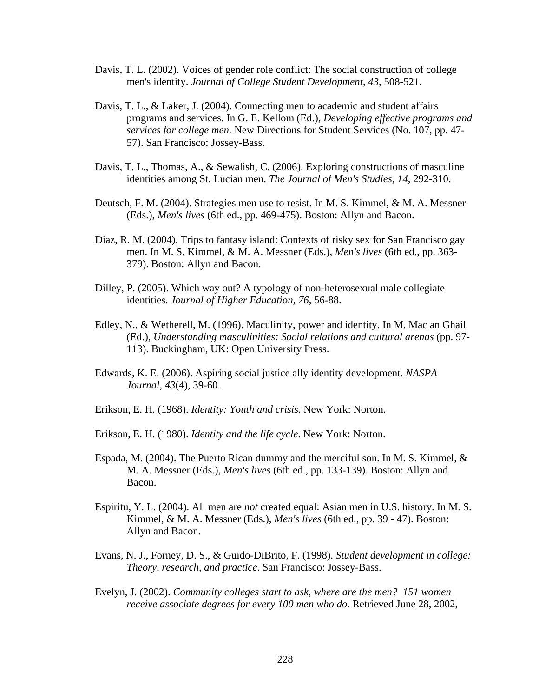- Davis, T. L. (2002). Voices of gender role conflict: The social construction of college men's identity. *Journal of College Student Development, 43*, 508-521.
- Davis, T. L., & Laker, J. (2004). Connecting men to academic and student affairs programs and services. In G. E. Kellom (Ed.), *Developing effective programs and services for college men.* New Directions for Student Services (No. 107, pp. 47- 57). San Francisco: Jossey-Bass.
- Davis, T. L., Thomas, A., & Sewalish, C. (2006). Exploring constructions of masculine identities among St. Lucian men. *The Journal of Men's Studies, 14*, 292-310.
- Deutsch, F. M. (2004). Strategies men use to resist. In M. S. Kimmel, & M. A. Messner (Eds.), *Men's lives* (6th ed., pp. 469-475). Boston: Allyn and Bacon.
- Diaz, R. M. (2004). Trips to fantasy island: Contexts of risky sex for San Francisco gay men. In M. S. Kimmel, & M. A. Messner (Eds.), *Men's lives* (6th ed., pp. 363- 379). Boston: Allyn and Bacon.
- Dilley, P. (2005). Which way out? A typology of non-heterosexual male collegiate identities. *Journal of Higher Education, 76*, 56-88.
- Edley, N., & Wetherell, M. (1996). Maculinity, power and identity. In M. Mac an Ghail (Ed.), *Understanding masculinities: Social relations and cultural arenas* (pp. 97- 113). Buckingham, UK: Open University Press.
- Edwards, K. E. (2006). Aspiring social justice ally identity development. *NASPA Journal, 43*(4), 39-60.
- Erikson, E. H. (1968). *Identity: Youth and crisis*. New York: Norton.
- Erikson, E. H. (1980). *Identity and the life cycle*. New York: Norton.
- Espada, M. (2004). The Puerto Rican dummy and the merciful son. In M. S. Kimmel,  $\&$ M. A. Messner (Eds.), *Men's lives* (6th ed., pp. 133-139). Boston: Allyn and Bacon.
- Espiritu, Y. L. (2004). All men are *not* created equal: Asian men in U.S. history. In M. S. Kimmel, & M. A. Messner (Eds.), *Men's lives* (6th ed., pp. 39 - 47). Boston: Allyn and Bacon.
- Evans, N. J., Forney, D. S., & Guido-DiBrito, F. (1998). *Student development in college: Theory, research, and practice*. San Francisco: Jossey-Bass.
- Evelyn, J. (2002). *Community colleges start to ask, where are the men? 151 women receive associate degrees for every 100 men who do.* Retrieved June 28, 2002,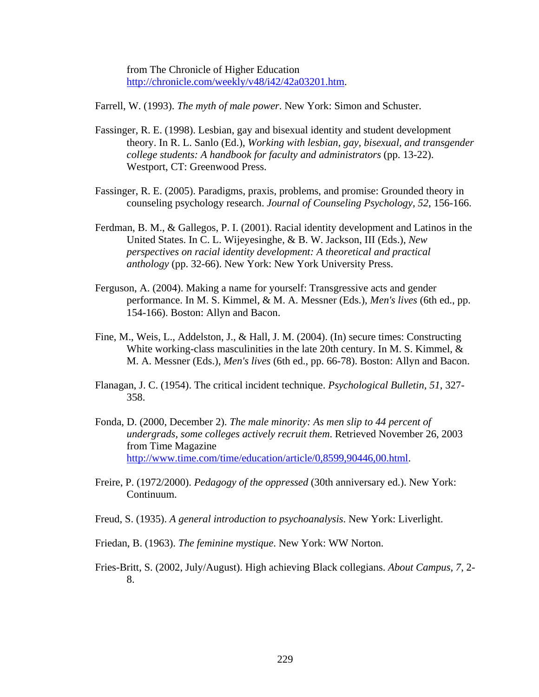from The Chronicle of Higher Education http://chronicle.com/weekly/v48/i42/42a03201.htm.

Farrell, W. (1993). *The myth of male power*. New York: Simon and Schuster.

- Fassinger, R. E. (1998). Lesbian, gay and bisexual identity and student development theory. In R. L. Sanlo (Ed.), *Working with lesbian, gay, bisexual, and transgender college students: A handbook for faculty and administrators* (pp. 13-22). Westport, CT: Greenwood Press.
- Fassinger, R. E. (2005). Paradigms, praxis, problems, and promise: Grounded theory in counseling psychology research. *Journal of Counseling Psychology, 52*, 156-166.
- Ferdman, B. M., & Gallegos, P. I. (2001). Racial identity development and Latinos in the United States. In C. L. Wijeyesinghe, & B. W. Jackson, III (Eds.), *New perspectives on racial identity development: A theoretical and practical anthology* (pp. 32-66). New York: New York University Press.
- Ferguson, A. (2004). Making a name for yourself: Transgressive acts and gender performance. In M. S. Kimmel, & M. A. Messner (Eds.), *Men's lives* (6th ed., pp. 154-166). Boston: Allyn and Bacon.
- Fine, M., Weis, L., Addelston, J., & Hall, J. M. (2004). (In) secure times: Constructing White working-class masculinities in the late 20th century. In M. S. Kimmel, & M. A. Messner (Eds.), *Men's lives* (6th ed., pp. 66-78). Boston: Allyn and Bacon.
- Flanagan, J. C. (1954). The critical incident technique. *Psychological Bulletin, 51*, 327- 358.
- Fonda, D. (2000, December 2). *The male minority: As men slip to 44 percent of undergrads, some colleges actively recruit them*. Retrieved November 26, 2003 from Time Magazine http://www.time.com/time/education/article/0,8599,90446,00.html.
- Freire, P. (1972/2000). *Pedagogy of the oppressed* (30th anniversary ed.). New York: Continuum.
- Freud, S. (1935). *A general introduction to psychoanalysis*. New York: Liverlight.
- Friedan, B. (1963). *The feminine mystique*. New York: WW Norton.
- Fries-Britt, S. (2002, July/August). High achieving Black collegians. *About Campus, 7*, 2- 8.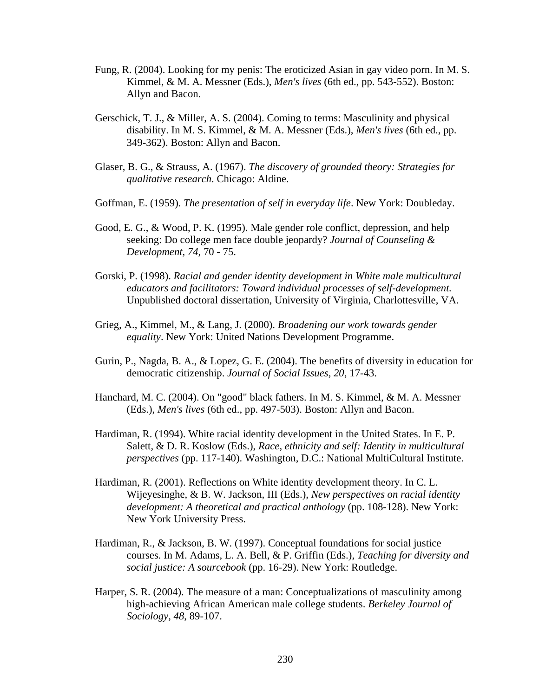- Fung, R. (2004). Looking for my penis: The eroticized Asian in gay video porn. In M. S. Kimmel, & M. A. Messner (Eds.), *Men's lives* (6th ed., pp. 543-552). Boston: Allyn and Bacon.
- Gerschick, T. J., & Miller, A. S. (2004). Coming to terms: Masculinity and physical disability. In M. S. Kimmel, & M. A. Messner (Eds.), *Men's lives* (6th ed., pp. 349-362). Boston: Allyn and Bacon.
- Glaser, B. G., & Strauss, A. (1967). *The discovery of grounded theory: Strategies for qualitative research*. Chicago: Aldine.
- Goffman, E. (1959). *The presentation of self in everyday life*. New York: Doubleday.
- Good, E. G., & Wood, P. K. (1995). Male gender role conflict, depression, and help seeking: Do college men face double jeopardy? *Journal of Counseling & Development, 74*, 70 - 75.
- Gorski, P. (1998). *Racial and gender identity development in White male multicultural educators and facilitators: Toward individual processes of self-development.* Unpublished doctoral dissertation, University of Virginia, Charlottesville, VA.
- Grieg, A., Kimmel, M., & Lang, J. (2000). *Broadening our work towards gender equality*. New York: United Nations Development Programme.
- Gurin, P., Nagda, B. A., & Lopez, G. E. (2004). The benefits of diversity in education for democratic citizenship. *Journal of Social Issues, 20*, 17-43.
- Hanchard, M. C. (2004). On "good" black fathers. In M. S. Kimmel, & M. A. Messner (Eds.), *Men's lives* (6th ed., pp. 497-503). Boston: Allyn and Bacon.
- Hardiman, R. (1994). White racial identity development in the United States. In E. P. Salett, & D. R. Koslow (Eds.), *Race, ethnicity and self: Identity in multicultural perspectives* (pp. 117-140). Washington, D.C.: National MultiCultural Institute.
- Hardiman, R. (2001). Reflections on White identity development theory. In C. L. Wijeyesinghe, & B. W. Jackson, III (Eds.), *New perspectives on racial identity development: A theoretical and practical anthology* (pp. 108-128). New York: New York University Press.
- Hardiman, R., & Jackson, B. W. (1997). Conceptual foundations for social justice courses. In M. Adams, L. A. Bell, & P. Griffin (Eds.), *Teaching for diversity and social justice: A sourcebook* (pp. 16-29). New York: Routledge.
- Harper, S. R. (2004). The measure of a man: Conceptualizations of masculinity among high-achieving African American male college students. *Berkeley Journal of Sociology, 48*, 89-107.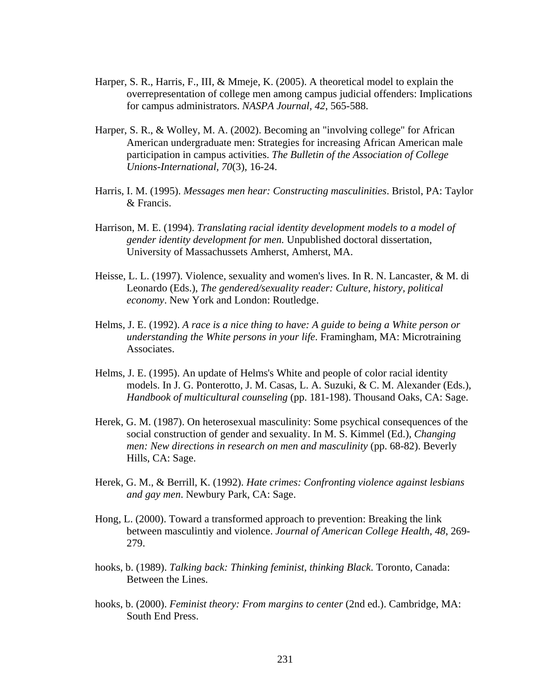- Harper, S. R., Harris, F., III, & Mmeje, K. (2005). A theoretical model to explain the overrepresentation of college men among campus judicial offenders: Implications for campus administrators. *NASPA Journal, 42*, 565-588.
- Harper, S. R., & Wolley, M. A. (2002). Becoming an "involving college" for African American undergraduate men: Strategies for increasing African American male participation in campus activities. *The Bulletin of the Association of College Unions-International, 70*(3), 16-24.
- Harris, I. M. (1995). *Messages men hear: Constructing masculinities*. Bristol, PA: Taylor & Francis.
- Harrison, M. E. (1994). *Translating racial identity development models to a model of gender identity development for men.* Unpublished doctoral dissertation, University of Massachussets Amherst, Amherst, MA.
- Heisse, L. L. (1997). Violence, sexuality and women's lives. In R. N. Lancaster, & M. di Leonardo (Eds.), *The gendered/sexuality reader: Culture, history, political economy*. New York and London: Routledge.
- Helms, J. E. (1992). *A race is a nice thing to have: A guide to being a White person or understanding the White persons in your life*. Framingham, MA: Microtraining Associates.
- Helms, J. E. (1995). An update of Helms's White and people of color racial identity models. In J. G. Ponterotto, J. M. Casas, L. A. Suzuki, & C. M. Alexander (Eds.), *Handbook of multicultural counseling* (pp. 181-198). Thousand Oaks, CA: Sage.
- Herek, G. M. (1987). On heterosexual masculinity: Some psychical consequences of the social construction of gender and sexuality. In M. S. Kimmel (Ed.), *Changing men: New directions in research on men and masculinity* (pp. 68-82). Beverly Hills, CA: Sage.
- Herek, G. M., & Berrill, K. (1992). *Hate crimes: Confronting violence against lesbians and gay men*. Newbury Park, CA: Sage.
- Hong, L. (2000). Toward a transformed approach to prevention: Breaking the link between masculintiy and violence. *Journal of American College Health, 48*, 269- 279.
- hooks, b. (1989). *Talking back: Thinking feminist, thinking Black*. Toronto, Canada: Between the Lines.
- hooks, b. (2000). *Feminist theory: From margins to center* (2nd ed.). Cambridge, MA: South End Press.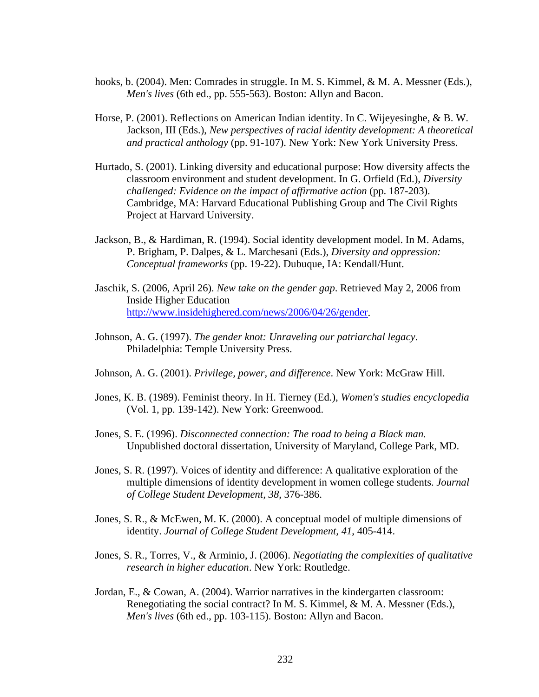- hooks, b. (2004). Men: Comrades in struggle. In M. S. Kimmel, & M. A. Messner (Eds.), *Men's lives* (6th ed., pp. 555-563). Boston: Allyn and Bacon.
- Horse, P. (2001). Reflections on American Indian identity. In C. Wijeyesinghe, & B. W. Jackson, III (Eds.), *New perspectives of racial identity development: A theoretical and practical anthology* (pp. 91-107). New York: New York University Press.
- Hurtado, S. (2001). Linking diversity and educational purpose: How diversity affects the classroom environment and student development. In G. Orfield (Ed.), *Diversity challenged: Evidence on the impact of affirmative action* (pp. 187-203). Cambridge, MA: Harvard Educational Publishing Group and The Civil Rights Project at Harvard University.
- Jackson, B., & Hardiman, R. (1994). Social identity development model. In M. Adams, P. Brigham, P. Dalpes, & L. Marchesani (Eds.), *Diversity and oppression: Conceptual frameworks* (pp. 19-22). Dubuque, IA: Kendall/Hunt.
- Jaschik, S. (2006, April 26). *New take on the gender gap*. Retrieved May 2, 2006 from Inside Higher Education http://www.insidehighered.com/news/2006/04/26/gender.
- Johnson, A. G. (1997). *The gender knot: Unraveling our patriarchal legacy*. Philadelphia: Temple University Press.
- Johnson, A. G. (2001). *Privilege, power, and difference*. New York: McGraw Hill.
- Jones, K. B. (1989). Feminist theory. In H. Tierney (Ed.), *Women's studies encyclopedia* (Vol. 1, pp. 139-142). New York: Greenwood.
- Jones, S. E. (1996). *Disconnected connection: The road to being a Black man.* Unpublished doctoral dissertation, University of Maryland, College Park, MD.
- Jones, S. R. (1997). Voices of identity and difference: A qualitative exploration of the multiple dimensions of identity development in women college students. *Journal of College Student Development, 38*, 376-386.
- Jones, S. R., & McEwen, M. K. (2000). A conceptual model of multiple dimensions of identity. *Journal of College Student Development, 41*, 405-414.
- Jones, S. R., Torres, V., & Arminio, J. (2006). *Negotiating the complexities of qualitative research in higher education*. New York: Routledge.
- Jordan, E., & Cowan, A. (2004). Warrior narratives in the kindergarten classroom: Renegotiating the social contract? In M. S. Kimmel, & M. A. Messner (Eds.), *Men's lives* (6th ed., pp. 103-115). Boston: Allyn and Bacon.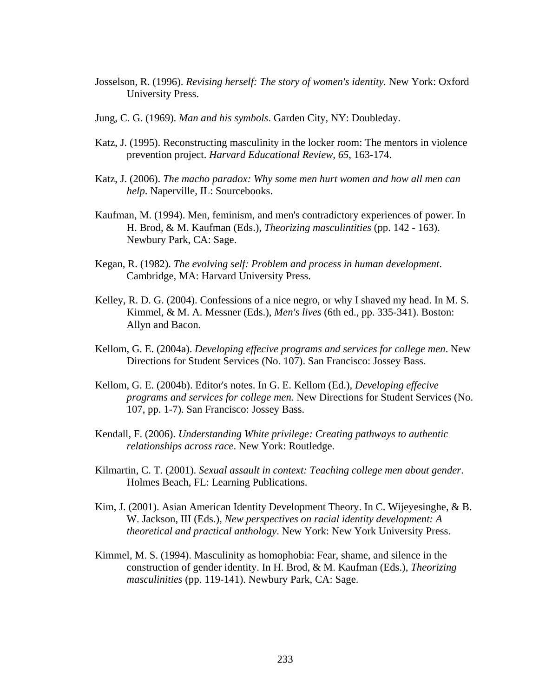- Josselson, R. (1996). *Revising herself: The story of women's identity.* New York: Oxford University Press.
- Jung, C. G. (1969). *Man and his symbols*. Garden City, NY: Doubleday.
- Katz, J. (1995). Reconstructing masculinity in the locker room: The mentors in violence prevention project. *Harvard Educational Review, 65*, 163-174.
- Katz, J. (2006). *The macho paradox: Why some men hurt women and how all men can help*. Naperville, IL: Sourcebooks.
- Kaufman, M. (1994). Men, feminism, and men's contradictory experiences of power. In H. Brod, & M. Kaufman (Eds.), *Theorizing masculintities* (pp. 142 - 163). Newbury Park, CA: Sage.
- Kegan, R. (1982). *The evolving self: Problem and process in human development*. Cambridge, MA: Harvard University Press.
- Kelley, R. D. G. (2004). Confessions of a nice negro, or why I shaved my head. In M. S. Kimmel, & M. A. Messner (Eds.), *Men's lives* (6th ed., pp. 335-341). Boston: Allyn and Bacon.
- Kellom, G. E. (2004a). *Developing effecive programs and services for college men*. New Directions for Student Services (No. 107). San Francisco: Jossey Bass.
- Kellom, G. E. (2004b). Editor's notes. In G. E. Kellom (Ed.), *Developing effecive programs and services for college men.* New Directions for Student Services (No. 107, pp. 1-7). San Francisco: Jossey Bass.
- Kendall, F. (2006). *Understanding White privilege: Creating pathways to authentic relationships across race*. New York: Routledge.
- Kilmartin, C. T. (2001). *Sexual assault in context: Teaching college men about gender*. Holmes Beach, FL: Learning Publications.
- Kim, J. (2001). Asian American Identity Development Theory. In C. Wijeyesinghe, & B. W. Jackson, III (Eds.), *New perspectives on racial identity development: A theoretical and practical anthology*. New York: New York University Press.
- Kimmel, M. S. (1994). Masculinity as homophobia: Fear, shame, and silence in the construction of gender identity. In H. Brod, & M. Kaufman (Eds.), *Theorizing masculinities* (pp. 119-141). Newbury Park, CA: Sage.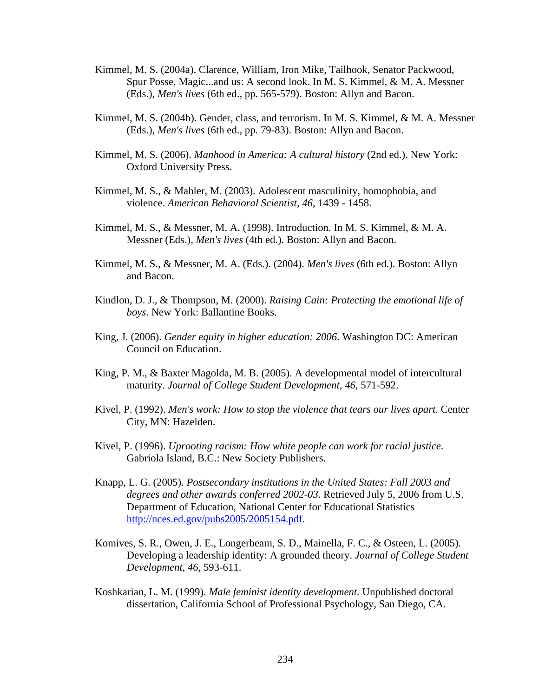- Kimmel, M. S. (2004a). Clarence, William, Iron Mike, Tailhook, Senator Packwood, Spur Posse, Magic...and us: A second look. In M. S. Kimmel, & M. A. Messner (Eds.), *Men's lives* (6th ed., pp. 565-579). Boston: Allyn and Bacon.
- Kimmel, M. S. (2004b). Gender, class, and terrorism. In M. S. Kimmel, & M. A. Messner (Eds.), *Men's lives* (6th ed., pp. 79-83). Boston: Allyn and Bacon.
- Kimmel, M. S. (2006). *Manhood in America: A cultural history* (2nd ed.). New York: Oxford University Press.
- Kimmel, M. S., & Mahler, M. (2003). Adolescent masculinity, homophobia, and violence. *American Behavioral Scientist, 46*, 1439 - 1458.
- Kimmel, M. S., & Messner, M. A. (1998). Introduction. In M. S. Kimmel, & M. A. Messner (Eds.), *Men's lives* (4th ed.). Boston: Allyn and Bacon.
- Kimmel, M. S., & Messner, M. A. (Eds.). (2004). *Men's lives* (6th ed.). Boston: Allyn and Bacon.
- Kindlon, D. J., & Thompson, M. (2000). *Raising Cain: Protecting the emotional life of boys*. New York: Ballantine Books.
- King, J. (2006). *Gender equity in higher education: 2006*. Washington DC: American Council on Education.
- King, P. M., & Baxter Magolda, M. B. (2005). A developmental model of intercultural maturity. *Journal of College Student Development, 46*, 571-592.
- Kivel, P. (1992). *Men's work: How to stop the violence that tears our lives apart*. Center City, MN: Hazelden.
- Kivel, P. (1996). *Uprooting racism: How white people can work for racial justice*. Gabriola Island, B.C.: New Society Publishers.
- Knapp, L. G. (2005). *Postsecondary institutions in the United States: Fall 2003 and degrees and other awards conferred 2002-03*. Retrieved July 5, 2006 from U.S. Department of Education, National Center for Educational Statistics http://nces.ed.gov/pubs2005/2005154.pdf.
- Komives, S. R., Owen, J. E., Longerbeam, S. D., Mainella, F. C., & Osteen, L. (2005). Developing a leadership identity: A grounded theory. *Journal of College Student Development, 46*, 593-611.
- Koshkarian, L. M. (1999). *Male feminist identity development.* Unpublished doctoral dissertation, California School of Professional Psychology, San Diego, CA.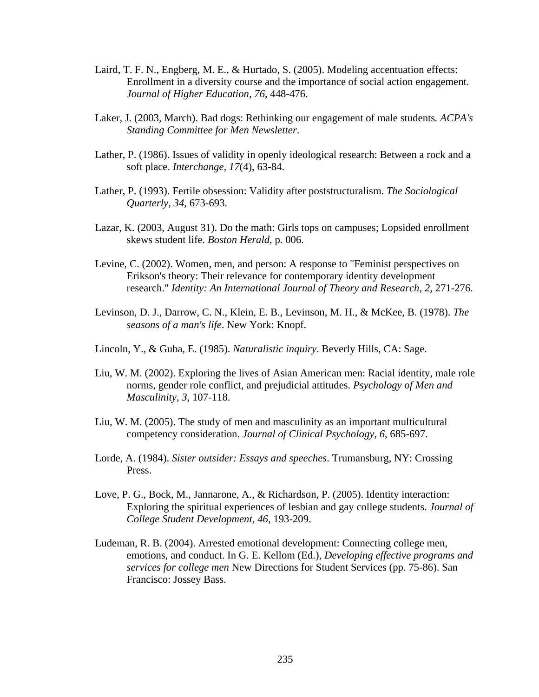- Laird, T. F. N., Engberg, M. E., & Hurtado, S. (2005). Modeling accentuation effects: Enrollment in a diversity course and the importance of social action engagement. *Journal of Higher Education, 76*, 448-476.
- Laker, J. (2003, March). Bad dogs: Rethinking our engagement of male students*. ACPA's Standing Committee for Men Newsletter*.
- Lather, P. (1986). Issues of validity in openly ideological research: Between a rock and a soft place. *Interchange, 17*(4), 63-84.
- Lather, P. (1993). Fertile obsession: Validity after poststructuralism. *The Sociological Quarterly, 34*, 673-693.
- Lazar, K. (2003, August 31). Do the math: Girls tops on campuses; Lopsided enrollment skews student life. *Boston Herald,* p. 006.
- Levine, C. (2002). Women, men, and person: A response to "Feminist perspectives on Erikson's theory: Their relevance for contemporary identity development research." *Identity: An International Journal of Theory and Research, 2*, 271-276.
- Levinson, D. J., Darrow, C. N., Klein, E. B., Levinson, M. H., & McKee, B. (1978). *The seasons of a man's life*. New York: Knopf.
- Lincoln, Y., & Guba, E. (1985). *Naturalistic inquiry*. Beverly Hills, CA: Sage.
- Liu, W. M. (2002). Exploring the lives of Asian American men: Racial identity, male role norms, gender role conflict, and prejudicial attitudes. *Psychology of Men and Masculinity, 3*, 107-118.
- Liu, W. M. (2005). The study of men and masculinity as an important multicultural competency consideration. *Journal of Clinical Psychology, 6*, 685-697.
- Lorde, A. (1984). *Sister outsider: Essays and speeches*. Trumansburg, NY: Crossing Press.
- Love, P. G., Bock, M., Jannarone, A., & Richardson, P. (2005). Identity interaction: Exploring the spiritual experiences of lesbian and gay college students. *Journal of College Student Development, 46*, 193-209.
- Ludeman, R. B. (2004). Arrested emotional development: Connecting college men, emotions, and conduct. In G. E. Kellom (Ed.), *Developing effective programs and services for college men* New Directions for Student Services (pp. 75-86). San Francisco: Jossey Bass.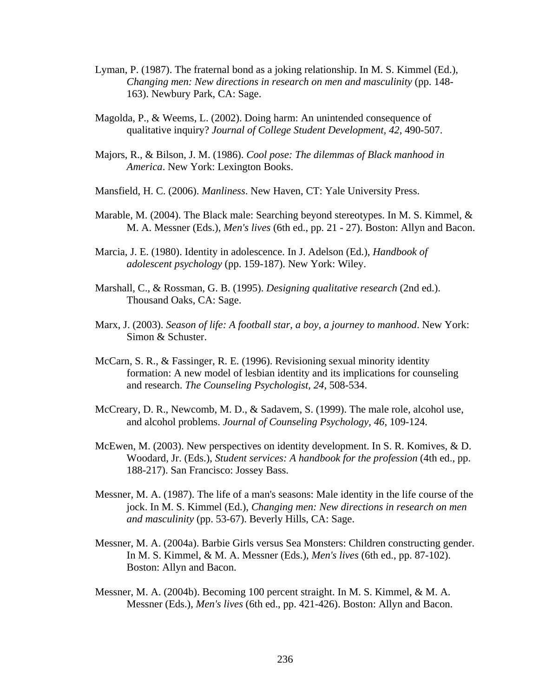- Lyman, P. (1987). The fraternal bond as a joking relationship. In M. S. Kimmel (Ed.), *Changing men: New directions in research on men and masculinity* (pp. 148- 163). Newbury Park, CA: Sage.
- Magolda, P., & Weems, L. (2002). Doing harm: An unintended consequence of qualitative inquiry? *Journal of College Student Development, 42*, 490-507.
- Majors, R., & Bilson, J. M. (1986). *Cool pose: The dilemmas of Black manhood in America*. New York: Lexington Books.
- Mansfield, H. C. (2006). *Manliness*. New Haven, CT: Yale University Press.
- Marable, M. (2004). The Black male: Searching beyond stereotypes. In M. S. Kimmel, & M. A. Messner (Eds.), *Men's lives* (6th ed., pp. 21 - 27). Boston: Allyn and Bacon.
- Marcia, J. E. (1980). Identity in adolescence. In J. Adelson (Ed.), *Handbook of adolescent psychology* (pp. 159-187). New York: Wiley.
- Marshall, C., & Rossman, G. B. (1995). *Designing qualitative research* (2nd ed.). Thousand Oaks, CA: Sage.
- Marx, J. (2003). *Season of life: A football star, a boy, a journey to manhood*. New York: Simon & Schuster.
- McCarn, S. R., & Fassinger, R. E. (1996). Revisioning sexual minority identity formation: A new model of lesbian identity and its implications for counseling and research. *The Counseling Psychologist, 24*, 508-534.
- McCreary, D. R., Newcomb, M. D., & Sadavem, S. (1999). The male role, alcohol use, and alcohol problems. *Journal of Counseling Psychology, 46*, 109-124.
- McEwen, M. (2003). New perspectives on identity development. In S. R. Komives, & D. Woodard, Jr. (Eds.), *Student services: A handbook for the profession* (4th ed., pp. 188-217). San Francisco: Jossey Bass.
- Messner, M. A. (1987). The life of a man's seasons: Male identity in the life course of the jock. In M. S. Kimmel (Ed.), *Changing men: New directions in research on men and masculinity* (pp. 53-67). Beverly Hills, CA: Sage.
- Messner, M. A. (2004a). Barbie Girls versus Sea Monsters: Children constructing gender. In M. S. Kimmel, & M. A. Messner (Eds.), *Men's lives* (6th ed., pp. 87-102). Boston: Allyn and Bacon.
- Messner, M. A. (2004b). Becoming 100 percent straight. In M. S. Kimmel, & M. A. Messner (Eds.), *Men's lives* (6th ed., pp. 421-426). Boston: Allyn and Bacon.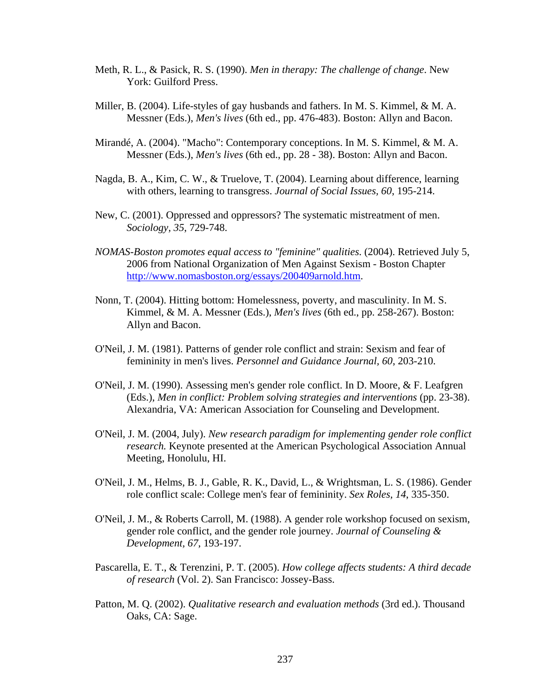- Meth, R. L., & Pasick, R. S. (1990). *Men in therapy: The challenge of change*. New York: Guilford Press.
- Miller, B. (2004). Life-styles of gay husbands and fathers. In M. S. Kimmel, & M. A. Messner (Eds.), *Men's lives* (6th ed., pp. 476-483). Boston: Allyn and Bacon.
- Mirandé, A. (2004). "Macho": Contemporary conceptions. In M. S. Kimmel, & M. A. Messner (Eds.), *Men's lives* (6th ed., pp. 28 - 38). Boston: Allyn and Bacon.
- Nagda, B. A., Kim, C. W., & Truelove, T. (2004). Learning about difference, learning with others, learning to transgress. *Journal of Social Issues, 60*, 195-214.
- New, C. (2001). Oppressed and oppressors? The systematic mistreatment of men. *Sociology, 35*, 729-748.
- *NOMAS-Boston promotes equal access to "feminine" qualities*. (2004). Retrieved July 5, 2006 from National Organization of Men Against Sexism - Boston Chapter http://www.nomasboston.org/essays/200409arnold.htm.
- Nonn, T. (2004). Hitting bottom: Homelessness, poverty, and masculinity. In M. S. Kimmel, & M. A. Messner (Eds.), *Men's lives* (6th ed., pp. 258-267). Boston: Allyn and Bacon.
- O'Neil, J. M. (1981). Patterns of gender role conflict and strain: Sexism and fear of femininity in men's lives. *Personnel and Guidance Journal, 60*, 203-210.
- O'Neil, J. M. (1990). Assessing men's gender role conflict. In D. Moore, & F. Leafgren (Eds.), *Men in conflict: Problem solving strategies and interventions* (pp. 23-38). Alexandria, VA: American Association for Counseling and Development.
- O'Neil, J. M. (2004, July). *New research paradigm for implementing gender role conflict research.* Keynote presented at the American Psychological Association Annual Meeting, Honolulu, HI.
- O'Neil, J. M., Helms, B. J., Gable, R. K., David, L., & Wrightsman, L. S. (1986). Gender role conflict scale: College men's fear of femininity. *Sex Roles, 14*, 335-350.
- O'Neil, J. M., & Roberts Carroll, M. (1988). A gender role workshop focused on sexism, gender role conflict, and the gender role journey. *Journal of Counseling & Development, 67*, 193-197.
- Pascarella, E. T., & Terenzini, P. T. (2005). *How college affects students: A third decade of research* (Vol. 2). San Francisco: Jossey-Bass.
- Patton, M. Q. (2002). *Qualitative research and evaluation methods* (3rd ed.). Thousand Oaks, CA: Sage.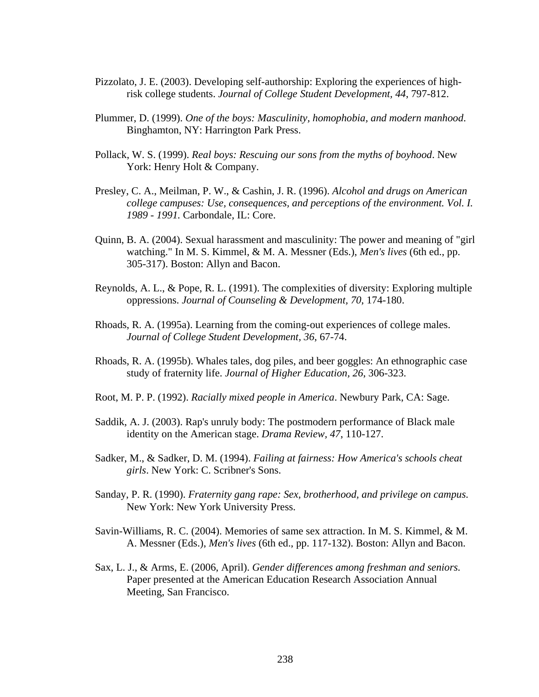- Pizzolato, J. E. (2003). Developing self-authorship: Exploring the experiences of highrisk college students. *Journal of College Student Development, 44*, 797-812.
- Plummer, D. (1999). *One of the boys: Masculinity, homophobia, and modern manhood*. Binghamton, NY: Harrington Park Press.
- Pollack, W. S. (1999). *Real boys: Rescuing our sons from the myths of boyhood*. New York: Henry Holt & Company.
- Presley, C. A., Meilman, P. W., & Cashin, J. R. (1996). *Alcohol and drugs on American college campuses: Use, consequences, and perceptions of the environment. Vol. I. 1989 - 1991.* Carbondale, IL: Core.
- Quinn, B. A. (2004). Sexual harassment and masculinity: The power and meaning of "girl watching." In M. S. Kimmel, & M. A. Messner (Eds.), *Men's lives* (6th ed., pp. 305-317). Boston: Allyn and Bacon.
- Reynolds, A. L., & Pope, R. L. (1991). The complexities of diversity: Exploring multiple oppressions. *Journal of Counseling & Development, 70*, 174-180.
- Rhoads, R. A. (1995a). Learning from the coming-out experiences of college males. *Journal of College Student Development, 36*, 67-74.
- Rhoads, R. A. (1995b). Whales tales, dog piles, and beer goggles: An ethnographic case study of fraternity life. *Journal of Higher Education, 26*, 306-323.
- Root, M. P. P. (1992). *Racially mixed people in America*. Newbury Park, CA: Sage.
- Saddik, A. J. (2003). Rap's unruly body: The postmodern performance of Black male identity on the American stage. *Drama Review, 47*, 110-127.
- Sadker, M., & Sadker, D. M. (1994). *Failing at fairness: How America's schools cheat girls*. New York: C. Scribner's Sons.
- Sanday, P. R. (1990). *Fraternity gang rape: Sex, brotherhood, and privilege on campus*. New York: New York University Press.
- Savin-Williams, R. C. (2004). Memories of same sex attraction. In M. S. Kimmel, & M. A. Messner (Eds.), *Men's lives* (6th ed., pp. 117-132). Boston: Allyn and Bacon.
- Sax, L. J., & Arms, E. (2006, April). *Gender differences among freshman and seniors.* Paper presented at the American Education Research Association Annual Meeting, San Francisco.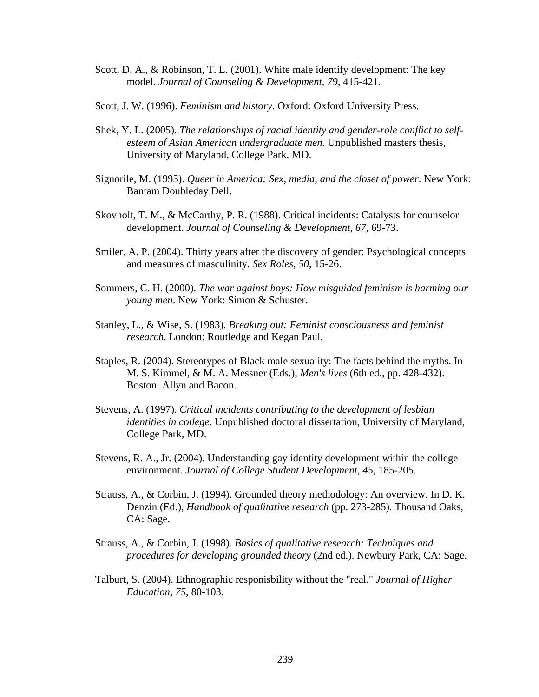- Scott, D. A., & Robinson, T. L. (2001). White male identify development: The key model. *Journal of Counseling & Development, 79*, 415-421.
- Scott, J. W. (1996). *Feminism and history*. Oxford: Oxford University Press.
- Shek, Y. L. (2005). *The relationships of racial identity and gender-role conflict to selfesteem of Asian American undergraduate men.* Unpublished masters thesis, University of Maryland, College Park, MD.
- Signorile, M. (1993). *Queer in America: Sex, media, and the closet of power*. New York: Bantam Doubleday Dell.
- Skovholt, T. M., & McCarthy, P. R. (1988). Critical incidents: Catalysts for counselor development. *Journal of Counseling & Development, 67*, 69-73.
- Smiler, A. P. (2004). Thirty years after the discovery of gender: Psychological concepts and measures of masculinity. *Sex Roles, 50*, 15-26.
- Sommers, C. H. (2000). *The war against boys: How misguided feminism is harming our young men*. New York: Simon & Schuster.
- Stanley, L., & Wise, S. (1983). *Breaking out: Feminist consciousness and feminist research*. London: Routledge and Kegan Paul.
- Staples, R. (2004). Stereotypes of Black male sexuality: The facts behind the myths. In M. S. Kimmel, & M. A. Messner (Eds.), *Men's lives* (6th ed., pp. 428-432). Boston: Allyn and Bacon.
- Stevens, A. (1997). *Critical incidents contributing to the development of lesbian identities in college.* Unpublished doctoral dissertation, University of Maryland, College Park, MD.
- Stevens, R. A., Jr. (2004). Understanding gay identity development within the college environment. *Journal of College Student Development, 45*, 185-205.
- Strauss, A., & Corbin, J. (1994). Grounded theory methodology: An overview. In D. K. Denzin (Ed.), *Handbook of qualitative research* (pp. 273-285). Thousand Oaks, CA: Sage.
- Strauss, A., & Corbin, J. (1998). *Basics of qualitative research: Techniques and procedures for developing grounded theory* (2nd ed.). Newbury Park, CA: Sage.
- Talburt, S. (2004). Ethnographic responisbility without the "real." *Journal of Higher Education, 75*, 80-103.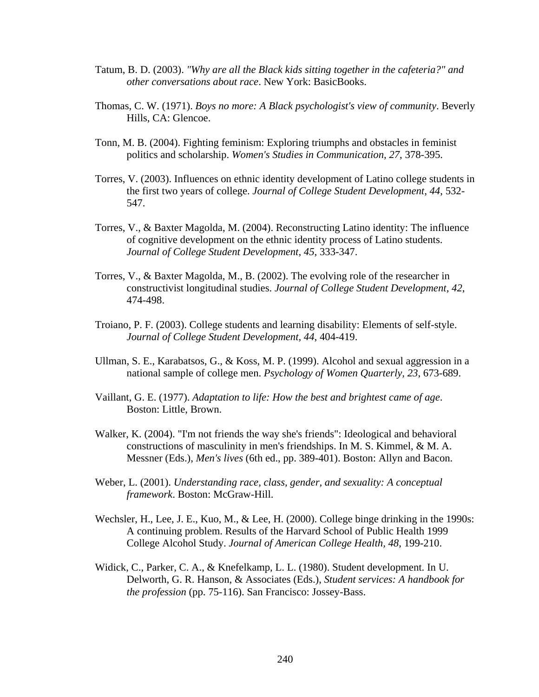- Tatum, B. D. (2003). *"Why are all the Black kids sitting together in the cafeteria?" and other conversations about race*. New York: BasicBooks.
- Thomas, C. W. (1971). *Boys no more: A Black psychologist's view of community*. Beverly Hills, CA: Glencoe.
- Tonn, M. B. (2004). Fighting feminism: Exploring triumphs and obstacles in feminist politics and scholarship. *Women's Studies in Communication, 27*, 378-395.
- Torres, V. (2003). Influences on ethnic identity development of Latino college students in the first two years of college. *Journal of College Student Development, 44*, 532- 547.
- Torres, V., & Baxter Magolda, M. (2004). Reconstructing Latino identity: The influence of cognitive development on the ethnic identity process of Latino students. *Journal of College Student Development, 45*, 333-347.
- Torres, V., & Baxter Magolda, M., B. (2002). The evolving role of the researcher in constructivist longitudinal studies. *Journal of College Student Development, 42*, 474-498.
- Troiano, P. F. (2003). College students and learning disability: Elements of self-style. *Journal of College Student Development, 44*, 404-419.
- Ullman, S. E., Karabatsos, G., & Koss, M. P. (1999). Alcohol and sexual aggression in a national sample of college men. *Psychology of Women Quarterly, 23*, 673-689.
- Vaillant, G. E. (1977). *Adaptation to life: How the best and brightest came of age*. Boston: Little, Brown.
- Walker, K. (2004). "I'm not friends the way she's friends": Ideological and behavioral constructions of masculinity in men's friendships. In M. S. Kimmel, & M. A. Messner (Eds.), *Men's lives* (6th ed., pp. 389-401). Boston: Allyn and Bacon.
- Weber, L. (2001). *Understanding race, class, gender, and sexuality: A conceptual framework*. Boston: McGraw-Hill.
- Wechsler, H., Lee, J. E., Kuo, M., & Lee, H. (2000). College binge drinking in the 1990s: A continuing problem. Results of the Harvard School of Public Health 1999 College Alcohol Study. *Journal of American College Health, 48*, 199-210.
- Widick, C., Parker, C. A., & Knefelkamp, L. L. (1980). Student development. In U. Delworth, G. R. Hanson, & Associates (Eds.), *Student services: A handbook for the profession* (pp. 75-116). San Francisco: Jossey-Bass.